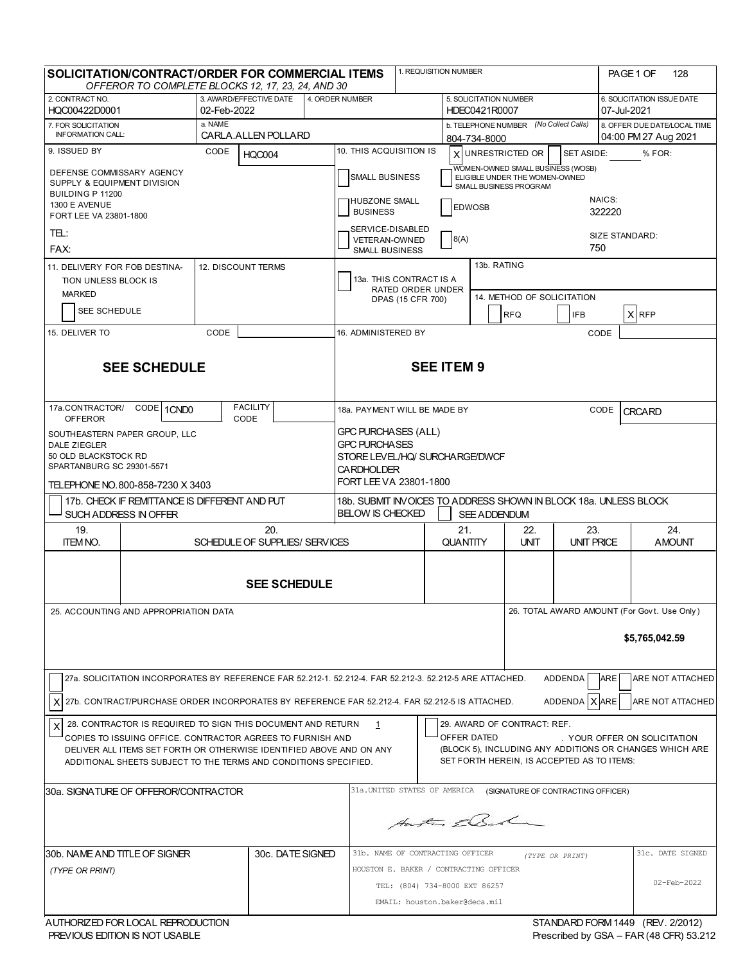|                                                                                                                                                                                                                                                                            |                                                                                    |                         | SOLICITATION/CONTRACT/ORDER FOR COMMERCIAL ITEMS<br>OFFEROR TO COMPLETE BLOCKS 12, 17, 23, 24, AND 30                                                                                            |                                                                                                                         | 1. REQUISITION NUMBER            |      |                                                     |                                                                                                                                      |                            |             | PAGE 1 OF                    | 128                          |
|----------------------------------------------------------------------------------------------------------------------------------------------------------------------------------------------------------------------------------------------------------------------------|------------------------------------------------------------------------------------|-------------------------|--------------------------------------------------------------------------------------------------------------------------------------------------------------------------------------------------|-------------------------------------------------------------------------------------------------------------------------|----------------------------------|------|-----------------------------------------------------|--------------------------------------------------------------------------------------------------------------------------------------|----------------------------|-------------|------------------------------|------------------------------|
| 2. CONTRACT NO.                                                                                                                                                                                                                                                            |                                                                                    | 3. AWARD/EFFECTIVE DATE |                                                                                                                                                                                                  | 4. ORDER NUMBER                                                                                                         |                                  |      |                                                     | 5. SOLICITATION NUMBER                                                                                                               |                            |             | 6. SOLICITATION ISSUE DATE   |                              |
| HQC00422D0001<br>7. FOR SOLICITATION                                                                                                                                                                                                                                       |                                                                                    | 02-Feb-2022<br>a. NAME  |                                                                                                                                                                                                  |                                                                                                                         |                                  |      | HDEC0421R0007                                       | b. TELEPHONE NUMBER (No Collect Calls)                                                                                               |                            | 07-Jul-2021 |                              | 8. OFFER DUE DATE/LOCAL TIME |
| <b>INFORMATION CALL:</b>                                                                                                                                                                                                                                                   |                                                                                    |                         | CARLA.ALLEN POLLARD                                                                                                                                                                              |                                                                                                                         |                                  |      | 804-734-8000                                        |                                                                                                                                      |                            |             | 04:00 PM 27 Aug 2021         |                              |
| 9. ISSUED BY                                                                                                                                                                                                                                                               |                                                                                    | CODE                    | <b>HQC004</b>                                                                                                                                                                                    | 10. THIS ACQUISITION IS                                                                                                 |                                  |      |                                                     | UNRESTRICTED OR                                                                                                                      | SET ASIDE:                 |             | % FOR:                       |                              |
| <b>BUILDING P 11200</b><br>1300 E AVENUE                                                                                                                                                                                                                                   | DEFENSE COMMISSARY AGENCY<br>SUPPLY & EQUIPMENT DIVISION<br>FORT LEE VA 23801-1800 |                         | WOMEN-OWNED SMALL BUSINESS (WOSB)<br>SMALL BUSINESS<br>ELIGIBLE UNDER THE WOMEN-OWNED<br>SMALL BUSINESS PROGRAM<br>NAICS:<br><b>IHUBZONE SMALL</b><br><b>EDWOSB</b><br><b>BUSINESS</b><br>322220 |                                                                                                                         |                                  |      |                                                     |                                                                                                                                      |                            |             |                              |                              |
| TEL:                                                                                                                                                                                                                                                                       |                                                                                    |                         | SERVICE-DISABLED<br><b>SIZE STANDARD:</b>                                                                                                                                                        |                                                                                                                         |                                  |      |                                                     |                                                                                                                                      |                            |             |                              |                              |
| FAX:                                                                                                                                                                                                                                                                       |                                                                                    |                         |                                                                                                                                                                                                  | VETERAN-OWNED<br><b>SMALL BUSINESS</b>                                                                                  |                                  | 8(A) |                                                     |                                                                                                                                      |                            | 750         |                              |                              |
| 11. DELIVERY FOR FOB DESTINA-<br>TION UNLESS BLOCK IS                                                                                                                                                                                                                      |                                                                                    | 12. DISCOUNT TERMS      |                                                                                                                                                                                                  | 13a. THIS CONTRACT IS A<br>RATED ORDER UNDER                                                                            |                                  |      |                                                     | 13b. RATING                                                                                                                          |                            |             |                              |                              |
| <b>MARKED</b><br>SEE SCHEDULE                                                                                                                                                                                                                                              |                                                                                    |                         |                                                                                                                                                                                                  |                                                                                                                         | DPAS (15 CFR 700)                |      |                                                     |                                                                                                                                      | 14. METHOD OF SOLICITATION |             |                              |                              |
|                                                                                                                                                                                                                                                                            |                                                                                    |                         |                                                                                                                                                                                                  |                                                                                                                         |                                  |      |                                                     | <b>RFQ</b>                                                                                                                           | IFB                        |             | X RFP                        |                              |
| 15. DELIVER TO                                                                                                                                                                                                                                                             |                                                                                    | CODE                    |                                                                                                                                                                                                  | 16. ADMINISTERED BY                                                                                                     |                                  |      |                                                     |                                                                                                                                      |                            | CODE        |                              |                              |
|                                                                                                                                                                                                                                                                            | <b>SEE SCHEDULE</b>                                                                |                         |                                                                                                                                                                                                  | <b>SEE ITEM 9</b>                                                                                                       |                                  |      |                                                     |                                                                                                                                      |                            |             |                              |                              |
| 17a.CONTRACTOR/<br><b>OFFEROR</b>                                                                                                                                                                                                                                          | CODE 1 CND0                                                                        |                         | <b>FACILITY</b>                                                                                                                                                                                  | 18a. PAYMENT WILL BE MADE BY                                                                                            |                                  |      |                                                     |                                                                                                                                      |                            | CODE        | <b>CRCARD</b>                |                              |
| CODE<br>SOUTHEASTERN PAPER GROUP, LLC<br><b>DALE ZIEGLER</b><br>50 OLD BLACKSTOCK RD<br>SPARTANBURG SC 29301-5571<br>TELEPHONE NO.800-858-7230 X 3403                                                                                                                      |                                                                                    |                         | <b>GPC PURCHASES (ALL)</b><br><b>GPC PURCHASES</b><br>STORE LEVEL/HQ/ SURCHARGE/DWCF<br><b>CARDHOLDER</b><br>FORT LEE VA 23801-1800                                                              |                                                                                                                         |                                  |      |                                                     |                                                                                                                                      |                            |             |                              |                              |
|                                                                                                                                                                                                                                                                            | 17b. CHECK IF REMITTANCE IS DIFFERENT AND PUT                                      |                         |                                                                                                                                                                                                  | 18b. SUBMIT INVOICES TO ADDRESS SHOWN IN BLOCK 18a. UNLESS BLOCK                                                        |                                  |      |                                                     |                                                                                                                                      |                            |             |                              |                              |
| 19.                                                                                                                                                                                                                                                                        | SUCH ADDRESS IN OFFER                                                              |                         | 20.                                                                                                                                                                                              | <b>BELOW IS CHECKED</b>                                                                                                 |                                  | 21.  |                                                     | <b>SEE ADDENDUM</b><br>22.                                                                                                           | 23.                        |             |                              | 24.                          |
| <b>ITEM NO.</b>                                                                                                                                                                                                                                                            |                                                                                    |                         | SCHEDULE OF SUPPLIES/ SERVICES                                                                                                                                                                   |                                                                                                                         |                                  |      | <b>QUANTITY</b><br><b>UNIT PRICE</b><br><b>UNIT</b> |                                                                                                                                      |                            |             |                              | <b>AMOUNT</b>                |
|                                                                                                                                                                                                                                                                            |                                                                                    |                         | <b>SEE SCHEDULE</b>                                                                                                                                                                              |                                                                                                                         |                                  |      |                                                     |                                                                                                                                      |                            |             |                              |                              |
|                                                                                                                                                                                                                                                                            | 25. ACCOUNTING AND APPROPRIATION DATA                                              |                         |                                                                                                                                                                                                  |                                                                                                                         |                                  |      |                                                     | 26. TOTAL AWARD AMOUNT (For Govt. Use Only)                                                                                          |                            |             |                              |                              |
|                                                                                                                                                                                                                                                                            |                                                                                    |                         |                                                                                                                                                                                                  |                                                                                                                         |                                  |      |                                                     |                                                                                                                                      |                            |             | \$5,765,042.59               |                              |
|                                                                                                                                                                                                                                                                            |                                                                                    |                         | 27a. SOLICITATION INCORPORATES BY REFERENCE FAR 52.212-1. 52.212-4. FAR 52.212-3. 52.212-5 ARE ATTACHED.                                                                                         |                                                                                                                         |                                  |      |                                                     |                                                                                                                                      | <b>ADDENDA</b>             | ARE         |                              | ARE NOT ATTACHED             |
| Χ                                                                                                                                                                                                                                                                          |                                                                                    |                         | 27b. CONTRACT/PURCHASE ORDER INCORPORATES BY REFERENCE FAR 52.212-4. FAR 52.212-5 IS ATTACHED.                                                                                                   |                                                                                                                         |                                  |      |                                                     |                                                                                                                                      | <b>ADDENDA</b>             | X ARE       |                              | ARE NOT ATTACHED             |
| 28. CONTRACTOR IS REQUIRED TO SIGN THIS DOCUMENT AND RETURN<br>X<br>COPIES TO ISSUING OFFICE. CONTRACTOR AGREES TO FURNISH AND<br>DELIVER ALL ITEMS SET FORTH OR OTHERWISE IDENTIFIED ABOVE AND ON ANY<br>ADDITIONAL SHEETS SUBJECT TO THE TERMS AND CONDITIONS SPECIFIED. |                                                                                    |                         |                                                                                                                                                                                                  | 1                                                                                                                       |                                  |      | OFFER DATED                                         | 29. AWARD OF CONTRACT: REF.<br>(BLOCK 5), INCLUDING ANY ADDITIONS OR CHANGES WHICH ARE<br>SET FORTH HEREIN, IS ACCEPTED AS TO ITEMS: |                            |             | . YOUR OFFER ON SOLICITATION |                              |
| 130a. SIGNATURE OF OFFEROR/CONTRACTOR                                                                                                                                                                                                                                      |                                                                                    |                         |                                                                                                                                                                                                  | 31a. UNITED STATES OF AMERICA                                                                                           |                                  |      |                                                     | (SIGNATURE OF CONTRACTING OFFICER)                                                                                                   |                            |             |                              |                              |
|                                                                                                                                                                                                                                                                            |                                                                                    |                         |                                                                                                                                                                                                  |                                                                                                                         |                                  |      |                                                     | Haster Bal                                                                                                                           |                            |             |                              |                              |
| 30b. NAME AND TITLE OF SIGNER                                                                                                                                                                                                                                              |                                                                                    |                         | 30c. DATE SIGNED                                                                                                                                                                                 |                                                                                                                         | 31b. NAME OF CONTRACTING OFFICER |      |                                                     |                                                                                                                                      | (TYPE OR PRINT)            |             |                              | 31c. DATE SIGNED             |
| (TYPE OR PRINT)                                                                                                                                                                                                                                                            |                                                                                    |                         |                                                                                                                                                                                                  | HOUSTON E. BAKER / CONTRACTING OFFICER<br>02-Feb-2022<br>TEL: (804) 734-8000 EXT 86257<br>EMAIL: houston.baker@deca.mil |                                  |      |                                                     |                                                                                                                                      |                            |             |                              |                              |
|                                                                                                                                                                                                                                                                            |                                                                                    |                         |                                                                                                                                                                                                  |                                                                                                                         |                                  |      |                                                     |                                                                                                                                      |                            |             |                              |                              |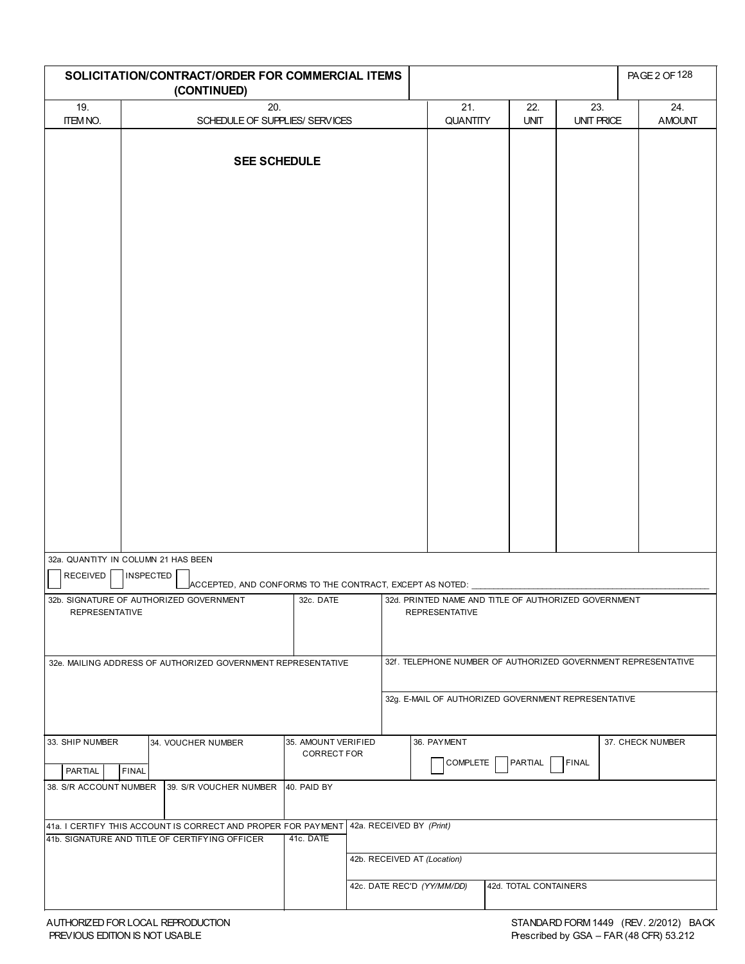|                                                           | SOLICITATION/CONTRACT/ORDER FOR COMMERCIAL ITEMS<br>(CONTINUED) |  |                                                               |                                           |                             |                                                                                                                                           |                                                               |  |                       | PAGE 2 OF 128            |                      |
|-----------------------------------------------------------|-----------------------------------------------------------------|--|---------------------------------------------------------------|-------------------------------------------|-----------------------------|-------------------------------------------------------------------------------------------------------------------------------------------|---------------------------------------------------------------|--|-----------------------|--------------------------|----------------------|
| 19.<br><b>ITEM NO.</b>                                    |                                                                 |  | 20.<br>SCHEDULE OF SUPPLIES/ SERVICES                         |                                           |                             |                                                                                                                                           | 21.<br><b>QUANTITY</b>                                        |  | 22.<br><b>UNIT</b>    | 23.<br><b>UNIT PRICE</b> | 24.<br><b>AMOUNT</b> |
|                                                           |                                                                 |  | <b>SEE SCHEDULE</b>                                           |                                           |                             |                                                                                                                                           |                                                               |  |                       |                          |                      |
|                                                           |                                                                 |  |                                                               |                                           |                             |                                                                                                                                           |                                                               |  |                       |                          |                      |
| 32a. QUANTITY IN COLUMN 21 HAS BEEN<br>RECEIVED           | <b>INSPECTED</b>                                                |  |                                                               |                                           |                             |                                                                                                                                           |                                                               |  |                       |                          |                      |
| 32b. SIGNATURE OF AUTHORIZED GOVERNMENT<br>REPRESENTATIVE |                                                                 |  |                                                               | 32c. DATE                                 |                             | ACCEPTED, AND CONFORMS TO THE CONTRACT, EXCEPT AS NOTED:<br>32d. PRINTED NAME AND TITLE OF AUTHORIZED GOVERNMENT<br><b>REPRESENTATIVE</b> |                                                               |  |                       |                          |                      |
|                                                           |                                                                 |  | 32e. MAILING ADDRESS OF AUTHORIZED GOVERNMENT REPRESENTATIVE  |                                           |                             |                                                                                                                                           | 32f. TELEPHONE NUMBER OF AUTHORIZED GOVERNMENT REPRESENTATIVE |  |                       |                          |                      |
|                                                           |                                                                 |  |                                                               |                                           |                             |                                                                                                                                           | 32g. E-MAIL OF AUTHORIZED GOVERNMENT REPRESENTATIVE           |  |                       |                          |                      |
| 33. SHIP NUMBER<br>PARTIAL                                | <b>FINAL</b>                                                    |  | 34. VOUCHER NUMBER                                            | 35. AMOUNT VERIFIED<br><b>CORRECT FOR</b> |                             |                                                                                                                                           | 36. PAYMENT<br>COMPLETE                                       |  | PARTIAL               | FINAL                    | 37. CHECK NUMBER     |
| 38. S/R ACCOUNT NUMBER                                    |                                                                 |  | 39. S/R VOUCHER NUMBER                                        | 40. PAID BY                               |                             |                                                                                                                                           |                                                               |  |                       |                          |                      |
|                                                           |                                                                 |  | 41a. I CERTIFY THIS ACCOUNT IS CORRECT AND PROPER FOR PAYMENT | 41c. DATE                                 |                             | 42a. RECEIVED BY (Print)                                                                                                                  |                                                               |  |                       |                          |                      |
| 41b. SIGNATURE AND TITLE OF CERTIFYING OFFICER            |                                                                 |  |                                                               |                                           | 42b. RECEIVED AT (Location) |                                                                                                                                           |                                                               |  |                       |                          |                      |
|                                                           |                                                                 |  |                                                               |                                           |                             | 42c. DATE REC'D (YY/MM/DD)                                                                                                                |                                                               |  | 42d. TOTAL CONTAINERS |                          |                      |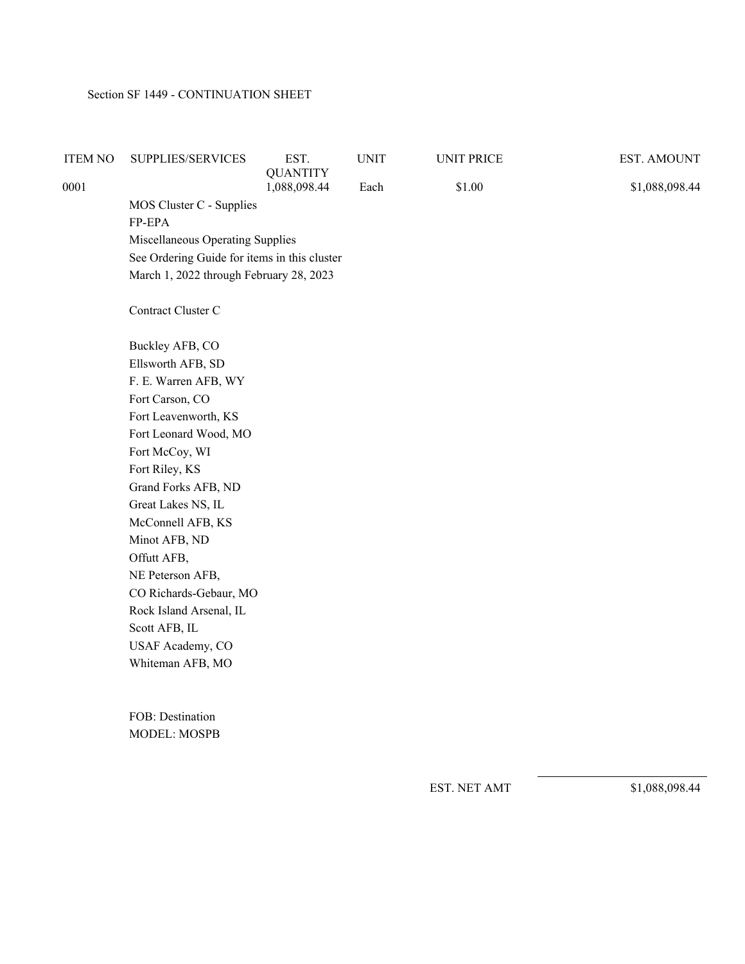## Section SF 1449 - CONTINUATION SHEET

| <b>ITEM NO</b> | SUPPLIES/SERVICES                            | EST.<br><b>QUANTITY</b> | <b>UNIT</b> | <b>UNIT PRICE</b> | EST. AMOUNT    |
|----------------|----------------------------------------------|-------------------------|-------------|-------------------|----------------|
| 0001           |                                              | 1,088,098.44            | Each        | \$1.00            | \$1,088,098.44 |
|                | MOS Cluster C - Supplies                     |                         |             |                   |                |
|                | FP-EPA                                       |                         |             |                   |                |
|                | Miscellaneous Operating Supplies             |                         |             |                   |                |
|                | See Ordering Guide for items in this cluster |                         |             |                   |                |
|                | March 1, 2022 through February 28, 2023      |                         |             |                   |                |
|                | Contract Cluster C                           |                         |             |                   |                |
|                | Buckley AFB, CO                              |                         |             |                   |                |
|                | Ellsworth AFB, SD                            |                         |             |                   |                |
|                | F. E. Warren AFB, WY                         |                         |             |                   |                |
|                | Fort Carson, CO                              |                         |             |                   |                |
|                | Fort Leavenworth, KS                         |                         |             |                   |                |
|                | Fort Leonard Wood, MO                        |                         |             |                   |                |
|                | Fort McCoy, WI                               |                         |             |                   |                |
|                | Fort Riley, KS                               |                         |             |                   |                |
|                | Grand Forks AFB, ND                          |                         |             |                   |                |
|                | Great Lakes NS, IL                           |                         |             |                   |                |
|                | McConnell AFB, KS                            |                         |             |                   |                |
|                | Minot AFB, ND                                |                         |             |                   |                |
|                | Offutt AFB,                                  |                         |             |                   |                |
|                | NE Peterson AFB,                             |                         |             |                   |                |
|                | CO Richards-Gebaur, MO                       |                         |             |                   |                |
|                | Rock Island Arsenal, IL                      |                         |             |                   |                |
|                | Scott AFB, IL                                |                         |             |                   |                |
|                | USAF Academy, CO                             |                         |             |                   |                |
|                | Whiteman AFB, MO                             |                         |             |                   |                |
|                |                                              |                         |             |                   |                |

FOB: Destination MODEL: MOSPB

EST. NET AMT \$1,088,098.44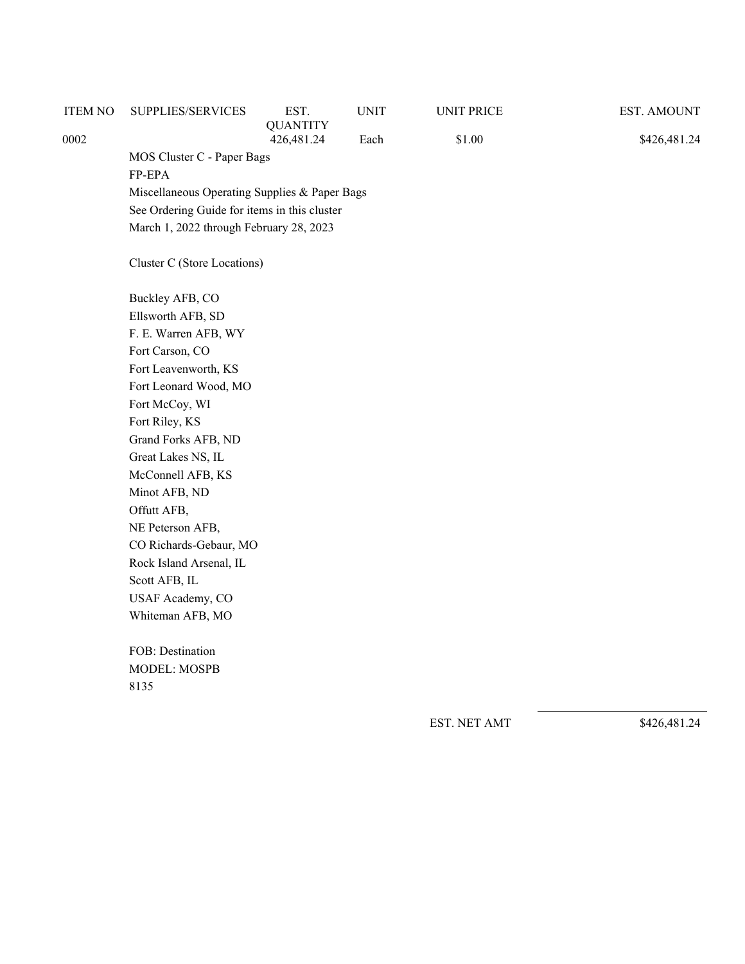| <b>ITEM NO</b> | SUPPLIES/SERVICES                             | EST.<br><b>QUANTITY</b> | <b>UNIT</b> | <b>UNIT PRICE</b>   | EST. AMOUNT  |  |  |  |  |  |
|----------------|-----------------------------------------------|-------------------------|-------------|---------------------|--------------|--|--|--|--|--|
| 0002           |                                               | 426, 481.24             | Each        | \$1.00              | \$426,481.24 |  |  |  |  |  |
|                | MOS Cluster C - Paper Bags                    |                         |             |                     |              |  |  |  |  |  |
|                | FP-EPA                                        |                         |             |                     |              |  |  |  |  |  |
|                | Miscellaneous Operating Supplies & Paper Bags |                         |             |                     |              |  |  |  |  |  |
|                | See Ordering Guide for items in this cluster  |                         |             |                     |              |  |  |  |  |  |
|                | March 1, 2022 through February 28, 2023       |                         |             |                     |              |  |  |  |  |  |
|                | Cluster C (Store Locations)                   |                         |             |                     |              |  |  |  |  |  |
|                | Buckley AFB, CO                               |                         |             |                     |              |  |  |  |  |  |
|                | Ellsworth AFB, SD                             |                         |             |                     |              |  |  |  |  |  |
|                | F. E. Warren AFB, WY                          |                         |             |                     |              |  |  |  |  |  |
|                | Fort Carson, CO                               |                         |             |                     |              |  |  |  |  |  |
|                | Fort Leavenworth, KS                          |                         |             |                     |              |  |  |  |  |  |
|                | Fort Leonard Wood, MO                         |                         |             |                     |              |  |  |  |  |  |
|                | Fort McCoy, WI                                |                         |             |                     |              |  |  |  |  |  |
|                | Fort Riley, KS                                |                         |             |                     |              |  |  |  |  |  |
|                | Grand Forks AFB, ND                           |                         |             |                     |              |  |  |  |  |  |
|                | Great Lakes NS, IL                            |                         |             |                     |              |  |  |  |  |  |
|                | McConnell AFB, KS                             |                         |             |                     |              |  |  |  |  |  |
|                | Minot AFB, ND                                 |                         |             |                     |              |  |  |  |  |  |
|                | Offutt AFB,                                   |                         |             |                     |              |  |  |  |  |  |
|                | NE Peterson AFB,                              |                         |             |                     |              |  |  |  |  |  |
|                | CO Richards-Gebaur, MO                        |                         |             |                     |              |  |  |  |  |  |
|                | Rock Island Arsenal, IL                       |                         |             |                     |              |  |  |  |  |  |
|                | Scott AFB, IL                                 |                         |             |                     |              |  |  |  |  |  |
|                | USAF Academy, CO                              |                         |             |                     |              |  |  |  |  |  |
|                | Whiteman AFB, MO                              |                         |             |                     |              |  |  |  |  |  |
|                | FOB: Destination                              |                         |             |                     |              |  |  |  |  |  |
|                | <b>MODEL: MOSPB</b>                           |                         |             |                     |              |  |  |  |  |  |
|                | 8135                                          |                         |             |                     |              |  |  |  |  |  |
|                |                                               |                         |             | <b>EST. NET AMT</b> | \$426,481.24 |  |  |  |  |  |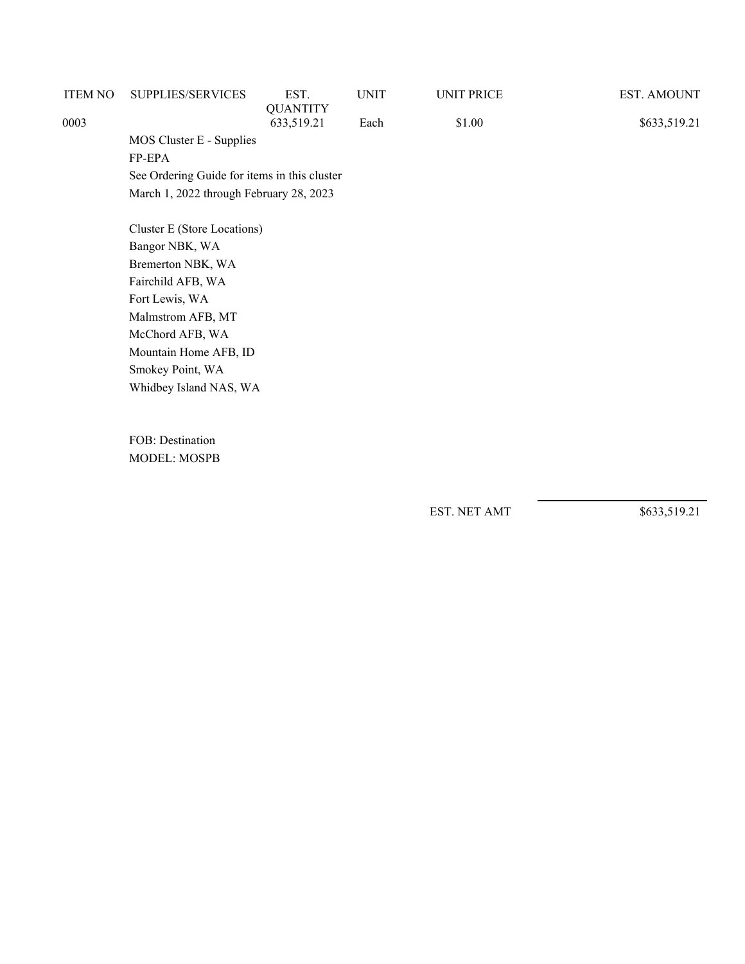| <b>ITEM NO</b> | SUPPLIES/SERVICES                            | EST.            | <b>UNIT</b> | <b>UNIT PRICE</b> | EST. AMOUNT  |  |  |  |
|----------------|----------------------------------------------|-----------------|-------------|-------------------|--------------|--|--|--|
|                |                                              | <b>QUANTITY</b> |             |                   |              |  |  |  |
| 0003           |                                              | 633,519.21      | Each        | \$1.00            | \$633,519.21 |  |  |  |
|                | MOS Cluster E - Supplies                     |                 |             |                   |              |  |  |  |
|                | FP-EPA                                       |                 |             |                   |              |  |  |  |
|                | See Ordering Guide for items in this cluster |                 |             |                   |              |  |  |  |
|                | March 1, 2022 through February 28, 2023      |                 |             |                   |              |  |  |  |
|                | Cluster E (Store Locations)                  |                 |             |                   |              |  |  |  |
|                | Bangor NBK, WA                               |                 |             |                   |              |  |  |  |
|                | Bremerton NBK, WA                            |                 |             |                   |              |  |  |  |
|                | Fairchild AFB, WA                            |                 |             |                   |              |  |  |  |
|                | Fort Lewis, WA                               |                 |             |                   |              |  |  |  |
|                | Malmstrom AFB, MT                            |                 |             |                   |              |  |  |  |
|                | McChord AFB, WA                              |                 |             |                   |              |  |  |  |
|                | Mountain Home AFB, ID                        |                 |             |                   |              |  |  |  |
|                | Smokey Point, WA                             |                 |             |                   |              |  |  |  |
|                | Whidbey Island NAS, WA                       |                 |             |                   |              |  |  |  |
|                |                                              |                 |             |                   |              |  |  |  |
|                |                                              |                 |             |                   |              |  |  |  |

FOB: Destination MODEL: MOSPB

EST. NET AMT \$633,519.21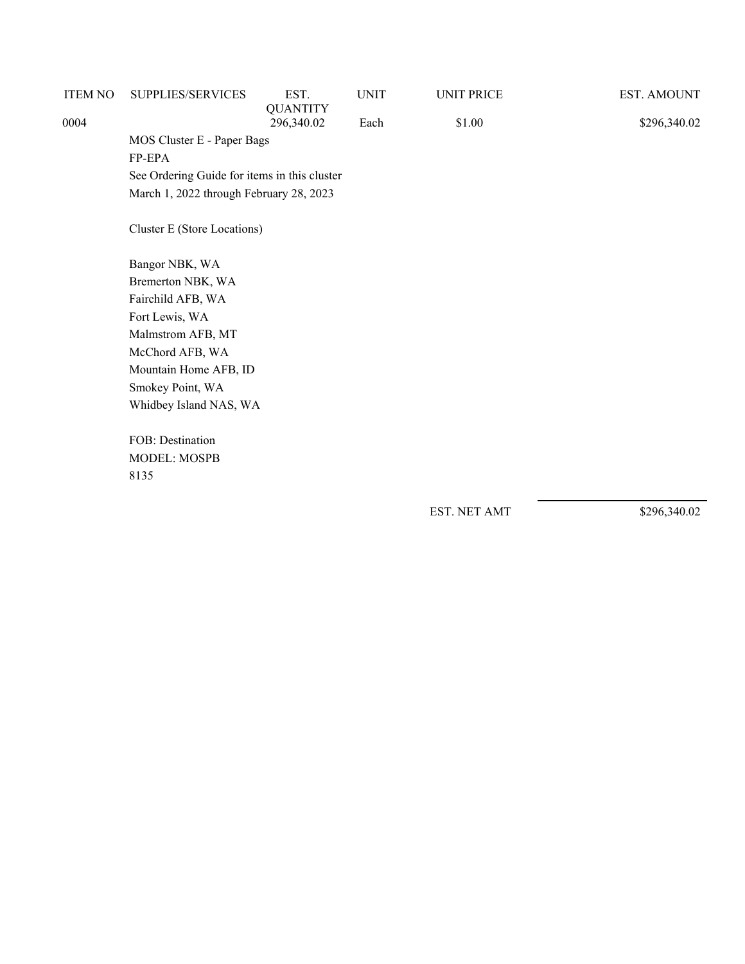| <b>ITEM NO</b> | SUPPLIES/SERVICES                            | EST.                                    | <b>UNIT</b> | <b>UNIT PRICE</b> | EST. AMOUNT  |  |  |  |  |  |
|----------------|----------------------------------------------|-----------------------------------------|-------------|-------------------|--------------|--|--|--|--|--|
| 0004           |                                              | <b>QUANTITY</b><br>296,340.02           | Each        | \$1.00            | \$296,340.02 |  |  |  |  |  |
|                | MOS Cluster E - Paper Bags                   |                                         |             |                   |              |  |  |  |  |  |
|                | FP-EPA                                       |                                         |             |                   |              |  |  |  |  |  |
|                | See Ordering Guide for items in this cluster |                                         |             |                   |              |  |  |  |  |  |
|                |                                              | March 1, 2022 through February 28, 2023 |             |                   |              |  |  |  |  |  |
|                | Cluster E (Store Locations)                  |                                         |             |                   |              |  |  |  |  |  |
|                | Bangor NBK, WA                               |                                         |             |                   |              |  |  |  |  |  |
|                | Bremerton NBK, WA                            |                                         |             |                   |              |  |  |  |  |  |
|                | Fairchild AFB, WA                            |                                         |             |                   |              |  |  |  |  |  |
|                | Fort Lewis, WA                               |                                         |             |                   |              |  |  |  |  |  |
|                | Malmstrom AFB, MT                            |                                         |             |                   |              |  |  |  |  |  |
|                | McChord AFB, WA                              |                                         |             |                   |              |  |  |  |  |  |
|                | Mountain Home AFB, ID                        |                                         |             |                   |              |  |  |  |  |  |
|                | Smokey Point, WA                             |                                         |             |                   |              |  |  |  |  |  |
|                | Whidbey Island NAS, WA                       |                                         |             |                   |              |  |  |  |  |  |
|                | FOB: Destination                             |                                         |             |                   |              |  |  |  |  |  |
|                | MODEL: MOSPB                                 |                                         |             |                   |              |  |  |  |  |  |
|                | 8135                                         |                                         |             |                   |              |  |  |  |  |  |
|                |                                              |                                         |             |                   |              |  |  |  |  |  |

EST. NET AMT \$296,340.02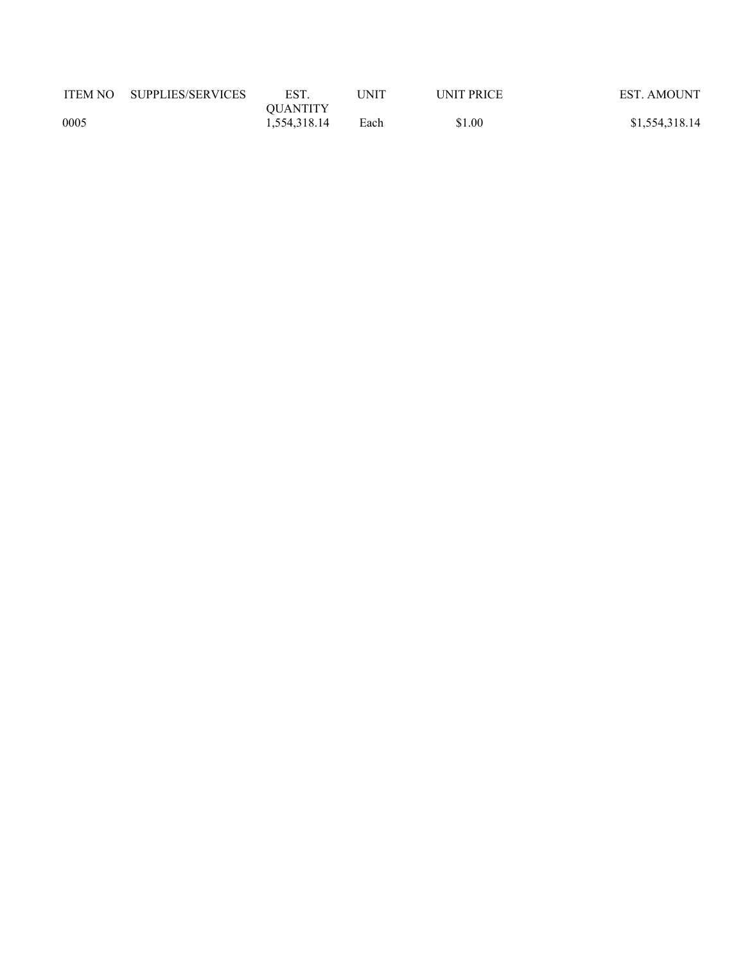|      | ITEM NO SUPPLIES/SERVICES | <b>EST</b>      | INIT | <b>UNIT PRICE</b> | EST. AMOUNT    |
|------|---------------------------|-----------------|------|-------------------|----------------|
|      |                           | <b>OUANTITY</b> |      |                   |                |
| 0005 |                           | 1.554.318.14    | Each | \$1.00            | \$1,554,318.14 |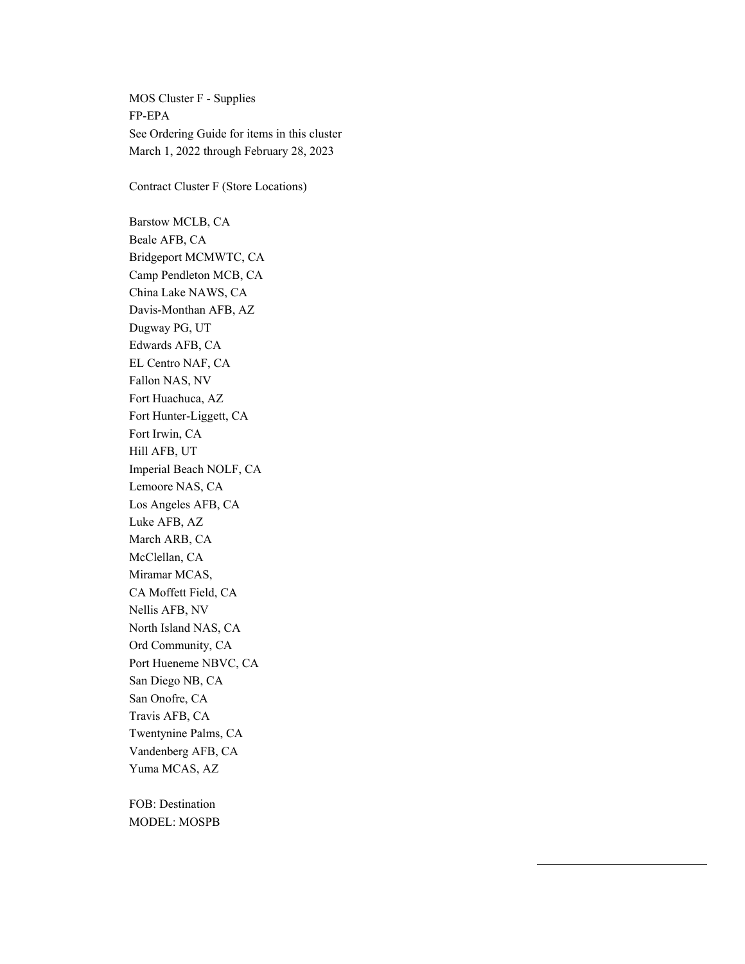MOS Cluster F - Supplies FP-EPA See Ordering Guide for items in this cluster March 1, 2022 through February 28, 2023

Contract Cluster F (Store Locations)

Barstow MCLB, CA Beale AFB, CA Bridgeport MCMWTC, CA Camp Pendleton MCB, CA China Lake NAWS, CA Davis-Monthan AFB, AZ Dugway PG, UT Edwards AFB, CA EL Centro NAF, CA Fallon NAS, NV Fort Huachuca, AZ Fort Hunter-Liggett, CA Fort Irwin, CA Hill AFB, UT Imperial Beach NOLF, CA Lemoore NAS, CA Los Angeles AFB, CA Luke AFB, AZ March ARB, CA McClellan, CA Miramar MCAS, CA Moffett Field, CA Nellis AFB, NV North Island NAS, CA Ord Community, CA Port Hueneme NBVC, CA San Diego NB, CA San Onofre, CA Travis AFB, CA Twentynine Palms, CA Vandenberg AFB, CA Yuma MCAS, AZ

FOB: Destination MODEL: MOSPB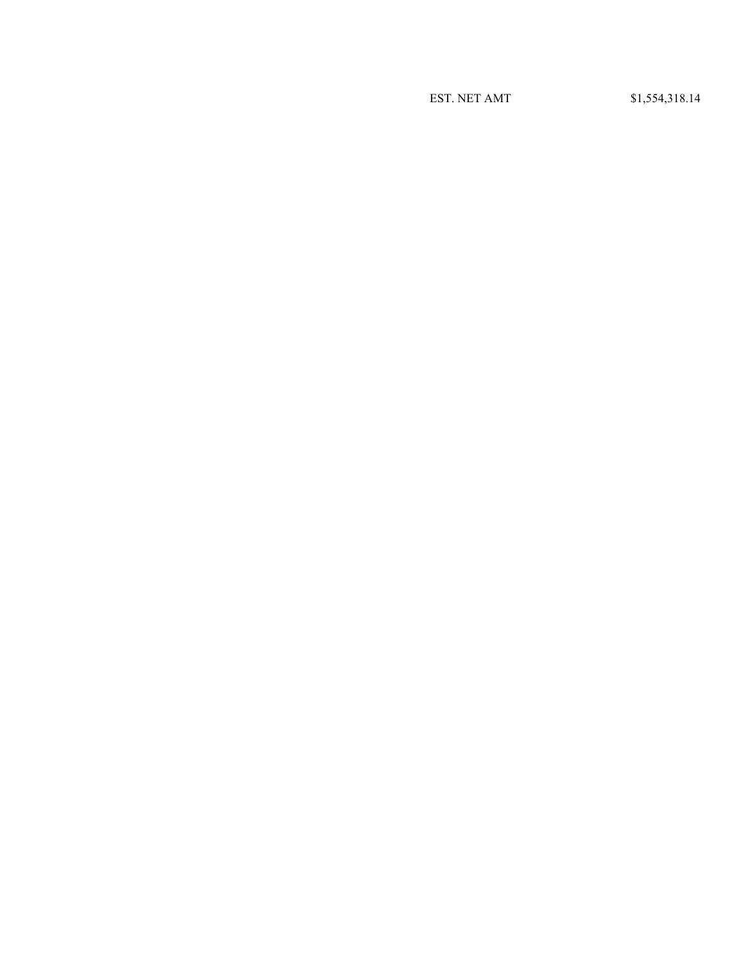EST. NET AMT \$1,554,318.14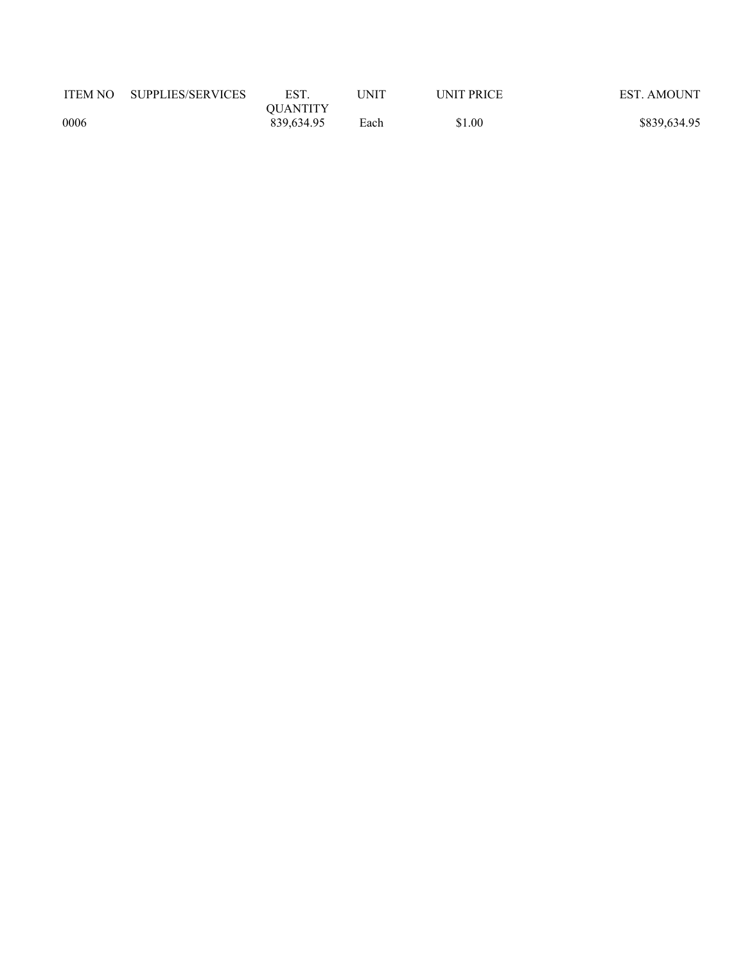|      | ITEM NO SUPPLIES/SERVICES | EST             | JNIT | <b>UNIT PRICE</b> | <b>EST. AMOUNT</b> |
|------|---------------------------|-----------------|------|-------------------|--------------------|
|      |                           | <b>OUANTITY</b> |      |                   |                    |
| 0006 |                           | 839,634.95      | Each | \$1.00            | \$839,634.95       |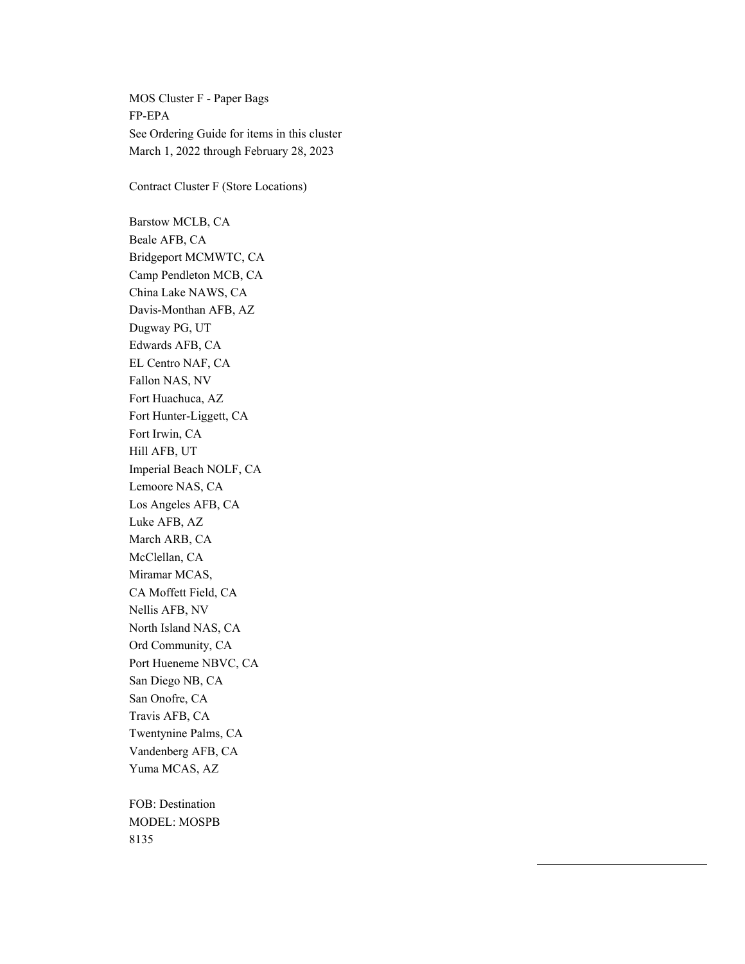MOS Cluster F - Paper Bags FP-EPA See Ordering Guide for items in this cluster March 1, 2022 through February 28, 2023

Contract Cluster F (Store Locations)

Barstow MCLB, CA Beale AFB, CA Bridgeport MCMWTC, CA Camp Pendleton MCB, CA China Lake NAWS, CA Davis-Monthan AFB, AZ Dugway PG, UT Edwards AFB, CA EL Centro NAF, CA Fallon NAS, NV Fort Huachuca, AZ Fort Hunter-Liggett, CA Fort Irwin, CA Hill AFB, UT Imperial Beach NOLF, CA Lemoore NAS, CA Los Angeles AFB, CA Luke AFB, AZ March ARB, CA McClellan, CA Miramar MCAS, CA Moffett Field, CA Nellis AFB, NV North Island NAS, CA Ord Community, CA Port Hueneme NBVC, CA San Diego NB, CA San Onofre, CA Travis AFB, CA Twentynine Palms, CA Vandenberg AFB, CA Yuma MCAS, AZ

FOB: Destination MODEL: MOSPB 8135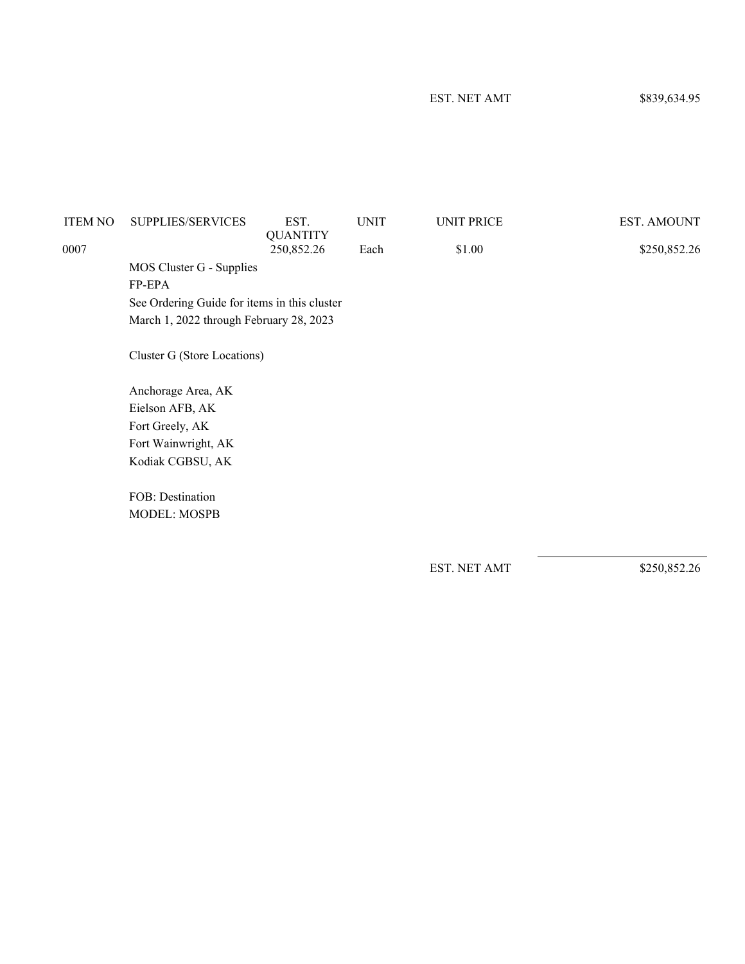| <b>ITEM NO</b> | SUPPLIES/SERVICES                            | EST.            | <b>UNIT</b> | <b>UNIT PRICE</b> | EST. AMOUNT  |  |  |  |  |
|----------------|----------------------------------------------|-----------------|-------------|-------------------|--------------|--|--|--|--|
|                |                                              | <b>QUANTITY</b> |             |                   |              |  |  |  |  |
| 0007           |                                              | 250,852.26      | Each        | \$1.00            | \$250,852.26 |  |  |  |  |
|                | MOS Cluster G - Supplies                     |                 |             |                   |              |  |  |  |  |
|                | FP-EPA                                       |                 |             |                   |              |  |  |  |  |
|                | See Ordering Guide for items in this cluster |                 |             |                   |              |  |  |  |  |
|                | March 1, 2022 through February 28, 2023      |                 |             |                   |              |  |  |  |  |
|                | Cluster G (Store Locations)                  |                 |             |                   |              |  |  |  |  |
|                | Anchorage Area, AK                           |                 |             |                   |              |  |  |  |  |
|                | Eielson AFB, AK                              |                 |             |                   |              |  |  |  |  |
|                | Fort Greely, AK                              |                 |             |                   |              |  |  |  |  |
|                | Fort Wainwright, AK                          |                 |             |                   |              |  |  |  |  |
|                | Kodiak CGBSU, AK                             |                 |             |                   |              |  |  |  |  |
|                | FOB: Destination                             |                 |             |                   |              |  |  |  |  |
|                | <b>MODEL: MOSPB</b>                          |                 |             |                   |              |  |  |  |  |

EST. NET AMT \$250,852.26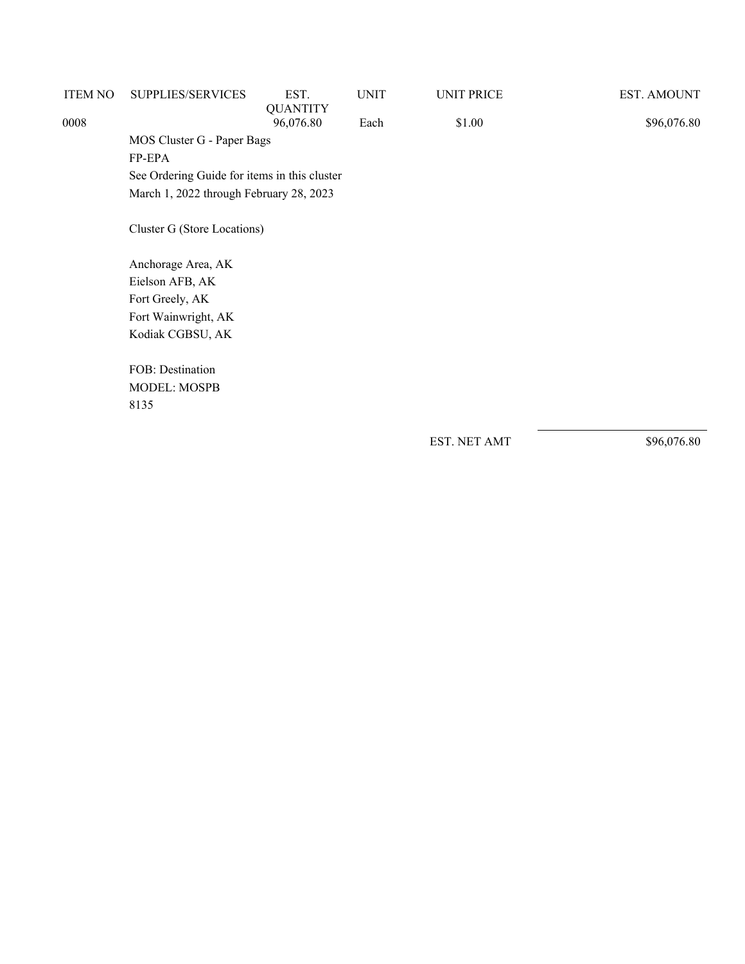| <b>ITEM NO</b> | SUPPLIES/SERVICES                            | EST.            | <b>UNIT</b> | UNIT PRICE | EST. AMOUNT |  |  |  |  |
|----------------|----------------------------------------------|-----------------|-------------|------------|-------------|--|--|--|--|
|                |                                              | <b>QUANTITY</b> |             |            |             |  |  |  |  |
| 0008           |                                              | 96,076.80       | Each        | \$1.00     | \$96,076.80 |  |  |  |  |
|                | MOS Cluster G - Paper Bags                   |                 |             |            |             |  |  |  |  |
|                | FP-EPA                                       |                 |             |            |             |  |  |  |  |
|                | See Ordering Guide for items in this cluster |                 |             |            |             |  |  |  |  |
|                | March 1, 2022 through February 28, 2023      |                 |             |            |             |  |  |  |  |
|                |                                              |                 |             |            |             |  |  |  |  |
|                | Cluster G (Store Locations)                  |                 |             |            |             |  |  |  |  |
|                | Anchorage Area, AK                           |                 |             |            |             |  |  |  |  |
|                | Eielson AFB, AK                              |                 |             |            |             |  |  |  |  |
|                | Fort Greely, AK                              |                 |             |            |             |  |  |  |  |
|                | Fort Wainwright, AK                          |                 |             |            |             |  |  |  |  |
|                | Kodiak CGBSU, AK                             |                 |             |            |             |  |  |  |  |
|                | FOB: Destination                             |                 |             |            |             |  |  |  |  |
|                | <b>MODEL: MOSPB</b>                          |                 |             |            |             |  |  |  |  |
|                | 8135                                         |                 |             |            |             |  |  |  |  |
|                |                                              |                 |             |            |             |  |  |  |  |

EST. NET AMT \$96,076.80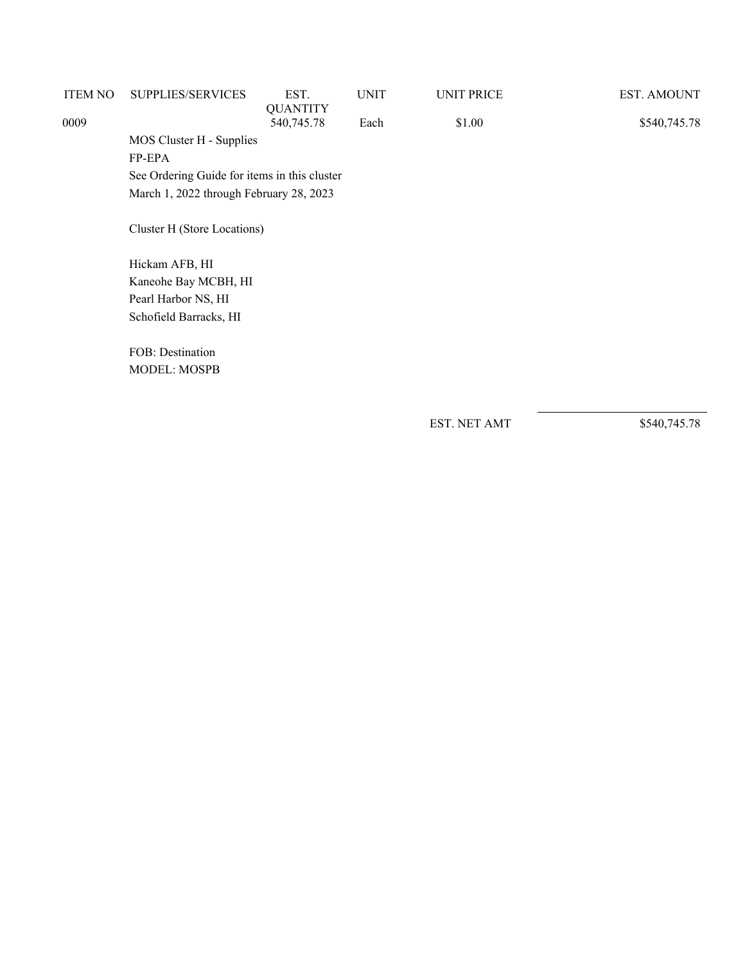| <b>ITEM NO</b> | SUPPLIES/SERVICES                            | EST.            | <b>UNIT</b> | UNIT PRICE | EST. AMOUNT  |  |  |  |  |
|----------------|----------------------------------------------|-----------------|-------------|------------|--------------|--|--|--|--|
|                |                                              | <b>QUANTITY</b> |             |            |              |  |  |  |  |
| 0009           |                                              | 540,745.78      | Each        | \$1.00     | \$540,745.78 |  |  |  |  |
|                | MOS Cluster H - Supplies                     |                 |             |            |              |  |  |  |  |
|                | FP-EPA                                       |                 |             |            |              |  |  |  |  |
|                | See Ordering Guide for items in this cluster |                 |             |            |              |  |  |  |  |
|                | March 1, 2022 through February 28, 2023      |                 |             |            |              |  |  |  |  |
|                | Cluster H (Store Locations)                  |                 |             |            |              |  |  |  |  |
|                | Hickam AFB, HI                               |                 |             |            |              |  |  |  |  |
|                | Kaneohe Bay MCBH, HI                         |                 |             |            |              |  |  |  |  |
|                | Pearl Harbor NS, HI                          |                 |             |            |              |  |  |  |  |
|                | Schofield Barracks, HI                       |                 |             |            |              |  |  |  |  |
|                | FOB: Destination                             |                 |             |            |              |  |  |  |  |
|                | <b>MODEL: MOSPB</b>                          |                 |             |            |              |  |  |  |  |

EST. NET AMT \$540,745.78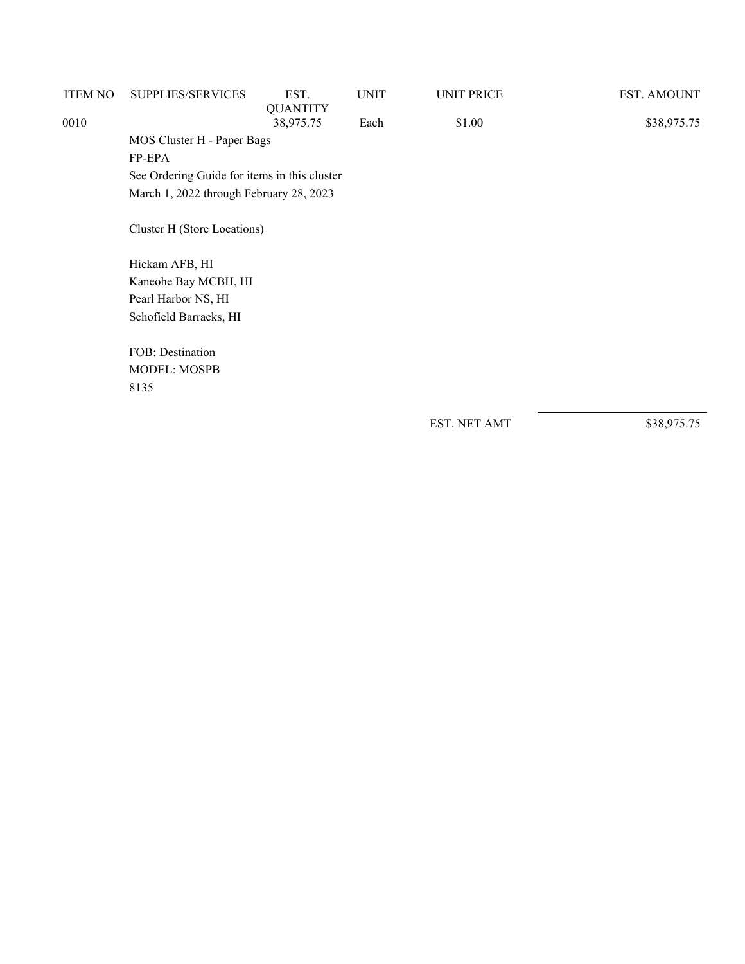| <b>ITEM NO</b> | SUPPLIES/SERVICES                            | EST.            | <b>UNIT</b> | <b>UNIT PRICE</b> | EST. AMOUNT |  |  |  |  |
|----------------|----------------------------------------------|-----------------|-------------|-------------------|-------------|--|--|--|--|
|                |                                              | <b>QUANTITY</b> |             |                   |             |  |  |  |  |
| 0010           |                                              | 38,975.75       | Each        | \$1.00            | \$38,975.75 |  |  |  |  |
|                | MOS Cluster H - Paper Bags                   |                 |             |                   |             |  |  |  |  |
|                | FP-EPA                                       |                 |             |                   |             |  |  |  |  |
|                | See Ordering Guide for items in this cluster |                 |             |                   |             |  |  |  |  |
|                | March 1, 2022 through February 28, 2023      |                 |             |                   |             |  |  |  |  |
|                | Cluster H (Store Locations)                  |                 |             |                   |             |  |  |  |  |
|                | Hickam AFB, HI                               |                 |             |                   |             |  |  |  |  |
|                | Kaneohe Bay MCBH, HI                         |                 |             |                   |             |  |  |  |  |
|                | Pearl Harbor NS, HI                          |                 |             |                   |             |  |  |  |  |
|                | Schofield Barracks, HI                       |                 |             |                   |             |  |  |  |  |
|                | FOB: Destination                             |                 |             |                   |             |  |  |  |  |
|                | <b>MODEL: MOSPB</b>                          |                 |             |                   |             |  |  |  |  |
|                | 8135                                         |                 |             |                   |             |  |  |  |  |
|                |                                              |                 |             |                   |             |  |  |  |  |

EST. NET AMT \$38,975.75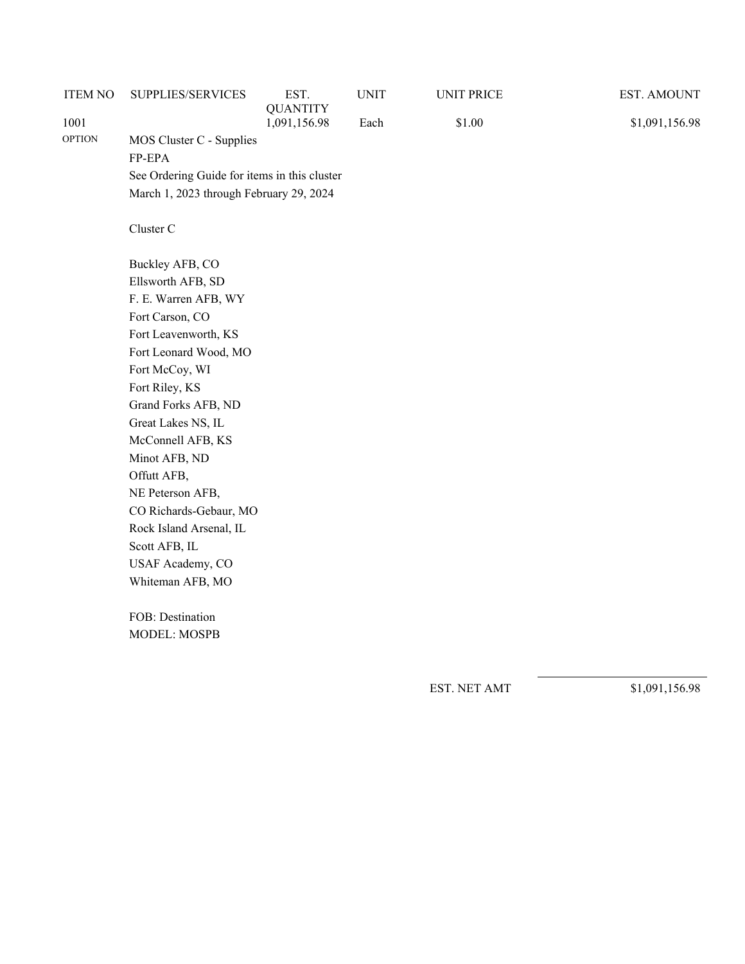| <b>ITEM NO</b> | SUPPLIES/SERVICES                            | EST.<br><b>QUANTITY</b> | <b>UNIT</b> | <b>UNIT PRICE</b> | EST. AMOUNT    |  |  |  |  |
|----------------|----------------------------------------------|-------------------------|-------------|-------------------|----------------|--|--|--|--|
| 1001           |                                              | 1,091,156.98            | Each        | \$1.00            | \$1,091,156.98 |  |  |  |  |
| <b>OPTION</b>  | MOS Cluster C - Supplies                     |                         |             |                   |                |  |  |  |  |
|                | FP-EPA                                       |                         |             |                   |                |  |  |  |  |
|                | See Ordering Guide for items in this cluster |                         |             |                   |                |  |  |  |  |
|                | March 1, 2023 through February 29, 2024      |                         |             |                   |                |  |  |  |  |
|                | Cluster C                                    |                         |             |                   |                |  |  |  |  |
|                | Buckley AFB, CO                              |                         |             |                   |                |  |  |  |  |
|                | Ellsworth AFB, SD                            |                         |             |                   |                |  |  |  |  |
|                | F. E. Warren AFB, WY                         |                         |             |                   |                |  |  |  |  |
|                | Fort Carson, CO                              |                         |             |                   |                |  |  |  |  |
|                | Fort Leavenworth, KS                         |                         |             |                   |                |  |  |  |  |
|                | Fort Leonard Wood, MO                        |                         |             |                   |                |  |  |  |  |
|                | Fort McCoy, WI                               |                         |             |                   |                |  |  |  |  |
|                | Fort Riley, KS                               |                         |             |                   |                |  |  |  |  |
|                | Grand Forks AFB, ND                          |                         |             |                   |                |  |  |  |  |
|                | Great Lakes NS, IL                           |                         |             |                   |                |  |  |  |  |
|                | McConnell AFB, KS                            |                         |             |                   |                |  |  |  |  |
|                | Minot AFB, ND                                |                         |             |                   |                |  |  |  |  |
|                | Offutt AFB,                                  |                         |             |                   |                |  |  |  |  |
|                | NE Peterson AFB,                             |                         |             |                   |                |  |  |  |  |
|                | CO Richards-Gebaur, MO                       |                         |             |                   |                |  |  |  |  |
|                | Rock Island Arsenal, IL                      |                         |             |                   |                |  |  |  |  |
|                | Scott AFB, IL                                |                         |             |                   |                |  |  |  |  |
|                | USAF Academy, CO                             |                         |             |                   |                |  |  |  |  |
|                | Whiteman AFB, MO                             |                         |             |                   |                |  |  |  |  |
|                | FOB: Destination                             |                         |             |                   |                |  |  |  |  |
|                | <b>MODEL: MOSPB</b>                          |                         |             |                   |                |  |  |  |  |

EST. NET AMT \$1,091,156.98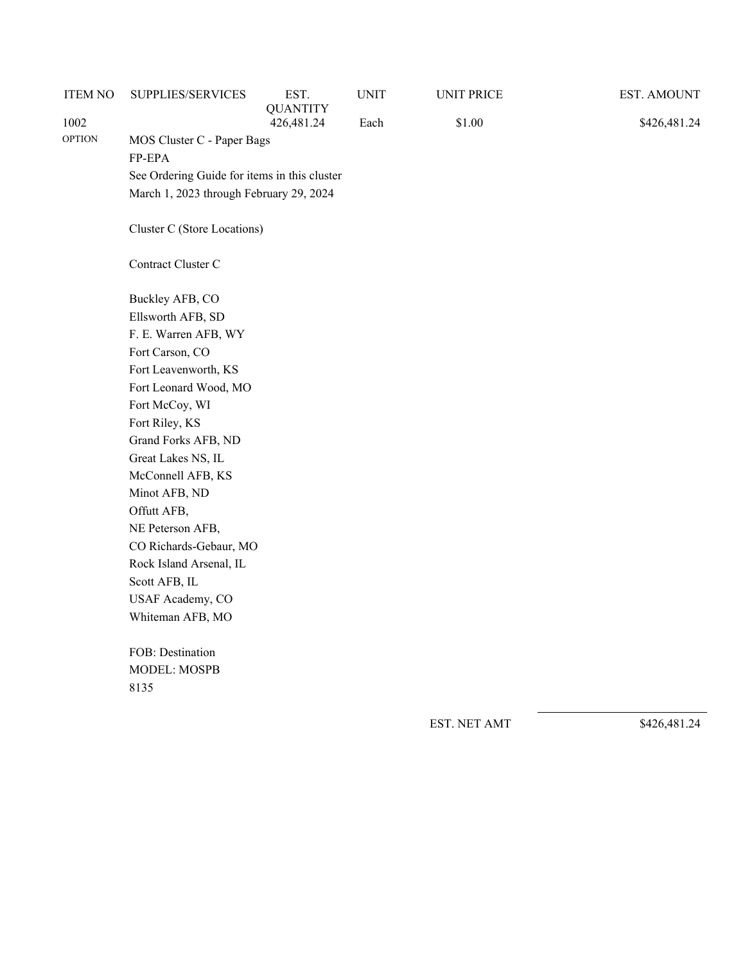| <b>ITEM NO</b> | SUPPLIES/SERVICES                            | EST.<br><b>QUANTITY</b>                 | <b>UNIT</b> | <b>UNIT PRICE</b> | EST. AMOUNT  |  |  |  |  |  |
|----------------|----------------------------------------------|-----------------------------------------|-------------|-------------------|--------------|--|--|--|--|--|
| 1002           |                                              | 426, 481.24                             | Each        | \$1.00            | \$426,481.24 |  |  |  |  |  |
| <b>OPTION</b>  | MOS Cluster C - Paper Bags                   |                                         |             |                   |              |  |  |  |  |  |
|                | FP-EPA                                       |                                         |             |                   |              |  |  |  |  |  |
|                | See Ordering Guide for items in this cluster |                                         |             |                   |              |  |  |  |  |  |
|                |                                              | March 1, 2023 through February 29, 2024 |             |                   |              |  |  |  |  |  |
|                | Cluster C (Store Locations)                  |                                         |             |                   |              |  |  |  |  |  |
|                | Contract Cluster C                           |                                         |             |                   |              |  |  |  |  |  |
|                | Buckley AFB, CO                              |                                         |             |                   |              |  |  |  |  |  |
|                | Ellsworth AFB, SD                            |                                         |             |                   |              |  |  |  |  |  |
|                | F. E. Warren AFB, WY                         |                                         |             |                   |              |  |  |  |  |  |
|                | Fort Carson, CO                              |                                         |             |                   |              |  |  |  |  |  |
|                | Fort Leavenworth, KS                         |                                         |             |                   |              |  |  |  |  |  |
|                | Fort Leonard Wood, MO                        |                                         |             |                   |              |  |  |  |  |  |
|                | Fort McCoy, WI                               |                                         |             |                   |              |  |  |  |  |  |
|                | Fort Riley, KS                               |                                         |             |                   |              |  |  |  |  |  |
|                |                                              | Grand Forks AFB, ND                     |             |                   |              |  |  |  |  |  |
|                | Great Lakes NS, IL                           |                                         |             |                   |              |  |  |  |  |  |
|                | McConnell AFB, KS                            |                                         |             |                   |              |  |  |  |  |  |
|                | Minot AFB, ND                                |                                         |             |                   |              |  |  |  |  |  |
|                |                                              | Offutt AFB,                             |             |                   |              |  |  |  |  |  |
|                | NE Peterson AFB,                             |                                         |             |                   |              |  |  |  |  |  |
|                | CO Richards-Gebaur, MO                       |                                         |             |                   |              |  |  |  |  |  |
|                | Rock Island Arsenal, IL                      |                                         |             |                   |              |  |  |  |  |  |
|                | Scott AFB, IL                                |                                         |             |                   |              |  |  |  |  |  |
|                | USAF Academy, CO                             |                                         |             |                   |              |  |  |  |  |  |
|                | Whiteman AFB, MO                             |                                         |             |                   |              |  |  |  |  |  |
|                | FOB: Destination                             |                                         |             |                   |              |  |  |  |  |  |
|                | <b>MODEL: MOSPB</b>                          |                                         |             |                   |              |  |  |  |  |  |
|                | 8135                                         |                                         |             |                   |              |  |  |  |  |  |
|                |                                              |                                         |             |                   |              |  |  |  |  |  |

EST. NET AMT \$426,481.24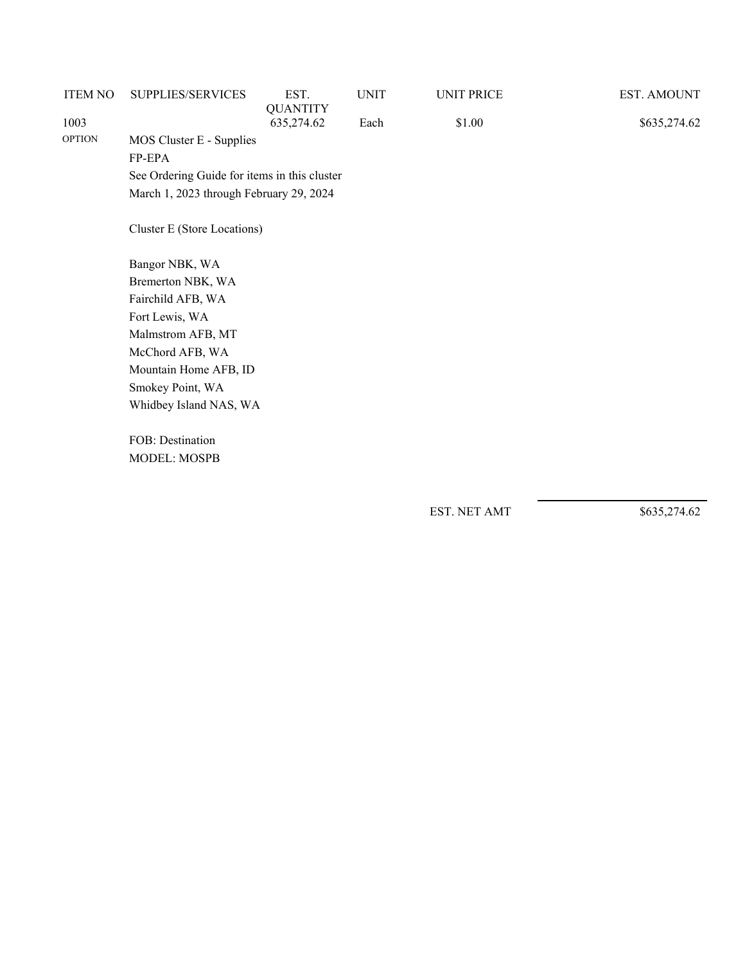| <b>ITEM NO</b>        | SUPPLIES/SERVICES                            | EST.            | <b>UNIT</b> | <b>UNIT PRICE</b> | EST. AMOUNT  |  |  |  |  |  |
|-----------------------|----------------------------------------------|-----------------|-------------|-------------------|--------------|--|--|--|--|--|
|                       |                                              | <b>QUANTITY</b> |             |                   |              |  |  |  |  |  |
| 1003<br><b>OPTION</b> |                                              | 635,274.62      | Each        | \$1.00            | \$635,274.62 |  |  |  |  |  |
|                       | MOS Cluster E - Supplies                     |                 |             |                   |              |  |  |  |  |  |
|                       | FP-EPA                                       |                 |             |                   |              |  |  |  |  |  |
|                       | See Ordering Guide for items in this cluster |                 |             |                   |              |  |  |  |  |  |
|                       | March 1, 2023 through February 29, 2024      |                 |             |                   |              |  |  |  |  |  |
|                       |                                              |                 |             |                   |              |  |  |  |  |  |
|                       | Cluster E (Store Locations)                  |                 |             |                   |              |  |  |  |  |  |
|                       | Bangor NBK, WA                               |                 |             |                   |              |  |  |  |  |  |
|                       | Bremerton NBK, WA                            |                 |             |                   |              |  |  |  |  |  |
|                       | Fairchild AFB, WA                            |                 |             |                   |              |  |  |  |  |  |
|                       | Fort Lewis, WA                               |                 |             |                   |              |  |  |  |  |  |
|                       | Malmstrom AFB, MT                            |                 |             |                   |              |  |  |  |  |  |
|                       | McChord AFB, WA                              |                 |             |                   |              |  |  |  |  |  |
|                       | Mountain Home AFB, ID                        |                 |             |                   |              |  |  |  |  |  |
|                       | Smokey Point, WA                             |                 |             |                   |              |  |  |  |  |  |
|                       | Whidbey Island NAS, WA                       |                 |             |                   |              |  |  |  |  |  |
|                       | FOB: Destination                             |                 |             |                   |              |  |  |  |  |  |
|                       | <b>MODEL: MOSPB</b>                          |                 |             |                   |              |  |  |  |  |  |

EST. NET AMT \$635,274.62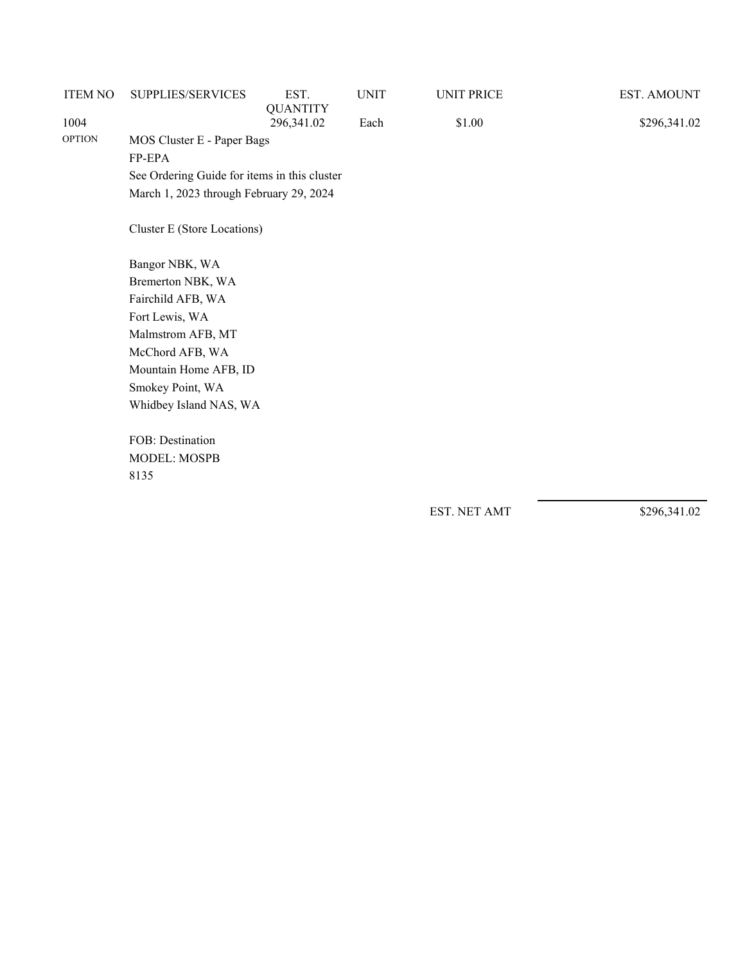| <b>ITEM NO</b> | SUPPLIES/SERVICES                            | EST.<br><b>QUANTITY</b> | <b>UNIT</b> | <b>UNIT PRICE</b> | EST. AMOUNT  |  |  |  |  |  |
|----------------|----------------------------------------------|-------------------------|-------------|-------------------|--------------|--|--|--|--|--|
| 1004           |                                              | 296,341.02              | Each        | \$1.00            | \$296,341.02 |  |  |  |  |  |
| <b>OPTION</b>  | MOS Cluster E - Paper Bags                   |                         |             |                   |              |  |  |  |  |  |
|                | FP-EPA                                       |                         |             |                   |              |  |  |  |  |  |
|                | See Ordering Guide for items in this cluster |                         |             |                   |              |  |  |  |  |  |
|                | March 1, 2023 through February 29, 2024      |                         |             |                   |              |  |  |  |  |  |
|                | Cluster E (Store Locations)                  |                         |             |                   |              |  |  |  |  |  |
|                | Bangor NBK, WA                               |                         |             |                   |              |  |  |  |  |  |
|                | Bremerton NBK, WA                            |                         |             |                   |              |  |  |  |  |  |
|                | Fairchild AFB, WA                            |                         |             |                   |              |  |  |  |  |  |
|                | Fort Lewis, WA                               |                         |             |                   |              |  |  |  |  |  |
|                | Malmstrom AFB, MT                            |                         |             |                   |              |  |  |  |  |  |
|                | McChord AFB, WA                              |                         |             |                   |              |  |  |  |  |  |
|                | Mountain Home AFB, ID                        |                         |             |                   |              |  |  |  |  |  |
|                | Smokey Point, WA                             |                         |             |                   |              |  |  |  |  |  |
|                | Whidbey Island NAS, WA                       |                         |             |                   |              |  |  |  |  |  |
|                | FOB: Destination                             |                         |             |                   |              |  |  |  |  |  |
|                | <b>MODEL: MOSPB</b>                          |                         |             |                   |              |  |  |  |  |  |
|                | 8135                                         |                         |             |                   |              |  |  |  |  |  |
|                |                                              |                         |             |                   |              |  |  |  |  |  |

EST. NET AMT \$296,341.02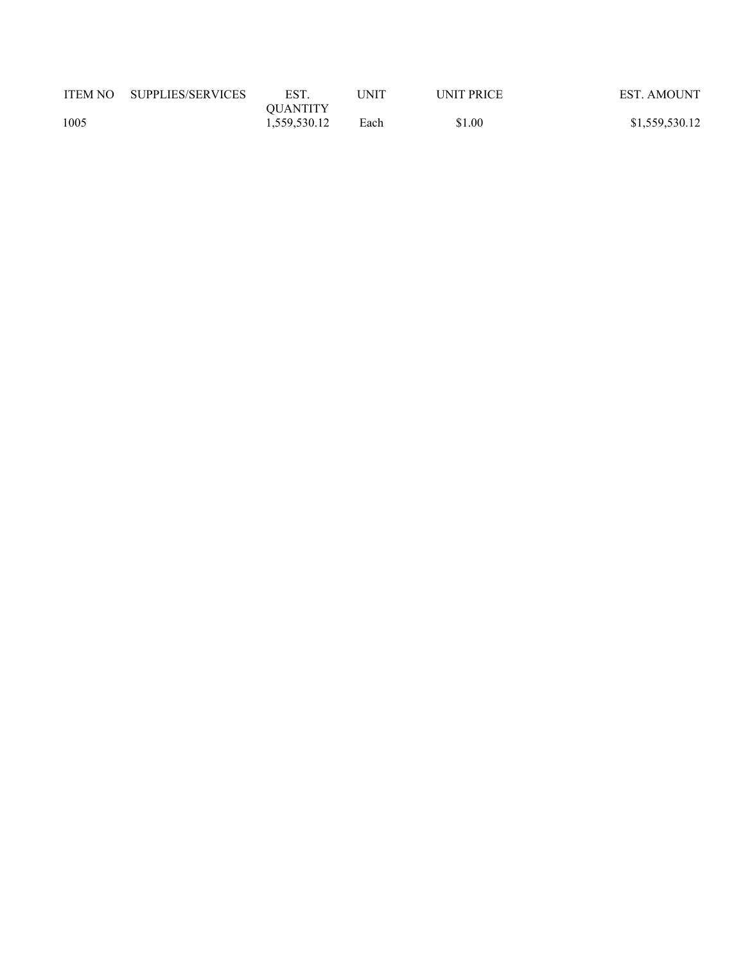|      | <b>ITEM NO SUPPLIES/SERVICES</b> | EST.         | JNIT | <b>UNIT PRICE</b> | EST. AMOUNT    |
|------|----------------------------------|--------------|------|-------------------|----------------|
|      |                                  | OUANTITY     |      |                   |                |
| 1005 |                                  | 1,559,530.12 | Each | \$1.00            | \$1,559,530.12 |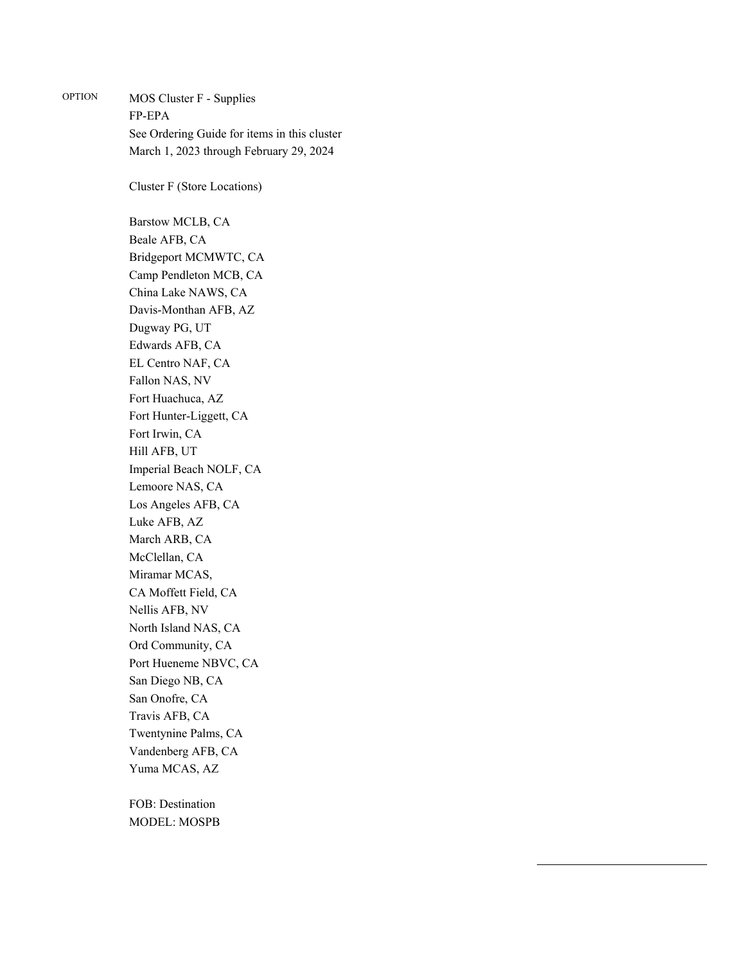OPTION MOS Cluster F - Supplies FP-EPA See Ordering Guide for items in this cluster March 1, 2023 through February 29, 2024

Cluster F (Store Locations)

Barstow MCLB, CA Beale AFB, CA Bridgeport MCMWTC, CA Camp Pendleton MCB, CA China Lake NAWS, CA Davis-Monthan AFB, AZ Dugway PG, UT Edwards AFB, CA EL Centro NAF, CA Fallon NAS, NV Fort Huachuca, AZ Fort Hunter-Liggett, CA Fort Irwin, CA Hill AFB, UT Imperial Beach NOLF, CA Lemoore NAS, CA Los Angeles AFB, CA Luke AFB, AZ March ARB, CA McClellan, CA Miramar MCAS, CA Moffett Field, CA Nellis AFB, NV North Island NAS, CA Ord Community, CA Port Hueneme NBVC, CA San Diego NB, CA San Onofre, CA Travis AFB, CA Twentynine Palms, CA Vandenberg AFB, CA Yuma MCAS, AZ

FOB: Destination MODEL: MOSPB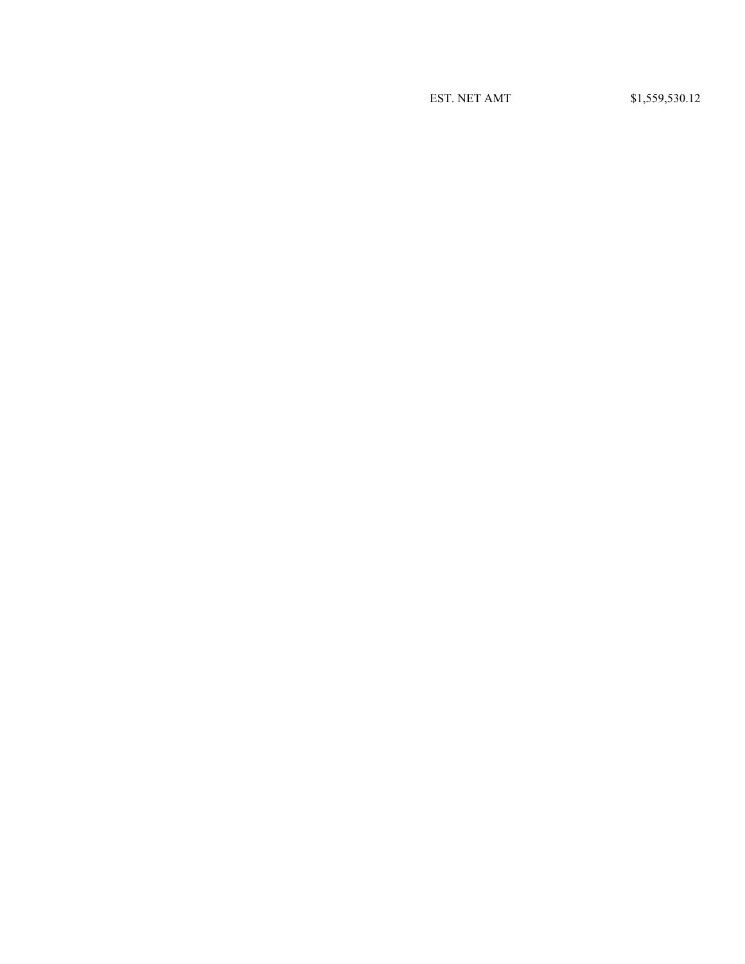EST. NET AMT \$1,559,530.12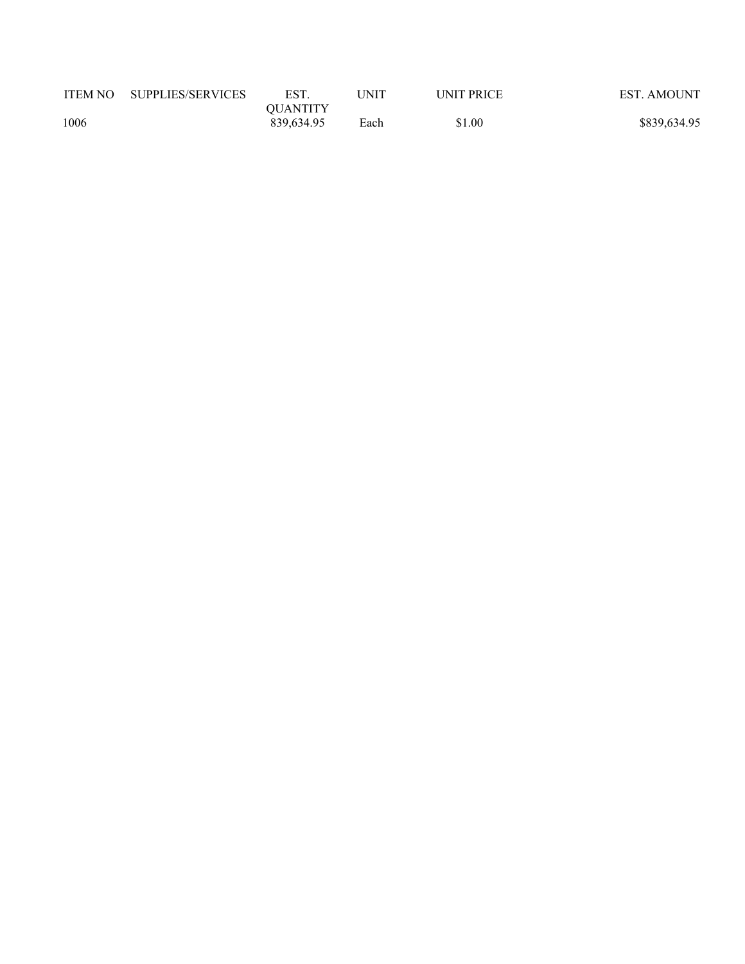|      | <b>ITEM NO SUPPLIES/SERVICES</b> | <b>EST</b>      | <b>INIT</b> | <b>UNIT PRICE</b> | EST. AMOUNT  |
|------|----------------------------------|-----------------|-------------|-------------------|--------------|
|      |                                  | <b>OUANTITY</b> |             |                   |              |
| 1006 |                                  | 839.634.95      | Each        | \$1.00            | \$839,634.95 |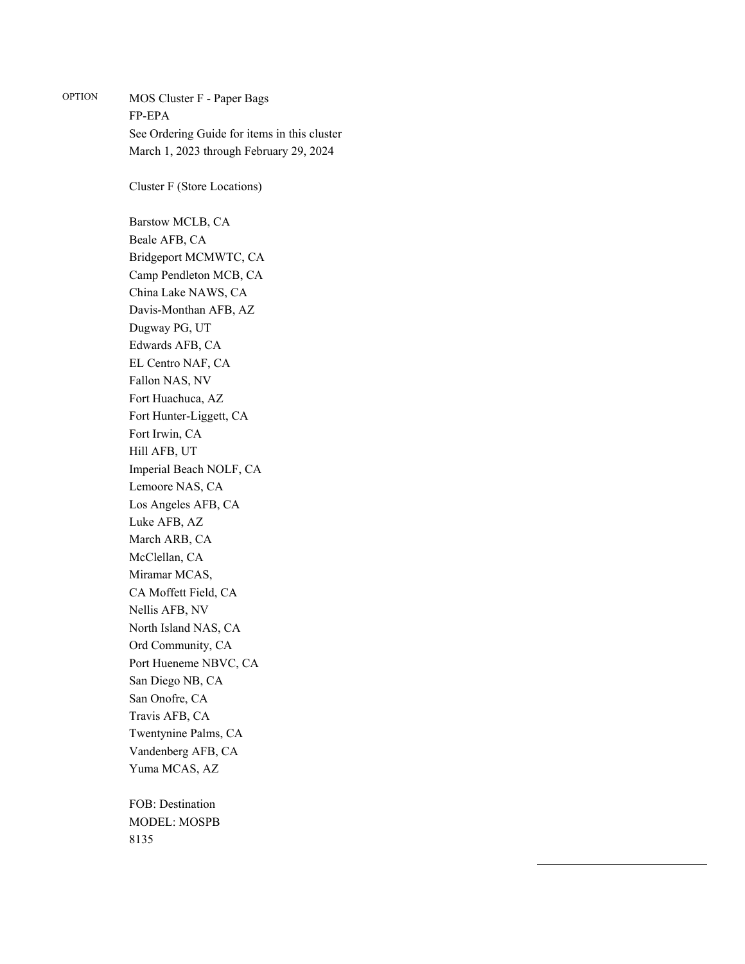OPTION MOS Cluster F - Paper Bags FP-EPA See Ordering Guide for items in this cluster March 1, 2023 through February 29, 2024

Cluster F (Store Locations)

Barstow MCLB, CA Beale AFB, CA Bridgeport MCMWTC, CA Camp Pendleton MCB, CA China Lake NAWS, CA Davis-Monthan AFB, AZ Dugway PG, UT Edwards AFB, CA EL Centro NAF, CA Fallon NAS, NV Fort Huachuca, AZ Fort Hunter-Liggett, CA Fort Irwin, CA Hill AFB, UT Imperial Beach NOLF, CA Lemoore NAS, CA Los Angeles AFB, CA Luke AFB, AZ March ARB, CA McClellan, CA Miramar MCAS, CA Moffett Field, CA Nellis AFB, NV North Island NAS, CA Ord Community, CA Port Hueneme NBVC, CA San Diego NB, CA San Onofre, CA Travis AFB, CA Twentynine Palms, CA Vandenberg AFB, CA Yuma MCAS, AZ

FOB: Destination MODEL: MOSPB 8135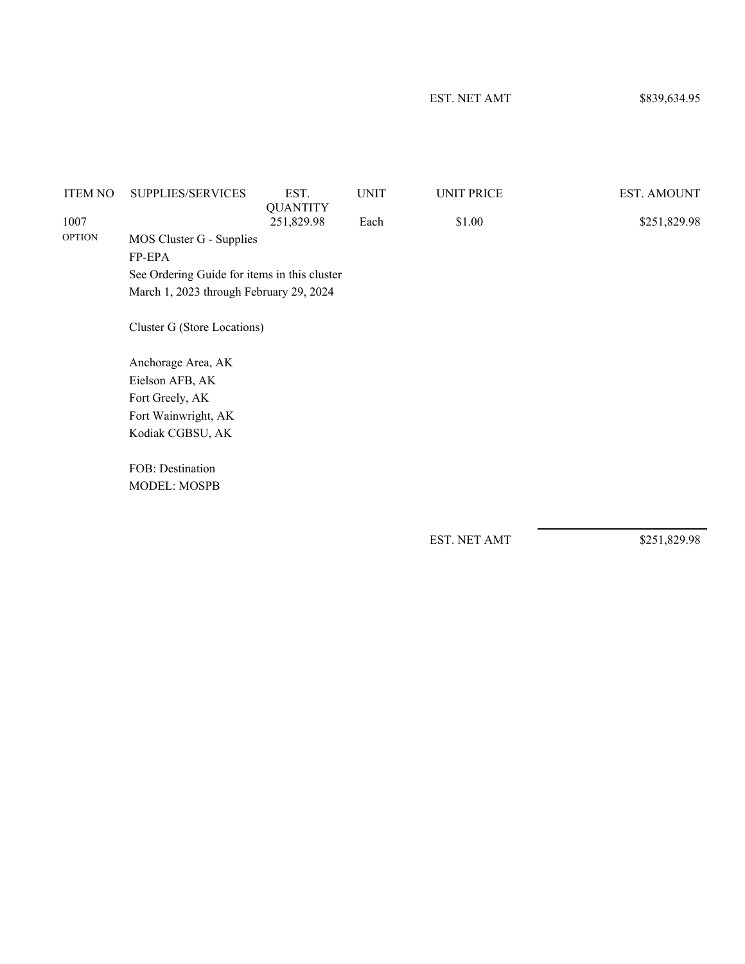| <b>ITEM NO</b> | SUPPLIES/SERVICES                            | EST.            | <b>UNIT</b> | <b>UNIT PRICE</b> | EST. AMOUNT  |  |  |  |  |
|----------------|----------------------------------------------|-----------------|-------------|-------------------|--------------|--|--|--|--|
|                |                                              | <b>QUANTITY</b> |             |                   |              |  |  |  |  |
| 1007           |                                              | 251,829.98      | Each        | \$1.00            | \$251,829.98 |  |  |  |  |
| <b>OPTION</b>  | MOS Cluster G - Supplies                     |                 |             |                   |              |  |  |  |  |
|                | FP-EPA                                       |                 |             |                   |              |  |  |  |  |
|                | See Ordering Guide for items in this cluster |                 |             |                   |              |  |  |  |  |
|                | March 1, 2023 through February 29, 2024      |                 |             |                   |              |  |  |  |  |
|                | Cluster G (Store Locations)                  |                 |             |                   |              |  |  |  |  |
|                | Anchorage Area, AK                           |                 |             |                   |              |  |  |  |  |
|                | Eielson AFB, AK                              |                 |             |                   |              |  |  |  |  |
|                | Fort Greely, AK                              |                 |             |                   |              |  |  |  |  |
|                | Fort Wainwright, AK                          |                 |             |                   |              |  |  |  |  |
|                | Kodiak CGBSU, AK                             |                 |             |                   |              |  |  |  |  |
|                | FOB: Destination                             |                 |             |                   |              |  |  |  |  |
|                | <b>MODEL: MOSPB</b>                          |                 |             |                   |              |  |  |  |  |
|                |                                              |                 |             |                   |              |  |  |  |  |

EST. NET AMT \$251,829.98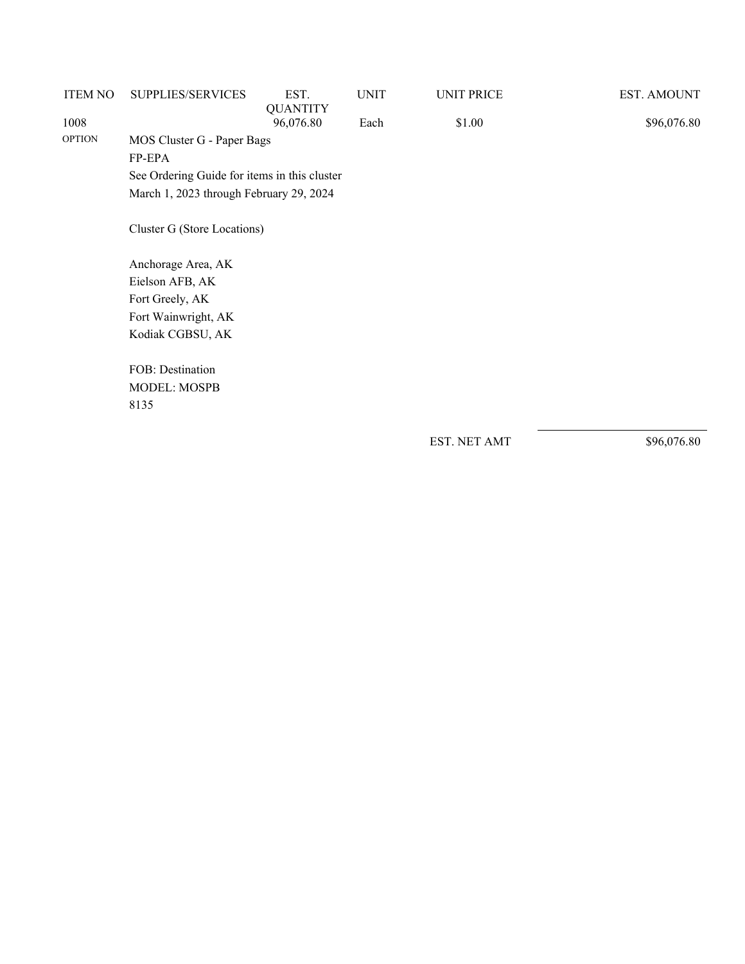| <b>ITEM NO</b> | SUPPLIES/SERVICES                            | EST.            | <b>UNIT</b> | UNIT PRICE | EST. AMOUNT |  |  |  |  |
|----------------|----------------------------------------------|-----------------|-------------|------------|-------------|--|--|--|--|
|                |                                              | <b>QUANTITY</b> |             |            |             |  |  |  |  |
| 1008           |                                              | 96,076.80       | Each        | \$1.00     | \$96,076.80 |  |  |  |  |
| <b>OPTION</b>  | MOS Cluster G - Paper Bags                   |                 |             |            |             |  |  |  |  |
|                | FP-EPA                                       |                 |             |            |             |  |  |  |  |
|                | See Ordering Guide for items in this cluster |                 |             |            |             |  |  |  |  |
|                | March 1, 2023 through February 29, 2024      |                 |             |            |             |  |  |  |  |
|                | Cluster G (Store Locations)                  |                 |             |            |             |  |  |  |  |
|                | Anchorage Area, AK                           |                 |             |            |             |  |  |  |  |
|                | Eielson AFB, AK                              |                 |             |            |             |  |  |  |  |
|                | Fort Greely, AK                              |                 |             |            |             |  |  |  |  |
|                | Fort Wainwright, AK                          |                 |             |            |             |  |  |  |  |
|                | Kodiak CGBSU, AK                             |                 |             |            |             |  |  |  |  |
|                | FOB: Destination                             |                 |             |            |             |  |  |  |  |
|                | <b>MODEL: MOSPB</b>                          |                 |             |            |             |  |  |  |  |
|                | 8135                                         |                 |             |            |             |  |  |  |  |
|                |                                              |                 |             |            |             |  |  |  |  |

EST. NET AMT \$96,076.80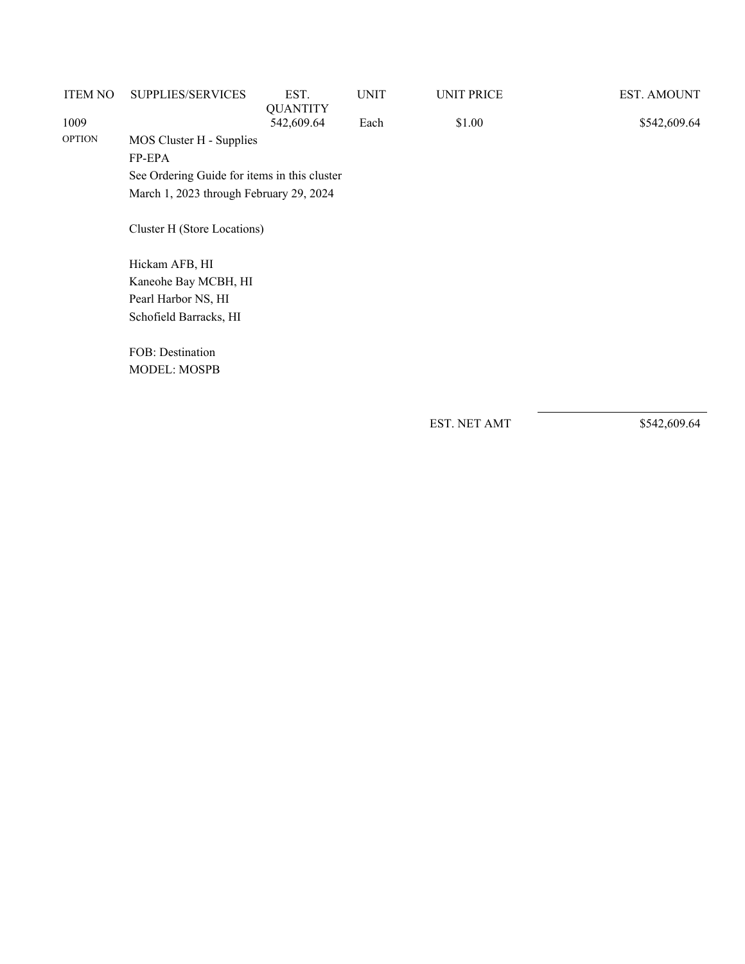| <b>ITEM NO</b> | <b>SUPPLIES/SERVICES</b>                     | EST.            | <b>UNIT</b> | UNIT PRICE | EST. AMOUNT  |  |  |  |  |  |
|----------------|----------------------------------------------|-----------------|-------------|------------|--------------|--|--|--|--|--|
|                |                                              | <b>QUANTITY</b> |             |            |              |  |  |  |  |  |
| 1009           |                                              | 542,609.64      | Each        | \$1.00     | \$542,609.64 |  |  |  |  |  |
| <b>OPTION</b>  | MOS Cluster H - Supplies                     |                 |             |            |              |  |  |  |  |  |
|                | FP-EPA                                       |                 |             |            |              |  |  |  |  |  |
|                | See Ordering Guide for items in this cluster |                 |             |            |              |  |  |  |  |  |
|                | March 1, 2023 through February 29, 2024      |                 |             |            |              |  |  |  |  |  |
|                | Cluster H (Store Locations)                  |                 |             |            |              |  |  |  |  |  |
|                | Hickam AFB, HI                               |                 |             |            |              |  |  |  |  |  |
|                | Kaneohe Bay MCBH, HI                         |                 |             |            |              |  |  |  |  |  |
|                | Pearl Harbor NS, HI                          |                 |             |            |              |  |  |  |  |  |
|                | Schofield Barracks, HI                       |                 |             |            |              |  |  |  |  |  |
|                | FOB: Destination                             |                 |             |            |              |  |  |  |  |  |
|                | <b>MODEL: MOSPB</b>                          |                 |             |            |              |  |  |  |  |  |

EST. NET AMT \$542,609.64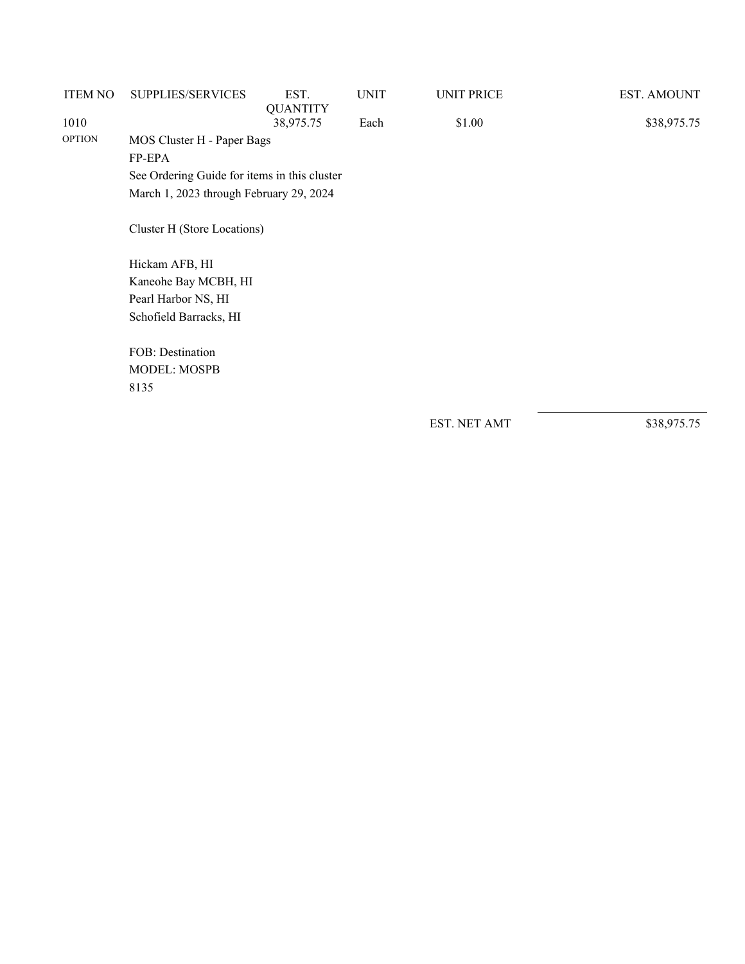| <b>ITEM NO</b> | SUPPLIES/SERVICES                            | EST.            | <b>UNIT</b> | <b>UNIT PRICE</b> | EST. AMOUNT |  |  |  |  |
|----------------|----------------------------------------------|-----------------|-------------|-------------------|-------------|--|--|--|--|
|                |                                              | <b>QUANTITY</b> |             |                   |             |  |  |  |  |
| 1010           |                                              | 38,975.75       | Each        | \$1.00            | \$38,975.75 |  |  |  |  |
| <b>OPTION</b>  | MOS Cluster H - Paper Bags                   |                 |             |                   |             |  |  |  |  |
|                | FP-EPA                                       |                 |             |                   |             |  |  |  |  |
|                | See Ordering Guide for items in this cluster |                 |             |                   |             |  |  |  |  |
|                | March 1, 2023 through February 29, 2024      |                 |             |                   |             |  |  |  |  |
|                | Cluster H (Store Locations)                  |                 |             |                   |             |  |  |  |  |
|                | Hickam AFB, HI                               |                 |             |                   |             |  |  |  |  |
|                | Kaneohe Bay MCBH, HI                         |                 |             |                   |             |  |  |  |  |
|                | Pearl Harbor NS, HI                          |                 |             |                   |             |  |  |  |  |
|                | Schofield Barracks, HI                       |                 |             |                   |             |  |  |  |  |
|                | FOB: Destination                             |                 |             |                   |             |  |  |  |  |
|                | <b>MODEL: MOSPB</b>                          |                 |             |                   |             |  |  |  |  |
|                | 8135                                         |                 |             |                   |             |  |  |  |  |
|                |                                              |                 |             |                   |             |  |  |  |  |

EST. NET AMT \$38,975.75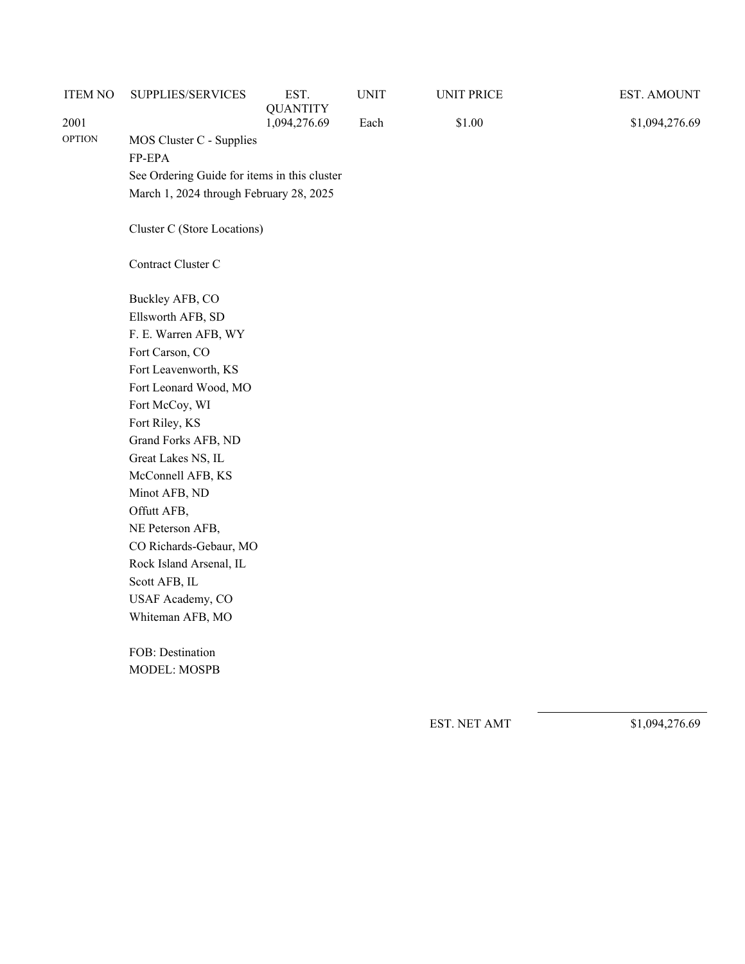| <b>ITEM NO</b> | SUPPLIES/SERVICES                            | EST.<br><b>QUANTITY</b>                 | <b>UNIT</b> | <b>UNIT PRICE</b> | EST. AMOUNT    |  |  |  |  |  |
|----------------|----------------------------------------------|-----------------------------------------|-------------|-------------------|----------------|--|--|--|--|--|
| 2001           |                                              | 1,094,276.69                            | Each        | \$1.00            | \$1,094,276.69 |  |  |  |  |  |
| <b>OPTION</b>  | MOS Cluster C - Supplies                     |                                         |             |                   |                |  |  |  |  |  |
|                | FP-EPA                                       |                                         |             |                   |                |  |  |  |  |  |
|                | See Ordering Guide for items in this cluster |                                         |             |                   |                |  |  |  |  |  |
|                |                                              | March 1, 2024 through February 28, 2025 |             |                   |                |  |  |  |  |  |
|                | Cluster C (Store Locations)                  |                                         |             |                   |                |  |  |  |  |  |
|                | Contract Cluster C                           |                                         |             |                   |                |  |  |  |  |  |
|                | Buckley AFB, CO                              |                                         |             |                   |                |  |  |  |  |  |
|                | Ellsworth AFB, SD                            |                                         |             |                   |                |  |  |  |  |  |
|                | F. E. Warren AFB, WY                         |                                         |             |                   |                |  |  |  |  |  |
|                | Fort Carson, CO                              |                                         |             |                   |                |  |  |  |  |  |
|                | Fort Leavenworth, KS                         |                                         |             |                   |                |  |  |  |  |  |
|                | Fort Leonard Wood, MO                        |                                         |             |                   |                |  |  |  |  |  |
|                | Fort McCoy, WI                               |                                         |             |                   |                |  |  |  |  |  |
|                | Fort Riley, KS                               |                                         |             |                   |                |  |  |  |  |  |
|                | Grand Forks AFB, ND                          |                                         |             |                   |                |  |  |  |  |  |
|                | Great Lakes NS, IL                           |                                         |             |                   |                |  |  |  |  |  |
|                | McConnell AFB, KS                            |                                         |             |                   |                |  |  |  |  |  |
|                | Minot AFB, ND                                |                                         |             |                   |                |  |  |  |  |  |
|                | Offutt AFB,                                  |                                         |             |                   |                |  |  |  |  |  |
|                | NE Peterson AFB,                             |                                         |             |                   |                |  |  |  |  |  |
|                | CO Richards-Gebaur, MO                       |                                         |             |                   |                |  |  |  |  |  |
|                | Rock Island Arsenal, IL                      |                                         |             |                   |                |  |  |  |  |  |
|                | Scott AFB, IL                                |                                         |             |                   |                |  |  |  |  |  |
|                | USAF Academy, CO                             |                                         |             |                   |                |  |  |  |  |  |
|                | Whiteman AFB, MO                             |                                         |             |                   |                |  |  |  |  |  |
|                | FOB: Destination                             |                                         |             |                   |                |  |  |  |  |  |
|                | <b>MODEL: MOSPB</b>                          |                                         |             |                   |                |  |  |  |  |  |

EST. NET AMT \$1,094,276.69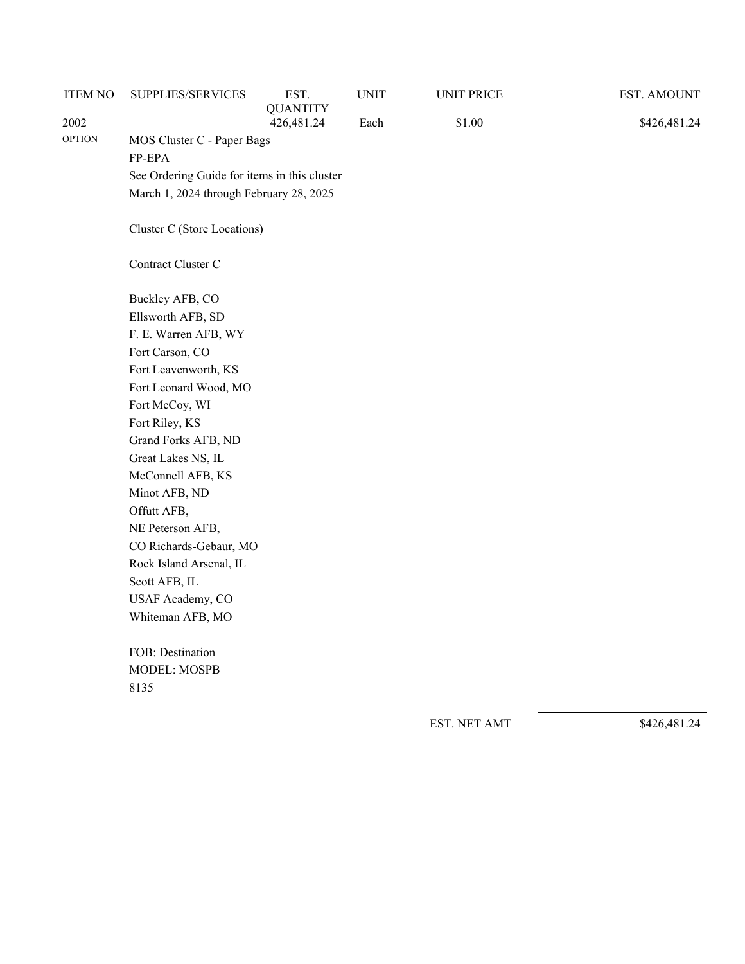| <b>ITEM NO</b> | SUPPLIES/SERVICES                            | EST.<br><b>QUANTITY</b> | <b>UNIT</b> | <b>UNIT PRICE</b> | EST. AMOUNT  |  |  |  |  |  |
|----------------|----------------------------------------------|-------------------------|-------------|-------------------|--------------|--|--|--|--|--|
| 2002           |                                              | 426, 481.24             | Each        | \$1.00            | \$426,481.24 |  |  |  |  |  |
| <b>OPTION</b>  | MOS Cluster C - Paper Bags                   |                         |             |                   |              |  |  |  |  |  |
|                | FP-EPA                                       |                         |             |                   |              |  |  |  |  |  |
|                | See Ordering Guide for items in this cluster |                         |             |                   |              |  |  |  |  |  |
|                | March 1, 2024 through February 28, 2025      |                         |             |                   |              |  |  |  |  |  |
|                | Cluster C (Store Locations)                  |                         |             |                   |              |  |  |  |  |  |
|                | Contract Cluster C                           |                         |             |                   |              |  |  |  |  |  |
|                | Buckley AFB, CO                              |                         |             |                   |              |  |  |  |  |  |
|                | Ellsworth AFB, SD                            |                         |             |                   |              |  |  |  |  |  |
|                | F. E. Warren AFB, WY                         |                         |             |                   |              |  |  |  |  |  |
|                | Fort Carson, CO                              |                         |             |                   |              |  |  |  |  |  |
|                | Fort Leavenworth, KS                         |                         |             |                   |              |  |  |  |  |  |
|                | Fort Leonard Wood, MO                        |                         |             |                   |              |  |  |  |  |  |
|                | Fort McCoy, WI                               |                         |             |                   |              |  |  |  |  |  |
|                | Fort Riley, KS                               |                         |             |                   |              |  |  |  |  |  |
|                | Grand Forks AFB, ND                          |                         |             |                   |              |  |  |  |  |  |
|                | Great Lakes NS, IL                           |                         |             |                   |              |  |  |  |  |  |
|                | McConnell AFB, KS                            |                         |             |                   |              |  |  |  |  |  |
|                | Minot AFB, ND                                |                         |             |                   |              |  |  |  |  |  |
|                |                                              | Offutt AFB,             |             |                   |              |  |  |  |  |  |
|                |                                              | NE Peterson AFB,        |             |                   |              |  |  |  |  |  |
|                | CO Richards-Gebaur, MO                       |                         |             |                   |              |  |  |  |  |  |
|                | Rock Island Arsenal, IL                      |                         |             |                   |              |  |  |  |  |  |
|                | Scott AFB, IL                                |                         |             |                   |              |  |  |  |  |  |
|                |                                              | USAF Academy, CO        |             |                   |              |  |  |  |  |  |
|                | Whiteman AFB, MO                             |                         |             |                   |              |  |  |  |  |  |
|                | FOB: Destination                             |                         |             |                   |              |  |  |  |  |  |
|                | <b>MODEL: MOSPB</b>                          |                         |             |                   |              |  |  |  |  |  |
|                | 8135                                         |                         |             |                   |              |  |  |  |  |  |
|                |                                              |                         |             |                   |              |  |  |  |  |  |

EST. NET AMT \$426,481.24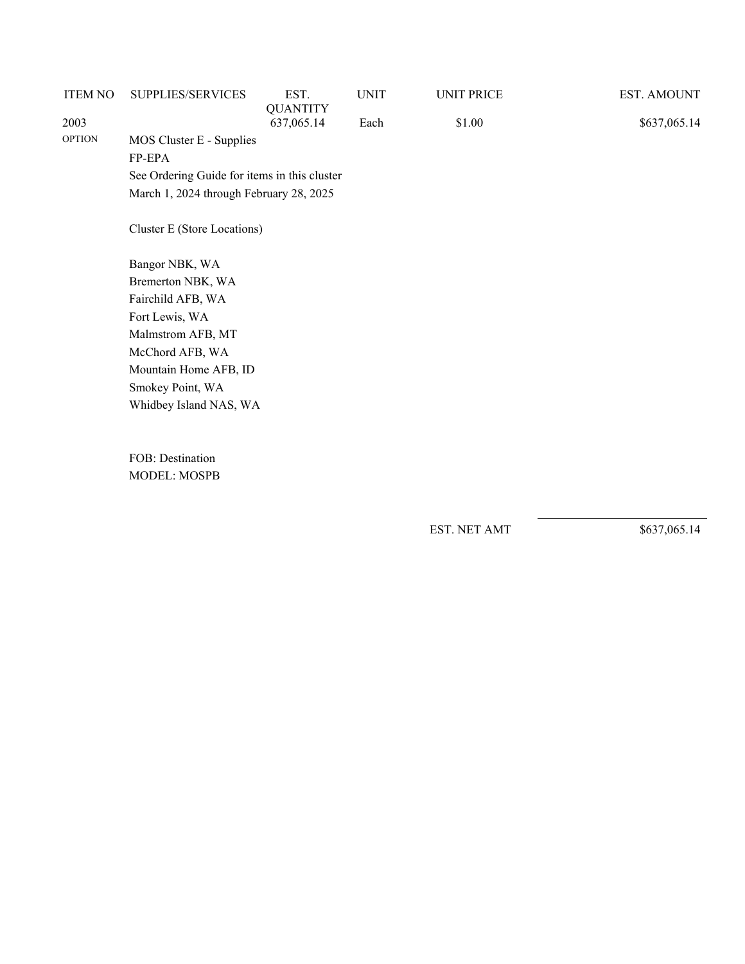| <b>ITEM NO</b> | SUPPLIES/SERVICES                            | EST.            | <b>UNIT</b> | <b>UNIT PRICE</b> | EST. AMOUNT  |  |  |
|----------------|----------------------------------------------|-----------------|-------------|-------------------|--------------|--|--|
|                |                                              | <b>QUANTITY</b> |             |                   |              |  |  |
| 2003           |                                              | 637,065.14      | Each        | \$1.00            | \$637,065.14 |  |  |
| <b>OPTION</b>  | MOS Cluster E - Supplies                     |                 |             |                   |              |  |  |
|                | FP-EPA                                       |                 |             |                   |              |  |  |
|                | See Ordering Guide for items in this cluster |                 |             |                   |              |  |  |
|                | March 1, 2024 through February 28, 2025      |                 |             |                   |              |  |  |
|                | Cluster E (Store Locations)                  |                 |             |                   |              |  |  |
|                | Bangor NBK, WA                               |                 |             |                   |              |  |  |
|                | Bremerton NBK, WA                            |                 |             |                   |              |  |  |
|                | Fairchild AFB, WA                            |                 |             |                   |              |  |  |
|                | Fort Lewis, WA                               |                 |             |                   |              |  |  |
|                | Malmstrom AFB, MT                            |                 |             |                   |              |  |  |
|                | McChord AFB, WA                              |                 |             |                   |              |  |  |
|                | Mountain Home AFB, ID                        |                 |             |                   |              |  |  |
|                | Smokey Point, WA                             |                 |             |                   |              |  |  |
|                | Whidbey Island NAS, WA                       |                 |             |                   |              |  |  |
|                |                                              |                 |             |                   |              |  |  |
|                |                                              |                 |             |                   |              |  |  |
|                |                                              |                 |             |                   |              |  |  |

FOB: Destination MODEL: MOSPB

EST. NET AMT \$637,065.14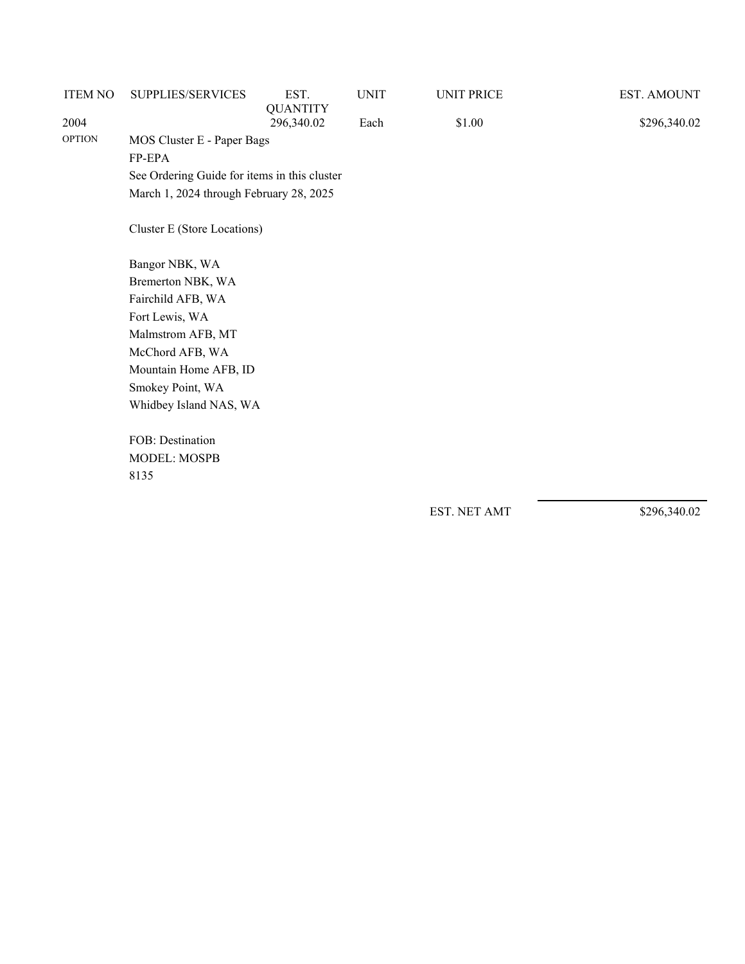| <b>ITEM NO</b> | SUPPLIES/SERVICES                            | EST.                          | <b>UNIT</b> | <b>UNIT PRICE</b> | EST. AMOUNT  |  |  |  |
|----------------|----------------------------------------------|-------------------------------|-------------|-------------------|--------------|--|--|--|
| 2004           |                                              | <b>QUANTITY</b><br>296,340.02 | Each        | \$1.00            | \$296,340.02 |  |  |  |
| <b>OPTION</b>  | MOS Cluster E - Paper Bags                   |                               |             |                   |              |  |  |  |
|                | FP-EPA                                       |                               |             |                   |              |  |  |  |
|                |                                              |                               |             |                   |              |  |  |  |
|                | See Ordering Guide for items in this cluster |                               |             |                   |              |  |  |  |
|                | March 1, 2024 through February 28, 2025      |                               |             |                   |              |  |  |  |
|                | Cluster E (Store Locations)                  |                               |             |                   |              |  |  |  |
|                |                                              |                               |             |                   |              |  |  |  |
|                | Bangor NBK, WA                               |                               |             |                   |              |  |  |  |
|                | Bremerton NBK, WA                            |                               |             |                   |              |  |  |  |
|                | Fairchild AFB, WA                            |                               |             |                   |              |  |  |  |
|                | Fort Lewis, WA                               |                               |             |                   |              |  |  |  |
|                | Malmstrom AFB, MT                            |                               |             |                   |              |  |  |  |
|                | McChord AFB, WA                              |                               |             |                   |              |  |  |  |
|                | Mountain Home AFB, ID                        |                               |             |                   |              |  |  |  |
|                | Smokey Point, WA                             |                               |             |                   |              |  |  |  |
|                | Whidbey Island NAS, WA                       |                               |             |                   |              |  |  |  |
|                | FOB: Destination                             |                               |             |                   |              |  |  |  |
|                | <b>MODEL: MOSPB</b>                          |                               |             |                   |              |  |  |  |
|                | 8135                                         |                               |             |                   |              |  |  |  |
|                |                                              |                               |             |                   |              |  |  |  |

EST. NET AMT \$296,340.02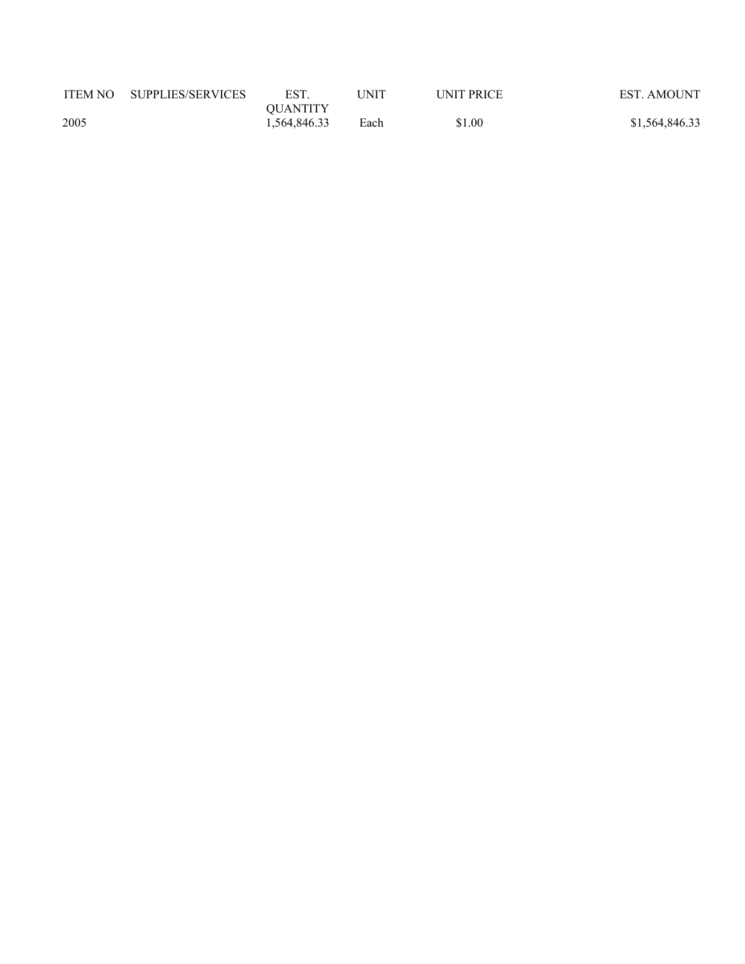|      | <b>ITEM NO SUPPLIES/SERVICES</b> | EST.            | JNIT | UNIT PRICE | EST. AMOUNT    |
|------|----------------------------------|-----------------|------|------------|----------------|
|      |                                  | <b>OUANTITY</b> |      |            |                |
| 2005 |                                  | 1,564,846.33    | Each | \$1.00     | \$1,564,846.33 |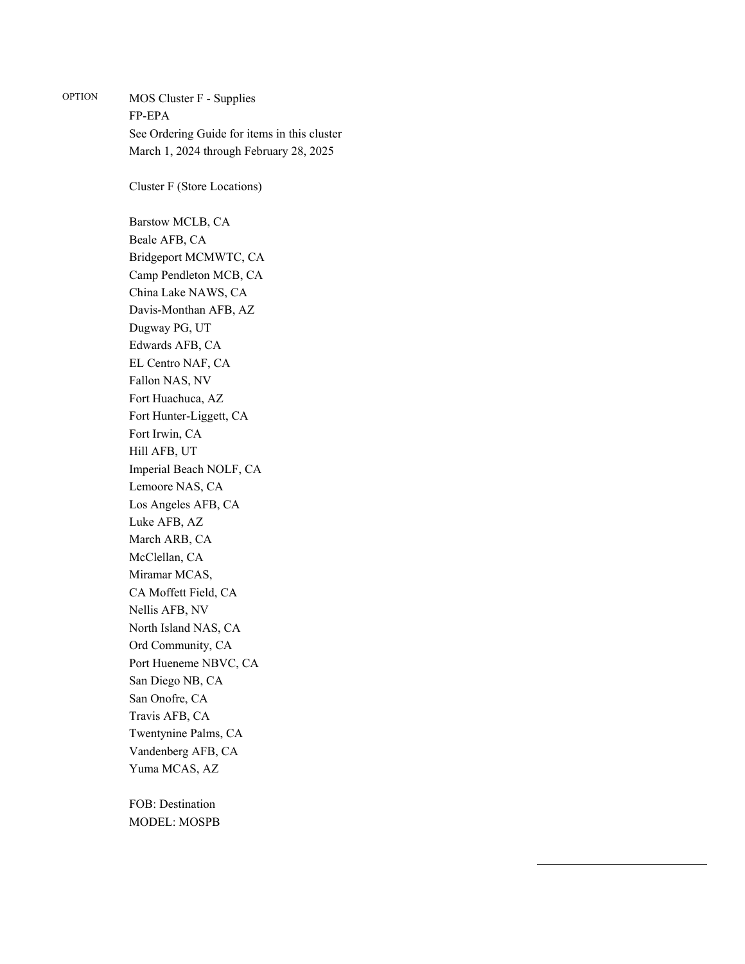OPTION MOS Cluster F - Supplies FP-EPA See Ordering Guide for items in this cluster March 1, 2024 through February 28, 2025

Cluster F (Store Locations)

Barstow MCLB, CA Beale AFB, CA Bridgeport MCMWTC, CA Camp Pendleton MCB, CA China Lake NAWS, CA Davis-Monthan AFB, AZ Dugway PG, UT Edwards AFB, CA EL Centro NAF, CA Fallon NAS, NV Fort Huachuca, AZ Fort Hunter-Liggett, CA Fort Irwin, CA Hill AFB, UT Imperial Beach NOLF, CA Lemoore NAS, CA Los Angeles AFB, CA Luke AFB, AZ March ARB, CA McClellan, CA Miramar MCAS, CA Moffett Field, CA Nellis AFB, NV North Island NAS, CA Ord Community, CA Port Hueneme NBVC, CA San Diego NB, CA San Onofre, CA Travis AFB, CA Twentynine Palms, CA Vandenberg AFB, CA Yuma MCAS, AZ

FOB: Destination MODEL: MOSPB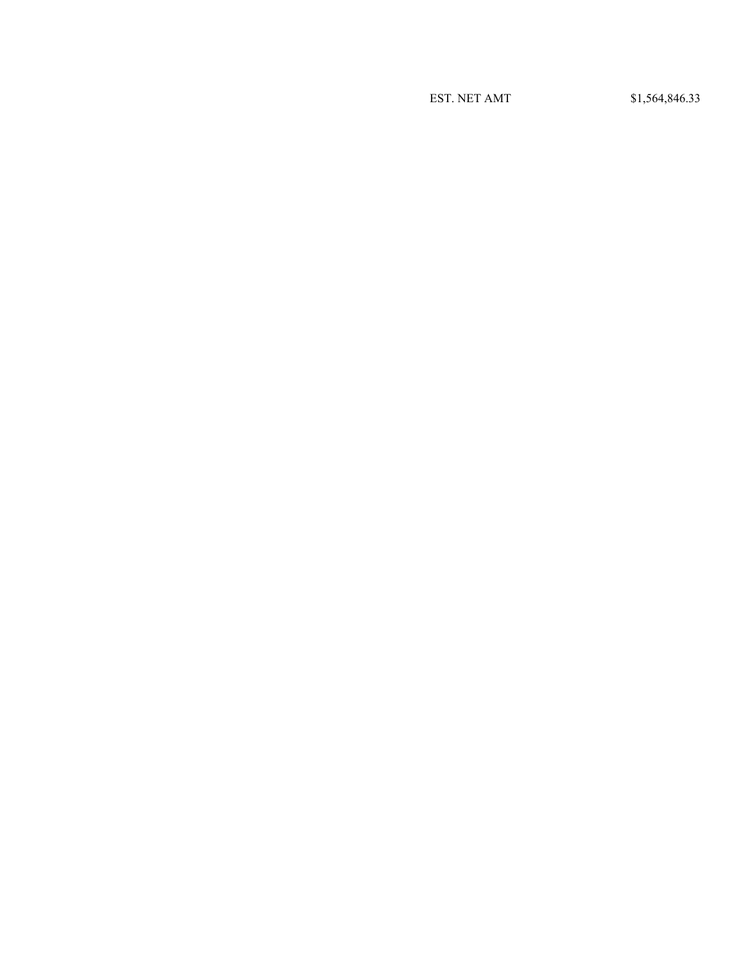EST. NET AMT \$1,564,846.33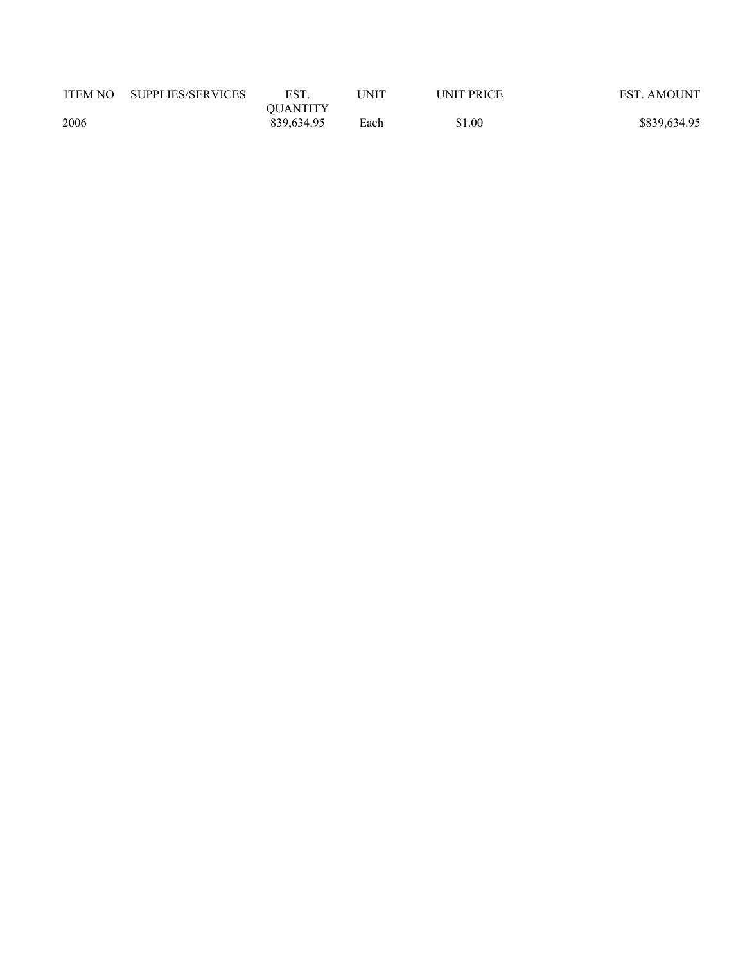|      | <b>ITEM NO SUPPLIES/SERVICES</b> | <b>EST</b>      | <b>INIT</b> | <b>UNIT PRICE</b> | EST. AMOUNT  |
|------|----------------------------------|-----------------|-------------|-------------------|--------------|
|      |                                  | <b>OUANTITY</b> |             |                   |              |
| 2006 |                                  | 839.634.95      | Each        | \$1.00            | \$839,634.95 |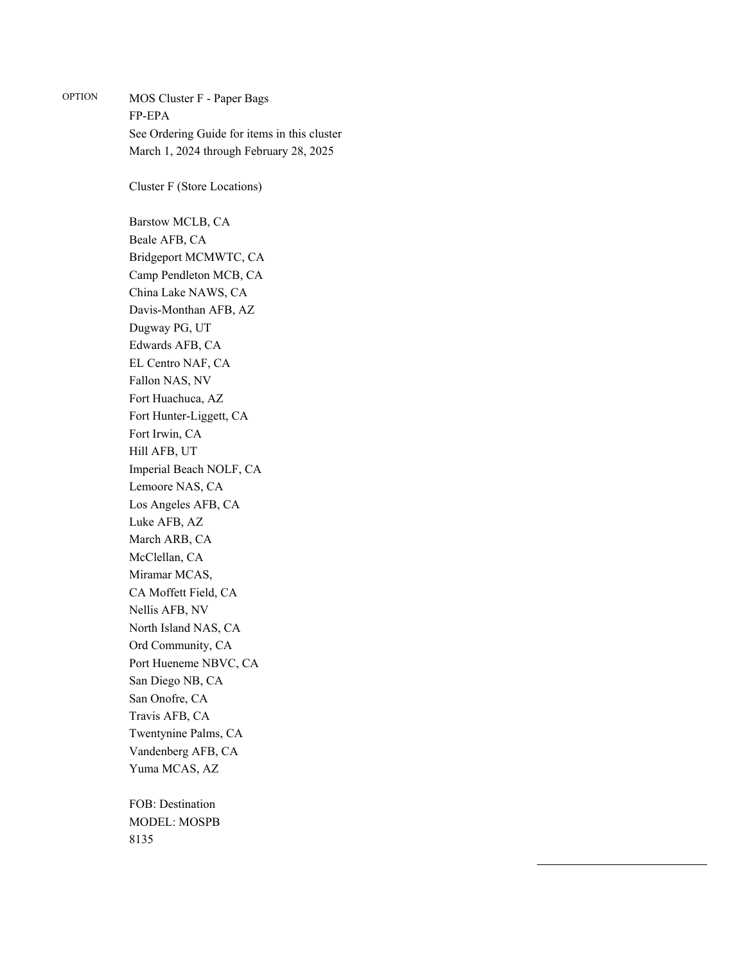OPTION MOS Cluster F - Paper Bags FP-EPA See Ordering Guide for items in this cluster March 1, 2024 through February 28, 2025

Cluster F (Store Locations)

Barstow MCLB, CA Beale AFB, CA Bridgeport MCMWTC, CA Camp Pendleton MCB, CA China Lake NAWS, CA Davis-Monthan AFB, AZ Dugway PG, UT Edwards AFB, CA EL Centro NAF, CA Fallon NAS, NV Fort Huachuca, AZ Fort Hunter-Liggett, CA Fort Irwin, CA Hill AFB, UT Imperial Beach NOLF, CA Lemoore NAS, CA Los Angeles AFB, CA Luke AFB, AZ March ARB, CA McClellan, CA Miramar MCAS, CA Moffett Field, CA Nellis AFB, NV North Island NAS, CA Ord Community, CA Port Hueneme NBVC, CA San Diego NB, CA San Onofre, CA Travis AFB, CA Twentynine Palms, CA Vandenberg AFB, CA Yuma MCAS, AZ

FOB: Destination MODEL: MOSPB 8135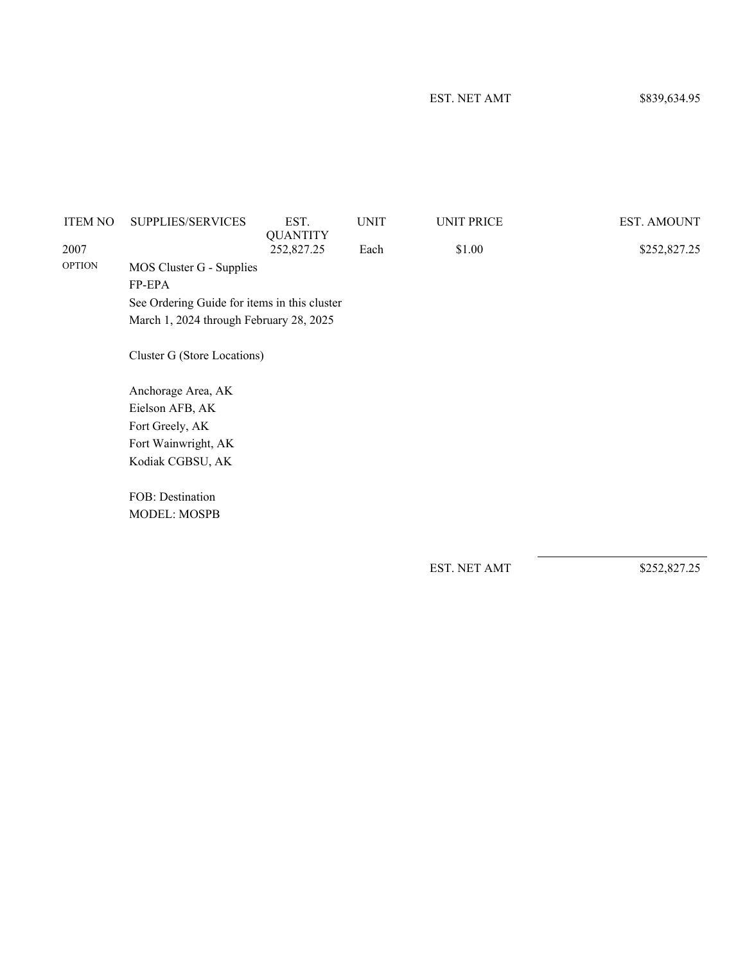| <b>ITEM NO</b> | SUPPLIES/SERVICES                            | EST.            | <b>UNIT</b> | <b>UNIT PRICE</b> | EST. AMOUNT  |  |  |  |
|----------------|----------------------------------------------|-----------------|-------------|-------------------|--------------|--|--|--|
|                |                                              | <b>QUANTITY</b> |             |                   |              |  |  |  |
| 2007           |                                              | 252,827.25      | Each        | \$1.00            | \$252,827.25 |  |  |  |
| <b>OPTION</b>  | MOS Cluster G - Supplies                     |                 |             |                   |              |  |  |  |
|                | FP-EPA                                       |                 |             |                   |              |  |  |  |
|                | See Ordering Guide for items in this cluster |                 |             |                   |              |  |  |  |
|                | March 1, 2024 through February 28, 2025      |                 |             |                   |              |  |  |  |
|                | Cluster G (Store Locations)                  |                 |             |                   |              |  |  |  |
|                | Anchorage Area, AK                           |                 |             |                   |              |  |  |  |
|                | Eielson AFB, AK                              |                 |             |                   |              |  |  |  |
|                | Fort Greely, AK                              |                 |             |                   |              |  |  |  |
|                | Fort Wainwright, AK                          |                 |             |                   |              |  |  |  |
|                | Kodiak CGBSU, AK                             |                 |             |                   |              |  |  |  |
|                | FOB: Destination                             |                 |             |                   |              |  |  |  |
|                | <b>MODEL: MOSPB</b>                          |                 |             |                   |              |  |  |  |
|                |                                              |                 |             |                   |              |  |  |  |

EST. NET AMT \$252,827.25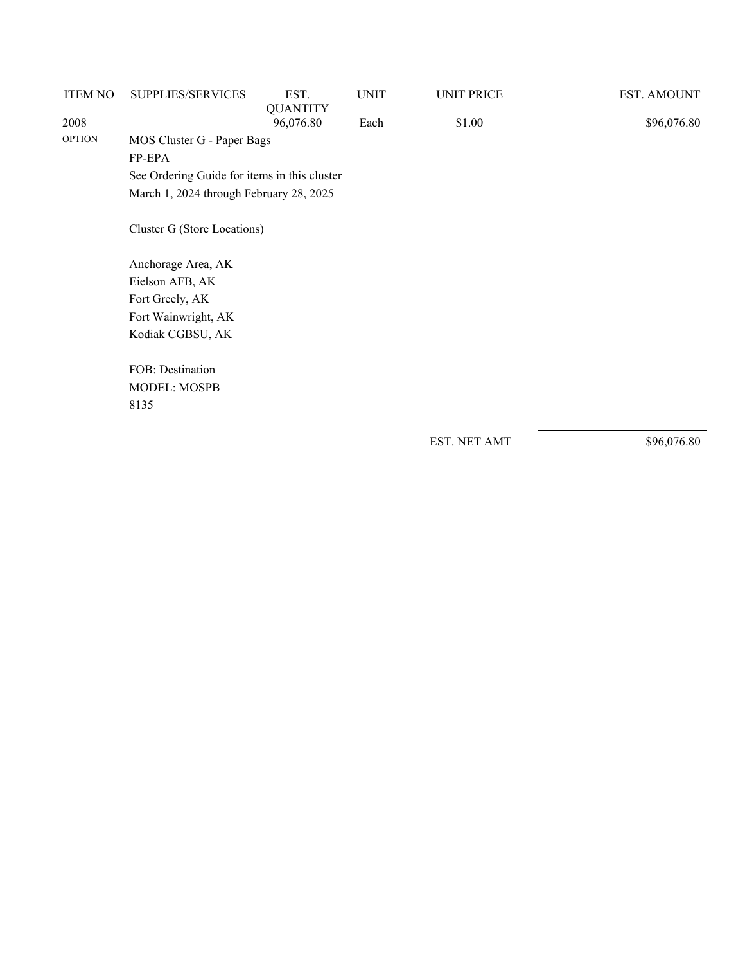| <b>ITEM NO</b> | SUPPLIES/SERVICES                            | EST.            | <b>UNIT</b> | UNIT PRICE | EST. AMOUNT |
|----------------|----------------------------------------------|-----------------|-------------|------------|-------------|
|                |                                              | <b>QUANTITY</b> |             |            |             |
| 2008           |                                              | 96,076.80       | Each        | \$1.00     | \$96,076.80 |
| <b>OPTION</b>  | MOS Cluster G - Paper Bags                   |                 |             |            |             |
|                | FP-EPA                                       |                 |             |            |             |
|                | See Ordering Guide for items in this cluster |                 |             |            |             |
|                | March 1, 2024 through February 28, 2025      |                 |             |            |             |
|                | Cluster G (Store Locations)                  |                 |             |            |             |
|                | Anchorage Area, AK                           |                 |             |            |             |
|                | Eielson AFB, AK                              |                 |             |            |             |
|                | Fort Greely, AK                              |                 |             |            |             |
|                | Fort Wainwright, AK                          |                 |             |            |             |
|                | Kodiak CGBSU, AK                             |                 |             |            |             |
|                | FOB: Destination                             |                 |             |            |             |
|                | <b>MODEL: MOSPB</b>                          |                 |             |            |             |
|                | 8135                                         |                 |             |            |             |
|                |                                              |                 |             |            |             |

EST. NET AMT \$96,076.80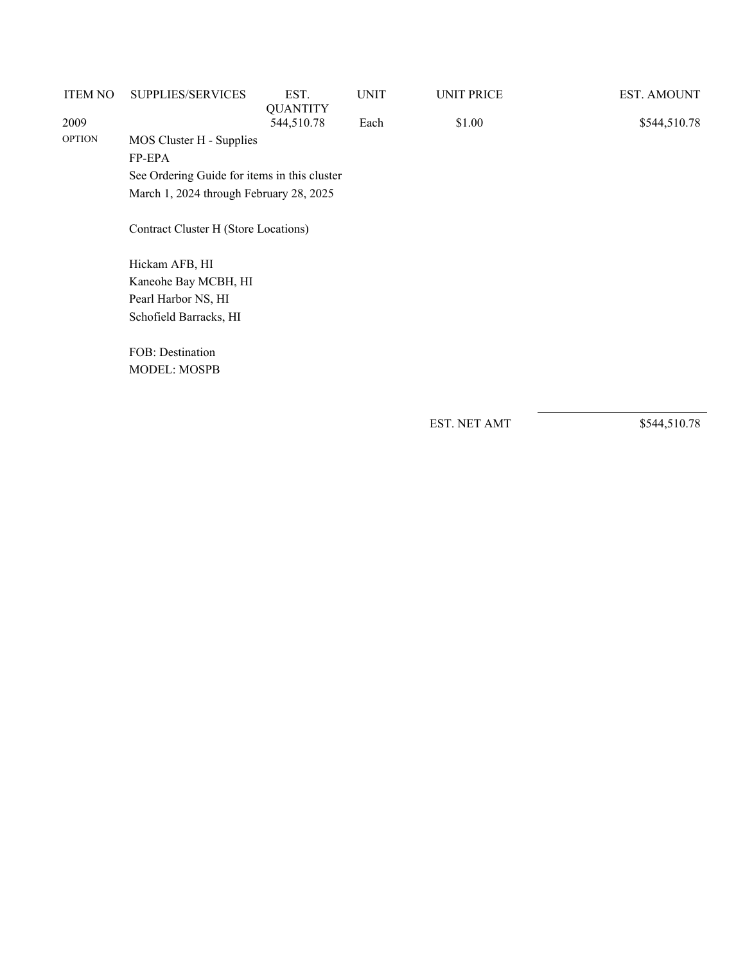| <b>ITEM NO</b> | <b>SUPPLIES/SERVICES</b>                     | EST.            | <b>UNIT</b> | UNIT PRICE | EST. AMOUNT  |  |  |  |  |
|----------------|----------------------------------------------|-----------------|-------------|------------|--------------|--|--|--|--|
|                |                                              | <b>QUANTITY</b> |             |            |              |  |  |  |  |
| 2009           |                                              | 544,510.78      | Each        | \$1.00     | \$544,510.78 |  |  |  |  |
| <b>OPTION</b>  | MOS Cluster H - Supplies                     |                 |             |            |              |  |  |  |  |
|                | FP-EPA                                       |                 |             |            |              |  |  |  |  |
|                | See Ordering Guide for items in this cluster |                 |             |            |              |  |  |  |  |
|                | March 1, 2024 through February 28, 2025      |                 |             |            |              |  |  |  |  |
|                | Contract Cluster H (Store Locations)         |                 |             |            |              |  |  |  |  |
|                | Hickam AFB, HI                               |                 |             |            |              |  |  |  |  |
|                | Kaneohe Bay MCBH, HI                         |                 |             |            |              |  |  |  |  |
|                | Pearl Harbor NS, HI                          |                 |             |            |              |  |  |  |  |
|                | Schofield Barracks, HI                       |                 |             |            |              |  |  |  |  |
|                | FOB: Destination                             |                 |             |            |              |  |  |  |  |
|                | <b>MODEL: MOSPB</b>                          |                 |             |            |              |  |  |  |  |

EST. NET AMT \$544,510.78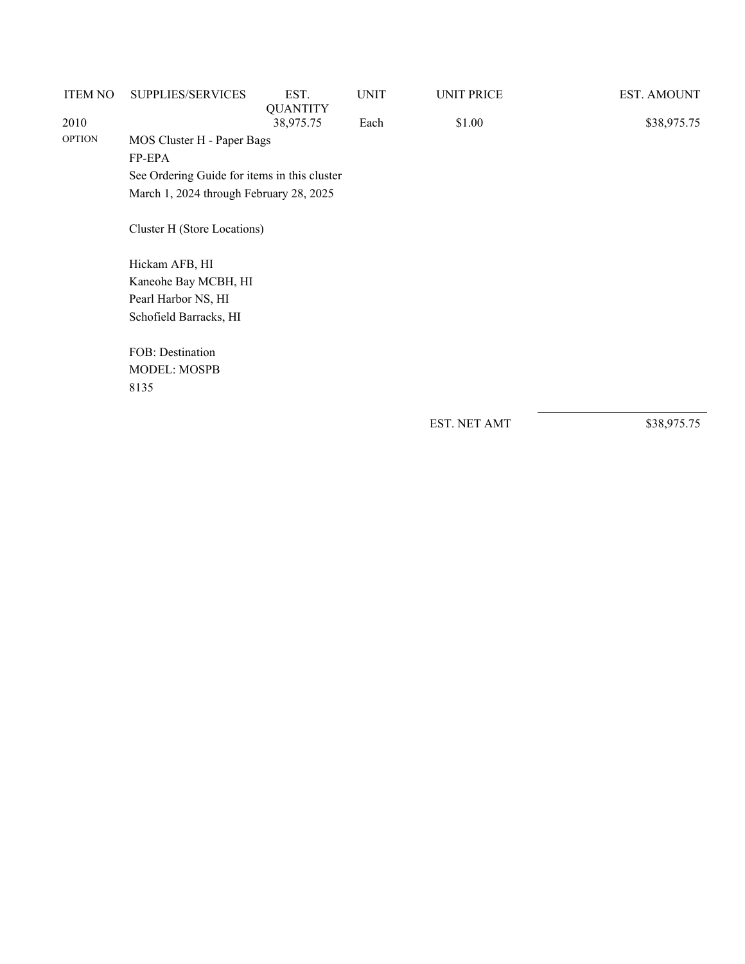| <b>ITEM NO</b> | SUPPLIES/SERVICES                            | EST.                                    | <b>UNIT</b> | <b>UNIT PRICE</b> | EST. AMOUNT |  |  |  |  |  |
|----------------|----------------------------------------------|-----------------------------------------|-------------|-------------------|-------------|--|--|--|--|--|
|                |                                              | <b>QUANTITY</b>                         |             |                   |             |  |  |  |  |  |
| 2010           |                                              | 38,975.75                               | Each        | \$1.00            | \$38,975.75 |  |  |  |  |  |
| <b>OPTION</b>  | MOS Cluster H - Paper Bags                   |                                         |             |                   |             |  |  |  |  |  |
|                | FP-EPA                                       |                                         |             |                   |             |  |  |  |  |  |
|                | See Ordering Guide for items in this cluster |                                         |             |                   |             |  |  |  |  |  |
|                |                                              | March 1, 2024 through February 28, 2025 |             |                   |             |  |  |  |  |  |
|                | Cluster H (Store Locations)                  |                                         |             |                   |             |  |  |  |  |  |
|                | Hickam AFB, HI                               |                                         |             |                   |             |  |  |  |  |  |
|                | Kaneohe Bay MCBH, HI                         |                                         |             |                   |             |  |  |  |  |  |
|                | Pearl Harbor NS, HI                          |                                         |             |                   |             |  |  |  |  |  |
|                | Schofield Barracks, HI                       |                                         |             |                   |             |  |  |  |  |  |
|                | FOB: Destination                             |                                         |             |                   |             |  |  |  |  |  |
|                | <b>MODEL: MOSPB</b>                          |                                         |             |                   |             |  |  |  |  |  |
|                | 8135                                         |                                         |             |                   |             |  |  |  |  |  |
|                |                                              |                                         |             |                   |             |  |  |  |  |  |

EST. NET AMT \$38,975.75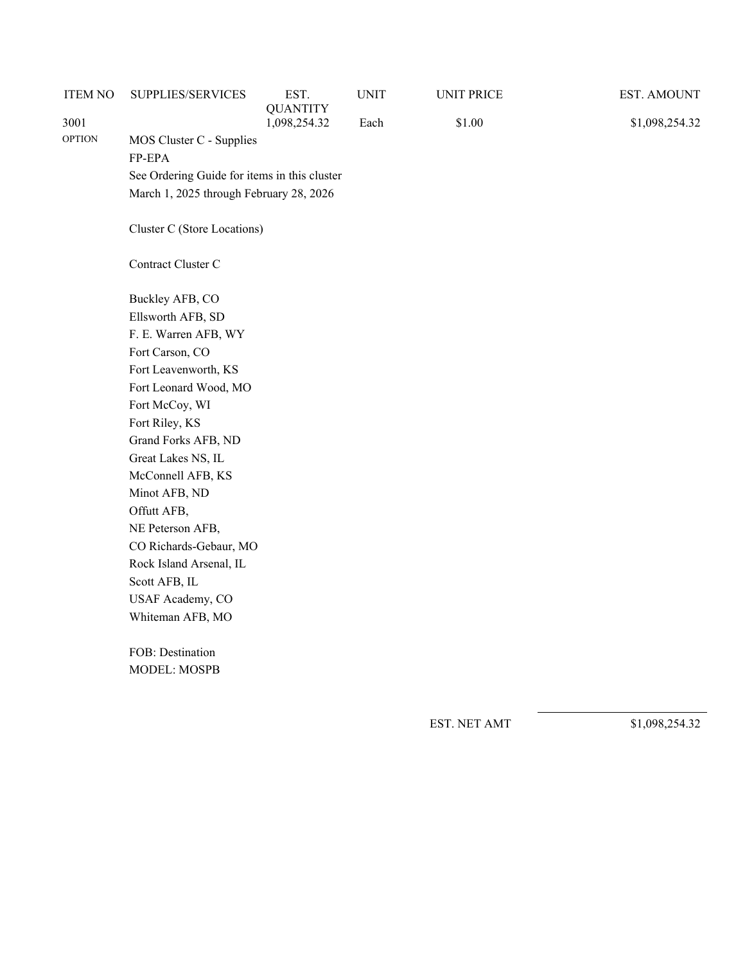| <b>ITEM NO</b> | SUPPLIES/SERVICES                            | EST.<br><b>QUANTITY</b> | <b>UNIT</b> | <b>UNIT PRICE</b> | EST. AMOUNT    |
|----------------|----------------------------------------------|-------------------------|-------------|-------------------|----------------|
| 3001           |                                              | 1,098,254.32            | Each        | \$1.00            | \$1,098,254.32 |
| <b>OPTION</b>  | MOS Cluster C - Supplies                     |                         |             |                   |                |
|                | FP-EPA                                       |                         |             |                   |                |
|                | See Ordering Guide for items in this cluster |                         |             |                   |                |
|                | March 1, 2025 through February 28, 2026      |                         |             |                   |                |
|                | Cluster C (Store Locations)                  |                         |             |                   |                |
|                | Contract Cluster C                           |                         |             |                   |                |
|                | Buckley AFB, CO                              |                         |             |                   |                |
|                | Ellsworth AFB, SD                            |                         |             |                   |                |
|                | F. E. Warren AFB, WY                         |                         |             |                   |                |
|                | Fort Carson, CO                              |                         |             |                   |                |
|                | Fort Leavenworth, KS                         |                         |             |                   |                |
|                | Fort Leonard Wood, MO                        |                         |             |                   |                |
|                | Fort McCoy, WI                               |                         |             |                   |                |
|                | Fort Riley, KS                               |                         |             |                   |                |
|                | Grand Forks AFB, ND                          |                         |             |                   |                |
|                | Great Lakes NS, IL                           |                         |             |                   |                |
|                | McConnell AFB, KS                            |                         |             |                   |                |
|                | Minot AFB, ND                                |                         |             |                   |                |
|                | Offutt AFB,                                  |                         |             |                   |                |
|                | NE Peterson AFB,                             |                         |             |                   |                |
|                | CO Richards-Gebaur, MO                       |                         |             |                   |                |
|                | Rock Island Arsenal, IL                      |                         |             |                   |                |
|                | Scott AFB, IL                                |                         |             |                   |                |
|                | USAF Academy, CO                             |                         |             |                   |                |
|                | Whiteman AFB, MO                             |                         |             |                   |                |
|                | FOB: Destination                             |                         |             |                   |                |
|                | <b>MODEL: MOSPB</b>                          |                         |             |                   |                |

EST. NET AMT \$1,098,254.32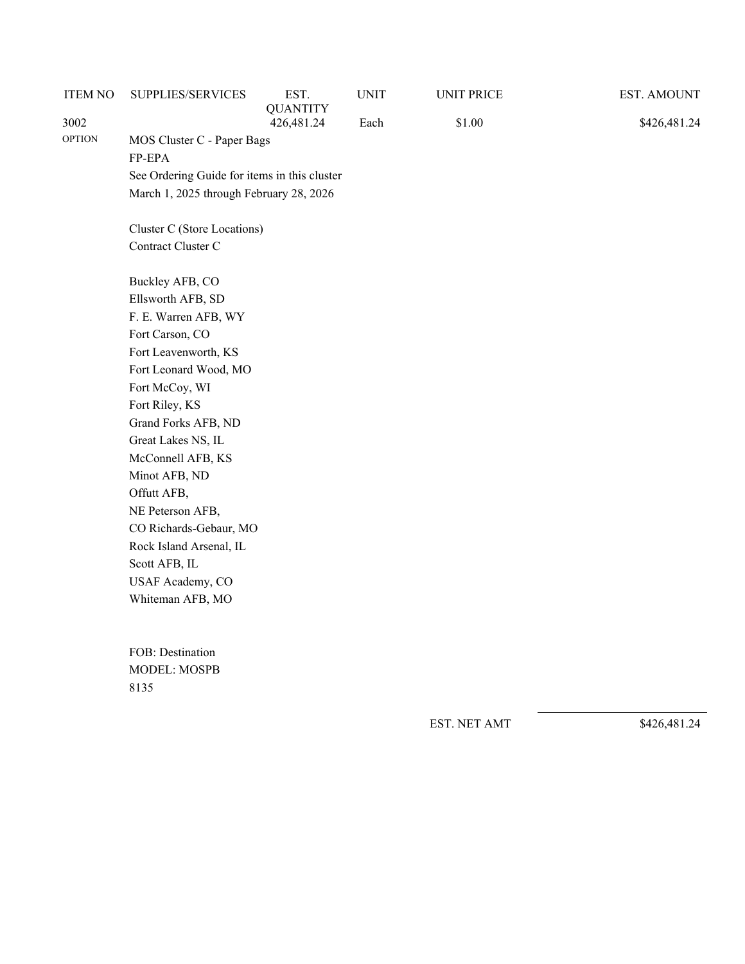| <b>ITEM NO</b> | SUPPLIES/SERVICES                            | EST.<br><b>QUANTITY</b> | <b>UNIT</b> | <b>UNIT PRICE</b> | EST. AMOUNT  |
|----------------|----------------------------------------------|-------------------------|-------------|-------------------|--------------|
| 3002           |                                              | 426, 481.24             | Each        | \$1.00            | \$426,481.24 |
| <b>OPTION</b>  | MOS Cluster C - Paper Bags                   |                         |             |                   |              |
|                | FP-EPA                                       |                         |             |                   |              |
|                | See Ordering Guide for items in this cluster |                         |             |                   |              |
|                | March 1, 2025 through February 28, 2026      |                         |             |                   |              |
|                | Cluster C (Store Locations)                  |                         |             |                   |              |
|                | Contract Cluster C                           |                         |             |                   |              |
|                | Buckley AFB, CO                              |                         |             |                   |              |
|                | Ellsworth AFB, SD                            |                         |             |                   |              |
|                | F. E. Warren AFB, WY                         |                         |             |                   |              |
|                | Fort Carson, CO                              |                         |             |                   |              |
|                | Fort Leavenworth, KS                         |                         |             |                   |              |
|                | Fort Leonard Wood, MO                        |                         |             |                   |              |
|                | Fort McCoy, WI                               |                         |             |                   |              |
|                | Fort Riley, KS                               |                         |             |                   |              |
|                | Grand Forks AFB, ND                          |                         |             |                   |              |
|                | Great Lakes NS, IL                           |                         |             |                   |              |
|                | McConnell AFB, KS                            |                         |             |                   |              |
|                | Minot AFB, ND                                |                         |             |                   |              |
|                | Offutt AFB,                                  |                         |             |                   |              |
|                | NE Peterson AFB,                             |                         |             |                   |              |
|                | CO Richards-Gebaur, MO                       |                         |             |                   |              |
|                | Rock Island Arsenal, IL                      |                         |             |                   |              |
|                | Scott AFB, IL                                |                         |             |                   |              |
|                | USAF Academy, CO                             |                         |             |                   |              |
|                | Whiteman AFB, MO                             |                         |             |                   |              |
|                |                                              |                         |             |                   |              |
|                |                                              |                         |             |                   |              |
|                |                                              |                         |             |                   |              |

FOB: Destination MODEL: MOSPB 8135

EST. NET AMT \$426,481.24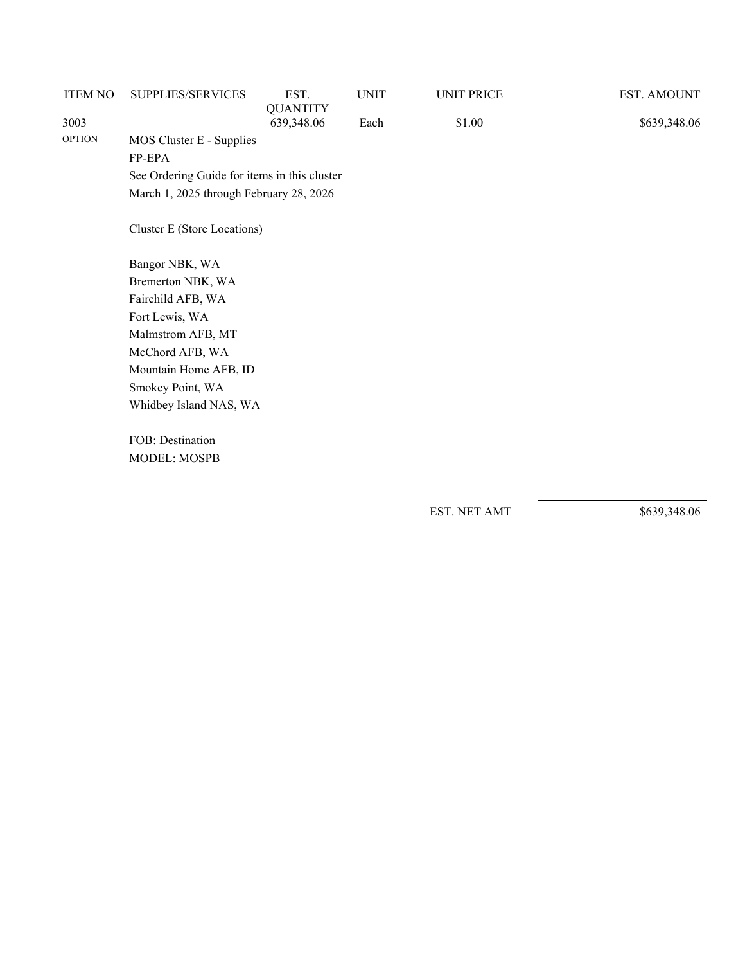| <b>ITEM NO</b> | SUPPLIES/SERVICES                            | EST.            | <b>UNIT</b> | <b>UNIT PRICE</b> | EST. AMOUNT  |  |  |  |  |
|----------------|----------------------------------------------|-----------------|-------------|-------------------|--------------|--|--|--|--|
|                |                                              | <b>QUANTITY</b> |             |                   |              |  |  |  |  |
| 3003           |                                              | 639,348.06      | Each        | \$1.00            | \$639,348.06 |  |  |  |  |
| <b>OPTION</b>  | MOS Cluster E - Supplies                     |                 |             |                   |              |  |  |  |  |
|                | FP-EPA                                       |                 |             |                   |              |  |  |  |  |
|                | See Ordering Guide for items in this cluster |                 |             |                   |              |  |  |  |  |
|                | March 1, 2025 through February 28, 2026      |                 |             |                   |              |  |  |  |  |
|                | Cluster E (Store Locations)                  |                 |             |                   |              |  |  |  |  |
|                | Bangor NBK, WA                               |                 |             |                   |              |  |  |  |  |
|                | Bremerton NBK, WA                            |                 |             |                   |              |  |  |  |  |
|                | Fairchild AFB, WA                            |                 |             |                   |              |  |  |  |  |
|                | Fort Lewis, WA                               |                 |             |                   |              |  |  |  |  |
|                | Malmstrom AFB, MT                            |                 |             |                   |              |  |  |  |  |
|                | McChord AFB, WA                              |                 |             |                   |              |  |  |  |  |
|                | Mountain Home AFB, ID                        |                 |             |                   |              |  |  |  |  |
|                | Smokey Point, WA                             |                 |             |                   |              |  |  |  |  |
|                | Whidbey Island NAS, WA                       |                 |             |                   |              |  |  |  |  |
|                | FOB: Destination                             |                 |             |                   |              |  |  |  |  |
|                | <b>MODEL: MOSPB</b>                          |                 |             |                   |              |  |  |  |  |

EST. NET AMT \$639,348.06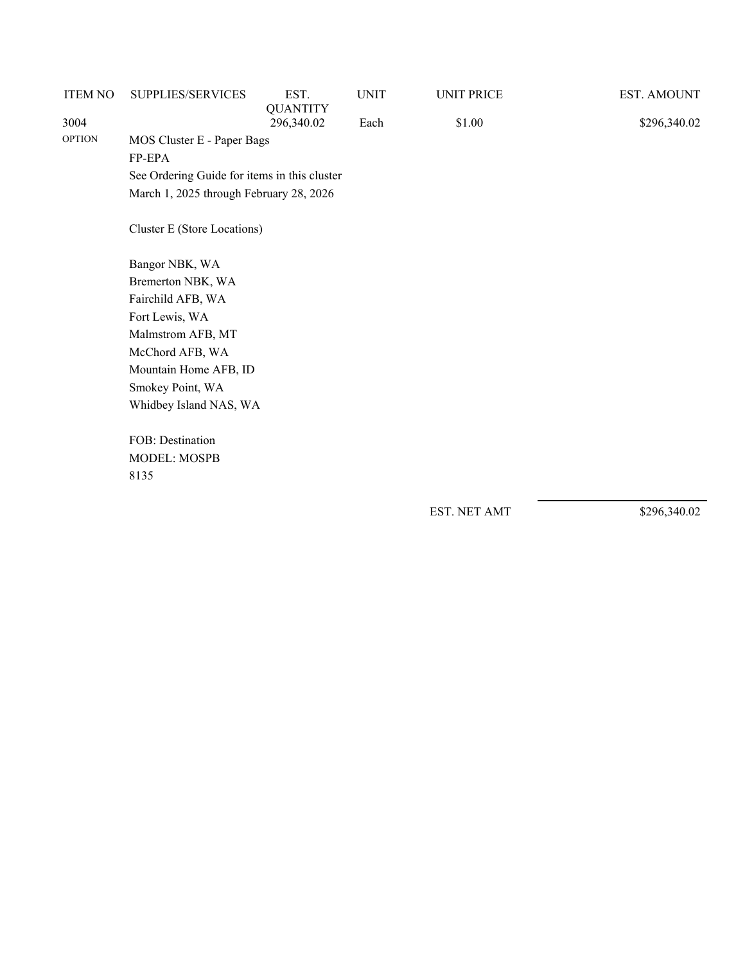| <b>ITEM NO</b> | SUPPLIES/SERVICES                            | EST.<br><b>QUANTITY</b> | <b>UNIT</b> | <b>UNIT PRICE</b> | EST. AMOUNT  |  |  |  |  |
|----------------|----------------------------------------------|-------------------------|-------------|-------------------|--------------|--|--|--|--|
| 3004           |                                              | 296,340.02              | Each        | \$1.00            | \$296,340.02 |  |  |  |  |
| <b>OPTION</b>  | MOS Cluster E - Paper Bags                   |                         |             |                   |              |  |  |  |  |
|                | FP-EPA                                       |                         |             |                   |              |  |  |  |  |
|                | See Ordering Guide for items in this cluster |                         |             |                   |              |  |  |  |  |
|                | March 1, 2025 through February 28, 2026      |                         |             |                   |              |  |  |  |  |
|                | Cluster E (Store Locations)                  |                         |             |                   |              |  |  |  |  |
|                | Bangor NBK, WA                               |                         |             |                   |              |  |  |  |  |
|                | Bremerton NBK, WA                            |                         |             |                   |              |  |  |  |  |
|                | Fairchild AFB, WA                            |                         |             |                   |              |  |  |  |  |
|                | Fort Lewis, WA                               |                         |             |                   |              |  |  |  |  |
|                | Malmstrom AFB, MT                            |                         |             |                   |              |  |  |  |  |
|                | McChord AFB, WA                              |                         |             |                   |              |  |  |  |  |
|                | Mountain Home AFB, ID                        |                         |             |                   |              |  |  |  |  |
|                | Smokey Point, WA                             |                         |             |                   |              |  |  |  |  |
|                | Whidbey Island NAS, WA                       |                         |             |                   |              |  |  |  |  |
|                | FOB: Destination                             |                         |             |                   |              |  |  |  |  |
|                | <b>MODEL: MOSPB</b>                          |                         |             |                   |              |  |  |  |  |
|                | 8135                                         |                         |             |                   |              |  |  |  |  |
|                |                                              |                         |             |                   |              |  |  |  |  |

EST. NET AMT \$296,340.02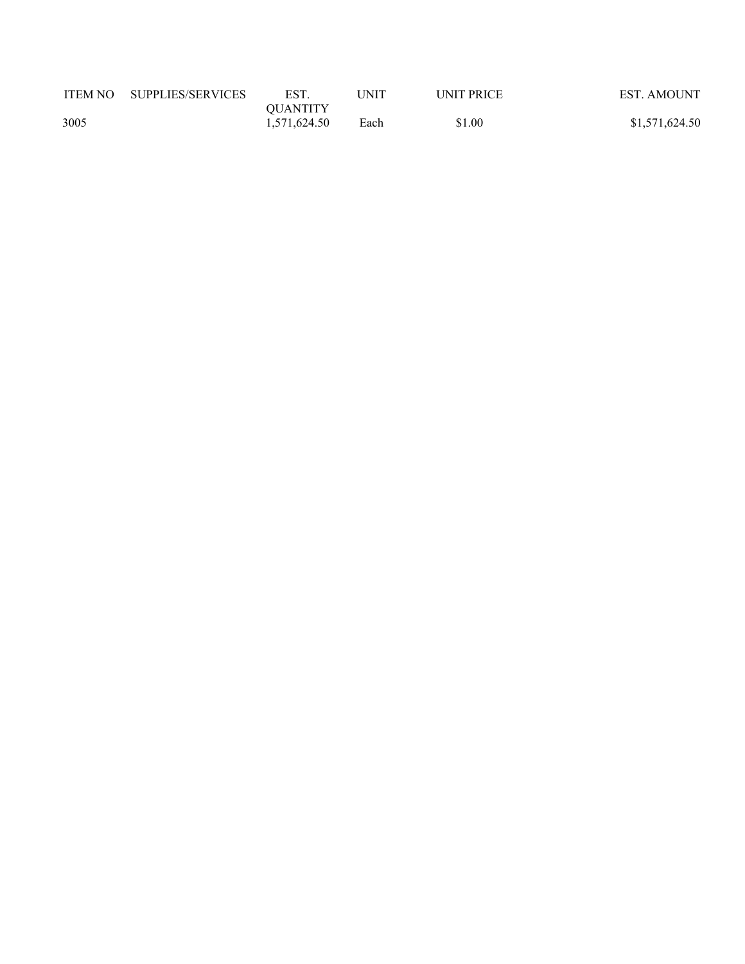|      | <b>ITEM NO SUPPLIES/SERVICES</b> | <b>EST</b>      | 'INIT | <b>UNIT PRICE</b> | EST. AMOUNT    |
|------|----------------------------------|-----------------|-------|-------------------|----------------|
|      |                                  | <b>OUANTITY</b> |       |                   |                |
| 3005 |                                  | 1,571,624.50    | Each  | \$1.00            | \$1,571,624.50 |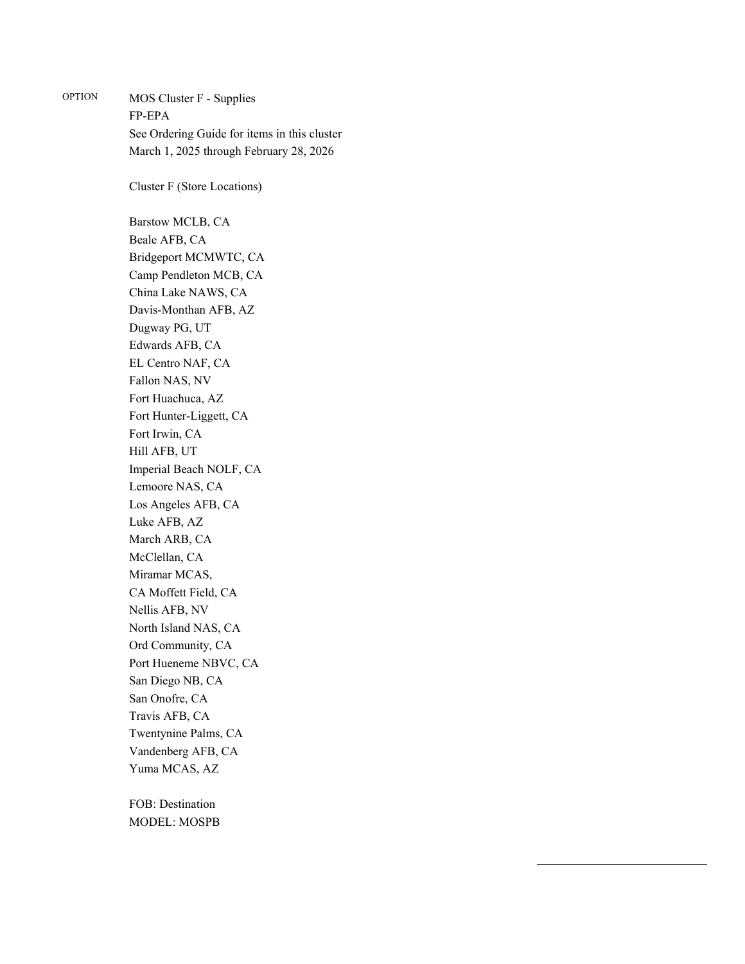OPTION MOS Cluster F - Supplies FP-EPA See Ordering Guide for items in this cluster March 1, 2025 through February 28, 2026

Cluster F (Store Locations)

Barstow MCLB, CA Beale AFB, CA Bridgeport MCMWTC, CA Camp Pendleton MCB, CA China Lake NAWS, CA Davis-Monthan AFB, AZ Dugway PG, UT Edwards AFB, CA EL Centro NAF, CA Fallon NAS, NV Fort Huachuca, AZ Fort Hunter-Liggett, CA Fort Irwin, CA Hill AFB, UT Imperial Beach NOLF, CA Lemoore NAS, CA Los Angeles AFB, CA Luke AFB, AZ March ARB, CA McClellan, CA Miramar MCAS, CA Moffett Field, CA Nellis AFB, NV North Island NAS, CA Ord Community, CA Port Hueneme NBVC, CA San Diego NB, CA San Onofre, CA Travis AFB, CA Twentynine Palms, CA Vandenberg AFB, CA Yuma MCAS, AZ

FOB: Destination MODEL: MOSPB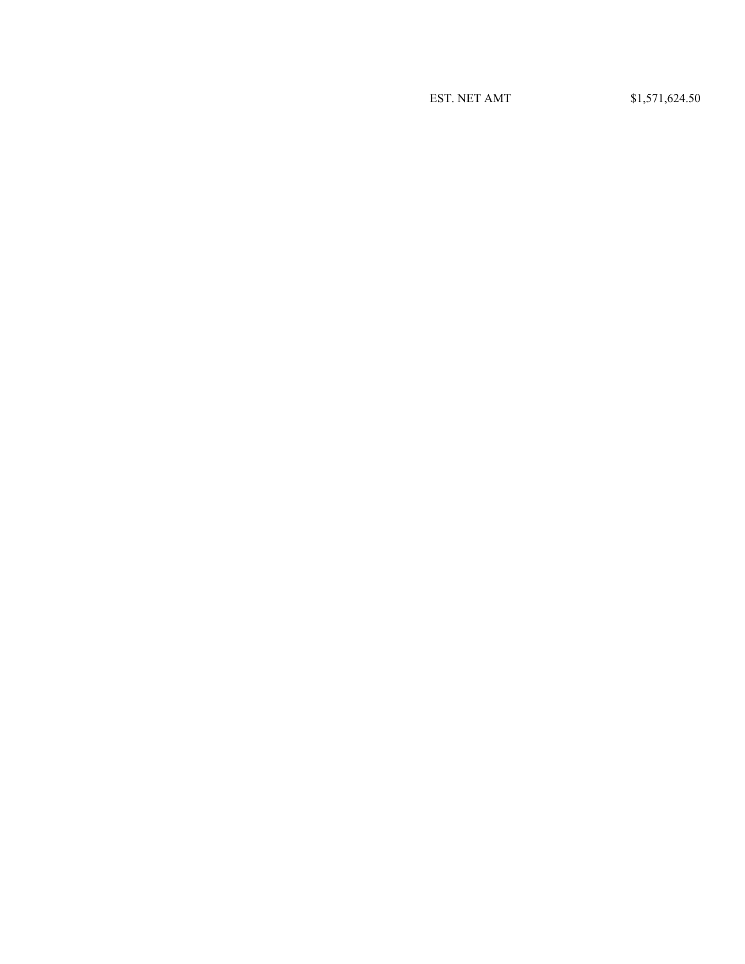EST. NET AMT \$1,571,624.50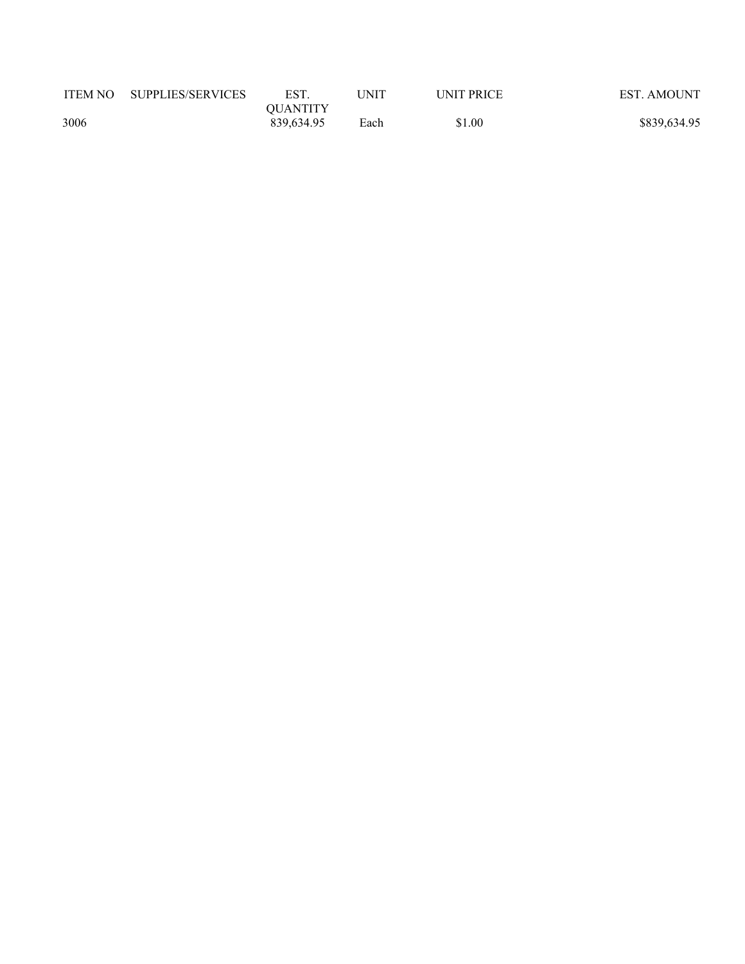|      | <b>ITEM NO SUPPLIES/SERVICES</b> | <b>EST</b>      | 'INIT | <b>UNIT PRICE</b> | EST. AMOUNT  |
|------|----------------------------------|-----------------|-------|-------------------|--------------|
|      |                                  | <b>OUANTITY</b> |       |                   |              |
| 3006 |                                  | 839.634.95      | Each  | \$1.00            | \$839,634.95 |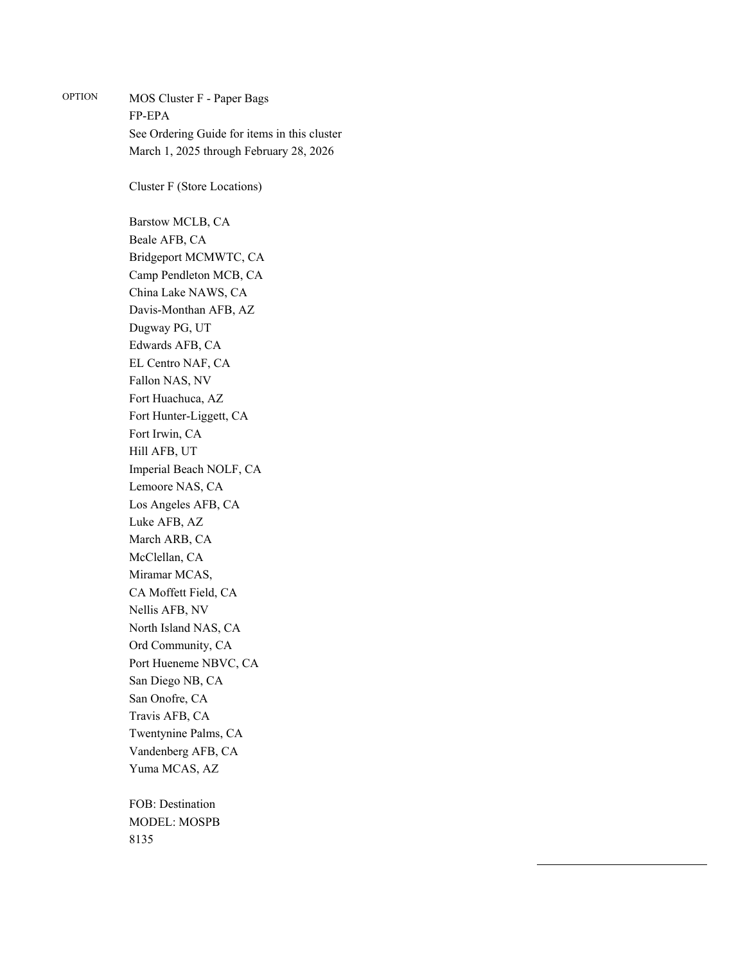OPTION MOS Cluster F - Paper Bags FP-EPA See Ordering Guide for items in this cluster March 1, 2025 through February 28, 2026

Cluster F (Store Locations)

Barstow MCLB, CA Beale AFB, CA Bridgeport MCMWTC, CA Camp Pendleton MCB, CA China Lake NAWS, CA Davis-Monthan AFB, AZ Dugway PG, UT Edwards AFB, CA EL Centro NAF, CA Fallon NAS, NV Fort Huachuca, AZ Fort Hunter-Liggett, CA Fort Irwin, CA Hill AFB, UT Imperial Beach NOLF, CA Lemoore NAS, CA Los Angeles AFB, CA Luke AFB, AZ March ARB, CA McClellan, CA Miramar MCAS, CA Moffett Field, CA Nellis AFB, NV North Island NAS, CA Ord Community, CA Port Hueneme NBVC, CA San Diego NB, CA San Onofre, CA Travis AFB, CA Twentynine Palms, CA Vandenberg AFB, CA Yuma MCAS, AZ

FOB: Destination MODEL: MOSPB 8135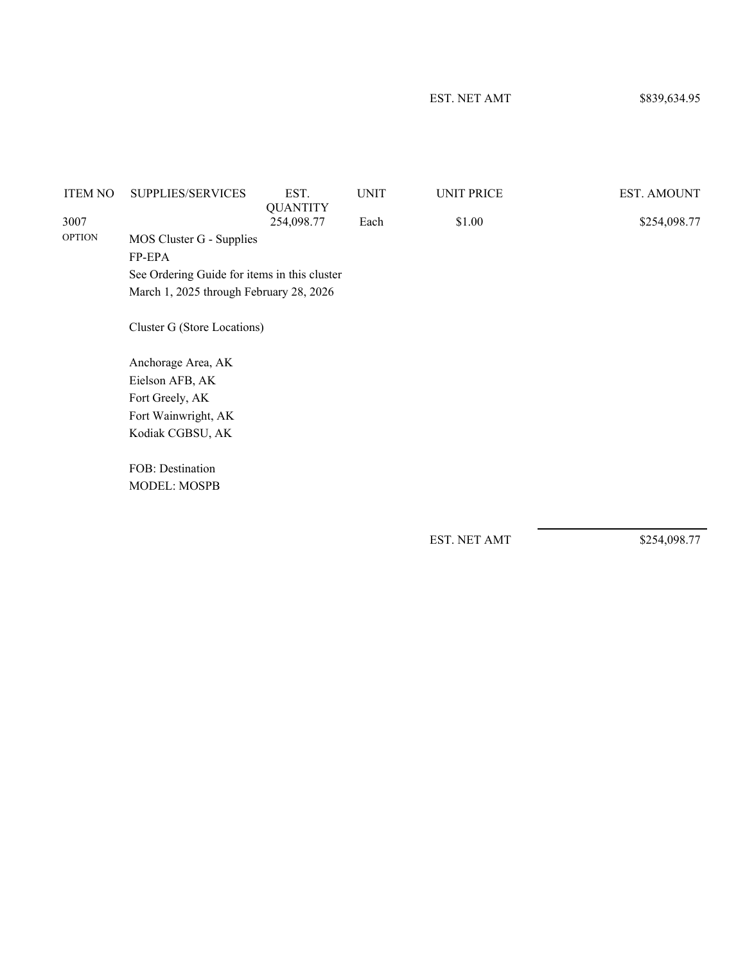| <b>ITEM NO</b> | SUPPLIES/SERVICES                            | EST.            | <b>UNIT</b> | <b>UNIT PRICE</b> | EST. AMOUNT  |
|----------------|----------------------------------------------|-----------------|-------------|-------------------|--------------|
|                |                                              | <b>QUANTITY</b> |             |                   |              |
| 3007           |                                              | 254,098.77      | Each        | \$1.00            | \$254,098.77 |
| <b>OPTION</b>  | MOS Cluster G - Supplies                     |                 |             |                   |              |
|                | FP-EPA                                       |                 |             |                   |              |
|                | See Ordering Guide for items in this cluster |                 |             |                   |              |
|                | March 1, 2025 through February 28, 2026      |                 |             |                   |              |
|                | Cluster G (Store Locations)                  |                 |             |                   |              |
|                | Anchorage Area, AK                           |                 |             |                   |              |
|                | Eielson AFB, AK                              |                 |             |                   |              |
|                | Fort Greely, AK                              |                 |             |                   |              |
|                | Fort Wainwright, AK                          |                 |             |                   |              |
|                | Kodiak CGBSU, AK                             |                 |             |                   |              |
|                | FOB: Destination                             |                 |             |                   |              |
|                | <b>MODEL: MOSPB</b>                          |                 |             |                   |              |
|                |                                              |                 |             |                   |              |

EST. NET AMT \$254,098.77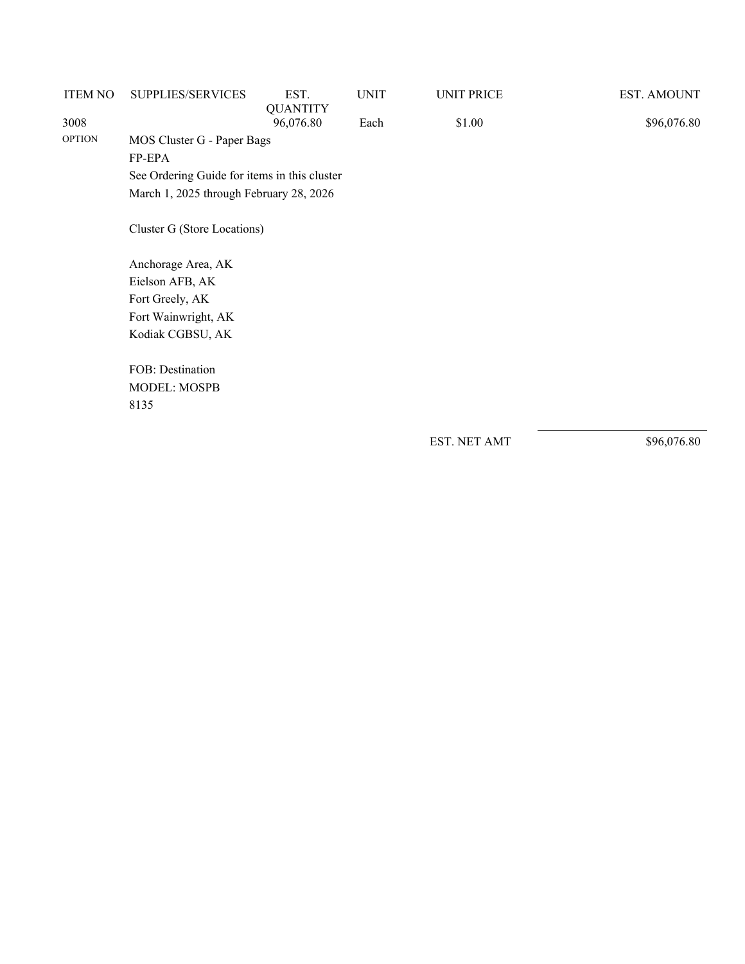| <b>ITEM NO</b> | SUPPLIES/SERVICES                            | EST.            | <b>UNIT</b> | UNIT PRICE | EST. AMOUNT |
|----------------|----------------------------------------------|-----------------|-------------|------------|-------------|
|                |                                              | <b>QUANTITY</b> |             |            |             |
| 3008           |                                              | 96,076.80       | Each        | \$1.00     | \$96,076.80 |
| <b>OPTION</b>  | MOS Cluster G - Paper Bags                   |                 |             |            |             |
|                | FP-EPA                                       |                 |             |            |             |
|                | See Ordering Guide for items in this cluster |                 |             |            |             |
|                | March 1, 2025 through February 28, 2026      |                 |             |            |             |
|                | Cluster G (Store Locations)                  |                 |             |            |             |
|                | Anchorage Area, AK                           |                 |             |            |             |
|                | Eielson AFB, AK                              |                 |             |            |             |
|                | Fort Greely, AK                              |                 |             |            |             |
|                | Fort Wainwright, AK                          |                 |             |            |             |
|                | Kodiak CGBSU, AK                             |                 |             |            |             |
|                | FOB: Destination                             |                 |             |            |             |
|                | <b>MODEL: MOSPB</b>                          |                 |             |            |             |
|                | 8135                                         |                 |             |            |             |
|                |                                              |                 |             |            |             |

EST. NET AMT \$96,076.80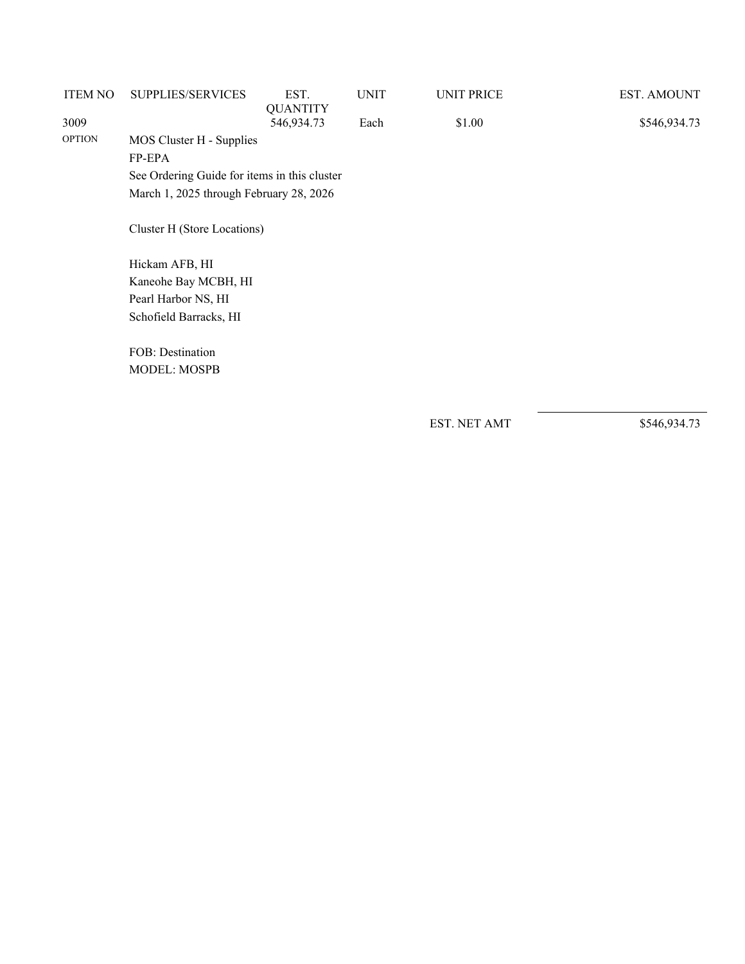| <b>ITEM NO</b> | <b>SUPPLIES/SERVICES</b>                     | EST.            | <b>UNIT</b> | UNIT PRICE | EST. AMOUNT  |  |  |  |  |
|----------------|----------------------------------------------|-----------------|-------------|------------|--------------|--|--|--|--|
|                |                                              | <b>QUANTITY</b> |             |            |              |  |  |  |  |
| 3009           |                                              | 546,934.73      | Each        | \$1.00     | \$546,934.73 |  |  |  |  |
| <b>OPTION</b>  | MOS Cluster H - Supplies                     |                 |             |            |              |  |  |  |  |
|                | FP-EPA                                       |                 |             |            |              |  |  |  |  |
|                | See Ordering Guide for items in this cluster |                 |             |            |              |  |  |  |  |
|                | March 1, 2025 through February 28, 2026      |                 |             |            |              |  |  |  |  |
|                | Cluster H (Store Locations)                  |                 |             |            |              |  |  |  |  |
|                | Hickam AFB, HI                               |                 |             |            |              |  |  |  |  |
|                | Kaneohe Bay MCBH, HI                         |                 |             |            |              |  |  |  |  |
|                | Pearl Harbor NS, HI                          |                 |             |            |              |  |  |  |  |
|                | Schofield Barracks, HI                       |                 |             |            |              |  |  |  |  |
|                | FOB: Destination                             |                 |             |            |              |  |  |  |  |
|                | <b>MODEL: MOSPB</b>                          |                 |             |            |              |  |  |  |  |

EST. NET AMT \$546,934.73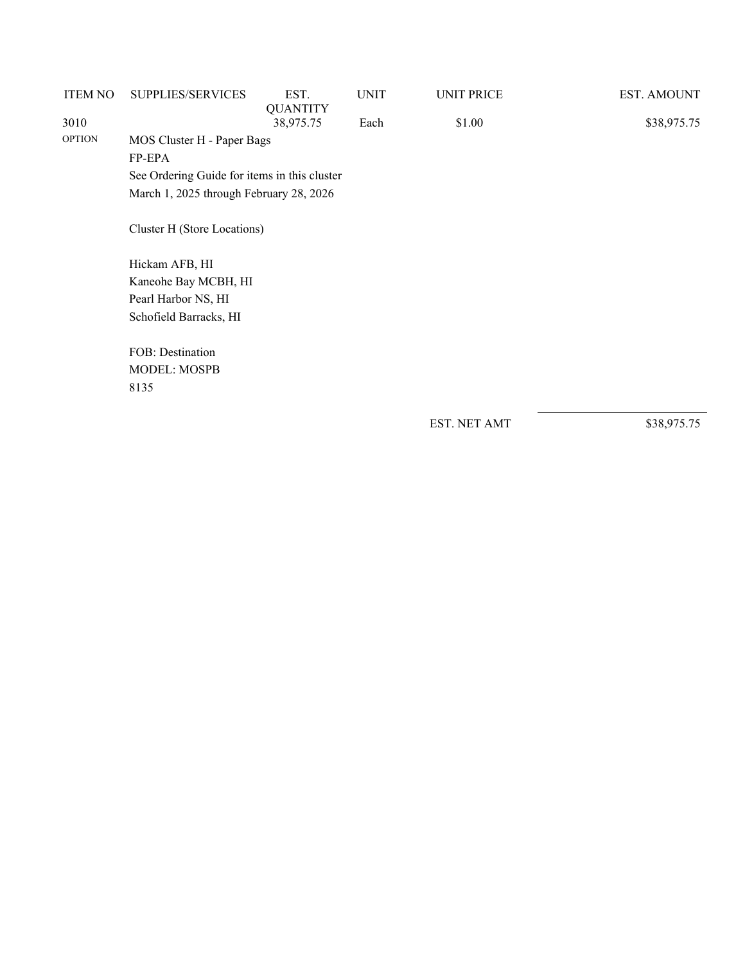| <b>ITEM NO</b> | SUPPLIES/SERVICES                            | EST.            | <b>UNIT</b> | <b>UNIT PRICE</b> | EST. AMOUNT |  |  |  |  |
|----------------|----------------------------------------------|-----------------|-------------|-------------------|-------------|--|--|--|--|
|                |                                              | <b>QUANTITY</b> |             |                   |             |  |  |  |  |
| 3010           |                                              | 38,975.75       | Each        | \$1.00            | \$38,975.75 |  |  |  |  |
| <b>OPTION</b>  | MOS Cluster H - Paper Bags                   |                 |             |                   |             |  |  |  |  |
|                | FP-EPA                                       |                 |             |                   |             |  |  |  |  |
|                | See Ordering Guide for items in this cluster |                 |             |                   |             |  |  |  |  |
|                | March 1, 2025 through February 28, 2026      |                 |             |                   |             |  |  |  |  |
|                | Cluster H (Store Locations)                  |                 |             |                   |             |  |  |  |  |
|                | Hickam AFB, HI                               |                 |             |                   |             |  |  |  |  |
|                | Kaneohe Bay MCBH, HI                         |                 |             |                   |             |  |  |  |  |
|                | Pearl Harbor NS, HI                          |                 |             |                   |             |  |  |  |  |
|                | Schofield Barracks, HI                       |                 |             |                   |             |  |  |  |  |
|                | FOB: Destination                             |                 |             |                   |             |  |  |  |  |
|                | <b>MODEL: MOSPB</b>                          |                 |             |                   |             |  |  |  |  |
|                | 8135                                         |                 |             |                   |             |  |  |  |  |
|                |                                              |                 |             |                   |             |  |  |  |  |

EST. NET AMT \$38,975.75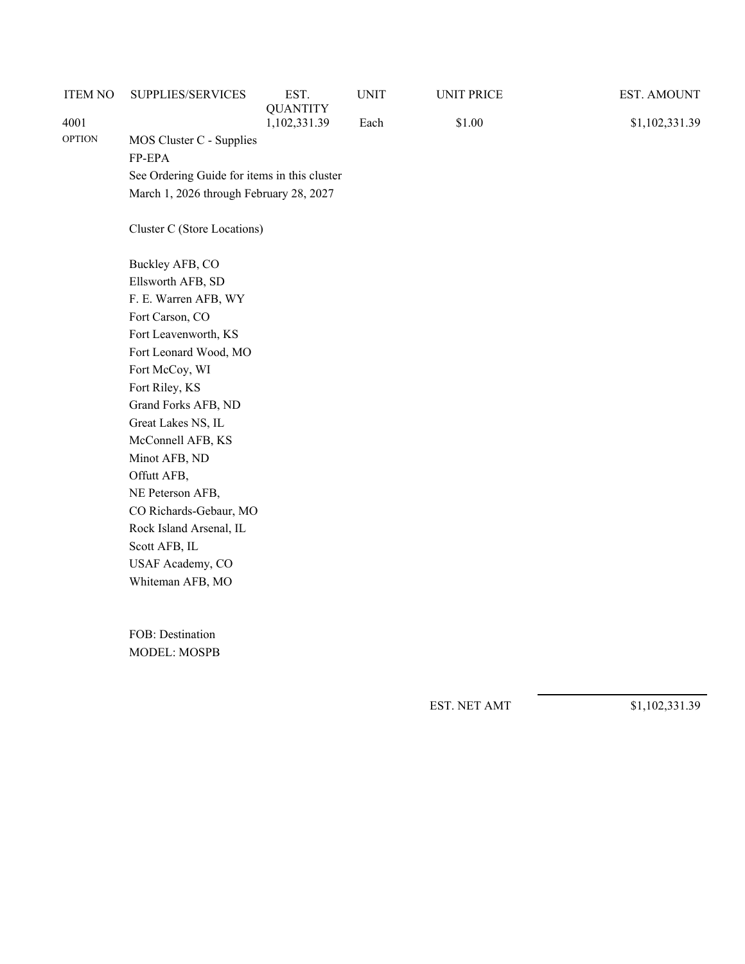| <b>ITEM NO</b> | SUPPLIES/SERVICES                            | EST.<br><b>QUANTITY</b> | <b>UNIT</b> | <b>UNIT PRICE</b> | EST. AMOUNT    |  |  |  |  |
|----------------|----------------------------------------------|-------------------------|-------------|-------------------|----------------|--|--|--|--|
| 4001           |                                              | 1,102,331.39            | Each        | \$1.00            | \$1,102,331.39 |  |  |  |  |
| <b>OPTION</b>  | MOS Cluster C - Supplies                     |                         |             |                   |                |  |  |  |  |
|                | FP-EPA                                       |                         |             |                   |                |  |  |  |  |
|                | See Ordering Guide for items in this cluster |                         |             |                   |                |  |  |  |  |
|                | March 1, 2026 through February 28, 2027      |                         |             |                   |                |  |  |  |  |
|                | Cluster C (Store Locations)                  |                         |             |                   |                |  |  |  |  |
|                | Buckley AFB, CO                              |                         |             |                   |                |  |  |  |  |
|                | Ellsworth AFB, SD                            |                         |             |                   |                |  |  |  |  |
|                | F. E. Warren AFB, WY                         |                         |             |                   |                |  |  |  |  |
|                | Fort Carson, CO                              |                         |             |                   |                |  |  |  |  |
|                | Fort Leavenworth, KS                         |                         |             |                   |                |  |  |  |  |
|                | Fort Leonard Wood, MO                        |                         |             |                   |                |  |  |  |  |
|                | Fort McCoy, WI                               |                         |             |                   |                |  |  |  |  |
|                | Fort Riley, KS                               |                         |             |                   |                |  |  |  |  |
|                | Grand Forks AFB, ND                          |                         |             |                   |                |  |  |  |  |
|                | Great Lakes NS, IL                           |                         |             |                   |                |  |  |  |  |
|                | McConnell AFB, KS                            |                         |             |                   |                |  |  |  |  |
|                | Minot AFB, ND                                |                         |             |                   |                |  |  |  |  |
|                | Offutt AFB,                                  |                         |             |                   |                |  |  |  |  |
|                | NE Peterson AFB,                             |                         |             |                   |                |  |  |  |  |
|                | CO Richards-Gebaur, MO                       |                         |             |                   |                |  |  |  |  |
|                | Rock Island Arsenal, IL                      |                         |             |                   |                |  |  |  |  |
|                | Scott AFB, IL                                |                         |             |                   |                |  |  |  |  |
|                | USAF Academy, CO                             |                         |             |                   |                |  |  |  |  |
|                | Whiteman AFB, MO                             |                         |             |                   |                |  |  |  |  |
|                |                                              |                         |             |                   |                |  |  |  |  |

FOB: Destination MODEL: MOSPB

EST. NET AMT \$1,102,331.39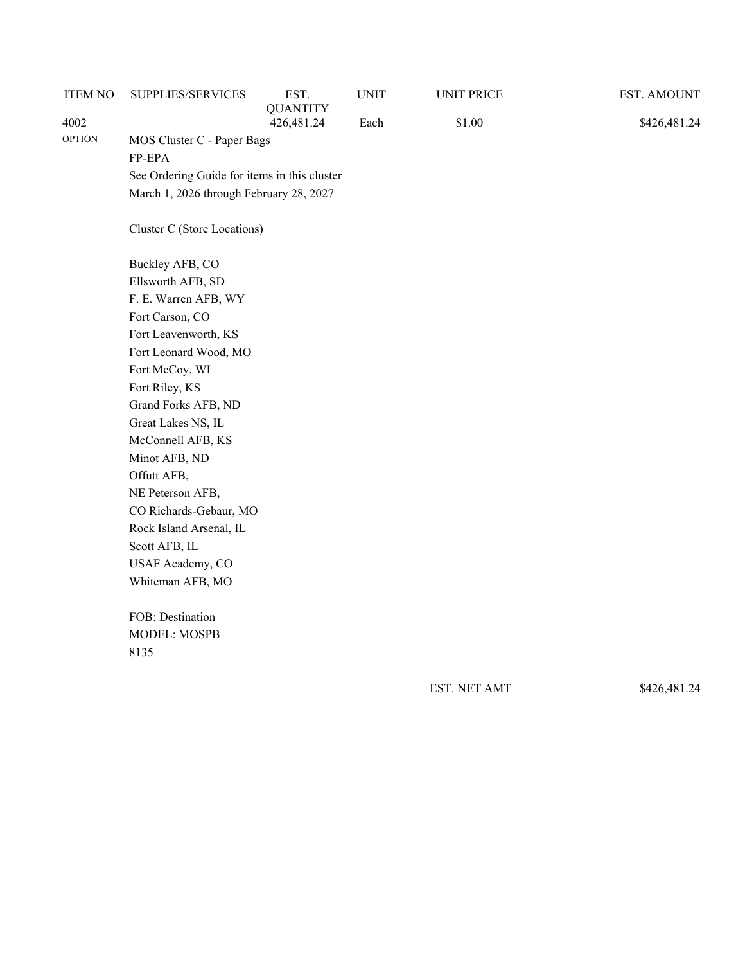| <b>ITEM NO</b> | SUPPLIES/SERVICES                            | EST.<br><b>QUANTITY</b> | <b>UNIT</b> | <b>UNIT PRICE</b> | EST. AMOUNT  |  |  |  |  |  |
|----------------|----------------------------------------------|-------------------------|-------------|-------------------|--------------|--|--|--|--|--|
| 4002           |                                              | 426, 481.24             | Each        | \$1.00            | \$426,481.24 |  |  |  |  |  |
| <b>OPTION</b>  | MOS Cluster C - Paper Bags                   |                         |             |                   |              |  |  |  |  |  |
|                | FP-EPA                                       |                         |             |                   |              |  |  |  |  |  |
|                | See Ordering Guide for items in this cluster |                         |             |                   |              |  |  |  |  |  |
|                | March 1, 2026 through February 28, 2027      |                         |             |                   |              |  |  |  |  |  |
|                | Cluster C (Store Locations)                  |                         |             |                   |              |  |  |  |  |  |
|                | Buckley AFB, CO                              |                         |             |                   |              |  |  |  |  |  |
|                | Ellsworth AFB, SD                            |                         |             |                   |              |  |  |  |  |  |
|                | F. E. Warren AFB, WY                         |                         |             |                   |              |  |  |  |  |  |
|                | Fort Carson, CO                              |                         |             |                   |              |  |  |  |  |  |
|                | Fort Leavenworth, KS                         |                         |             |                   |              |  |  |  |  |  |
|                | Fort Leonard Wood, MO                        |                         |             |                   |              |  |  |  |  |  |
|                | Fort McCoy, WI                               |                         |             |                   |              |  |  |  |  |  |
|                | Fort Riley, KS                               |                         |             |                   |              |  |  |  |  |  |
|                | Grand Forks AFB, ND                          |                         |             |                   |              |  |  |  |  |  |
|                | Great Lakes NS, IL                           |                         |             |                   |              |  |  |  |  |  |
|                | McConnell AFB, KS                            |                         |             |                   |              |  |  |  |  |  |
|                | Minot AFB, ND                                |                         |             |                   |              |  |  |  |  |  |
|                | Offutt AFB,                                  |                         |             |                   |              |  |  |  |  |  |
|                | NE Peterson AFB,                             |                         |             |                   |              |  |  |  |  |  |
|                | CO Richards-Gebaur, MO                       |                         |             |                   |              |  |  |  |  |  |
|                | Rock Island Arsenal, IL                      |                         |             |                   |              |  |  |  |  |  |
|                | Scott AFB, IL                                |                         |             |                   |              |  |  |  |  |  |
|                | USAF Academy, CO                             |                         |             |                   |              |  |  |  |  |  |
|                | Whiteman AFB, MO                             |                         |             |                   |              |  |  |  |  |  |
|                | FOB: Destination                             |                         |             |                   |              |  |  |  |  |  |
|                | <b>MODEL: MOSPB</b>                          |                         |             |                   |              |  |  |  |  |  |
|                | 8135                                         |                         |             |                   |              |  |  |  |  |  |

EST. NET AMT \$426,481.24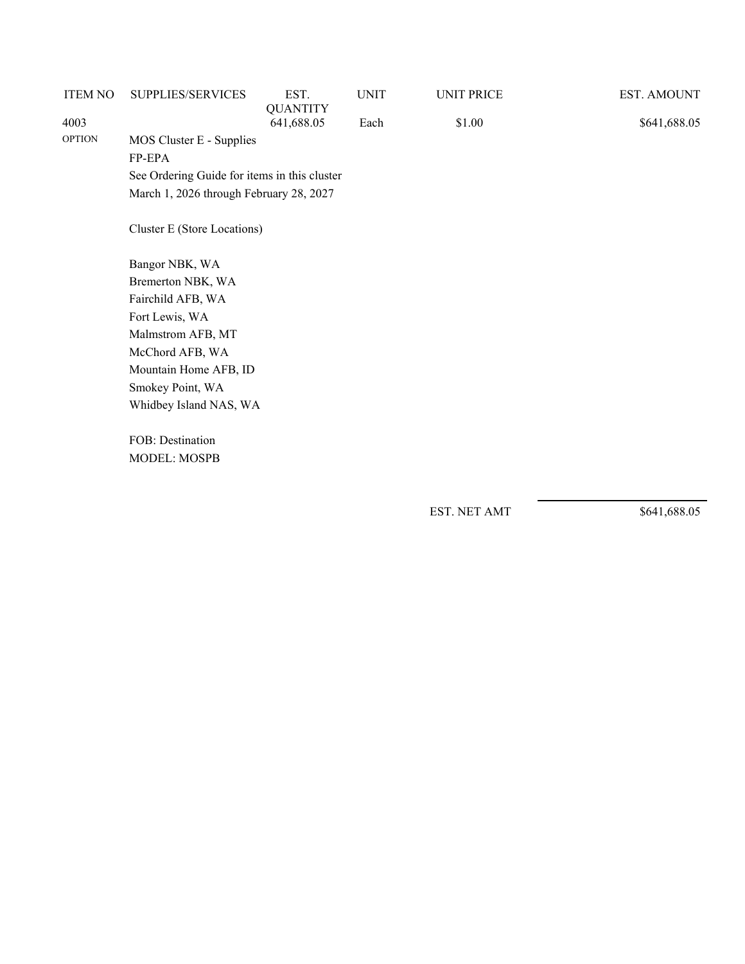| <b>ITEM NO</b>        | SUPPLIES/SERVICES                            | EST.            | <b>UNIT</b> | <b>UNIT PRICE</b> | EST. AMOUNT  |  |  |  |  |
|-----------------------|----------------------------------------------|-----------------|-------------|-------------------|--------------|--|--|--|--|
|                       |                                              | <b>QUANTITY</b> |             |                   |              |  |  |  |  |
| 4003<br><b>OPTION</b> |                                              | 641,688.05      | Each        | \$1.00            | \$641,688.05 |  |  |  |  |
|                       | MOS Cluster E - Supplies                     |                 |             |                   |              |  |  |  |  |
|                       | FP-EPA                                       |                 |             |                   |              |  |  |  |  |
|                       | See Ordering Guide for items in this cluster |                 |             |                   |              |  |  |  |  |
|                       | March 1, 2026 through February 28, 2027      |                 |             |                   |              |  |  |  |  |
|                       |                                              |                 |             |                   |              |  |  |  |  |
|                       | Cluster E (Store Locations)                  |                 |             |                   |              |  |  |  |  |
|                       | Bangor NBK, WA                               |                 |             |                   |              |  |  |  |  |
|                       | Bremerton NBK, WA                            |                 |             |                   |              |  |  |  |  |
|                       | Fairchild AFB, WA                            |                 |             |                   |              |  |  |  |  |
|                       | Fort Lewis, WA                               |                 |             |                   |              |  |  |  |  |
|                       | Malmstrom AFB, MT                            |                 |             |                   |              |  |  |  |  |
|                       | McChord AFB, WA                              |                 |             |                   |              |  |  |  |  |
|                       | Mountain Home AFB, ID                        |                 |             |                   |              |  |  |  |  |
|                       | Smokey Point, WA                             |                 |             |                   |              |  |  |  |  |
|                       | Whidbey Island NAS, WA                       |                 |             |                   |              |  |  |  |  |
|                       | FOB: Destination                             |                 |             |                   |              |  |  |  |  |
|                       | <b>MODEL: MOSPB</b>                          |                 |             |                   |              |  |  |  |  |

EST. NET AMT \$641,688.05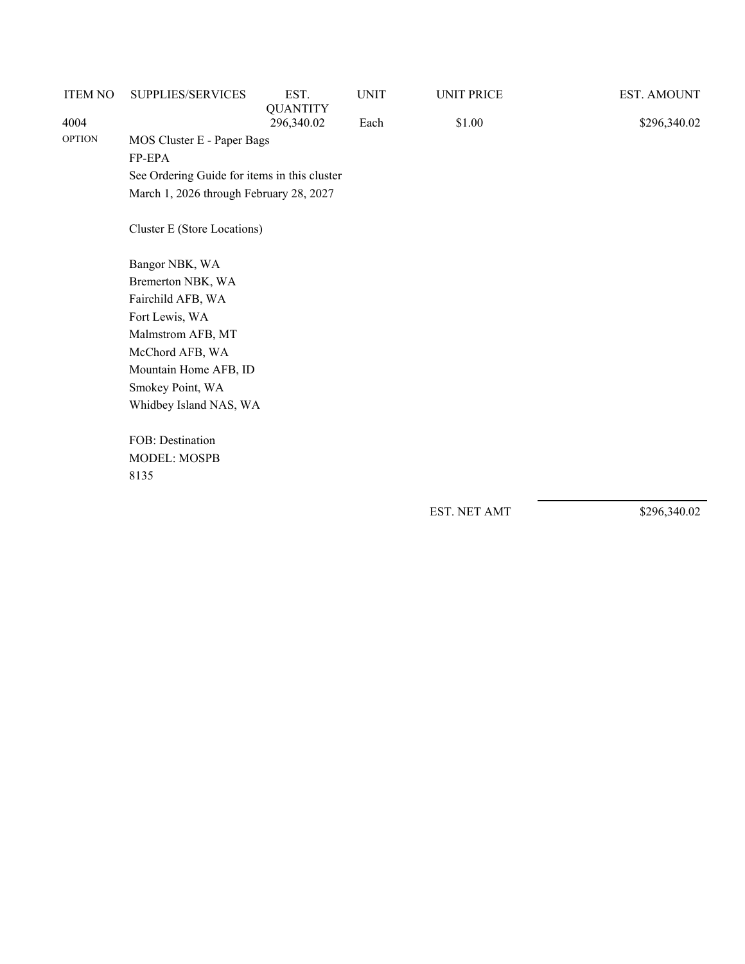| <b>ITEM NO</b> | SUPPLIES/SERVICES                            | EST.<br><b>QUANTITY</b> | <b>UNIT</b> | <b>UNIT PRICE</b> | EST. AMOUNT  |  |  |  |  |
|----------------|----------------------------------------------|-------------------------|-------------|-------------------|--------------|--|--|--|--|
| 4004           |                                              | 296,340.02              | Each        | \$1.00            | \$296,340.02 |  |  |  |  |
| <b>OPTION</b>  | MOS Cluster E - Paper Bags                   |                         |             |                   |              |  |  |  |  |
|                | FP-EPA                                       |                         |             |                   |              |  |  |  |  |
|                | See Ordering Guide for items in this cluster |                         |             |                   |              |  |  |  |  |
|                | March 1, 2026 through February 28, 2027      |                         |             |                   |              |  |  |  |  |
|                | Cluster E (Store Locations)                  |                         |             |                   |              |  |  |  |  |
|                | Bangor NBK, WA                               |                         |             |                   |              |  |  |  |  |
|                | Bremerton NBK, WA                            |                         |             |                   |              |  |  |  |  |
|                | Fairchild AFB, WA                            |                         |             |                   |              |  |  |  |  |
|                | Fort Lewis, WA                               |                         |             |                   |              |  |  |  |  |
|                | Malmstrom AFB, MT                            |                         |             |                   |              |  |  |  |  |
|                | McChord AFB, WA                              |                         |             |                   |              |  |  |  |  |
|                | Mountain Home AFB, ID                        |                         |             |                   |              |  |  |  |  |
|                | Smokey Point, WA                             |                         |             |                   |              |  |  |  |  |
|                | Whidbey Island NAS, WA                       |                         |             |                   |              |  |  |  |  |
|                | FOB: Destination                             |                         |             |                   |              |  |  |  |  |
|                | <b>MODEL: MOSPB</b>                          |                         |             |                   |              |  |  |  |  |
|                | 8135                                         |                         |             |                   |              |  |  |  |  |
|                |                                              |                         |             |                   |              |  |  |  |  |

EST. NET AMT \$296,340.02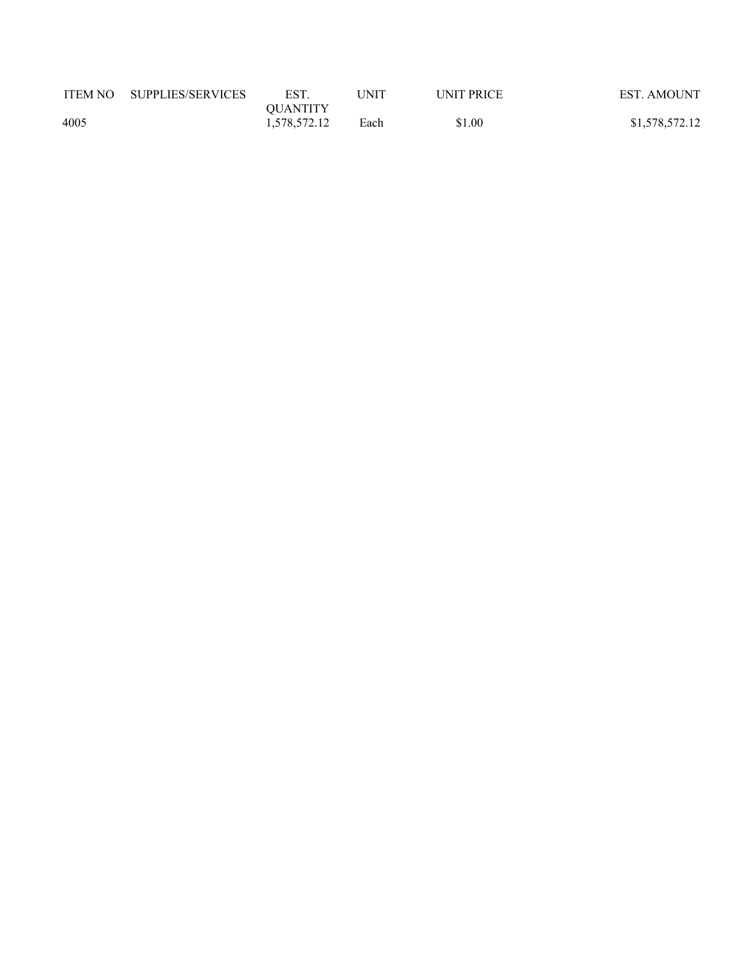|      | <b>ITEM NO SUPPLIES/SERVICES</b> | <b>EST</b>      | <b>JNIT</b> | <b>UNIT PRICE</b> | EST. AMOUNT    |
|------|----------------------------------|-----------------|-------------|-------------------|----------------|
|      |                                  | <b>OUANTITY</b> |             |                   |                |
| 4005 |                                  | 1,578,572.12    | Each        | \$1.00            | \$1,578,572.12 |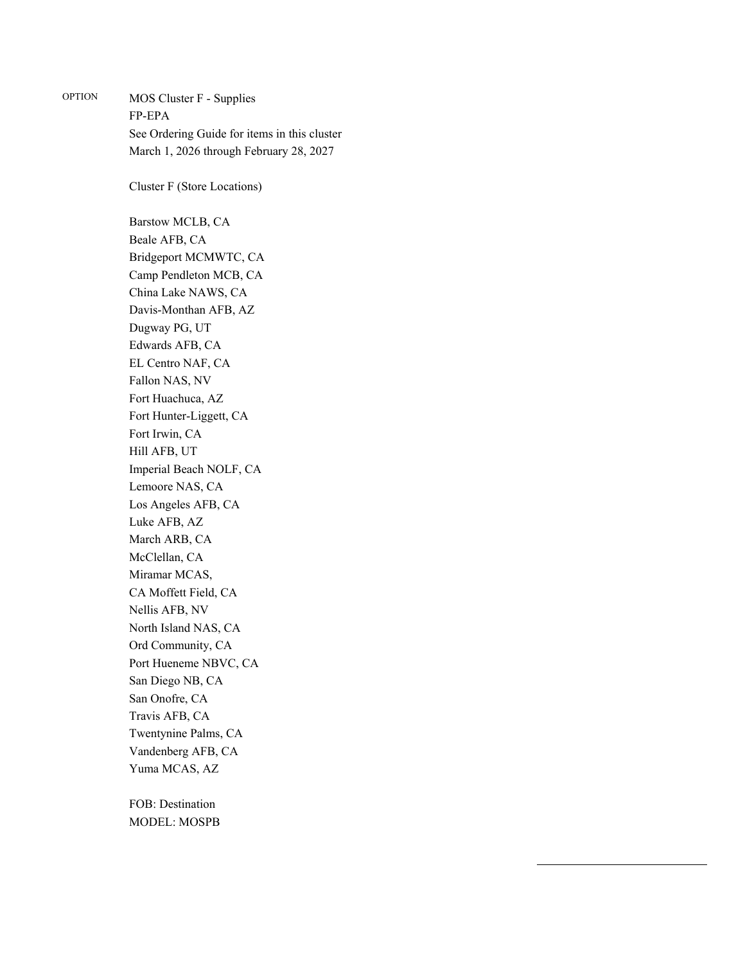OPTION MOS Cluster F - Supplies FP-EPA See Ordering Guide for items in this cluster March 1, 2026 through February 28, 2027

Cluster F (Store Locations)

Barstow MCLB, CA Beale AFB, CA Bridgeport MCMWTC, CA Camp Pendleton MCB, CA China Lake NAWS, CA Davis-Monthan AFB, AZ Dugway PG, UT Edwards AFB, CA EL Centro NAF, CA Fallon NAS, NV Fort Huachuca, AZ Fort Hunter-Liggett, CA Fort Irwin, CA Hill AFB, UT Imperial Beach NOLF, CA Lemoore NAS, CA Los Angeles AFB, CA Luke AFB, AZ March ARB, CA McClellan, CA Miramar MCAS, CA Moffett Field, CA Nellis AFB, NV North Island NAS, CA Ord Community, CA Port Hueneme NBVC, CA San Diego NB, CA San Onofre, CA Travis AFB, CA Twentynine Palms, CA Vandenberg AFB, CA Yuma MCAS, AZ

FOB: Destination MODEL: MOSPB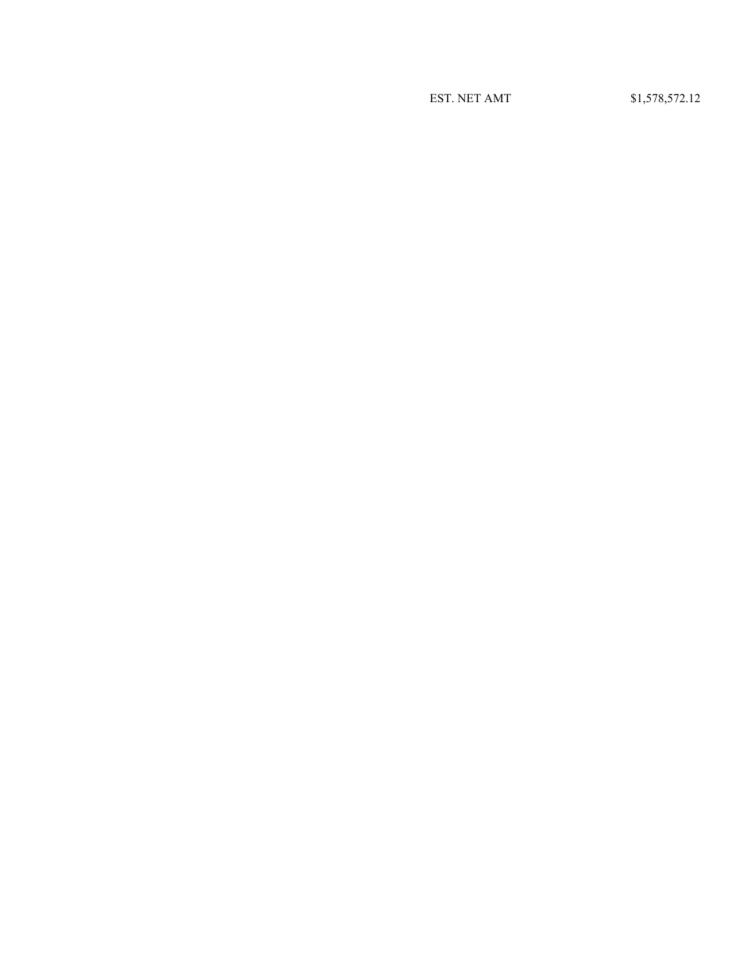EST. NET AMT \$1,578,572.12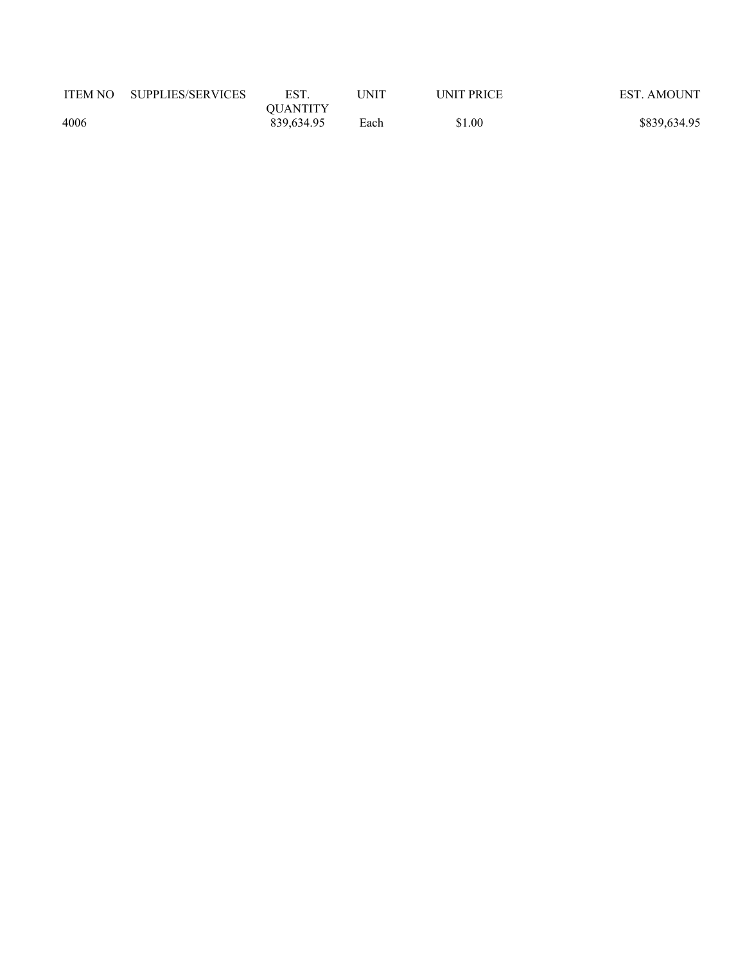|      | <b>ITEM NO SUPPLIES/SERVICES</b> | <b>EST</b>      | 'INIT | <b>UNIT PRICE</b> | EST. AMOUNT  |
|------|----------------------------------|-----------------|-------|-------------------|--------------|
|      |                                  | <b>OUANTITY</b> |       |                   |              |
| 4006 |                                  | 839.634.95      | Each  | \$1.00            | \$839,634.95 |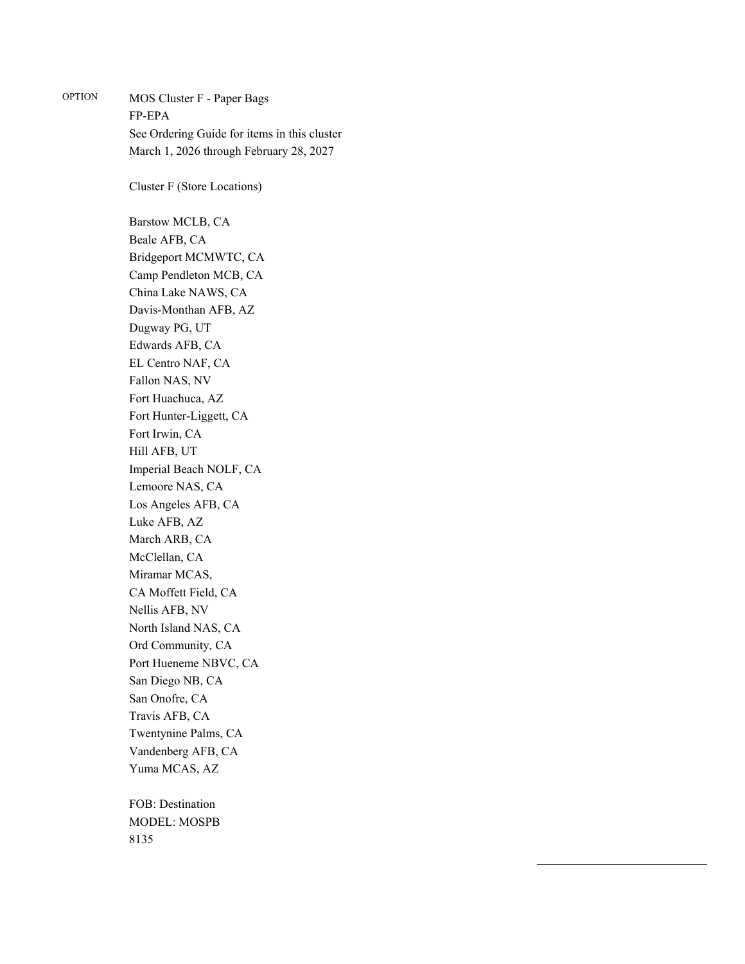OPTION MOS Cluster F - Paper Bags FP-EPA See Ordering Guide for items in this cluster March 1, 2026 through February 28, 2027

Cluster F (Store Locations)

Barstow MCLB, CA Beale AFB, CA Bridgeport MCMWTC, CA Camp Pendleton MCB, CA China Lake NAWS, CA Davis-Monthan AFB, AZ Dugway PG, UT Edwards AFB, CA EL Centro NAF, CA Fallon NAS, NV Fort Huachuca, AZ Fort Hunter-Liggett, CA Fort Irwin, CA Hill AFB, UT Imperial Beach NOLF, CA Lemoore NAS, CA Los Angeles AFB, CA Luke AFB, AZ March ARB, CA McClellan, CA Miramar MCAS, CA Moffett Field, CA Nellis AFB, NV North Island NAS, CA Ord Community, CA Port Hueneme NBVC, CA San Diego NB, CA San Onofre, CA Travis AFB, CA Twentynine Palms, CA Vandenberg AFB, CA Yuma MCAS, AZ

FOB: Destination MODEL: MOSPB 8135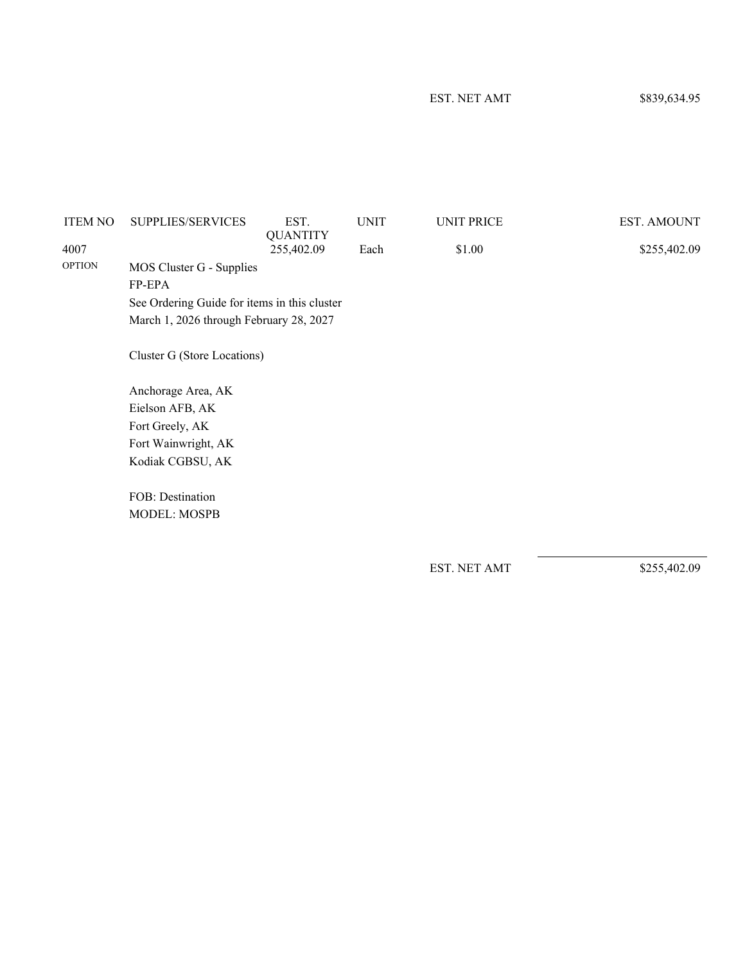| <b>ITEM NO</b> | SUPPLIES/SERVICES                            | EST.            | <b>UNIT</b> | <b>UNIT PRICE</b> | EST. AMOUNT  |  |  |  |
|----------------|----------------------------------------------|-----------------|-------------|-------------------|--------------|--|--|--|
|                |                                              | <b>QUANTITY</b> |             |                   |              |  |  |  |
| 4007           |                                              | 255,402.09      | Each        | \$1.00            | \$255,402.09 |  |  |  |
| <b>OPTION</b>  | MOS Cluster G - Supplies                     |                 |             |                   |              |  |  |  |
|                | FP-EPA                                       |                 |             |                   |              |  |  |  |
|                | See Ordering Guide for items in this cluster |                 |             |                   |              |  |  |  |
|                | March 1, 2026 through February 28, 2027      |                 |             |                   |              |  |  |  |
|                | Cluster G (Store Locations)                  |                 |             |                   |              |  |  |  |
|                | Anchorage Area, AK                           |                 |             |                   |              |  |  |  |
|                | Eielson AFB, AK                              |                 |             |                   |              |  |  |  |
|                | Fort Greely, AK                              |                 |             |                   |              |  |  |  |
|                | Fort Wainwright, AK                          |                 |             |                   |              |  |  |  |
|                | Kodiak CGBSU, AK                             |                 |             |                   |              |  |  |  |
|                | FOB: Destination                             |                 |             |                   |              |  |  |  |
|                | <b>MODEL: MOSPB</b>                          |                 |             |                   |              |  |  |  |
|                |                                              |                 |             |                   |              |  |  |  |

EST. NET AMT \$255,402.09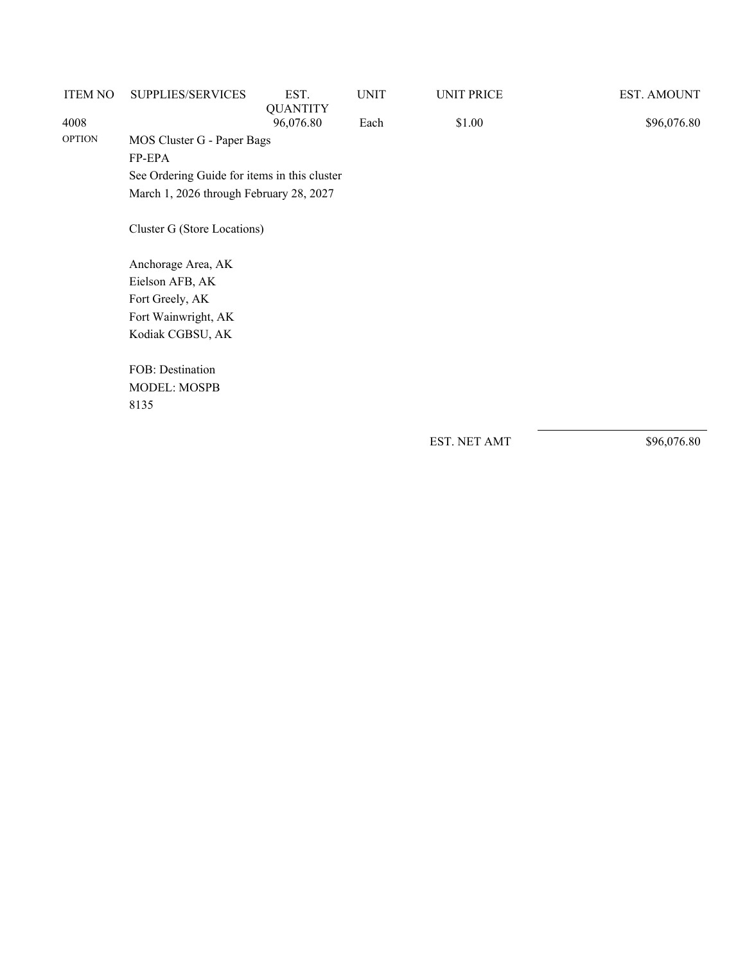| <b>ITEM NO</b> | SUPPLIES/SERVICES                            | EST.            | <b>UNIT</b> | UNIT PRICE | EST. AMOUNT |  |  |  |  |
|----------------|----------------------------------------------|-----------------|-------------|------------|-------------|--|--|--|--|
|                |                                              | <b>QUANTITY</b> |             |            |             |  |  |  |  |
| 4008           |                                              | 96,076.80       | Each        | \$1.00     | \$96,076.80 |  |  |  |  |
| <b>OPTION</b>  | MOS Cluster G - Paper Bags                   |                 |             |            |             |  |  |  |  |
|                | FP-EPA                                       |                 |             |            |             |  |  |  |  |
|                | See Ordering Guide for items in this cluster |                 |             |            |             |  |  |  |  |
|                | March 1, 2026 through February 28, 2027      |                 |             |            |             |  |  |  |  |
|                | Cluster G (Store Locations)                  |                 |             |            |             |  |  |  |  |
|                | Anchorage Area, AK                           |                 |             |            |             |  |  |  |  |
|                | Eielson AFB, AK                              |                 |             |            |             |  |  |  |  |
|                | Fort Greely, AK                              |                 |             |            |             |  |  |  |  |
|                | Fort Wainwright, AK                          |                 |             |            |             |  |  |  |  |
|                | Kodiak CGBSU, AK                             |                 |             |            |             |  |  |  |  |
|                | FOB: Destination                             |                 |             |            |             |  |  |  |  |
|                | <b>MODEL: MOSPB</b>                          |                 |             |            |             |  |  |  |  |
|                | 8135                                         |                 |             |            |             |  |  |  |  |
|                |                                              |                 |             |            |             |  |  |  |  |

EST. NET AMT \$96,076.80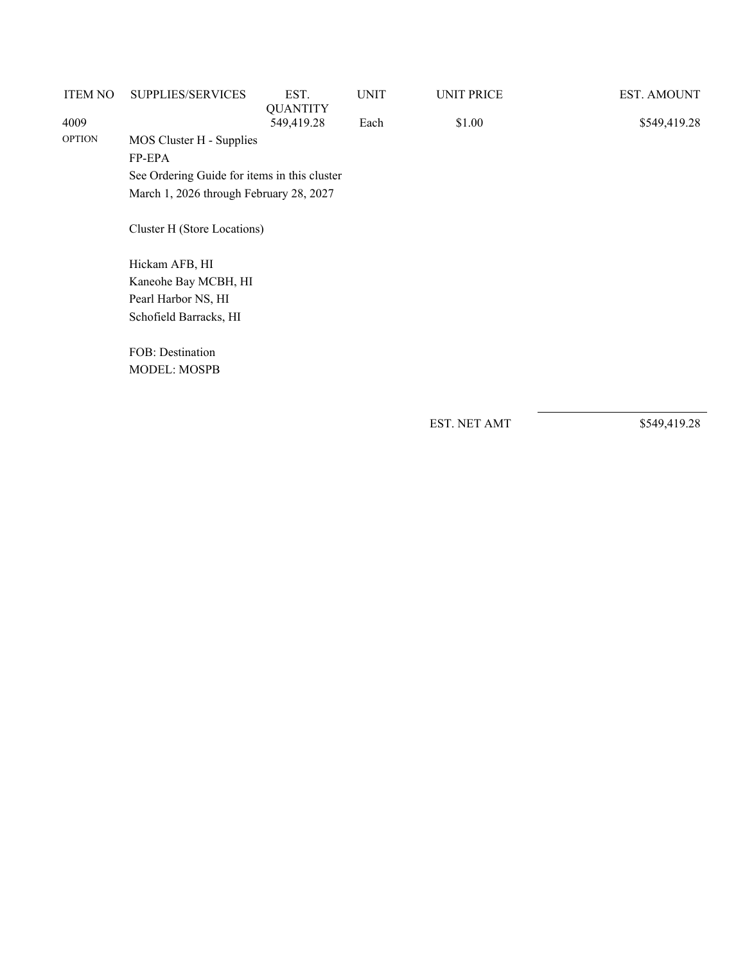| <b>ITEM NO</b> | <b>SUPPLIES/SERVICES</b>                     | EST.            | <b>UNIT</b> | UNIT PRICE | EST. AMOUNT  |  |  |  |  |
|----------------|----------------------------------------------|-----------------|-------------|------------|--------------|--|--|--|--|
|                |                                              | <b>QUANTITY</b> |             |            |              |  |  |  |  |
| 4009           |                                              | 549,419.28      | Each        | \$1.00     | \$549,419.28 |  |  |  |  |
| <b>OPTION</b>  | MOS Cluster H - Supplies                     |                 |             |            |              |  |  |  |  |
|                | FP-EPA                                       |                 |             |            |              |  |  |  |  |
|                | See Ordering Guide for items in this cluster |                 |             |            |              |  |  |  |  |
|                | March 1, 2026 through February 28, 2027      |                 |             |            |              |  |  |  |  |
|                | Cluster H (Store Locations)                  |                 |             |            |              |  |  |  |  |
|                | Hickam AFB, HI                               |                 |             |            |              |  |  |  |  |
|                | Kaneohe Bay MCBH, HI                         |                 |             |            |              |  |  |  |  |
|                | Pearl Harbor NS, HI                          |                 |             |            |              |  |  |  |  |
|                | Schofield Barracks, HI                       |                 |             |            |              |  |  |  |  |
|                | FOB: Destination                             |                 |             |            |              |  |  |  |  |
|                | <b>MODEL: MOSPB</b>                          |                 |             |            |              |  |  |  |  |

EST. NET AMT \$549,419.28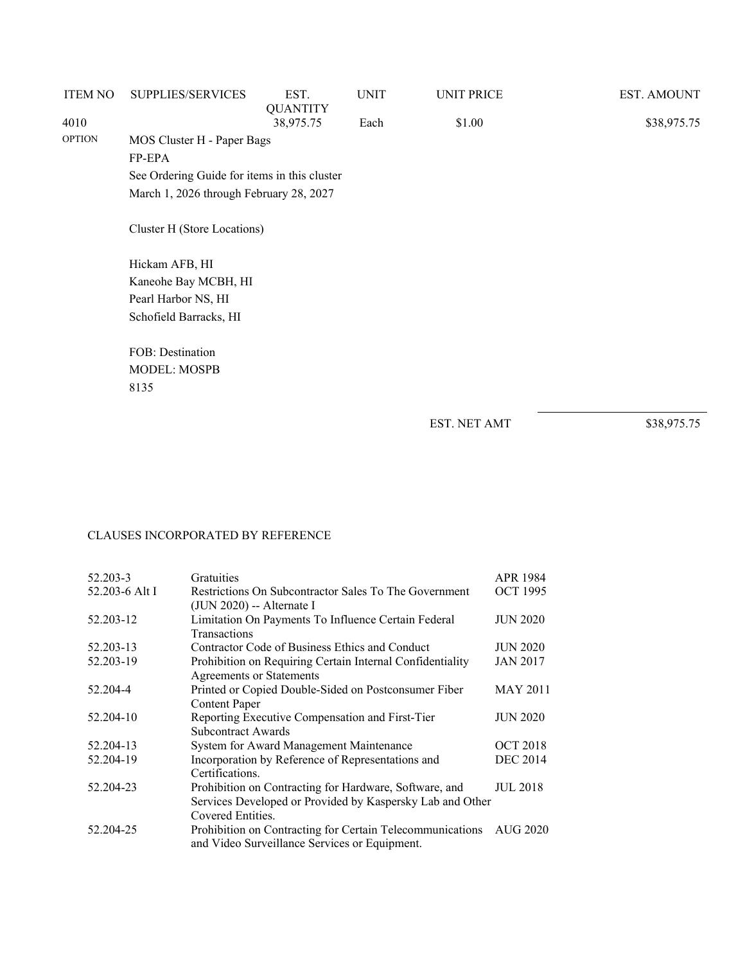| <b>ITEM NO</b> | <b>SUPPLIES/SERVICES</b>                     | EST.                                    | <b>UNIT</b> | UNIT PRICE | EST. AMOUNT |  |  |  |  |  |
|----------------|----------------------------------------------|-----------------------------------------|-------------|------------|-------------|--|--|--|--|--|
|                |                                              | <b>QUANTITY</b>                         |             |            |             |  |  |  |  |  |
| 4010           |                                              | 38,975.75                               | Each        | \$1.00     | \$38,975.75 |  |  |  |  |  |
| <b>OPTION</b>  | MOS Cluster H - Paper Bags                   |                                         |             |            |             |  |  |  |  |  |
|                | FP-EPA                                       |                                         |             |            |             |  |  |  |  |  |
|                | See Ordering Guide for items in this cluster |                                         |             |            |             |  |  |  |  |  |
|                |                                              | March 1, 2026 through February 28, 2027 |             |            |             |  |  |  |  |  |
|                | Cluster H (Store Locations)                  |                                         |             |            |             |  |  |  |  |  |
|                | Hickam AFB, HI                               |                                         |             |            |             |  |  |  |  |  |
|                | Kaneohe Bay MCBH, HI                         |                                         |             |            |             |  |  |  |  |  |
|                | Pearl Harbor NS, HI                          |                                         |             |            |             |  |  |  |  |  |
|                | Schofield Barracks, HI                       |                                         |             |            |             |  |  |  |  |  |
|                | FOB: Destination                             |                                         |             |            |             |  |  |  |  |  |
|                | <b>MODEL: MOSPB</b>                          |                                         |             |            |             |  |  |  |  |  |
|                | 8135                                         |                                         |             |            |             |  |  |  |  |  |
|                |                                              |                                         |             |            |             |  |  |  |  |  |

EST. NET AMT \$38,975.75

# CLAUSES INCORPORATED BY REFERENCE

| 52.203-3       | Gratuities                                                                                                                               | <b>APR 1984</b> |
|----------------|------------------------------------------------------------------------------------------------------------------------------------------|-----------------|
| 52.203-6 Alt I | Restrictions On Subcontractor Sales To The Government<br>(JUN 2020) -- Alternate I                                                       | <b>OCT 1995</b> |
| 52.203-12      | Limitation On Payments To Influence Certain Federal<br>Transactions                                                                      | <b>JUN 2020</b> |
| 52.203-13      | Contractor Code of Business Ethics and Conduct                                                                                           | <b>JUN 2020</b> |
| 52.203-19      | Prohibition on Requiring Certain Internal Confidentiality<br>Agreements or Statements                                                    | <b>JAN 2017</b> |
| 52.204-4       | Printed or Copied Double-Sided on Postconsumer Fiber<br><b>Content Paper</b>                                                             | <b>MAY 2011</b> |
| 52.204-10      | Reporting Executive Compensation and First-Tier<br>Subcontract Awards                                                                    | <b>JUN 2020</b> |
| 52.204-13      | System for Award Management Maintenance                                                                                                  | <b>OCT 2018</b> |
| 52.204-19      | Incorporation by Reference of Representations and<br>Certifications.                                                                     | <b>DEC 2014</b> |
| 52.204-23      | Prohibition on Contracting for Hardware, Software, and<br>Services Developed or Provided by Kaspersky Lab and Other<br>Covered Entities. | <b>JUL 2018</b> |
| 52.204-25      | Prohibition on Contracting for Certain Telecommunications<br>and Video Surveillance Services or Equipment.                               | AUG 2020        |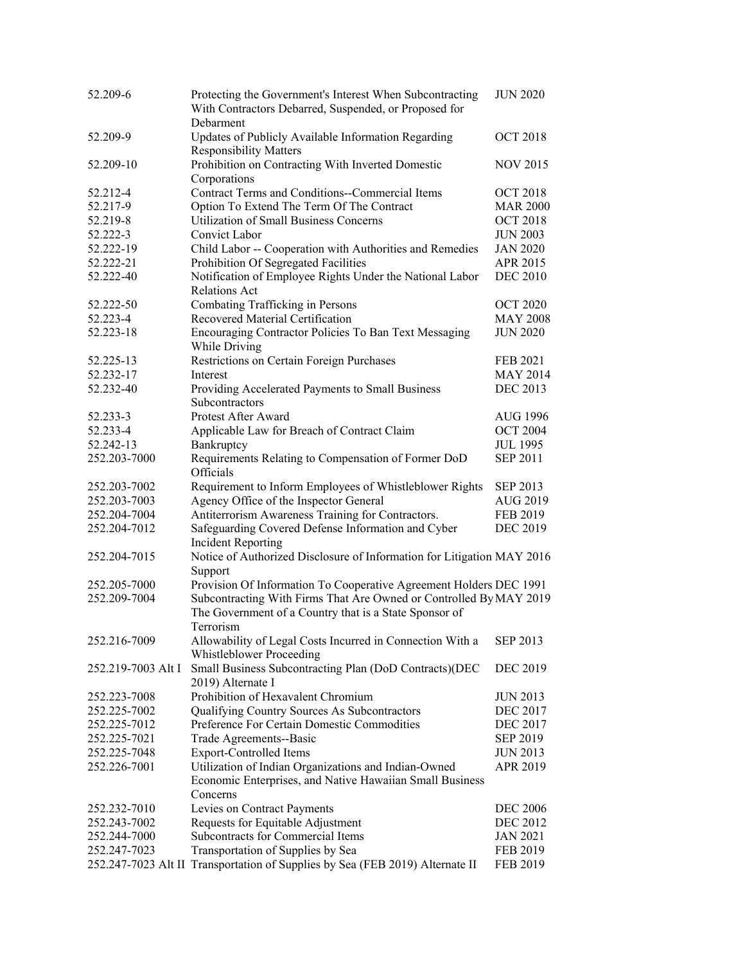| 52.209-6           | Protecting the Government's Interest When Subcontracting<br>With Contractors Debarred, Suspended, or Proposed for | <b>JUN 2020</b> |
|--------------------|-------------------------------------------------------------------------------------------------------------------|-----------------|
|                    | Debarment                                                                                                         |                 |
| 52.209-9           | Updates of Publicly Available Information Regarding                                                               | <b>OCT 2018</b> |
|                    | <b>Responsibility Matters</b>                                                                                     |                 |
| 52.209-10          | Prohibition on Contracting With Inverted Domestic                                                                 | <b>NOV 2015</b> |
|                    | Corporations                                                                                                      |                 |
| 52.212-4           | Contract Terms and Conditions--Commercial Items                                                                   | <b>OCT 2018</b> |
| 52.217-9           | Option To Extend The Term Of The Contract                                                                         | <b>MAR 2000</b> |
| 52.219-8           | <b>Utilization of Small Business Concerns</b>                                                                     | <b>OCT 2018</b> |
| 52.222-3           | Convict Labor                                                                                                     | <b>JUN 2003</b> |
| 52.222-19          | Child Labor -- Cooperation with Authorities and Remedies                                                          | <b>JAN 2020</b> |
| 52.222-21          | Prohibition Of Segregated Facilities                                                                              | APR 2015        |
| 52.222-40          | Notification of Employee Rights Under the National Labor                                                          | <b>DEC 2010</b> |
|                    | Relations Act                                                                                                     |                 |
| 52.222-50          | Combating Trafficking in Persons                                                                                  | <b>OCT 2020</b> |
| 52.223-4           | Recovered Material Certification                                                                                  | <b>MAY 2008</b> |
| 52.223-18          | Encouraging Contractor Policies To Ban Text Messaging                                                             | <b>JUN 2020</b> |
|                    | While Driving                                                                                                     |                 |
| 52.225-13          | Restrictions on Certain Foreign Purchases                                                                         | <b>FEB 2021</b> |
| 52.232-17          | Interest                                                                                                          | <b>MAY 2014</b> |
| 52.232-40          | Providing Accelerated Payments to Small Business                                                                  | <b>DEC 2013</b> |
|                    | Subcontractors                                                                                                    |                 |
| 52.233-3           | Protest After Award                                                                                               | <b>AUG 1996</b> |
| 52.233-4           | Applicable Law for Breach of Contract Claim                                                                       | <b>OCT 2004</b> |
| 52.242-13          | Bankruptcy                                                                                                        | <b>JUL 1995</b> |
| 252.203-7000       | Requirements Relating to Compensation of Former DoD<br>Officials                                                  | <b>SEP 2011</b> |
| 252.203-7002       | Requirement to Inform Employees of Whistleblower Rights                                                           | <b>SEP 2013</b> |
| 252.203-7003       | Agency Office of the Inspector General                                                                            | <b>AUG 2019</b> |
| 252.204-7004       | Antiterrorism Awareness Training for Contractors.                                                                 | FEB 2019        |
| 252.204-7012       | Safeguarding Covered Defense Information and Cyber<br><b>Incident Reporting</b>                                   | <b>DEC 2019</b> |
| 252.204-7015       | Notice of Authorized Disclosure of Information for Litigation MAY 2016<br>Support                                 |                 |
| 252.205-7000       | Provision Of Information To Cooperative Agreement Holders DEC 1991                                                |                 |
| 252.209-7004       | Subcontracting With Firms That Are Owned or Controlled By MAY 2019                                                |                 |
|                    | The Government of a Country that is a State Sponsor of<br>Terrorism                                               |                 |
| 252.216-7009       | Allowability of Legal Costs Incurred in Connection With a                                                         | <b>SEP 2013</b> |
|                    | Whistleblower Proceeding                                                                                          |                 |
| 252.219-7003 Alt I | Small Business Subcontracting Plan (DoD Contracts)(DEC<br>2019) Alternate I                                       | <b>DEC 2019</b> |
| 252.223-7008       | Prohibition of Hexavalent Chromium                                                                                | <b>JUN 2013</b> |
| 252.225-7002       | Qualifying Country Sources As Subcontractors                                                                      | <b>DEC 2017</b> |
| 252.225-7012       | Preference For Certain Domestic Commodities                                                                       | <b>DEC 2017</b> |
| 252.225-7021       | Trade Agreements--Basic                                                                                           | <b>SEP 2019</b> |
| 252.225-7048       | <b>Export-Controlled Items</b>                                                                                    | <b>JUN 2013</b> |
| 252.226-7001       | Utilization of Indian Organizations and Indian-Owned                                                              | APR 2019        |
|                    | Economic Enterprises, and Native Hawaiian Small Business                                                          |                 |
|                    | Concerns                                                                                                          |                 |
| 252.232-7010       | Levies on Contract Payments                                                                                       | <b>DEC 2006</b> |
| 252.243-7002       | Requests for Equitable Adjustment                                                                                 | <b>DEC 2012</b> |
| 252.244-7000       | Subcontracts for Commercial Items                                                                                 | <b>JAN 2021</b> |
| 252.247-7023       | Transportation of Supplies by Sea                                                                                 | FEB 2019        |
|                    | 252.247-7023 Alt II Transportation of Supplies by Sea (FEB 2019) Alternate II                                     | FEB 2019        |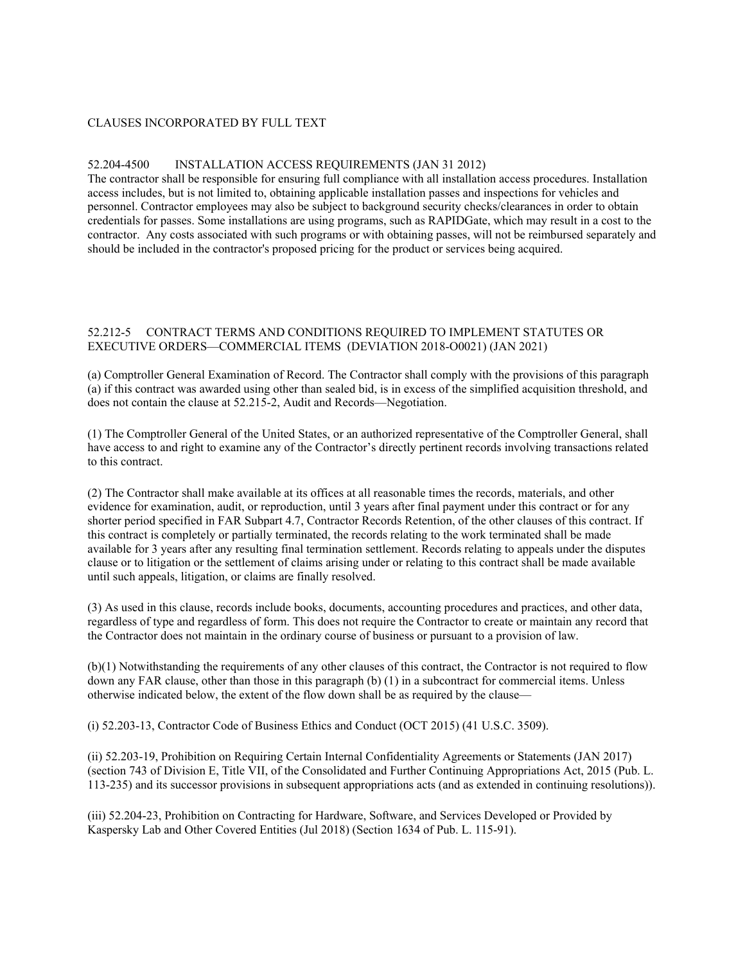## CLAUSES INCORPORATED BY FULL TEXT

### 52.204-4500 INSTALLATION ACCESS REQUIREMENTS (JAN 31 2012)

The contractor shall be responsible for ensuring full compliance with all installation access procedures. Installation access includes, but is not limited to, obtaining applicable installation passes and inspections for vehicles and personnel. Contractor employees may also be subject to background security checks/clearances in order to obtain credentials for passes. Some installations are using programs, such as RAPIDGate, which may result in a cost to the contractor. Any costs associated with such programs or with obtaining passes, will not be reimbursed separately and should be included in the contractor's proposed pricing for the product or services being acquired.

## 52.212-5 CONTRACT TERMS AND CONDITIONS REQUIRED TO IMPLEMENT STATUTES OR EXECUTIVE ORDERS—COMMERCIAL ITEMS (DEVIATION 2018-O0021) (JAN 2021)

(a) Comptroller General Examination of Record. The Contractor shall comply with the provisions of this paragraph (a) if this contract was awarded using other than sealed bid, is in excess of the simplified acquisition threshold, and does not contain the clause at 52.215-2, Audit and Records—Negotiation.

(1) The Comptroller General of the United States, or an authorized representative of the Comptroller General, shall have access to and right to examine any of the Contractor's directly pertinent records involving transactions related to this contract.

(2) The Contractor shall make available at its offices at all reasonable times the records, materials, and other evidence for examination, audit, or reproduction, until 3 years after final payment under this contract or for any shorter period specified in FAR Subpart 4.7, Contractor Records Retention, of the other clauses of this contract. If this contract is completely or partially terminated, the records relating to the work terminated shall be made available for 3 years after any resulting final termination settlement. Records relating to appeals under the disputes clause or to litigation or the settlement of claims arising under or relating to this contract shall be made available until such appeals, litigation, or claims are finally resolved.

(3) As used in this clause, records include books, documents, accounting procedures and practices, and other data, regardless of type and regardless of form. This does not require the Contractor to create or maintain any record that the Contractor does not maintain in the ordinary course of business or pursuant to a provision of law.

(b)(1) Notwithstanding the requirements of any other clauses of this contract, the Contractor is not required to flow down any FAR clause, other than those in this paragraph (b) (1) in a subcontract for commercial items. Unless otherwise indicated below, the extent of the flow down shall be as required by the clause—

(i) 52.203-13, Contractor Code of Business Ethics and Conduct (OCT 2015) (41 U.S.C. 3509).

(ii) 52.203-19, Prohibition on Requiring Certain Internal Confidentiality Agreements or Statements (JAN 2017) (section 743 of Division E, Title VII, of the Consolidated and Further Continuing Appropriations Act, 2015 (Pub. L. 113-235) and its successor provisions in subsequent appropriations acts (and as extended in continuing resolutions)).

(iii) 52.204-23, Prohibition on Contracting for Hardware, Software, and Services Developed or Provided by Kaspersky Lab and Other Covered Entities (Jul 2018) (Section 1634 of Pub. L. 115-91).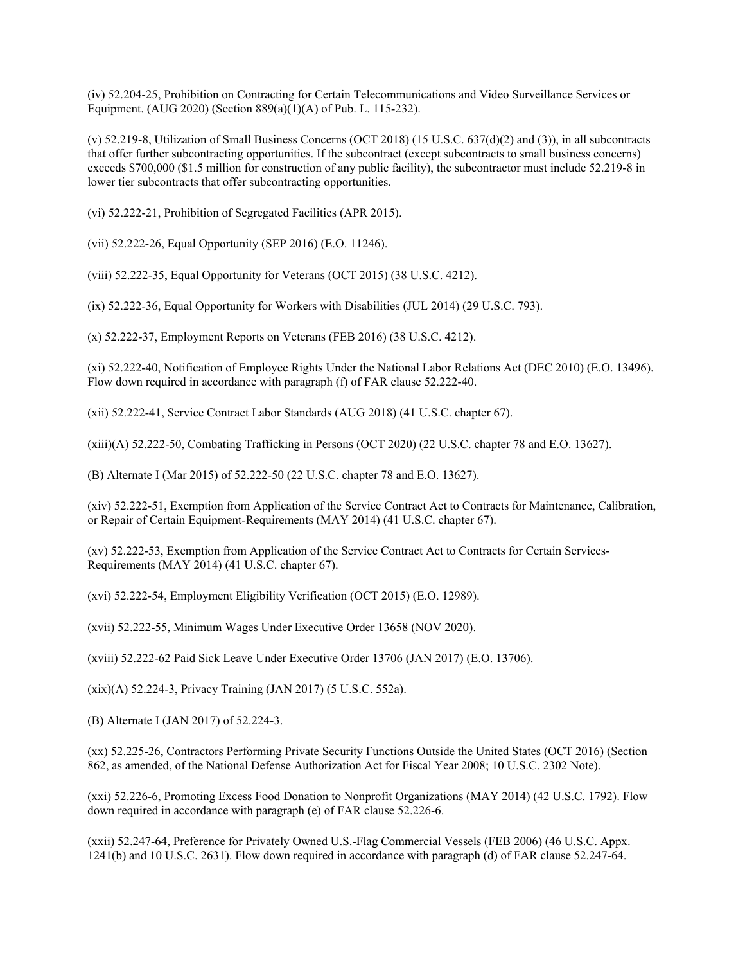(iv) 52.204-25, Prohibition on Contracting for Certain Telecommunications and Video Surveillance Services or Equipment. (AUG 2020) (Section 889(a)(1)(A) of Pub. L. 115-232).

(v) 52.219-8, Utilization of Small Business Concerns (OCT 2018) (15 U.S.C. 637(d)(2) and (3)), in all subcontracts that offer further subcontracting opportunities. If the subcontract (except subcontracts to small business concerns) exceeds \$700,000 (\$1.5 million for construction of any public facility), the subcontractor must include 52.219-8 in lower tier subcontracts that offer subcontracting opportunities.

(vi) 52.222-21, Prohibition of Segregated Facilities (APR 2015).

(vii) 52.222-26, Equal Opportunity (SEP 2016) (E.O. 11246).

(viii) 52.222-35, Equal Opportunity for Veterans (OCT 2015) (38 U.S.C. 4212).

(ix) 52.222-36, Equal Opportunity for Workers with Disabilities (JUL 2014) (29 U.S.C. 793).

(x) 52.222-37, Employment Reports on Veterans (FEB 2016) (38 U.S.C. 4212).

(xi) 52.222-40, Notification of Employee Rights Under the National Labor Relations Act (DEC 2010) (E.O. 13496). Flow down required in accordance with paragraph (f) of FAR clause 52.222-40.

(xii) 52.222-41, Service Contract Labor Standards (AUG 2018) (41 U.S.C. chapter 67).

(xiii)(A) 52.222-50, Combating Trafficking in Persons (OCT 2020) (22 U.S.C. chapter 78 and E.O. 13627).

(B) Alternate I (Mar 2015) of 52.222-50 (22 U.S.C. chapter 78 and E.O. 13627).

(xiv) 52.222-51, Exemption from Application of the Service Contract Act to Contracts for Maintenance, Calibration, or Repair of Certain Equipment-Requirements (MAY 2014) (41 U.S.C. chapter 67).

(xv) 52.222-53, Exemption from Application of the Service Contract Act to Contracts for Certain Services-Requirements (MAY 2014) (41 U.S.C. chapter 67).

(xvi) 52.222-54, Employment Eligibility Verification (OCT 2015) (E.O. 12989).

(xvii) 52.222-55, Minimum Wages Under Executive Order 13658 (NOV 2020).

(xviii) 52.222-62 Paid Sick Leave Under Executive Order 13706 (JAN 2017) (E.O. 13706).

(xix)(A) 52.224-3, Privacy Training (JAN 2017) (5 U.S.C. 552a).

(B) Alternate I (JAN 2017) of 52.224-3.

(xx) 52.225-26, Contractors Performing Private Security Functions Outside the United States (OCT 2016) (Section 862, as amended, of the National Defense Authorization Act for Fiscal Year 2008; 10 U.S.C. 2302 Note).

(xxi) 52.226-6, Promoting Excess Food Donation to Nonprofit Organizations (MAY 2014) (42 U.S.C. 1792). Flow down required in accordance with paragraph (e) of FAR clause 52.226-6.

(xxii) 52.247-64, Preference for Privately Owned U.S.-Flag Commercial Vessels (FEB 2006) (46 U.S.C. Appx. 1241(b) and 10 U.S.C. 2631). Flow down required in accordance with paragraph (d) of FAR clause 52.247-64.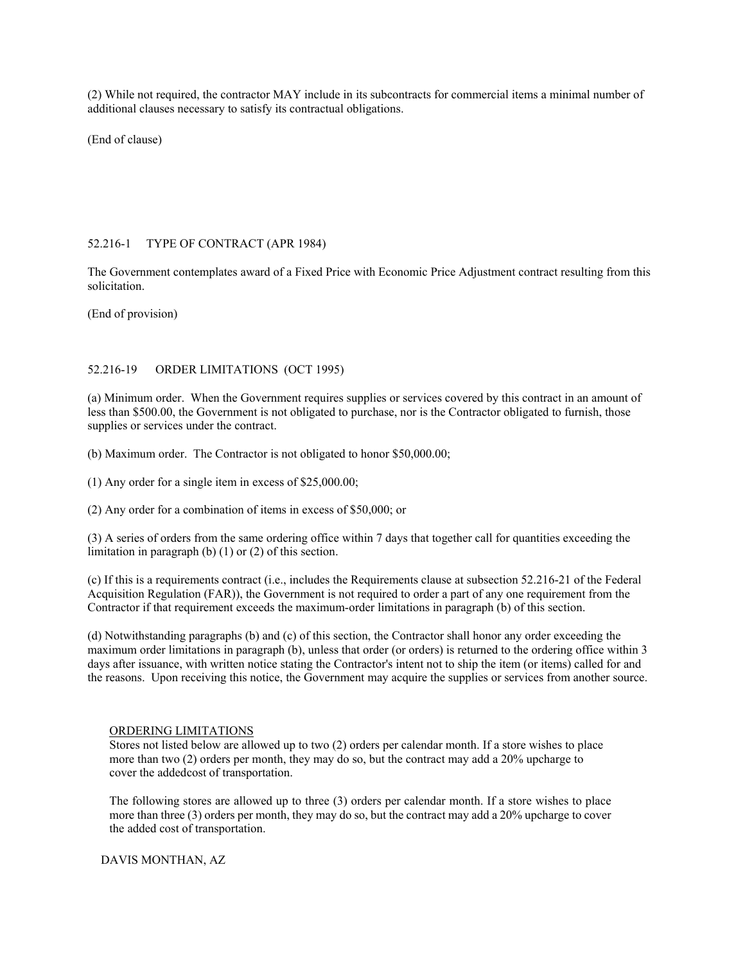(2) While not required, the contractor MAY include in its subcontracts for commercial items a minimal number of additional clauses necessary to satisfy its contractual obligations.

(End of clause)

#### 52.216-1 TYPE OF CONTRACT (APR 1984)

The Government contemplates award of a Fixed Price with Economic Price Adjustment contract resulting from this solicitation.

(End of provision)

### 52.216-19 ORDER LIMITATIONS (OCT 1995)

(a) Minimum order. When the Government requires supplies or services covered by this contract in an amount of less than \$500.00, the Government is not obligated to purchase, nor is the Contractor obligated to furnish, those supplies or services under the contract.

(b) Maximum order. The Contractor is not obligated to honor \$50,000.00;

(1) Any order for a single item in excess of \$25,000.00;

(2) Any order for a combination of items in excess of \$50,000; or

(3) A series of orders from the same ordering office within 7 days that together call for quantities exceeding the limitation in paragraph (b) (1) or (2) of this section.

(c) If this is a requirements contract (i.e., includes the Requirements clause at subsection 52.216-21 of the Federal Acquisition Regulation (FAR)), the Government is not required to order a part of any one requirement from the Contractor if that requirement exceeds the maximum-order limitations in paragraph (b) of this section.

(d) Notwithstanding paragraphs (b) and (c) of this section, the Contractor shall honor any order exceeding the maximum order limitations in paragraph (b), unless that order (or orders) is returned to the ordering office within 3 days after issuance, with written notice stating the Contractor's intent not to ship the item (or items) called for and the reasons. Upon receiving this notice, the Government may acquire the supplies or services from another source.

#### ORDERING LIMITATIONS

Stores not listed below are allowed up to two (2) orders per calendar month. If a store wishes to place more than two (2) orders per month, they may do so, but the contract may add a 20% upcharge to cover the added cost of transportation.

The following stores are allowed up to three (3) orders per calendar month. If a store wishes to place more than three (3) orders per month, they may do so, but the contract may add a 20% upcharge to cover the added cost of transportation.

DAVIS MONTHAN, AZ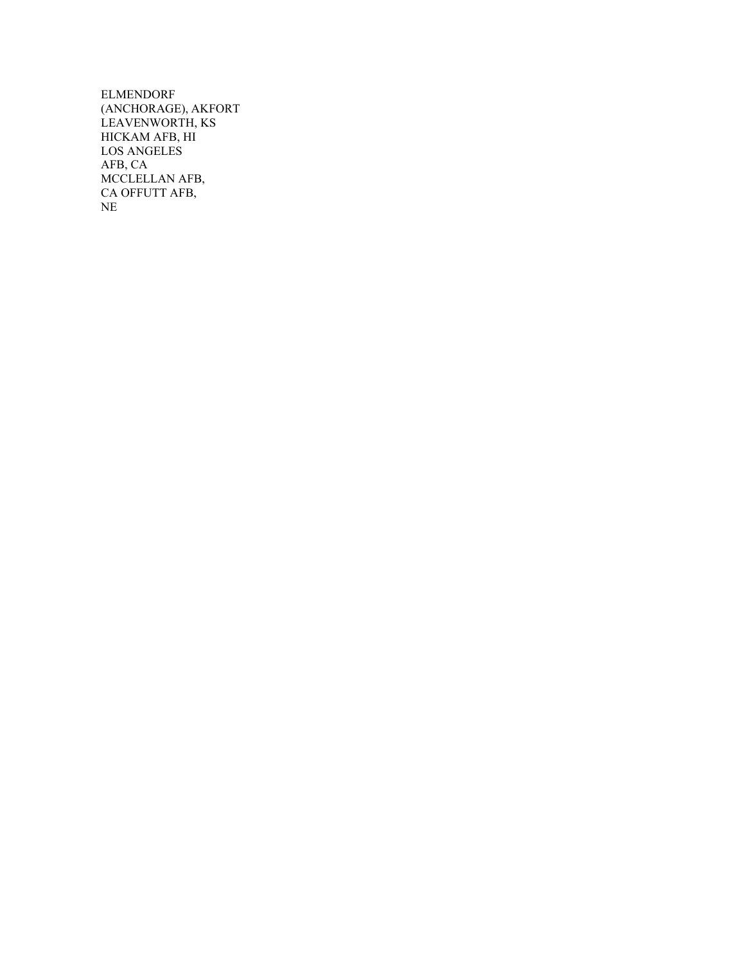ELMENDORF (ANCHORAGE), AKFORT LEAVENWORTH, KS HICKAM AFB, HI LOS ANGELES AFB, CA MCCLELLAN AFB, CA OFFUTT AFB, NE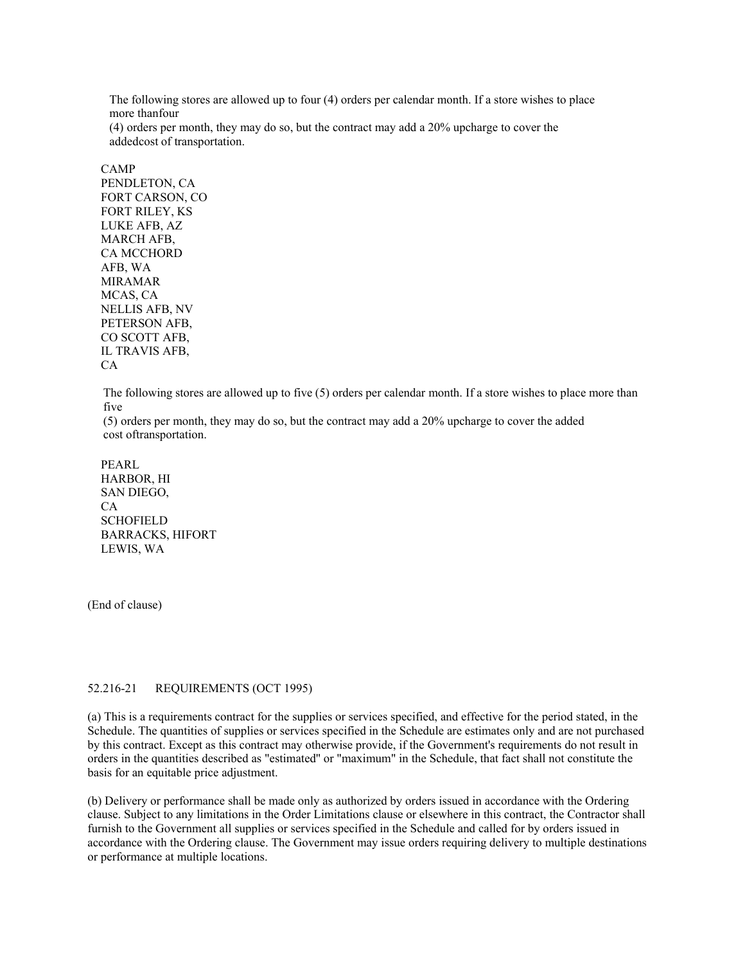The following stores are allowed up to four (4) orders per calendar month. If a store wishes to place more thanfour (4) orders per month, they may do so, but the contract may add a 20% upcharge to cover the added cost of transportation.

CAMP PENDLETON, CA FORT CARSON, CO FORT RILEY, KS LUKE AFB, AZ MARCH AFB, CA MCCHORD AFB, WA MIRAMAR MCAS, CA NELLIS AFB, NV PETERSON AFB, CO SCOTT AFB, IL TRAVIS AFB, CA

The following stores are allowed up to five (5) orders per calendar month. If a store wishes to place more than five

(5) orders per month, they may do so, but the contract may add a 20% upcharge to cover the added cost of transportation.

PEARL HARBOR, HI SAN DIEGO,  $\Gamma$  $\Delta$ **SCHOFIELD** BARRACKS, HIFORT LEWIS, WA

(End of clause)

### 52.216-21 REQUIREMENTS (OCT 1995)

(a) This is a requirements contract for the supplies or services specified, and effective for the period stated, in the Schedule. The quantities of supplies or services specified in the Schedule are estimates only and are not purchased by this contract. Except as this contract may otherwise provide, if the Government's requirements do not result in orders in the quantities described as "estimated'' or "maximum" in the Schedule, that fact shall not constitute the basis for an equitable price adjustment.

(b) Delivery or performance shall be made only as authorized by orders issued in accordance with the Ordering clause. Subject to any limitations in the Order Limitations clause or elsewhere in this contract, the Contractor shall furnish to the Government all supplies or services specified in the Schedule and called for by orders issued in accordance with the Ordering clause. The Government may issue orders requiring delivery to multiple destinations or performance at multiple locations.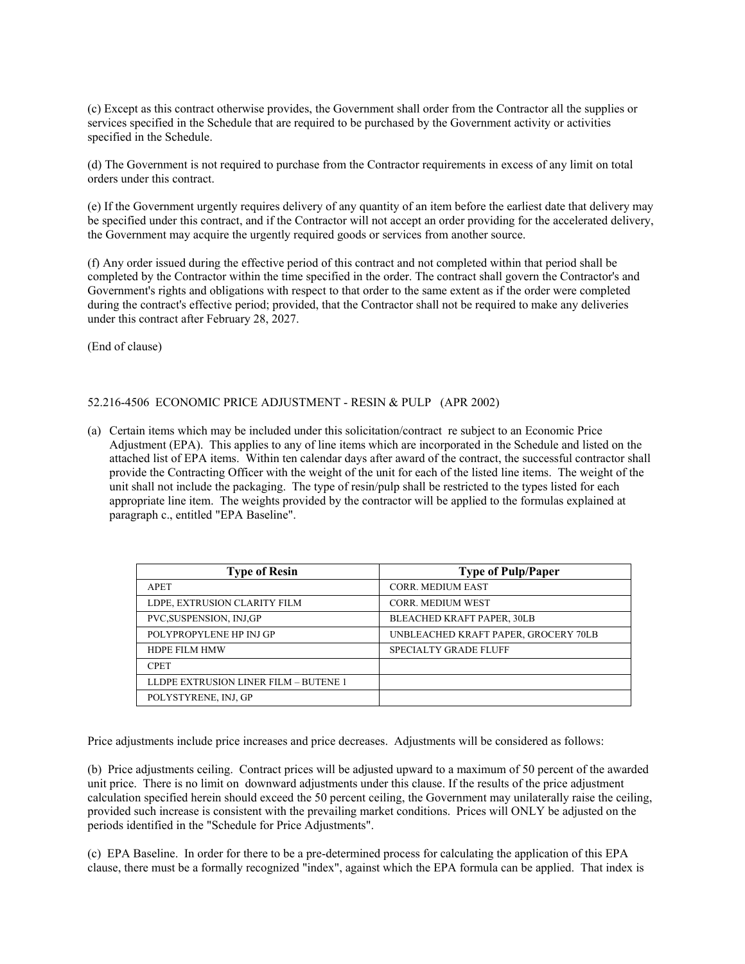(c) Except as this contract otherwise provides, the Government shall order from the Contractor all the supplies or services specified in the Schedule that are required to be purchased by the Government activity or activities specified in the Schedule.

(d) The Government is not required to purchase from the Contractor requirements in excess of any limit on total orders under this contract.

(e) If the Government urgently requires delivery of any quantity of an item before the earliest date that delivery may be specified under this contract, and if the Contractor will not accept an order providing for the accelerated delivery, the Government may acquire the urgently required goods or services from another source.

(f) Any order issued during the effective period of this contract and not completed within that period shall be completed by the Contractor within the time specified in the order. The contract shall govern the Contractor's and Government's rights and obligations with respect to that order to the same extent as if the order were completed during the contract's effective period; provided, that the Contractor shall not be required to make any deliveries under this contract after February 28, 2027.

(End of clause)

### 52.216-4506 ECONOMIC PRICE ADJUSTMENT - RESIN & PULP (APR 2002)

(a) Certain items which may be included under this solicitation/contract re subject to an Economic Price Adjustment (EPA). This applies to any of line items which are incorporated in the Schedule and listed on the attached list of EPA items. Within ten calendar days after award of the contract, the successful contractor shall provide the Contracting Officer with the weight of the unit for each of the listed line items. The weight of the unit shall not include the packaging. The type of resin/pulp shall be restricted to the types listed for each appropriate line item. The weights provided by the contractor will be applied to the formulas explained at paragraph c., entitled "EPA Baseline".

| <b>Type of Resin</b>                  | <b>Type of Pulp/Paper</b>            |
|---------------------------------------|--------------------------------------|
| <b>APET</b>                           | <b>CORR. MEDIUM EAST</b>             |
| LDPE, EXTRUSION CLARITY FILM          | <b>CORR. MEDIUM WEST</b>             |
| PVC, SUSPENSION, INJ, GP              | BLEACHED KRAFT PAPER, 30LB           |
| POLYPROPYLENE HP INJ GP               | UNBLEACHED KRAFT PAPER, GROCERY 70LB |
| <b>HDPE FILM HMW</b>                  | <b>SPECIALTY GRADE FLUFF</b>         |
| <b>CPET</b>                           |                                      |
| LLDPE EXTRUSION LINER FILM - BUTENE 1 |                                      |
| POLYSTYRENE, INJ, GP                  |                                      |

Price adjustments include price increases and price decreases. Adjustments will be considered as follows:

(b) Price adjustments ceiling. Contract prices will be adjusted upward to a maximum of 50 percent of the awarded unit price. There is no limit on downward adjustments under this clause. If the results of the price adjustment calculation specified herein should exceed the 50 percent ceiling, the Government may unilaterally raise the ceiling, provided such increase is consistent with the prevailing market conditions. Prices will ONLY be adjusted on the periods identified in the "Schedule for Price Adjustments".

(c) EPA Baseline. In order for there to be a pre-determined process for calculating the application of this EPA clause, there must be a formally recognized "index", against which the EPA formula can be applied. That index is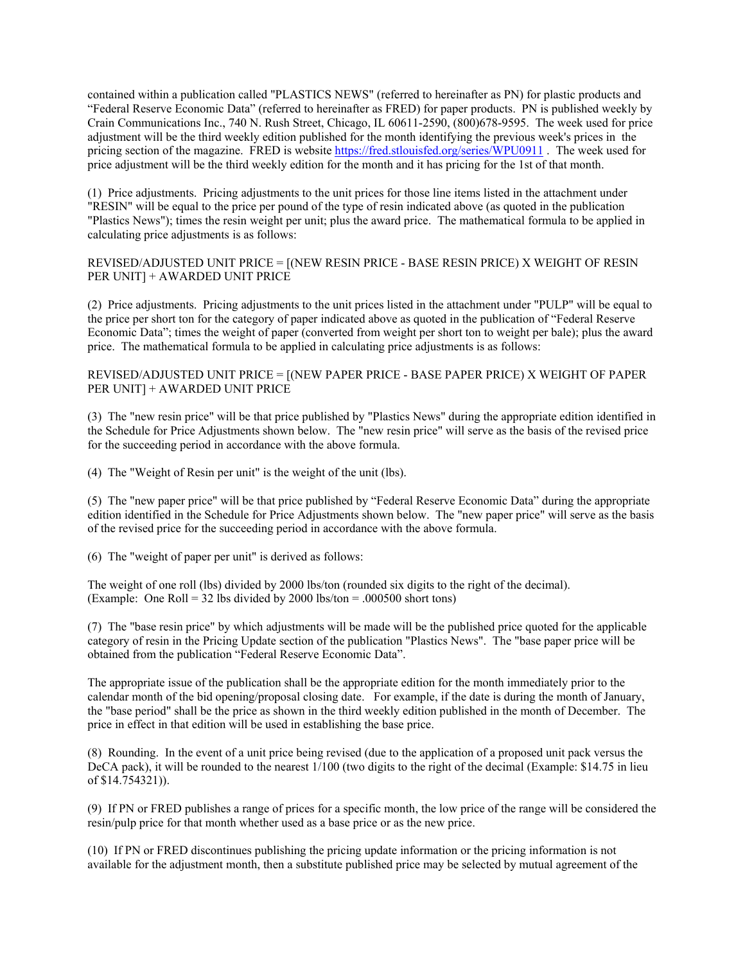contained within a publication called "PLASTICS NEWS" (referred to hereinafter as PN) for plastic products and "Federal Reserve Economic Data" (referred to hereinafter as FRED) for paper products. PN is published weekly by Crain Communications Inc., 740 N. Rush Street, Chicago, IL 60611-2590, (800)678-9595. The week used for price adjustment will be the third weekly edition published for the month identifying the previous week's prices in the pricing section of the magazine. FRED is website https://fred.stlouisfed.org/series/WPU0911. The week used for price adjustment will be the third weekly edition for the month and it has pricing for the 1st of that month.

(1) Price adjustments. Pricing adjustments to the unit prices for those line items listed in the attachment under "RESIN" will be equal to the price per pound of the type of resin indicated above (as quoted in the publication "Plastics News"); times the resin weight per unit; plus the award price. The mathematical formula to be applied in calculating price adjustments is as follows:

REVISED/ADJUSTED UNIT PRICE = [(NEW RESIN PRICE - BASE RESIN PRICE) X WEIGHT OF RESIN PER UNIT] + AWARDED UNIT PRICE

(2) Price adjustments. Pricing adjustments to the unit prices listed in the attachment under "PULP" will be equal to the price per short ton for the category of paper indicated above as quoted in the publication of "Federal Reserve Economic Data"; times the weight of paper (converted from weight per short ton to weight per bale); plus the award price. The mathematical formula to be applied in calculating price adjustments is as follows:

## REVISED/ADJUSTED UNIT PRICE = [(NEW PAPER PRICE - BASE PAPER PRICE) X WEIGHT OF PAPER PER UNIT] + AWARDED UNIT PRICE

(3) The "new resin price" will be that price published by "Plastics News" during the appropriate edition identified in the Schedule for Price Adjustments shown below. The "new resin price" will serve as the basis of the revised price for the succeeding period in accordance with the above formula.

(4) The "Weight of Resin per unit" is the weight of the unit (lbs).

(5) The "new paper price" will be that price published by "Federal Reserve Economic Data" during the appropriate edition identified in the Schedule for Price Adjustments shown below. The "new paper price" will serve as the basis of the revised price for the succeeding period in accordance with the above formula.

(6) The "weight of paper per unit" is derived as follows:

The weight of one roll (lbs) divided by 2000 lbs/ton (rounded six digits to the right of the decimal). (Example: One Roll =  $32$  lbs divided by 2000 lbs/ton = .000500 short tons)

(7) The "base resin price" by which adjustments will be made will be the published price quoted for the applicable category of resin in the Pricing Update section of the publication "Plastics News". The "base paper price will be obtained from the publication "Federal Reserve Economic Data".

The appropriate issue of the publication shall be the appropriate edition for the month immediately prior to the calendar month of the bid opening/proposal closing date. For example, if the date is during the month of January, the "base period" shall be the price as shown in the third weekly edition published in the month of December. The price in effect in that edition will be used in establishing the base price.

(8) Rounding. In the event of a unit price being revised (due to the application of a proposed unit pack versus the DeCA pack), it will be rounded to the nearest 1/100 (two digits to the right of the decimal (Example: \$14.75 in lieu of \$14.754321)).

(9) If PN or FRED publishes a range of prices for a specific month, the low price of the range will be considered the resin/pulp price for that month whether used as a base price or as the new price.

(10) If PN or FRED discontinues publishing the pricing update information or the pricing information is not available for the adjustment month, then a substitute published price may be selected by mutual agreement of the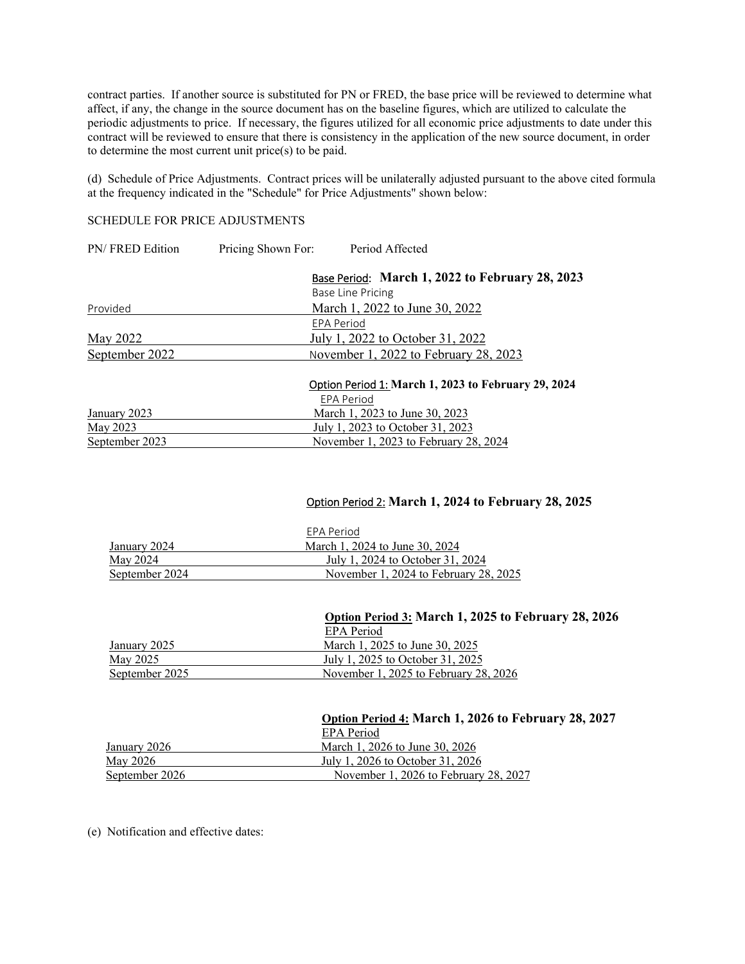contract parties. If another source is substituted for PN or FRED, the base price will be reviewed to determine what affect, if any, the change in the source document has on the baseline figures, which are utilized to calculate the periodic adjustments to price. If necessary, the figures utilized for all economic price adjustments to date under this contract will be reviewed to ensure that there is consistency in the application of the new source document, in order to determine the most current unit price(s) to be paid.

(d) Schedule of Price Adjustments. Contract prices will be unilaterally adjusted pursuant to the above cited formula at the frequency indicated in the "Schedule" for Price Adjustments" shown below:

# SCHEDULE FOR PRICE ADJUSTMENTS

| PN/FRED Edition | Pricing Shown For: | Period Affected                                 |
|-----------------|--------------------|-------------------------------------------------|
|                 |                    | Base Period: March 1, 2022 to February 28, 2023 |
|                 |                    | <b>Base Line Pricing</b>                        |
| Provided        |                    | March 1, 2022 to June 30, 2022                  |
|                 |                    | <b>EPA Period</b>                               |
| May 2022        |                    | July 1, 2022 to October 31, 2022                |
| September 2022  |                    | November 1, 2022 to February 28, 2023           |
|                 |                    |                                                 |

|                | Option Period 1: March 1, 2023 to February 29, 2024 |
|----------------|-----------------------------------------------------|
|                | EPA Period                                          |
| January 2023   | March 1, 2023 to June 30, 2023                      |
| May 2023       | July 1, 2023 to October 31, 2023                    |
| September 2023 | November 1, 2023 to February 28, 2024               |
|                |                                                     |

## Option Period 2: **March 1, 2024 to February 28, 2025**

|                | EPA Period                            |
|----------------|---------------------------------------|
| January 2024   | March 1, 2024 to June 30, 2024        |
| May 2024       | July 1, 2024 to October 31, 2024      |
| September 2024 | November 1, 2024 to February 28, 2025 |

### **Option Period 3: March 1, 2025 to February 28, 2026**

|                | <b>EPA</b> Period                     |
|----------------|---------------------------------------|
| January 2025   | March 1, 2025 to June 30, 2025        |
| May 2025       | July 1, 2025 to October 31, 2025      |
| September 2025 | November 1, 2025 to February 28, 2026 |

|                | Option Period 4: March 1, 2026 to February 28, 2027 |
|----------------|-----------------------------------------------------|
|                | <b>EPA</b> Period                                   |
| January 2026   | March 1, 2026 to June 30, 2026                      |
| May 2026       | July 1, 2026 to October 31, 2026                    |
| September 2026 | November 1, 2026 to February 28, 2027               |

(e) Notification and effective dates: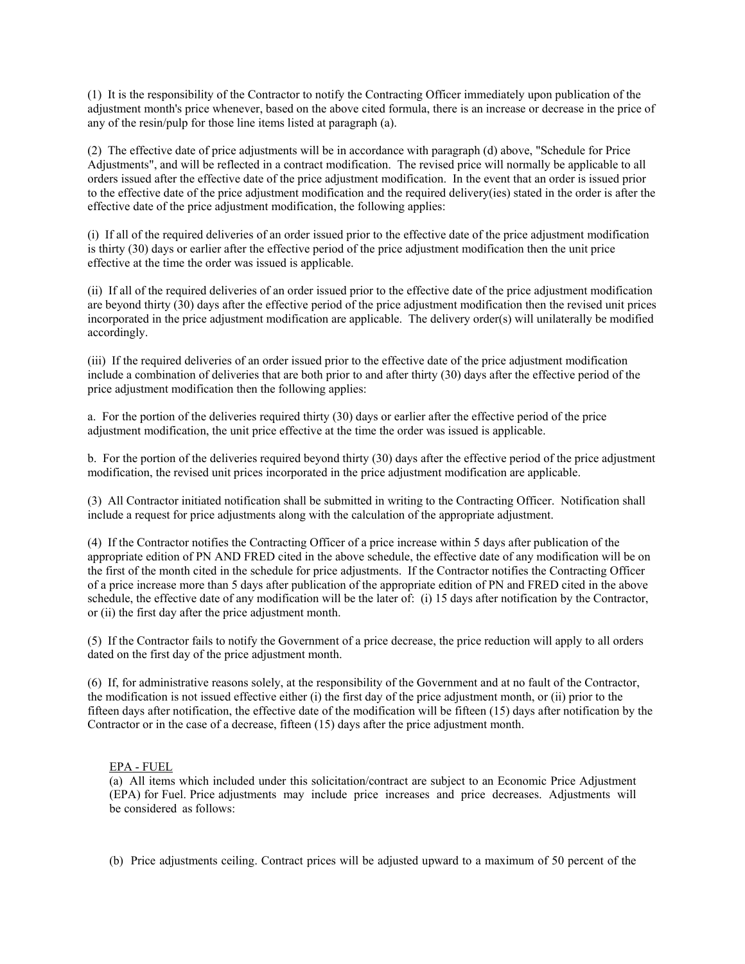(1) It is the responsibility of the Contractor to notify the Contracting Officer immediately upon publication of the adjustment month's price whenever, based on the above cited formula, there is an increase or decrease in the price of any of the resin/pulp for those line items listed at paragraph (a).

(2) The effective date of price adjustments will be in accordance with paragraph (d) above, "Schedule for Price Adjustments", and will be reflected in a contract modification. The revised price will normally be applicable to all orders issued after the effective date of the price adjustment modification. In the event that an order is issued prior to the effective date of the price adjustment modification and the required delivery(ies) stated in the order is after the effective date of the price adjustment modification, the following applies:

(i) If all of the required deliveries of an order issued prior to the effective date of the price adjustment modification is thirty (30) days or earlier after the effective period of the price adjustment modification then the unit price effective at the time the order was issued is applicable.

(ii) If all of the required deliveries of an order issued prior to the effective date of the price adjustment modification are beyond thirty (30) days after the effective period of the price adjustment modification then the revised unit prices incorporated in the price adjustment modification are applicable. The delivery order(s) will unilaterally be modified accordingly.

(iii) If the required deliveries of an order issued prior to the effective date of the price adjustment modification include a combination of deliveries that are both prior to and after thirty (30) days after the effective period of the price adjustment modification then the following applies:

a. For the portion of the deliveries required thirty (30) days or earlier after the effective period of the price adjustment modification, the unit price effective at the time the order was issued is applicable.

b. For the portion of the deliveries required beyond thirty (30) days after the effective period of the price adjustment modification, the revised unit prices incorporated in the price adjustment modification are applicable.

(3) All Contractor initiated notification shall be submitted in writing to the Contracting Officer. Notification shall include a request for price adjustments along with the calculation of the appropriate adjustment.

(4) If the Contractor notifies the Contracting Officer of a price increase within 5 days after publication of the appropriate edition of PN AND FRED cited in the above schedule, the effective date of any modification will be on the first of the month cited in the schedule for price adjustments. If the Contractor notifies the Contracting Officer of a price increase more than 5 days after publication of the appropriate edition of PN and FRED cited in the above schedule, the effective date of any modification will be the later of: (i) 15 days after notification by the Contractor, or (ii) the first day after the price adjustment month.

(5) If the Contractor fails to notify the Government of a price decrease, the price reduction will apply to all orders dated on the first day of the price adjustment month.

(6) If, for administrative reasons solely, at the responsibility of the Government and at no fault of the Contractor, the modification is not issued effective either (i) the first day of the price adjustment month, or (ii) prior to the fifteen days after notification, the effective date of the modification will be fifteen (15) days after notification by the Contractor or in the case of a decrease, fifteen (15) days after the price adjustment month.

## EPA - FUEL

(a) All items which included under this solicitation/contract are subject to an Economic Price Adjustment (EPA) for Fuel. Price adjustments may include price increases and price decreases. Adjustments will be considered as follows:

(b) Price adjustments ceiling. Contract prices will be adjusted upward to a maximum of 50 percent of the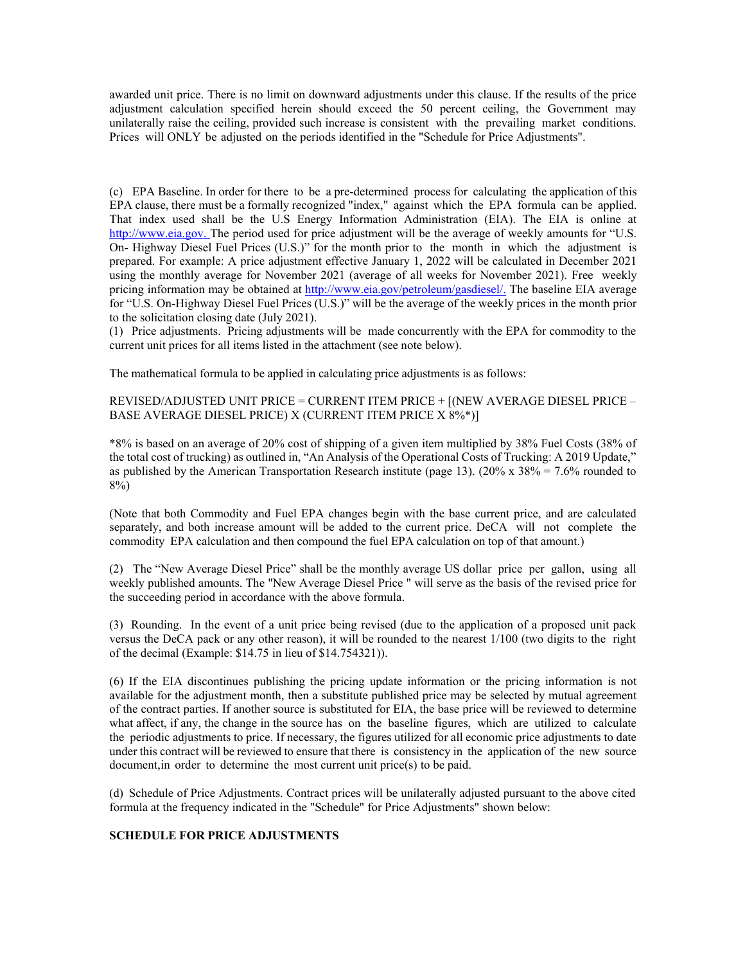awarded unit price. There is no limit on downward adjustments under this clause. If the results of the price adjustment calculation specified herein should exceed the 50 percent ceiling, the Government may unilaterally raise the ceiling, provided such increase is consistent with the prevailing market conditions. Prices will ONLY be adjusted on the periods identified in the "Schedule for Price Adjustments".

(c) EPA Baseline. In order for there to be a pre-determined process for calculating the application of this EPA clause, there must be a formally recognized "index," against which the EPA formula can be applied. That index used shall be the U.S Energy Information Administration (EIA). The EIA is online at http://www.eia.gov. The period used for price adjustment will be the average of weekly amounts for "U.S. On- Highway Diesel Fuel Prices (U.S.)" for the month prior to the month in which the adjustment is prepared. For example: A price adjustment effective January 1, 2022 will be calculated in December 2021 using the monthly average for November 2021 (average of all weeks for November 2021). Free weekly pricing information may be obtained at http://www.eia.gov/petroleum/gasdiesel/. The baseline EIA average for "U.S. On-Highway Diesel Fuel Prices (U.S.)" will be the average of the weekly prices in the month prior to the solicitation closing date (July 2021).

(1) Price adjustments. Pricing adjustments will be made concurrently with the EPA for commodity to the current unit prices for all items listed in the attachment (see note below).

The mathematical formula to be applied in calculating price adjustments is as follows:

## REVISED/ADJUSTED UNIT PRICE = CURRENT ITEM PRICE + [(NEW AVERAGE DIESEL PRICE – BASE AVERAGE DIESEL PRICE) X (CURRENT ITEM PRICE X 8%\*)]

\*8% is based on an average of 20% cost of shipping of a given item multiplied by 38% Fuel Costs (38% of the total cost of trucking) as outlined in, "An Analysis of the Operational Costs of Trucking: A 2019 Update," as published by the American Transportation Research institute (page 13). (20% x 38% = 7.6% rounded to 8%)

(Note that both Commodity and Fuel EPA changes begin with the base current price, and are calculated separately, and both increase amount will be added to the current price. DeCA will not complete the commodity EPA calculation and then compound the fuel EPA calculation on top of that amount.)

(2) The "New Average Diesel Price" shall be the monthly average US dollar price per gallon, using all weekly published amounts. The "New Average Diesel Price " will serve as the basis of the revised price for the succeeding period in accordance with the above formula.

(3) Rounding. In the event of a unit price being revised (due to the application of a proposed unit pack versus the DeCA pack or any other reason), it will be rounded to the nearest 1/100 (two digits to the right of the decimal (Example: \$14.75 in lieu of \$14.754321)).

(6) If the EIA discontinues publishing the pricing update information or the pricing information is not available for the adjustment month, then a substitute published price may be selected by mutual agreement of the contract parties. If another source is substituted for EIA, the base price will be reviewed to determine what affect, if any, the change in the source has on the baseline figures, which are utilized to calculate the periodic adjustments to price. If necessary, the figures utilized for all economic price adjustments to date under this contract will be reviewed to ensure that there is consistency in the application of the new source document, in order to determine the most current unit price(s) to be paid.

(d) Schedule of Price Adjustments. Contract prices will be unilaterally adjusted pursuant to the above cited formula at the frequency indicated in the "Schedule" for Price Adjustments" shown below:

## **SCHEDULE FOR PRICE ADJUSTMENTS**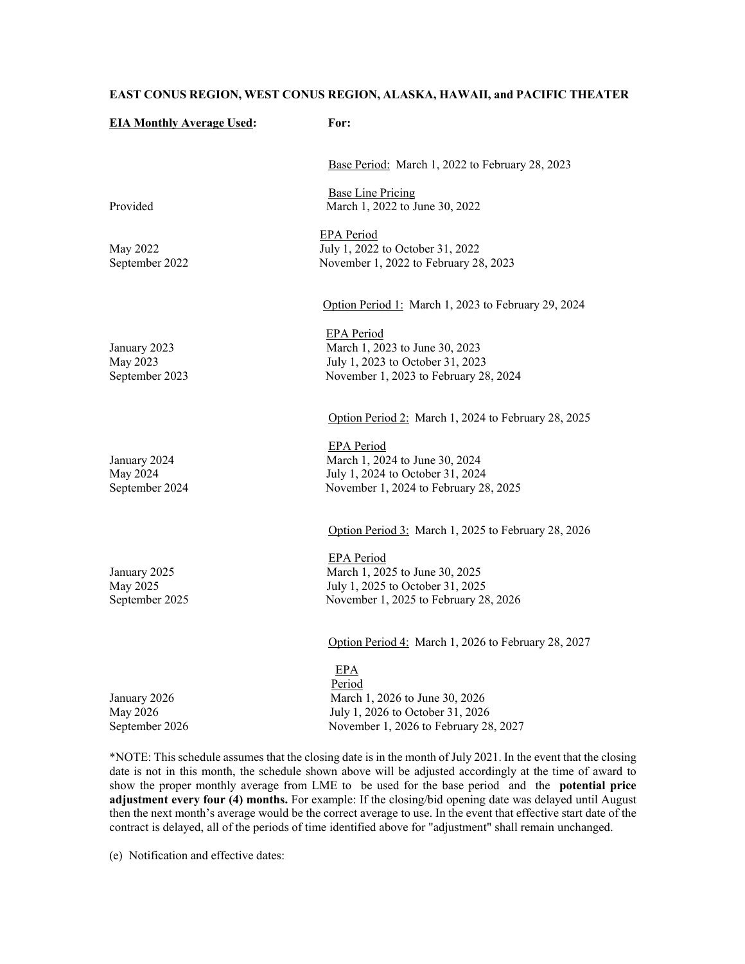# **EAST CONUS REGION, WEST CONUS REGION, ALASKA, HAWAII, and PACIFIC THEATER**

| <b>EIA Monthly Average Used:</b>           | For:                                                                                                                             |  |  |
|--------------------------------------------|----------------------------------------------------------------------------------------------------------------------------------|--|--|
|                                            | Base Period: March 1, 2022 to February 28, 2023                                                                                  |  |  |
| Provided                                   | <b>Base Line Pricing</b><br>March 1, 2022 to June 30, 2022                                                                       |  |  |
| May 2022<br>September 2022                 | <b>EPA</b> Period<br>July 1, 2022 to October 31, 2022<br>November 1, 2022 to February 28, 2023                                   |  |  |
|                                            | Option Period 1: March 1, 2023 to February 29, 2024                                                                              |  |  |
| January 2023<br>May 2023<br>September 2023 | <b>EPA</b> Period<br>March 1, 2023 to June 30, 2023<br>July 1, 2023 to October 31, 2023<br>November 1, 2023 to February 28, 2024 |  |  |
|                                            | Option Period 2: March 1, 2024 to February 28, 2025                                                                              |  |  |
| January 2024<br>May 2024<br>September 2024 | <b>EPA</b> Period<br>March 1, 2024 to June 30, 2024<br>July 1, 2024 to October 31, 2024<br>November 1, 2024 to February 28, 2025 |  |  |
|                                            | Option Period 3: March 1, 2025 to February 28, 2026                                                                              |  |  |
| January 2025<br>May 2025<br>September 2025 | EPA Period<br>March 1, 2025 to June 30, 2025<br>July 1, 2025 to October 31, 2025<br>November 1, 2025 to February 28, 2026        |  |  |
|                                            | Option Period 4: March 1, 2026 to February 28, 2027                                                                              |  |  |
| January 2026<br>May 2026<br>September 2026 | EPA<br>Period<br>March 1, 2026 to June 30, 2026<br>July 1, 2026 to October 31, 2026<br>November 1, 2026 to February 28, 2027     |  |  |

\*NOTE: This schedule assumes that the closing date is in the month of July 2021. In the event that the closing date is not in this month, the schedule shown above will be adjusted accordingly at the time of award to show the proper monthly average from LME to be used for the base period and the **potential price adjustment every four (4) months.** For example: If the closing/bid opening date was delayed until August then the next month's average would be the correct average to use. In the event that effective start date of the contract is delayed, all of the periods of time identified above for "adjustment" shall remain unchanged.

(e) Notification and effective dates: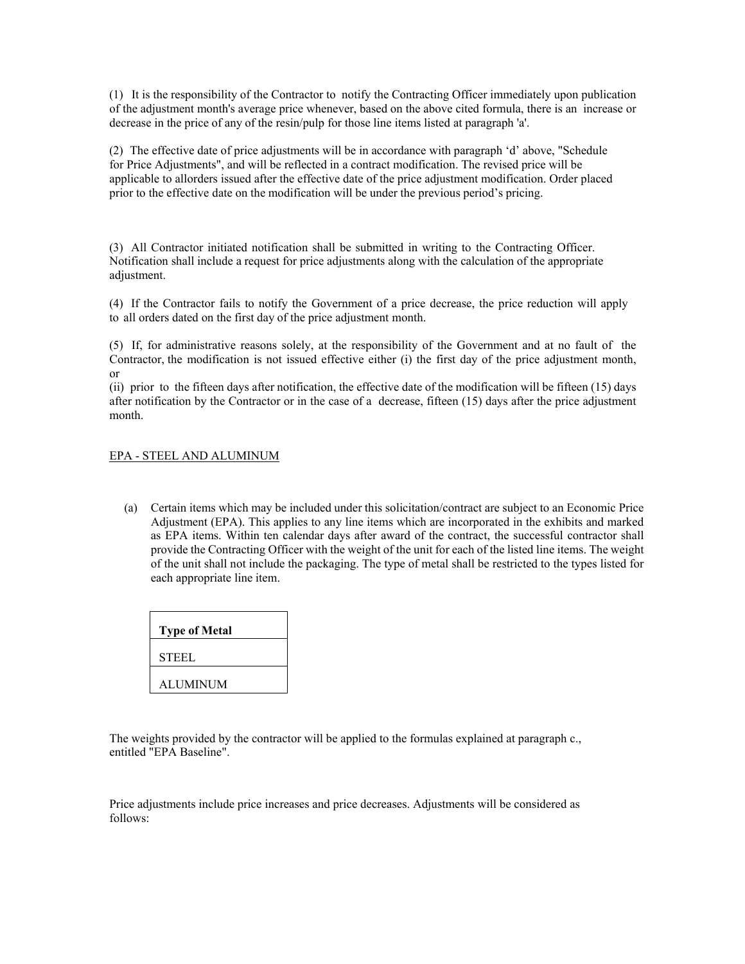(1) It is the responsibility of the Contractor to notify the Contracting Officer immediately upon publication of the adjustment month's average price whenever, based on the above cited formula, there is an increase or decrease in the price of any of the resin/pulp for those line items listed at paragraph 'a'.

(2) The effective date of price adjustments will be in accordance with paragraph 'd' above, "Schedule for Price Adjustments", and will be reflected in a contract modification. The revised price will be applicable to allorders issued after the effective date of the price adjustment modification. Order placed prior to the effective date on the modification will be under the previous period's pricing.

(3) All Contractor initiated notification shall be submitted in writing to the Contracting Officer. Notification shall include a request for price adjustments along with the calculation of the appropriate adjustment.

(4) If the Contractor fails to notify the Government of a price decrease, the price reduction will apply to all orders dated on the first day of the price adjustment month.

(5) If, for administrative reasons solely, at the responsibility of the Government and at no fault of the Contractor, the modification is not issued effective either (i) the first day of the price adjustment month, or

(ii) prior to the fifteen days after notification, the effective date of the modification will be fifteen (15) days after notification by the Contractor or in the case of a decrease, fifteen (15) days after the price adjustment month.

### EPA - STEEL AND ALUMINUM

(a) Certain items which may be included under this solicitation/contract are subject to an Economic Price Adjustment (EPA). This applies to any line items which are incorporated in the exhibits and marked as EPA items. Within ten calendar days after award of the contract, the successful contractor shall provide the Contracting Officer with the weight of the unit for each of the listed line items. The weight of the unit shall not include the packaging. The type of metal shall be restricted to the types listed for each appropriate line item.

| <b>Type of Metal</b> |
|----------------------|
| <b>STEEL</b>         |
| <b>ALUMINUM</b>      |

The weights provided by the contractor will be applied to the formulas explained at paragraph c., entitled "EPA Baseline".

Price adjustments include price increases and price decreases. Adjustments will be considered as follows: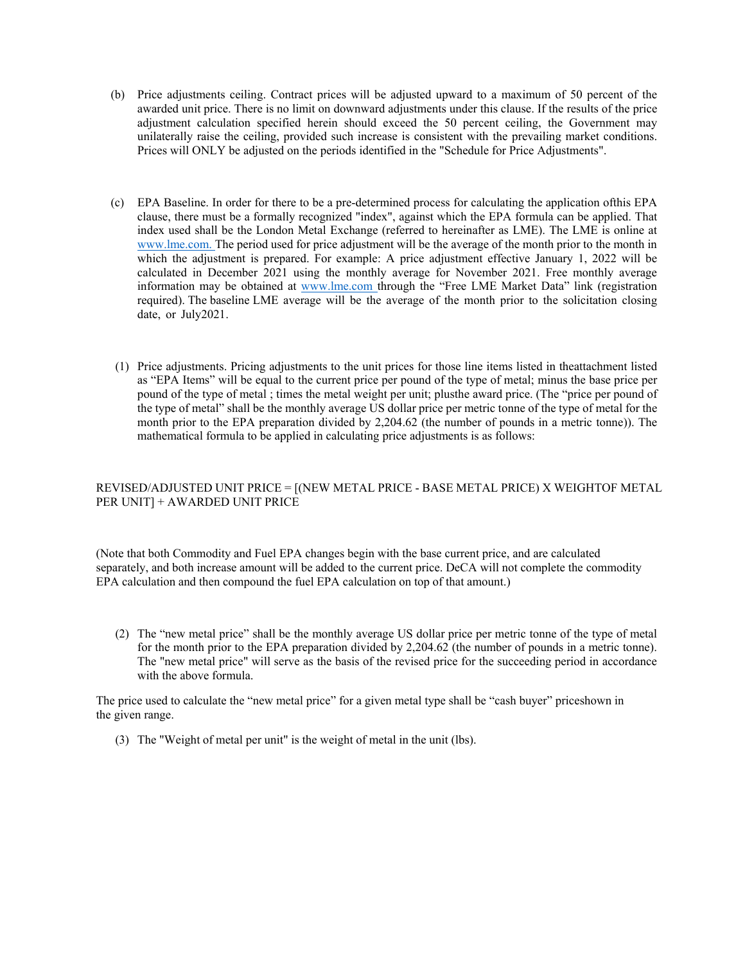- (b) Price adjustments ceiling. Contract prices will be adjusted upward to a maximum of 50 percent of the awarded unit price. There is no limit on downward adjustments under this clause. If the results of the price adjustment calculation specified herein should exceed the 50 percent ceiling, the Government may unilaterally raise the ceiling, provided such increase is consistent with the prevailing market conditions. Prices will ONLY be adjusted on the periods identified in the "Schedule for Price Adjustments".
- (c) EPA Baseline. In order for there to be a pre-determined process for calculating the application of this EPA clause, there must be a formally recognized "index", against which the EPA formula can be applied. That index used shall be the London Metal Exchange (referred to hereinafter as LME). The LME is online at www.lme.com. The period used for price adjustment will be the average of the month prior to the month in which the adjustment is prepared. For example: A price adjustment effective January 1, 2022 will be calculated in December 2021 using the monthly average for November 2021. Free monthly average information may be obtained at www.lme.com through the "Free LME Market Data" link (registration required). The baseline LME average will be the average of the month prior to the solicitation closing date, or July 2021.
- (1) Price adjustments. Pricing adjustments to the unit prices for those line items listed in the attachment listed as "EPA Items" will be equal to the current price per pound of the type of metal; minus the base price per pound of the type of metal ; times the metal weight per unit; plus the award price. (The "price per pound of the type of metal" shall be the monthly average US dollar price per metric tonne of the type of metal for the month prior to the EPA preparation divided by 2,204.62 (the number of pounds in a metric tonne)). The mathematical formula to be applied in calculating price adjustments is as follows:

# REVISED/ADJUSTED UNIT PRICE = [(NEW METAL PRICE - BASE METAL PRICE) X WEIGHTOF METAL PER UNIT] + AWARDED UNIT PRICE

(Note that both Commodity and Fuel EPA changes begin with the base current price, and are calculated separately, and both increase amount will be added to the current price. DeCA will not complete the commodity EPA calculation and then compound the fuel EPA calculation on top of that amount.)

(2) The "new metal price" shall be the monthly average US dollar price per metric tonne of the type of metal for the month prior to the EPA preparation divided by 2,204.62 (the number of pounds in a metric tonne). The "new metal price" will serve as the basis of the revised price for the succeeding period in accordance with the above formula.

The price used to calculate the "new metal price" for a given metal type shall be "cash buyer" price shown in the given range.

(3) The "Weight of metal per unit" is the weight of metal in the unit (lbs).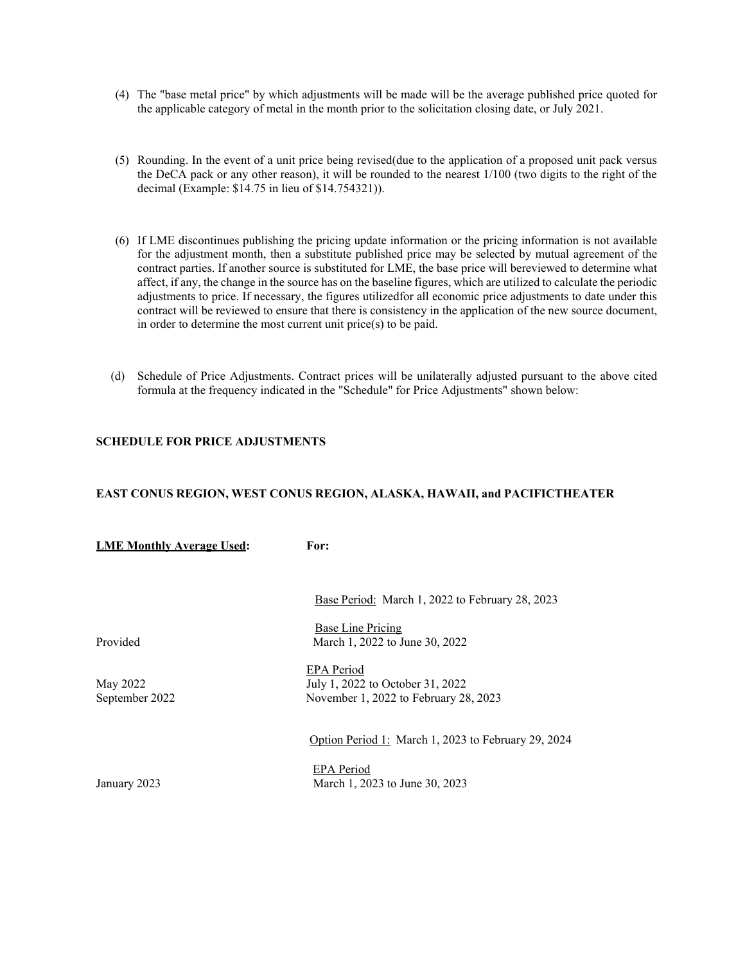- (4) The "base metal price" by which adjustments will be made will be the average published price quoted for the applicable category of metal in the month prior to the solicitation closing date, or July 2021.
- (5) Rounding. In the event of a unit price being revised(due to the application of a proposed unit pack versus the DeCA pack or any other reason), it will be rounded to the nearest 1/100 (two digits to the right of the decimal (Example: \$14.75 in lieu of \$14.754321)).
- (6) If LME discontinues publishing the pricing update information or the pricing information is not available for the adjustment month, then a substitute published price may be selected by mutual agreement of the contract parties. If another source is substituted for LME, the base price will be reviewed to determine what affect, if any, the change in the source has on the baseline figures, which are utilized to calculate the periodic adjustments to price. If necessary, the figures utilized for all economic price adjustments to date under this contract will be reviewed to ensure that there is consistency in the application of the new source document, in order to determine the most current unit price(s) to be paid.
- (d) Schedule of Price Adjustments. Contract prices will be unilaterally adjusted pursuant to the above cited formula at the frequency indicated in the "Schedule" for Price Adjustments" shown below:

## **SCHEDULE FOR PRICE ADJUSTMENTS**

### **EAST CONUS REGION, WEST CONUS REGION, ALASKA, HAWAII, and PACIFIC THEATER**

| <b>LME Monthly Average Used:</b> | For:                                                                                           |  |  |
|----------------------------------|------------------------------------------------------------------------------------------------|--|--|
|                                  | Base Period: March 1, 2022 to February 28, 2023                                                |  |  |
| Provided                         | <b>Base Line Pricing</b><br>March 1, 2022 to June 30, 2022                                     |  |  |
| May 2022<br>September 2022       | <b>EPA</b> Period<br>July 1, 2022 to October 31, 2022<br>November 1, 2022 to February 28, 2023 |  |  |
|                                  | Option Period 1: March 1, 2023 to February 29, 2024                                            |  |  |
| January 2023                     | <b>EPA</b> Period<br>March 1, 2023 to June 30, 2023                                            |  |  |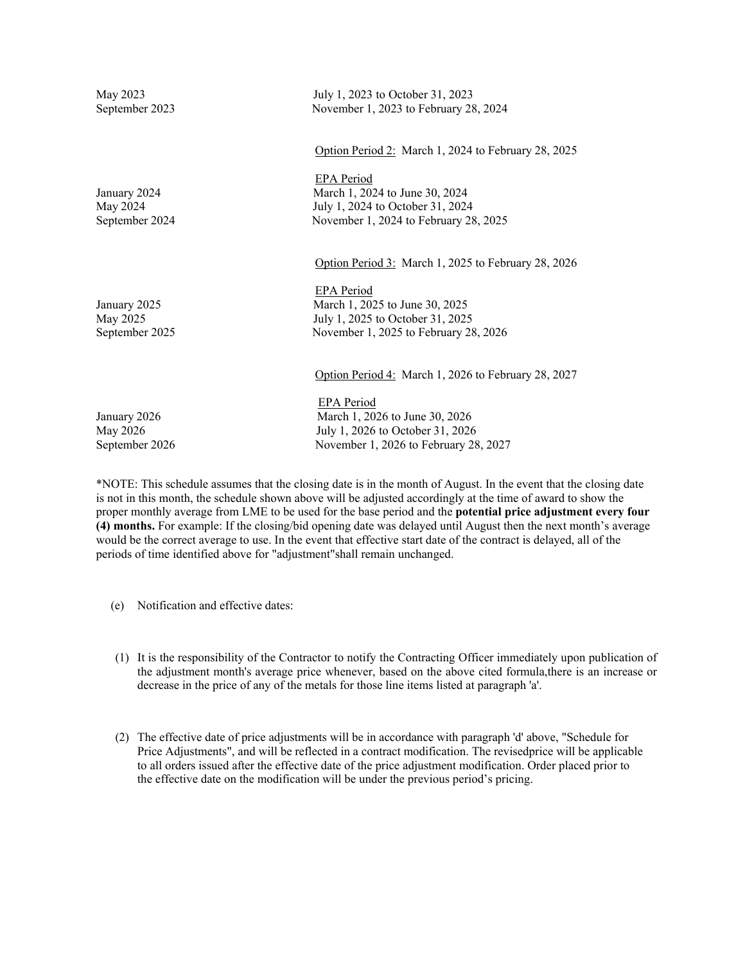May 2023 **Iuly 1, 2023** to October 31, 2023 September 2023 November 1, 2023 to February 28, 2024

Option Period 2: March 1, 2024 to February 28, 2025

EPA Period January 2024 March 1, 2024 to June 30, 2024 May 2024 July 1, 2024 to October 31, 2024 September 2024 10 November 1, 2024 to February 28, 2025

Option Period 3: March 1, 2025 to February 28, 2026

EPA Period January 2025 March 1, 2025 to June 30, 2025 May 2025 July 1, 2025 to October 31, 2025 September 2025 November 1, 2025 to February 28, 2026

Option Period 4: March 1, 2026 to February 28, 2027

EPA Period January 2026 March 1, 2026 to June 30, 2026 May 2026 July 1, 2026 to October 31, 2026 September 2026 November 1, 2026 to February 28, 2027

\*NOTE: This schedule assumes that the closing date is in the month of August. In the event that the closing date is not in this month, the schedule shown above will be adjusted accordingly at the time of award to show the proper monthly average from LME to be used for the base period and the **potential price adjustment every four (4) months.** For example: If the closing/bid opening date was delayed until August then the next month's average would be the correct average to use. In the event that effective start date of the contract is delayed, all of the periods of time identified above for "adjustment" shall remain unchanged.

- (e) Notification and effective dates:
- (1) It is the responsibility of the Contractor to notify the Contracting Officer immediately upon publication of the adjustment month's average price whenever, based on the above cited formula, there is an increase or decrease in the price of any of the metals for those line items listed at paragraph 'a'.
- (2) The effective date of price adjustments will be in accordance with paragraph 'd' above, "Schedule for Price Adjustments", and will be reflected in a contract modification. The revised price will be applicable to all orders issued after the effective date of the price adjustment modification. Order placed prior to the effective date on the modification will be under the previous period's pricing.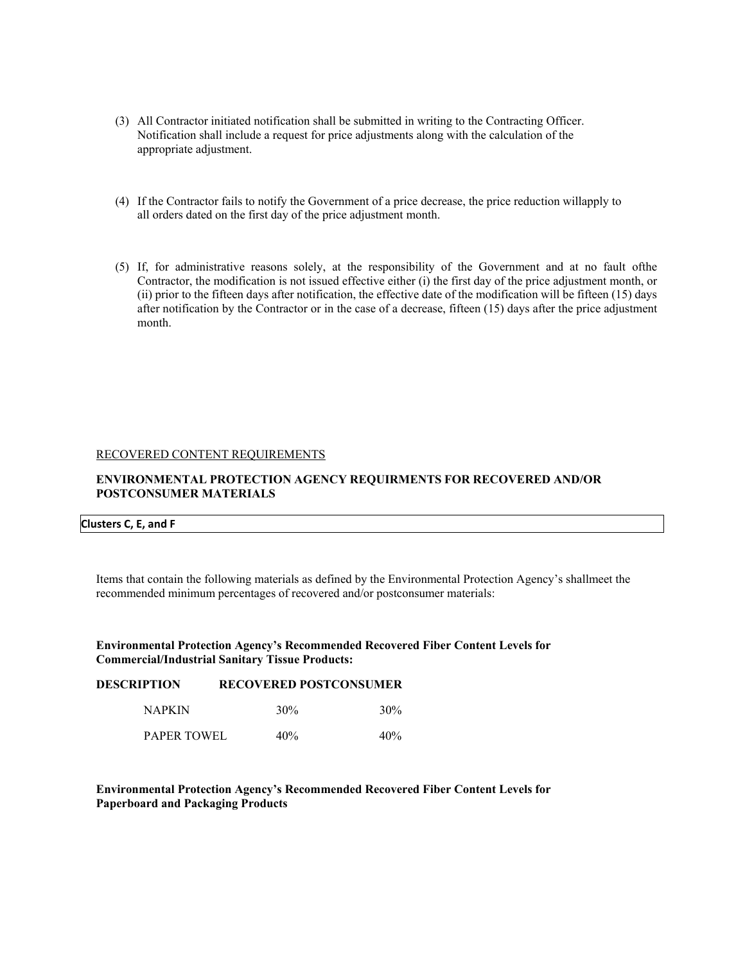- (3) All Contractor initiated notification shall be submitted in writing to the Contracting Officer. Notification shall include a request for price adjustments along with the calculation of the appropriate adjustment.
- (4) If the Contractor fails to notify the Government of a price decrease, the price reduction will apply to all orders dated on the first day of the price adjustment month.
- (5) If, for administrative reasons solely, at the responsibility of the Government and at no fault of the Contractor, the modification is not issued effective either (i) the first day of the price adjustment month, or (ii) prior to the fifteen days after notification, the effective date of the modification will be fifteen (15) days after notification by the Contractor or in the case of a decrease, fifteen (15) days after the price adjustment month.

#### RECOVERED CONTENT REQUIREMENTS

### **ENVIRONMENTAL PROTECTION AGENCY REQUIRMENTS FOR RECOVERED AND/OR POSTCONSUMER MATERIALS**

### **Clusters C, E, and F**

Items that contain the following materials as defined by the Environmental Protection Agency's shall meet the recommended minimum percentages of recovered and/or postconsumer materials:

### **Environmental Protection Agency's Recommended Recovered Fiber Content Levels for Commercial/Industrial Sanitary Tissue Products:**

| DESCRIPTION        | <b>RECOVERED POSTCONSUMER</b> |     |  |
|--------------------|-------------------------------|-----|--|
| <b>NAPKIN</b>      | 30%                           | 30% |  |
| <b>PAPER TOWEL</b> | 40%                           | 40% |  |

**Environmental Protection Agency's Recommended Recovered Fiber Content Levels for Paperboard and Packaging Products**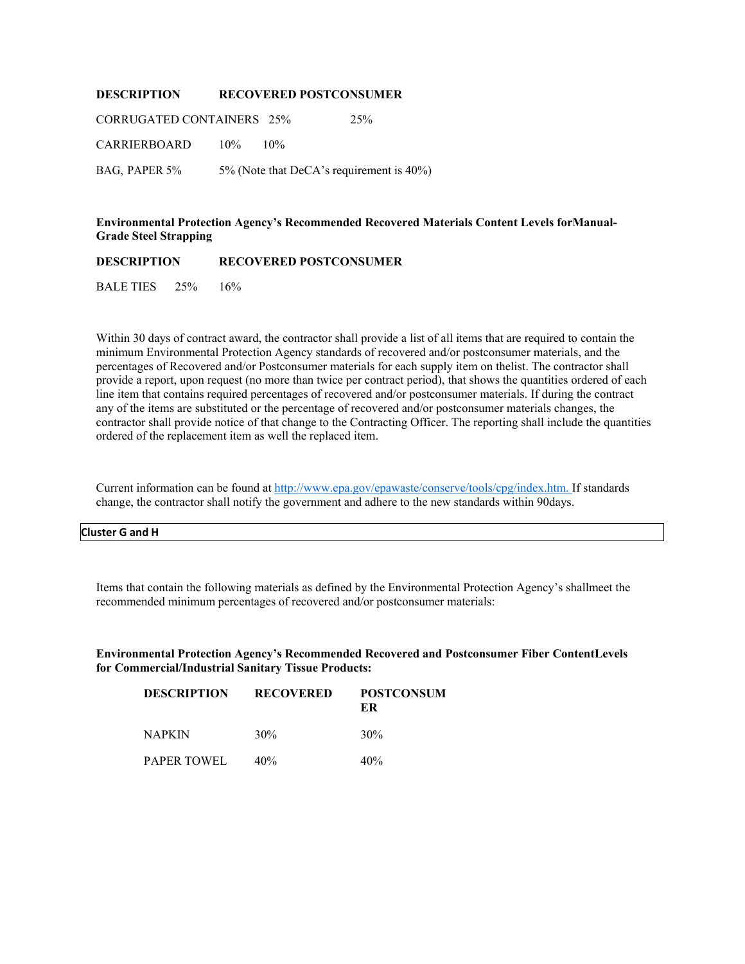### **DESCRIPTION RECOVERED POSTCONSUMER**

CORRUGATED CONTAINERS 25% 25% CARRIERBOARD 10% 10% BAG, PAPER 5% 5% (Note that DeCA's requirement is 40%)

**Environmental Protection Agency's Recommended Recovered Materials Content Levels for Manual-Grade Steel Strapping**

# **DESCRIPTION RECOVERED POSTCONSUMER**

BALE TIES 25% 16%

Within 30 days of contract award, the contractor shall provide a list of all items that are required to contain the minimum Environmental Protection Agency standards of recovered and/or postconsumer materials, and the percentages of Recovered and/or Postconsumer materials for each supply item on the list. The contractor shall provide a report, upon request (no more than twice per contract period), that shows the quantities ordered of each line item that contains required percentages of recovered and/or postconsumer materials. If during the contract any of the items are substituted or the percentage of recovered and/or postconsumer materials changes, the contractor shall provide notice of that change to the Contracting Officer. The reporting shall include the quantities ordered of the replacement item as well the replaced item.

Current information can be found at http://www.epa.gov/epawaste/conserve/tools/cpg/index.htm. If standards change, the contractor shall notify the government and adhere to the new standards within 90 days.

#### **Cluster G and H**

Items that contain the following materials as defined by the Environmental Protection Agency's shall meet the recommended minimum percentages of recovered and/or postconsumer materials:

**Environmental Protection Agency's Recommended Recovered and Postconsumer Fiber Content Levels for Commercial/Industrial Sanitary Tissue Products:**

| <b>DESCRIPTION</b> | <b>RECOVERED</b> | <b>POSTCONSUM</b><br>ER |
|--------------------|------------------|-------------------------|
| NAPKIN             | 30%              | 30%                     |
| PAPER TOWEL        | 40%              | 40%                     |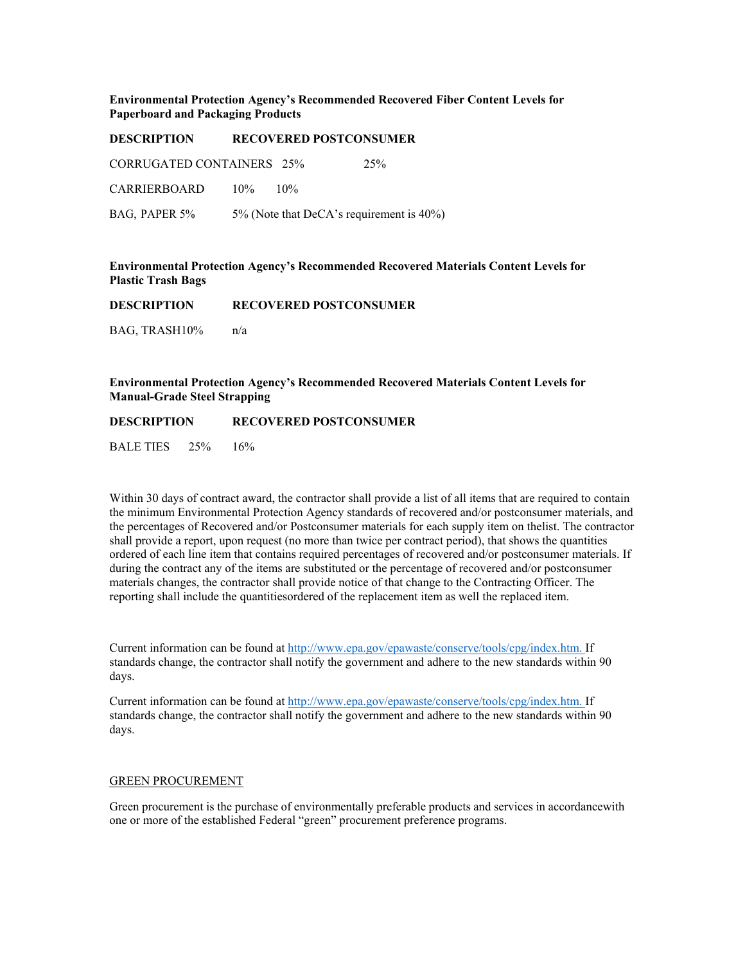**Environmental Protection Agency's Recommended Recovered Fiber Content Levels for Paperboard and Packaging Products**

| <b>DESCRIPTION</b>               |        | <b>RECOVERED POSTCONSUMER</b> |                                          |
|----------------------------------|--------|-------------------------------|------------------------------------------|
| <b>CORRUGATED CONTAINERS 25%</b> |        |                               | 2.5%                                     |
| CARRIERBOARD                     | $10\%$ | $10\%$                        |                                          |
| BAG, PAPER 5%                    |        |                               | 5% (Note that DeCA's requirement is 40%) |

**Environmental Protection Agency's Recommended Recovered Materials Content Levels for Plastic Trash Bags**

**DESCRIPTION RECOVERED POSTCONSUMER** 

BAG, TRASH10% n/a

**Environmental Protection Agency's Recommended Recovered Materials Content Levels for Manual-Grade Steel Strapping**

### **DESCRIPTION RECOVERED POSTCONSUMER**

BALE TIES 25% 16%

Within 30 days of contract award, the contractor shall provide a list of all items that are required to contain the minimum Environmental Protection Agency standards of recovered and/or postconsumer materials, and the percentages of Recovered and/or Postconsumer materials for each supply item on the list. The contractor shall provide a report, upon request (no more than twice per contract period), that shows the quantities ordered of each line item that contains required percentages of recovered and/or postconsumer materials. If during the contract any of the items are substituted or the percentage of recovered and/or postconsumer materials changes, the contractor shall provide notice of that change to the Contracting Officer. The reporting shall include the quantities ordered of the replacement item as well the replaced item.

Current information can be found at http://www.epa.gov/epawaste/conserve/tools/cpg/index.htm. If standards change, the contractor shall notify the government and adhere to the new standards within 90 days.

Current information can be found at http://www.epa.gov/epawaste/conserve/tools/cpg/index.htm. If standards change, the contractor shall notify the government and adhere to the new standards within 90 days.

#### GREEN PROCUREMENT

Green procurement is the purchase of environmentally preferable products and services in accordance with one or more of the established Federal "green" procurement preference programs.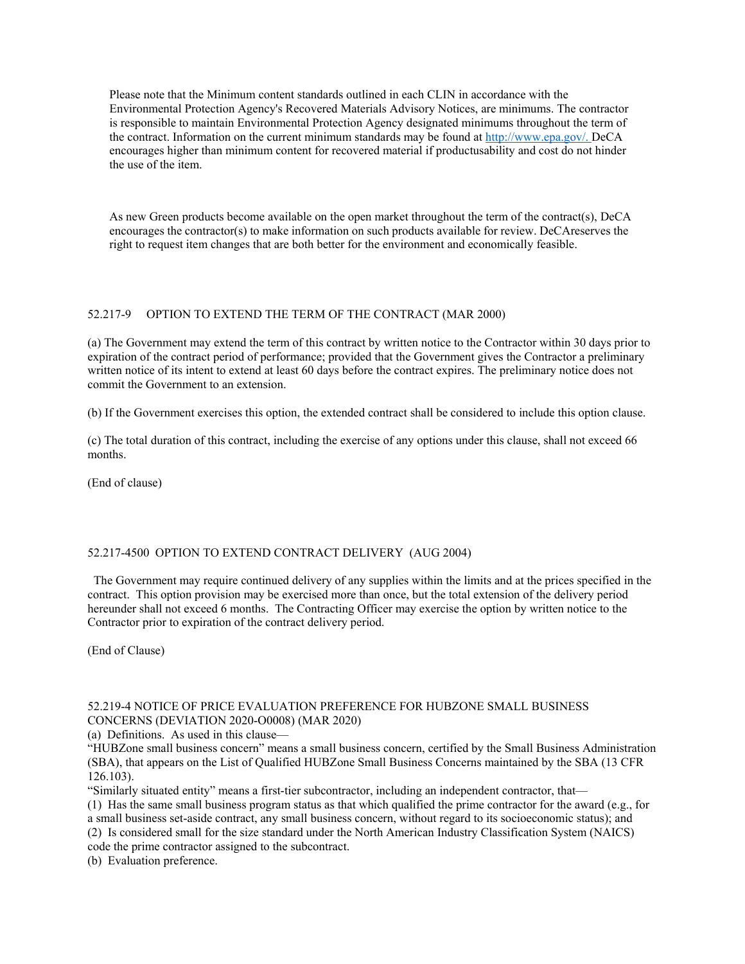Please note that the Minimum content standards outlined in each CLIN in accordance with the Environmental Protection Agency's Recovered Materials Advisory Notices, are minimums. The contractor is responsible to maintain Environmental Protection Agency designated minimums throughout the term of the contract. Information on the current minimum standards may be found at http://www.epa.gov/. DeCA encourages higher than minimum content for recovered material if productusability and cost do not hinder the use of the item.

As new Green products become available on the open market throughout the term of the contract(s), DeCA encourages the contractor(s) to make information on such products available for review. DeCA reserves the right to request item changes that are both better for the environment and economically feasible.

### 52.217-9 OPTION TO EXTEND THE TERM OF THE CONTRACT (MAR 2000)

(a) The Government may extend the term of this contract by written notice to the Contractor within 30 days prior to expiration of the contract period of performance; provided that the Government gives the Contractor a preliminary written notice of its intent to extend at least 60 days before the contract expires. The preliminary notice does not commit the Government to an extension.

(b) If the Government exercises this option, the extended contract shall be considered to include this option clause.

(c) The total duration of this contract, including the exercise of any options under this clause, shall not exceed 66 months.

(End of clause)

### 52.217-4500 OPTION TO EXTEND CONTRACT DELIVERY (AUG 2004)

 The Government may require continued delivery of any supplies within the limits and at the prices specified in the contract. This option provision may be exercised more than once, but the total extension of the delivery period hereunder shall not exceed 6 months. The Contracting Officer may exercise the option by written notice to the Contractor prior to expiration of the contract delivery period.

(End of Clause)

#### 52.219-4 NOTICE OF PRICE EVALUATION PREFERENCE FOR HUBZONE SMALL BUSINESS CONCERNS (DEVIATION 2020-O0008) (MAR 2020)

(a) Definitions. As used in this clause—

"HUBZone small business concern" means a small business concern, certified by the Small Business Administration (SBA), that appears on the List of Qualified HUBZone Small Business Concerns maintained by the SBA (13 CFR 126.103).

"Similarly situated entity" means a first-tier subcontractor, including an independent contractor, that—

(1) Has the same small business program status as that which qualified the prime contractor for the award (e.g., for a small business set-aside contract, any small business concern, without regard to its socioeconomic status); and

(2) Is considered small for the size standard under the North American Industry Classification System (NAICS)

code the prime contractor assigned to the subcontract.

(b) Evaluation preference.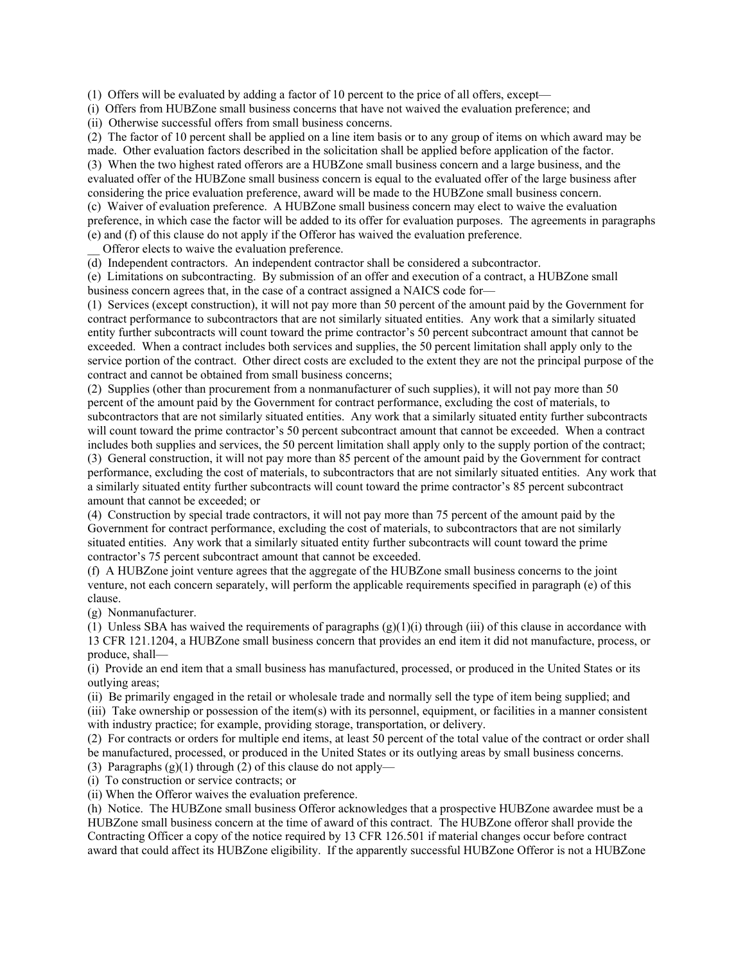(1) Offers will be evaluated by adding a factor of 10 percent to the price of all offers, except—

(i) Offers from HUBZone small business concerns that have not waived the evaluation preference; and

(ii) Otherwise successful offers from small business concerns.

(2) The factor of 10 percent shall be applied on a line item basis or to any group of items on which award may be made. Other evaluation factors described in the solicitation shall be applied before application of the factor. (3) When the two highest rated offerors are a HUBZone small business concern and a large business, and the evaluated offer of the HUBZone small business concern is equal to the evaluated offer of the large business after considering the price evaluation preference, award will be made to the HUBZone small business concern. (c) Waiver of evaluation preference. A HUBZone small business concern may elect to waive the evaluation preference, in which case the factor will be added to its offer for evaluation purposes. The agreements in paragraphs (e) and (f) of this clause do not apply if the Offeror has waived the evaluation preference.

Offeror elects to waive the evaluation preference.

(d) Independent contractors. An independent contractor shall be considered a subcontractor.

(e) Limitations on subcontracting. By submission of an offer and execution of a contract, a HUBZone small business concern agrees that, in the case of a contract assigned a NAICS code for—

(1) Services (except construction), it will not pay more than 50 percent of the amount paid by the Government for contract performance to subcontractors that are not similarly situated entities. Any work that a similarly situated entity further subcontracts will count toward the prime contractor's 50 percent subcontract amount that cannot be exceeded. When a contract includes both services and supplies, the 50 percent limitation shall apply only to the service portion of the contract. Other direct costs are excluded to the extent they are not the principal purpose of the contract and cannot be obtained from small business concerns;

(2) Supplies (other than procurement from a nonmanufacturer of such supplies), it will not pay more than 50 percent of the amount paid by the Government for contract performance, excluding the cost of materials, to subcontractors that are not similarly situated entities. Any work that a similarly situated entity further subcontracts will count toward the prime contractor's 50 percent subcontract amount that cannot be exceeded. When a contract includes both supplies and services, the 50 percent limitation shall apply only to the supply portion of the contract; (3) General construction, it will not pay more than 85 percent of the amount paid by the Government for contract performance, excluding the cost of materials, to subcontractors that are not similarly situated entities. Any work that a similarly situated entity further subcontracts will count toward the prime contractor's 85 percent subcontract amount that cannot be exceeded; or

(4) Construction by special trade contractors, it will not pay more than 75 percent of the amount paid by the Government for contract performance, excluding the cost of materials, to subcontractors that are not similarly situated entities. Any work that a similarly situated entity further subcontracts will count toward the prime contractor's 75 percent subcontract amount that cannot be exceeded.

(f) A HUBZone joint venture agrees that the aggregate of the HUBZone small business concerns to the joint venture, not each concern separately, will perform the applicable requirements specified in paragraph (e) of this clause.

(g) Nonmanufacturer.

(1) Unless SBA has waived the requirements of paragraphs  $(g)(1)(i)$  through (iii) of this clause in accordance with 13 CFR 121.1204, a HUBZone small business concern that provides an end item it did not manufacture, process, or produce, shall—

(i) Provide an end item that a small business has manufactured, processed, or produced in the United States or its outlying areas;

(ii) Be primarily engaged in the retail or wholesale trade and normally sell the type of item being supplied; and

(iii) Take ownership or possession of the item(s) with its personnel, equipment, or facilities in a manner consistent with industry practice; for example, providing storage, transportation, or delivery.

(2) For contracts or orders for multiple end items, at least 50 percent of the total value of the contract or order shall be manufactured, processed, or produced in the United States or its outlying areas by small business concerns.

(3) Paragraphs  $(g)(1)$  through (2) of this clause do not apply—

(i) To construction or service contracts; or

(ii) When the Offeror waives the evaluation preference.

(h) Notice. The HUBZone small business Offeror acknowledges that a prospective HUBZone awardee must be a HUBZone small business concern at the time of award of this contract. The HUBZone offeror shall provide the Contracting Officer a copy of the notice required by 13 CFR 126.501 if material changes occur before contract award that could affect its HUBZone eligibility. If the apparently successful HUBZone Offeror is not a HUBZone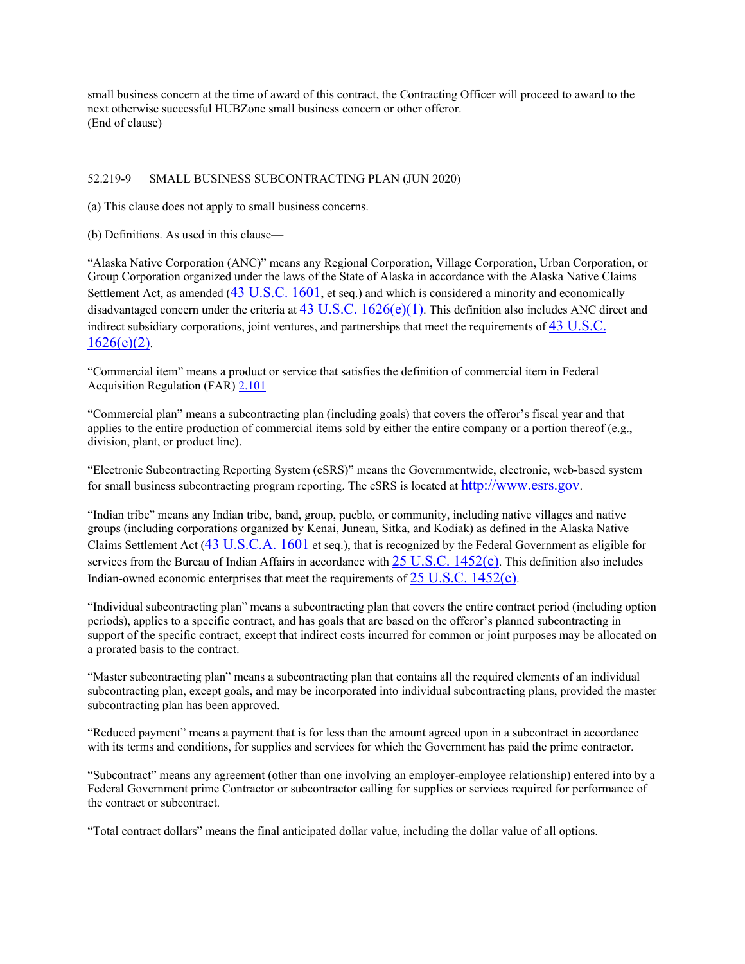small business concern at the time of award of this contract, the Contracting Officer will proceed to award to the next otherwise successful HUBZone small business concern or other offeror. (End of clause)

## 52.219-9 SMALL BUSINESS SUBCONTRACTING PLAN (JUN 2020)

(a) This clause does not apply to small business concerns.

(b) Definitions. As used in this clause—

"Alaska Native Corporation (ANC)" means any Regional Corporation, Village Corporation, Urban Corporation, or Group Corporation organized under the laws of the State of Alaska in accordance with the Alaska Native Claims Settlement Act, as amended (43 U.S.C. 1601, et seq.) and which is considered a minority and economically disadvantaged concern under the criteria at  $43 \text{ U.S.C. } 1626(e)(1)$ . This definition also includes ANC direct and indirect subsidiary corporations, joint ventures, and partnerships that meet the requirements of 43 U.S.C.  $1626(e)(2)$ .

"Commercial item" means a product or service that satisfies the definition of commercial item in Federal Acquisition Regulation (FAR) 2.101

"Commercial plan" means a subcontracting plan (including goals) that covers the offeror's fiscal year and that applies to the entire production of commercial items sold by either the entire company or a portion thereof (e.g., division, plant, or product line).

"Electronic Subcontracting Reporting System (eSRS)" means the Governmentwide, electronic, web-based system for small business subcontracting program reporting. The eSRS is located at http://www.esrs.gov.

"Indian tribe" means any Indian tribe, band, group, pueblo, or community, including native villages and native groups (including corporations organized by Kenai, Juneau, Sitka, and Kodiak) as defined in the Alaska Native Claims Settlement Act (43 U.S.C.A. 1601 et seq.), that is recognized by the Federal Government as eligible for services from the Bureau of Indian Affairs in accordance with 25 U.S.C. 1452(c). This definition also includes Indian-owned economic enterprises that meet the requirements of  $25$  U.S.C. 1452(e).

"Individual subcontracting plan" means a subcontracting plan that covers the entire contract period (including option periods), applies to a specific contract, and has goals that are based on the offeror's planned subcontracting in support of the specific contract, except that indirect costs incurred for common or joint purposes may be allocated on a prorated basis to the contract.

"Master subcontracting plan" means a subcontracting plan that contains all the required elements of an individual subcontracting plan, except goals, and may be incorporated into individual subcontracting plans, provided the master subcontracting plan has been approved.

"Reduced payment" means a payment that is for less than the amount agreed upon in a subcontract in accordance with its terms and conditions, for supplies and services for which the Government has paid the prime contractor.

"Subcontract" means any agreement (other than one involving an employer-employee relationship) entered into by a Federal Government prime Contractor or subcontractor calling for supplies or services required for performance of the contract or subcontract.

"Total contract dollars" means the final anticipated dollar value, including the dollar value of all options.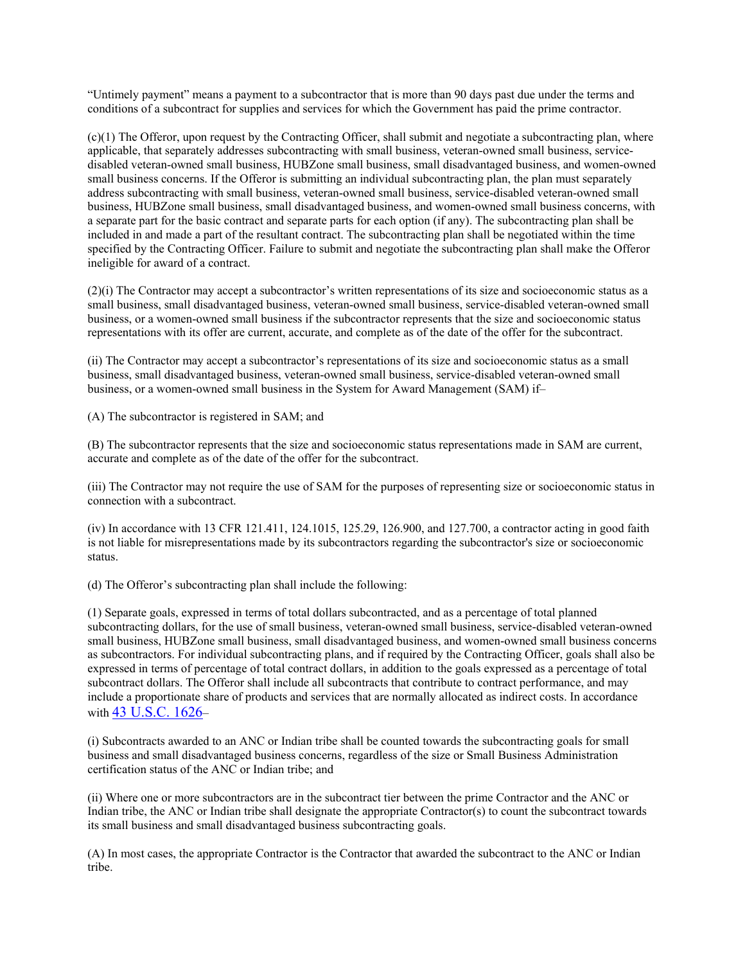"Untimely payment" means a payment to a subcontractor that is more than 90 days past due under the terms and conditions of a subcontract for supplies and services for which the Government has paid the prime contractor.

(c)(1) The Offeror, upon request by the Contracting Officer, shall submit and negotiate a subcontracting plan, where applicable, that separately addresses subcontracting with small business, veteran-owned small business, servicedisabled veteran-owned small business, HUBZone small business, small disadvantaged business, and women-owned small business concerns. If the Offeror is submitting an individual subcontracting plan, the plan must separately address subcontracting with small business, veteran-owned small business, service-disabled veteran-owned small business, HUBZone small business, small disadvantaged business, and women-owned small business concerns, with a separate part for the basic contract and separate parts for each option (if any). The subcontracting plan shall be included in and made a part of the resultant contract. The subcontracting plan shall be negotiated within the time specified by the Contracting Officer. Failure to submit and negotiate the subcontracting plan shall make the Offeror ineligible for award of a contract.

 $(2)(i)$  The Contractor may accept a subcontractor's written representations of its size and socioeconomic status as a small business, small disadvantaged business, veteran-owned small business, service-disabled veteran-owned small business, or a women-owned small business if the subcontractor represents that the size and socioeconomic status representations with its offer are current, accurate, and complete as of the date of the offer for the subcontract.

(ii) The Contractor may accept a subcontractor's representations of its size and socioeconomic status as a small business, small disadvantaged business, veteran-owned small business, service-disabled veteran-owned small business, or a women-owned small business in the System for Award Management (SAM) if–

(A) The subcontractor is registered in SAM; and

(B) The subcontractor represents that the size and socioeconomic status representations made in SAM are current, accurate and complete as of the date of the offer for the subcontract.

(iii) The Contractor may not require the use of SAM for the purposes of representing size or socioeconomic status in connection with a subcontract.

(iv) In accordance with 13 CFR 121.411, 124.1015, 125.29, 126.900, and 127.700, a contractor acting in good faith is not liable for misrepresentations made by its subcontractors regarding the subcontractor's size or socioeconomic status.

(d) The Offeror's subcontracting plan shall include the following:

(1) Separate goals, expressed in terms of total dollars subcontracted, and as a percentage of total planned subcontracting dollars, for the use of small business, veteran-owned small business, service-disabled veteran-owned small business, HUBZone small business, small disadvantaged business, and women-owned small business concerns as subcontractors. For individual subcontracting plans, and if required by the Contracting Officer, goals shall also be expressed in terms of percentage of total contract dollars, in addition to the goals expressed as a percentage of total subcontract dollars. The Offeror shall include all subcontracts that contribute to contract performance, and may include a proportionate share of products and services that are normally allocated as indirect costs. In accordance with 43 U.S.C. 1626–

(i) Subcontracts awarded to an ANC or Indian tribe shall be counted towards the subcontracting goals for small business and small disadvantaged business concerns, regardless of the size or Small Business Administration certification status of the ANC or Indian tribe; and

(ii) Where one or more subcontractors are in the subcontract tier between the prime Contractor and the ANC or Indian tribe, the ANC or Indian tribe shall designate the appropriate Contractor(s) to count the subcontract towards its small business and small disadvantaged business subcontracting goals.

(A) In most cases, the appropriate Contractor is the Contractor that awarded the subcontract to the ANC or Indian tribe.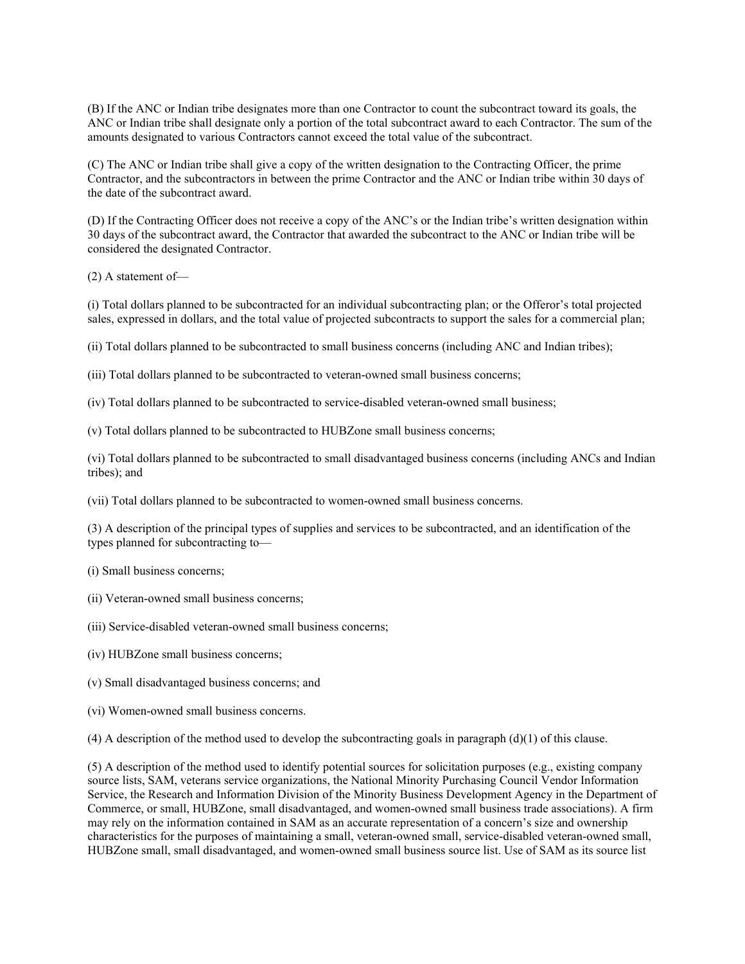(B) If the ANC or Indian tribe designates more than one Contractor to count the subcontract toward its goals, the ANC or Indian tribe shall designate only a portion of the total subcontract award to each Contractor. The sum of the amounts designated to various Contractors cannot exceed the total value of the subcontract.

(C) The ANC or Indian tribe shall give a copy of the written designation to the Contracting Officer, the prime Contractor, and the subcontractors in between the prime Contractor and the ANC or Indian tribe within 30 days of the date of the subcontract award.

(D) If the Contracting Officer does not receive a copy of the ANC's or the Indian tribe's written designation within 30 days of the subcontract award, the Contractor that awarded the subcontract to the ANC or Indian tribe will be considered the designated Contractor.

(2) A statement of—

(i) Total dollars planned to be subcontracted for an individual subcontracting plan; or the Offeror's total projected sales, expressed in dollars, and the total value of projected subcontracts to support the sales for a commercial plan;

(ii) Total dollars planned to be subcontracted to small business concerns (including ANC and Indian tribes);

(iii) Total dollars planned to be subcontracted to veteran-owned small business concerns;

(iv) Total dollars planned to be subcontracted to service-disabled veteran-owned small business;

(v) Total dollars planned to be subcontracted to HUBZone small business concerns;

(vi) Total dollars planned to be subcontracted to small disadvantaged business concerns (including ANCs and Indian tribes); and

(vii) Total dollars planned to be subcontracted to women-owned small business concerns.

(3) A description of the principal types of supplies and services to be subcontracted, and an identification of the types planned for subcontracting to—

(i) Small business concerns;

(ii) Veteran-owned small business concerns;

(iii) Service-disabled veteran-owned small business concerns;

- (iv) HUBZone small business concerns;
- (v) Small disadvantaged business concerns; and
- (vi) Women-owned small business concerns.

(4) A description of the method used to develop the subcontracting goals in paragraph (d)(1) of this clause.

(5) A description of the method used to identify potential sources for solicitation purposes (e.g., existing company source lists, SAM, veterans service organizations, the National Minority Purchasing Council Vendor Information Service, the Research and Information Division of the Minority Business Development Agency in the Department of Commerce, or small, HUBZone, small disadvantaged, and women-owned small business trade associations). A firm may rely on the information contained in SAM as an accurate representation of a concern's size and ownership characteristics for the purposes of maintaining a small, veteran-owned small, service-disabled veteran-owned small, HUBZone small, small disadvantaged, and women-owned small business source list. Use of SAM as its source list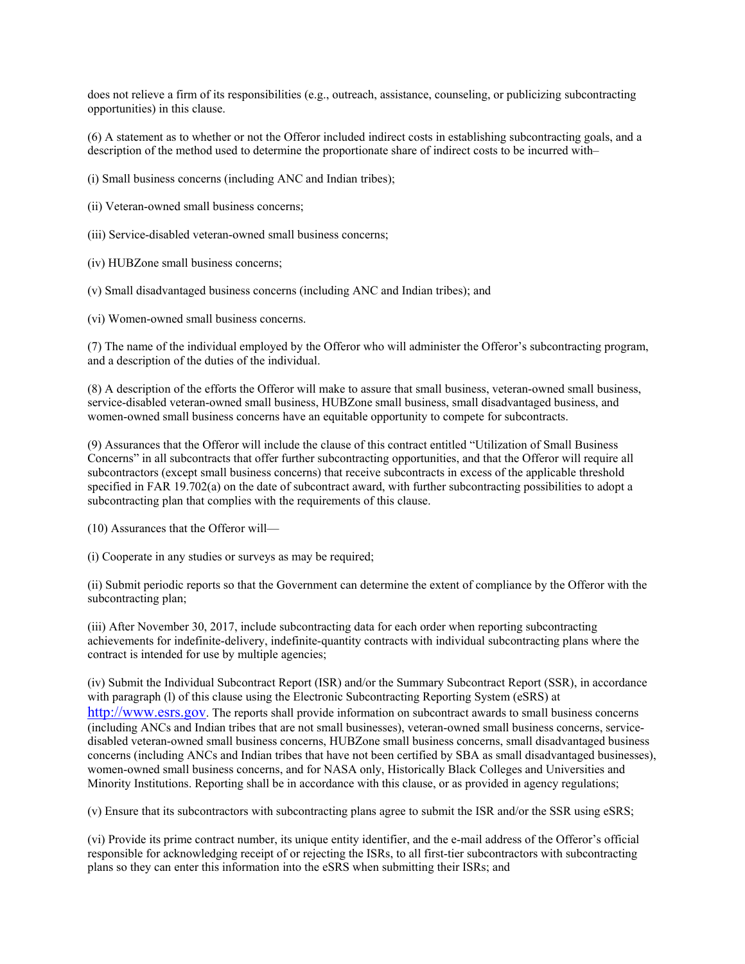does not relieve a firm of its responsibilities (e.g., outreach, assistance, counseling, or publicizing subcontracting opportunities) in this clause.

(6) A statement as to whether or not the Offeror included indirect costs in establishing subcontracting goals, and a description of the method used to determine the proportionate share of indirect costs to be incurred with–

(i) Small business concerns (including ANC and Indian tribes);

(ii) Veteran-owned small business concerns;

(iii) Service-disabled veteran-owned small business concerns;

(iv) HUBZone small business concerns;

(v) Small disadvantaged business concerns (including ANC and Indian tribes); and

(vi) Women-owned small business concerns.

(7) The name of the individual employed by the Offeror who will administer the Offeror's subcontracting program, and a description of the duties of the individual.

(8) A description of the efforts the Offeror will make to assure that small business, veteran-owned small business, service-disabled veteran-owned small business, HUBZone small business, small disadvantaged business, and women-owned small business concerns have an equitable opportunity to compete for subcontracts.

(9) Assurances that the Offeror will include the clause of this contract entitled "Utilization of Small Business Concerns" in all subcontracts that offer further subcontracting opportunities, and that the Offeror will require all subcontractors (except small business concerns) that receive subcontracts in excess of the applicable threshold specified in FAR 19.702(a) on the date of subcontract award, with further subcontracting possibilities to adopt a subcontracting plan that complies with the requirements of this clause.

(10) Assurances that the Offeror will—

(i) Cooperate in any studies or surveys as may be required;

(ii) Submit periodic reports so that the Government can determine the extent of compliance by the Offeror with the subcontracting plan;

(iii) After November 30, 2017, include subcontracting data for each order when reporting subcontracting achievements for indefinite-delivery, indefinite-quantity contracts with individual subcontracting plans where the contract is intended for use by multiple agencies;

(iv) Submit the Individual Subcontract Report (ISR) and/or the Summary Subcontract Report (SSR), in accordance with paragraph (l) of this clause using the Electronic Subcontracting Reporting System (eSRS) at http://www.esrs.gov. The reports shall provide information on subcontract awards to small business concerns (including ANCs and Indian tribes that are not small businesses), veteran-owned small business concerns, servicedisabled veteran-owned small business concerns, HUBZone small business concerns, small disadvantaged business concerns (including ANCs and Indian tribes that have not been certified by SBA as small disadvantaged businesses), women-owned small business concerns, and for NASA only, Historically Black Colleges and Universities and Minority Institutions. Reporting shall be in accordance with this clause, or as provided in agency regulations;

(v) Ensure that its subcontractors with subcontracting plans agree to submit the ISR and/or the SSR using eSRS;

(vi) Provide its prime contract number, its unique entity identifier, and the e-mail address of the Offeror's official responsible for acknowledging receipt of or rejecting the ISRs, to all first-tier subcontractors with subcontracting plans so they can enter this information into the eSRS when submitting their ISRs; and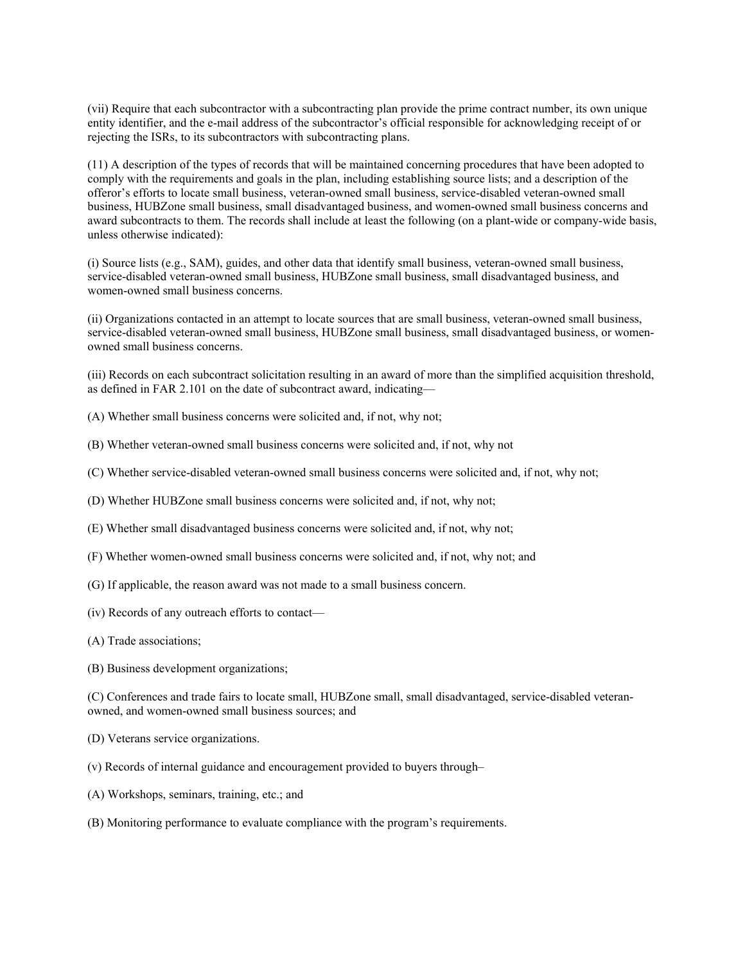(vii) Require that each subcontractor with a subcontracting plan provide the prime contract number, its own unique entity identifier, and the e-mail address of the subcontractor's official responsible for acknowledging receipt of or rejecting the ISRs, to its subcontractors with subcontracting plans.

(11) A description of the types of records that will be maintained concerning procedures that have been adopted to comply with the requirements and goals in the plan, including establishing source lists; and a description of the offeror's efforts to locate small business, veteran-owned small business, service-disabled veteran-owned small business, HUBZone small business, small disadvantaged business, and women-owned small business concerns and award subcontracts to them. The records shall include at least the following (on a plant-wide or company-wide basis, unless otherwise indicated):

(i) Source lists (e.g., SAM), guides, and other data that identify small business, veteran-owned small business, service-disabled veteran-owned small business, HUBZone small business, small disadvantaged business, and women-owned small business concerns.

(ii) Organizations contacted in an attempt to locate sources that are small business, veteran-owned small business, service-disabled veteran-owned small business, HUBZone small business, small disadvantaged business, or womenowned small business concerns.

(iii) Records on each subcontract solicitation resulting in an award of more than the simplified acquisition threshold, as defined in FAR 2.101 on the date of subcontract award, indicating—

- (A) Whether small business concerns were solicited and, if not, why not;
- (B) Whether veteran-owned small business concerns were solicited and, if not, why not
- (C) Whether service-disabled veteran-owned small business concerns were solicited and, if not, why not;
- (D) Whether HUBZone small business concerns were solicited and, if not, why not;
- (E) Whether small disadvantaged business concerns were solicited and, if not, why not;
- (F) Whether women-owned small business concerns were solicited and, if not, why not; and
- (G) If applicable, the reason award was not made to a small business concern.
- (iv) Records of any outreach efforts to contact—
- (A) Trade associations;
- (B) Business development organizations;

(C) Conferences and trade fairs to locate small, HUBZone small, small disadvantaged, service-disabled veteranowned, and women-owned small business sources; and

- (D) Veterans service organizations.
- (v) Records of internal guidance and encouragement provided to buyers through–
- (A) Workshops, seminars, training, etc.; and
- (B) Monitoring performance to evaluate compliance with the program's requirements.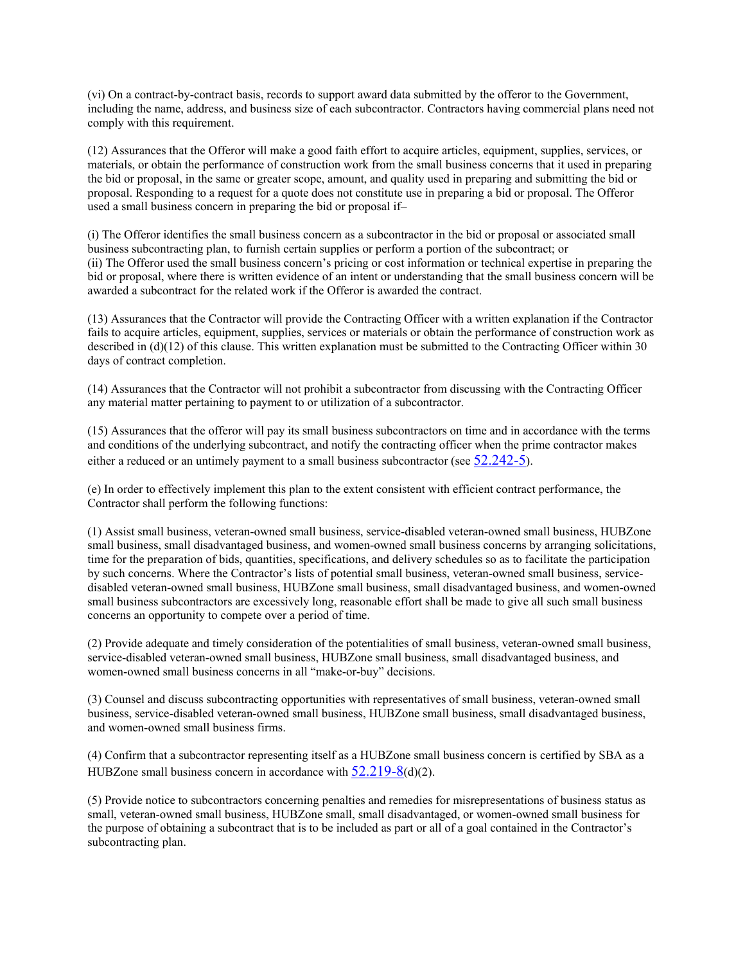(vi) On a contract-by-contract basis, records to support award data submitted by the offeror to the Government, including the name, address, and business size of each subcontractor. Contractors having commercial plans need not comply with this requirement.

(12) Assurances that the Offeror will make a good faith effort to acquire articles, equipment, supplies, services, or materials, or obtain the performance of construction work from the small business concerns that it used in preparing the bid or proposal, in the same or greater scope, amount, and quality used in preparing and submitting the bid or proposal. Responding to a request for a quote does not constitute use in preparing a bid or proposal. The Offeror used a small business concern in preparing the bid or proposal if–

(i) The Offeror identifies the small business concern as a subcontractor in the bid or proposal or associated small business subcontracting plan, to furnish certain supplies or perform a portion of the subcontract; or (ii) The Offeror used the small business concern's pricing or cost information or technical expertise in preparing the bid or proposal, where there is written evidence of an intent or understanding that the small business concern will be awarded a subcontract for the related work if the Offeror is awarded the contract.

(13) Assurances that the Contractor will provide the Contracting Officer with a written explanation if the Contractor fails to acquire articles, equipment, supplies, services or materials or obtain the performance of construction work as described in (d)(12) of this clause. This written explanation must be submitted to the Contracting Officer within 30 days of contract completion.

(14) Assurances that the Contractor will not prohibit a subcontractor from discussing with the Contracting Officer any material matter pertaining to payment to or utilization of a subcontractor.

(15) Assurances that the offeror will pay its small business subcontractors on time and in accordance with the terms and conditions of the underlying subcontract, and notify the contracting officer when the prime contractor makes either a reduced or an untimely payment to a small business subcontractor (see  $\overline{52.242}$ -5).

(e) In order to effectively implement this plan to the extent consistent with efficient contract performance, the Contractor shall perform the following functions:

(1) Assist small business, veteran-owned small business, service-disabled veteran-owned small business, HUBZone small business, small disadvantaged business, and women-owned small business concerns by arranging solicitations, time for the preparation of bids, quantities, specifications, and delivery schedules so as to facilitate the participation by such concerns. Where the Contractor's lists of potential small business, veteran-owned small business, servicedisabled veteran-owned small business, HUBZone small business, small disadvantaged business, and women-owned small business subcontractors are excessively long, reasonable effort shall be made to give all such small business concerns an opportunity to compete over a period of time.

(2) Provide adequate and timely consideration of the potentialities of small business, veteran-owned small business, service-disabled veteran-owned small business, HUBZone small business, small disadvantaged business, and women-owned small business concerns in all "make-or-buy" decisions.

(3) Counsel and discuss subcontracting opportunities with representatives of small business, veteran-owned small business, service-disabled veteran-owned small business, HUBZone small business, small disadvantaged business, and women-owned small business firms.

(4) Confirm that a subcontractor representing itself as a HUBZone small business concern is certified by SBA as a HUBZone small business concern in accordance with  $52.219 - 8$ (d)(2).

(5) Provide notice to subcontractors concerning penalties and remedies for misrepresentations of business status as small, veteran-owned small business, HUBZone small, small disadvantaged, or women-owned small business for the purpose of obtaining a subcontract that is to be included as part or all of a goal contained in the Contractor's subcontracting plan.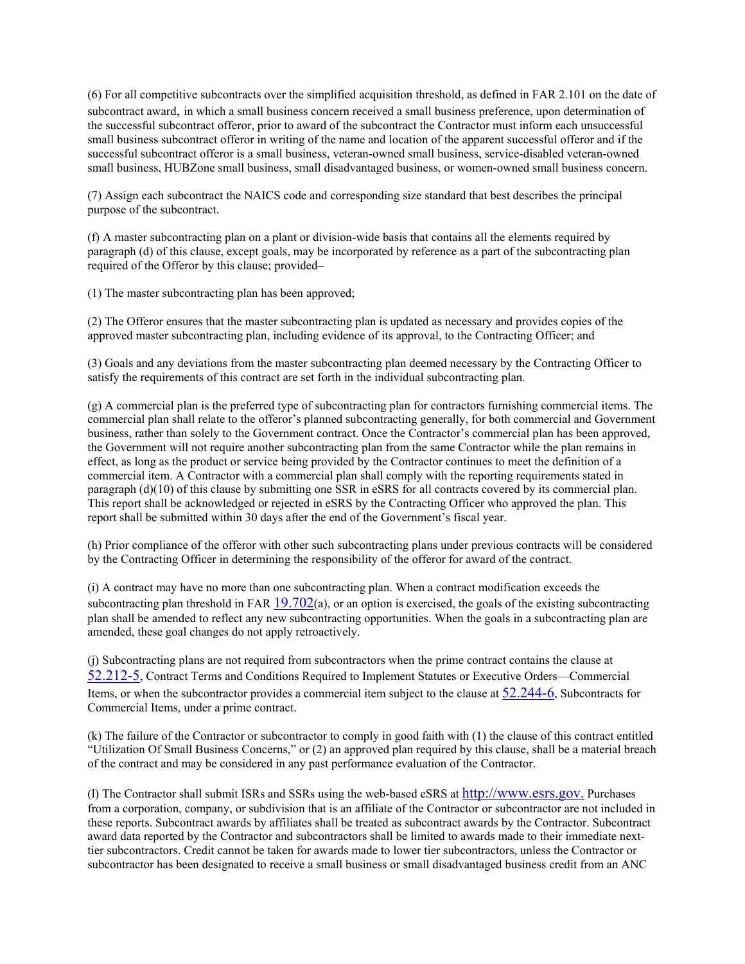(6) For all competitive subcontracts over the simplified acquisition threshold, as defined in FAR 2.101 on the date of subcontract award, in which a small business concern received a small business preference, upon determination of the successful subcontract offeror, prior to award of the subcontract the Contractor must inform each unsuccessful small business subcontract offeror in writing of the name and location of the apparent successful offeror and if the successful subcontract offeror is a small business, veteran-owned small business, service-disabled veteran-owned small business, HUBZone small business, small disadvantaged business, or women-owned small business concern.

(7) Assign each subcontract the NAICS code and corresponding size standard that best describes the principal purpose of the subcontract.

(f) A master subcontracting plan on a plant or division-wide basis that contains all the elements required by paragraph (d) of this clause, except goals, may be incorporated by reference as a part of the subcontracting plan required of the Offeror by this clause; provided–

(1) The master subcontracting plan has been approved;

(2) The Offeror ensures that the master subcontracting plan is updated as necessary and provides copies of the approved master subcontracting plan, including evidence of its approval, to the Contracting Officer; and

(3) Goals and any deviations from the master subcontracting plan deemed necessary by the Contracting Officer to satisfy the requirements of this contract are set forth in the individual subcontracting plan.

(g) A commercial plan is the preferred type of subcontracting plan for contractors furnishing commercial items. The commercial plan shall relate to the offeror's planned subcontracting generally, for both commercial and Government business, rather than solely to the Government contract. Once the Contractor's commercial plan has been approved, the Government will not require another subcontracting plan from the same Contractor while the plan remains in effect, as long as the product or service being provided by the Contractor continues to meet the definition of a commercial item. A Contractor with a commercial plan shall comply with the reporting requirements stated in paragraph (d)(10) of this clause by submitting one SSR in eSRS for all contracts covered by its commercial plan. This report shall be acknowledged or rejected in eSRS by the Contracting Officer who approved the plan. This report shall be submitted within 30 days after the end of the Government's fiscal year.

(h) Prior compliance of the offeror with other such subcontracting plans under previous contracts will be considered by the Contracting Officer in determining the responsibility of the offeror for award of the contract.

(i) A contract may have no more than one subcontracting plan. When a contract modification exceeds the subcontracting plan threshold in FAR  $19.702(a)$ , or an option is exercised, the goals of the existing subcontracting plan shall be amended to reflect any new subcontracting opportunities. When the goals in a subcontracting plan are amended, these goal changes do not apply retroactively.

(j) Subcontracting plans are not required from subcontractors when the prime contract contains the clause at 52.212-5, Contract Terms and Conditions Required to Implement Statutes or Executive Orders—Commercial Items, or when the subcontractor provides a commercial item subject to the clause at 52.244-6, Subcontracts for Commercial Items, under a prime contract.

(k) The failure of the Contractor or subcontractor to comply in good faith with (1) the clause of this contract entitled "Utilization Of Small Business Concerns," or (2) an approved plan required by this clause, shall be a material breach of the contract and may be considered in any past performance evaluation of the Contractor.

(l) The Contractor shall submit ISRs and SSRs using the web-based eSRS at http://www.esrs.gov. Purchases from a corporation, company, or subdivision that is an affiliate of the Contractor or subcontractor are not included in these reports. Subcontract awards by affiliates shall be treated as subcontract awards by the Contractor. Subcontract award data reported by the Contractor and subcontractors shall be limited to awards made to their immediate nexttier subcontractors. Credit cannot be taken for awards made to lower tier subcontractors, unless the Contractor or subcontractor has been designated to receive a small business or small disadvantaged business credit from an ANC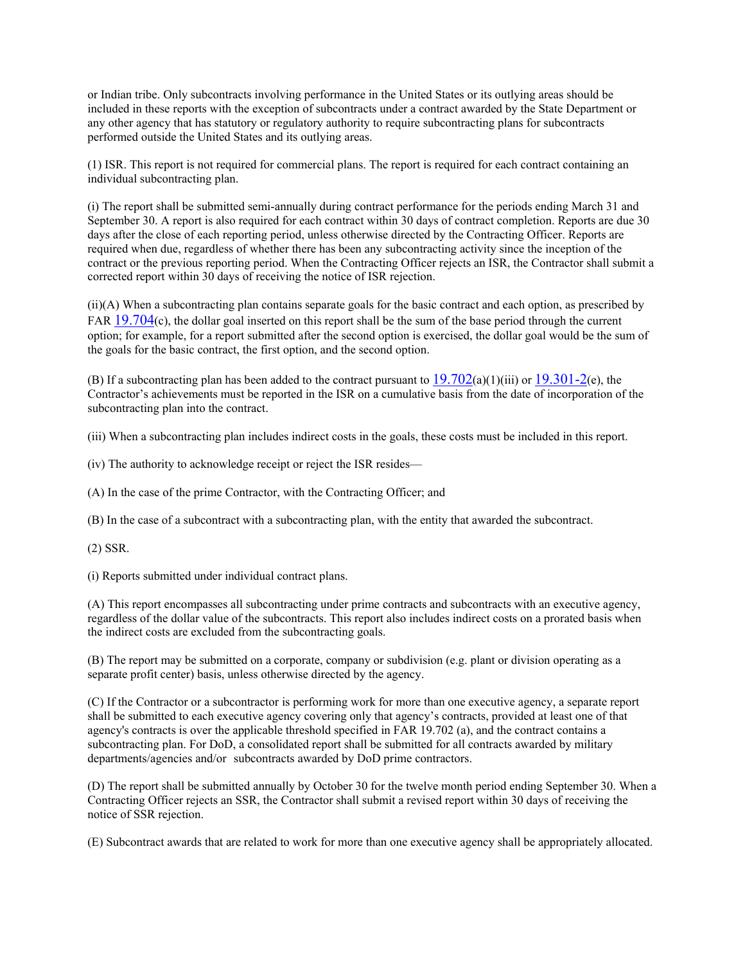or Indian tribe. Only subcontracts involving performance in the United States or its outlying areas should be included in these reports with the exception of subcontracts under a contract awarded by the State Department or any other agency that has statutory or regulatory authority to require subcontracting plans for subcontracts performed outside the United States and its outlying areas.

(1) ISR. This report is not required for commercial plans. The report is required for each contract containing an individual subcontracting plan.

(i) The report shall be submitted semi-annually during contract performance for the periods ending March 31 and September 30. A report is also required for each contract within 30 days of contract completion. Reports are due 30 days after the close of each reporting period, unless otherwise directed by the Contracting Officer. Reports are required when due, regardless of whether there has been any subcontracting activity since the inception of the contract or the previous reporting period. When the Contracting Officer rejects an ISR, the Contractor shall submit a corrected report within 30 days of receiving the notice of ISR rejection.

(ii)(A) When a subcontracting plan contains separate goals for the basic contract and each option, as prescribed by FAR  $19.704(c)$ , the dollar goal inserted on this report shall be the sum of the base period through the current option; for example, for a report submitted after the second option is exercised, the dollar goal would be the sum of the goals for the basic contract, the first option, and the second option.

(B) If a subcontracting plan has been added to the contract pursuant to  $19.702(a)(1)(iii)$  or  $19.301-2(e)$ , the Contractor's achievements must be reported in the ISR on a cumulative basis from the date of incorporation of the subcontracting plan into the contract.

(iii) When a subcontracting plan includes indirect costs in the goals, these costs must be included in this report.

(iv) The authority to acknowledge receipt or reject the ISR resides—

(A) In the case of the prime Contractor, with the Contracting Officer; and

(B) In the case of a subcontract with a subcontracting plan, with the entity that awarded the subcontract.

(2) SSR.

(i) Reports submitted under individual contract plans.

(A) This report encompasses all subcontracting under prime contracts and subcontracts with an executive agency, regardless of the dollar value of the subcontracts. This report also includes indirect costs on a prorated basis when the indirect costs are excluded from the subcontracting goals.

(B) The report may be submitted on a corporate, company or subdivision (e.g. plant or division operating as a separate profit center) basis, unless otherwise directed by the agency.

(C) If the Contractor or a subcontractor is performing work for more than one executive agency, a separate report shall be submitted to each executive agency covering only that agency's contracts, provided at least one of that agency's contracts is over the applicable threshold specified in FAR 19.702 (a), and the contract contains a subcontracting plan. For DoD, a consolidated report shall be submitted for all contracts awarded by military departments/agencies and/or subcontracts awarded by DoD prime contractors.

(D) The report shall be submitted annually by October 30 for the twelve month period ending September 30. When a Contracting Officer rejects an SSR, the Contractor shall submit a revised report within 30 days of receiving the notice of SSR rejection.

(E) Subcontract awards that are related to work for more than one executive agency shall be appropriately allocated.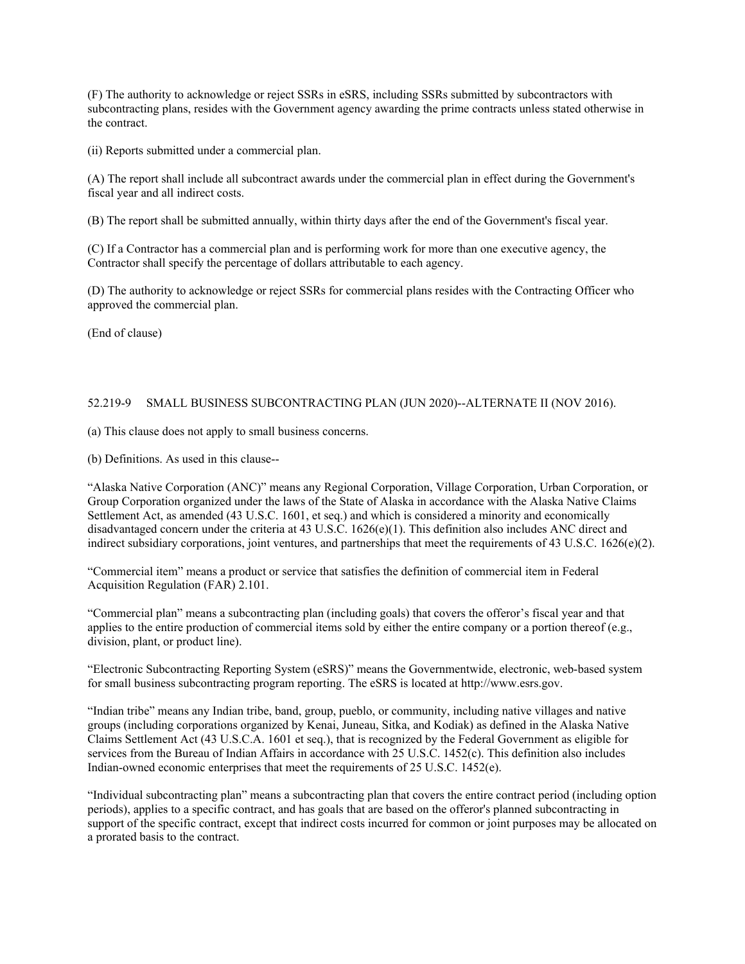(F) The authority to acknowledge or reject SSRs in eSRS, including SSRs submitted by subcontractors with subcontracting plans, resides with the Government agency awarding the prime contracts unless stated otherwise in the contract.

(ii) Reports submitted under a commercial plan.

(A) The report shall include all subcontract awards under the commercial plan in effect during the Government's fiscal year and all indirect costs.

(B) The report shall be submitted annually, within thirty days after the end of the Government's fiscal year.

(C) If a Contractor has a commercial plan and is performing work for more than one executive agency, the Contractor shall specify the percentage of dollars attributable to each agency.

(D) The authority to acknowledge or reject SSRs for commercial plans resides with the Contracting Officer who approved the commercial plan.

(End of clause)

### 52.219-9 SMALL BUSINESS SUBCONTRACTING PLAN (JUN 2020)--ALTERNATE II (NOV 2016).

(a) This clause does not apply to small business concerns.

(b) Definitions. As used in this clause--

"Alaska Native Corporation (ANC)" means any Regional Corporation, Village Corporation, Urban Corporation, or Group Corporation organized under the laws of the State of Alaska in accordance with the Alaska Native Claims Settlement Act, as amended (43 U.S.C. 1601, et seq.) and which is considered a minority and economically disadvantaged concern under the criteria at 43 U.S.C. 1626(e)(1). This definition also includes ANC direct and indirect subsidiary corporations, joint ventures, and partnerships that meet the requirements of 43 U.S.C. 1626(e)(2).

"Commercial item" means a product or service that satisfies the definition of commercial item in Federal Acquisition Regulation (FAR) 2.101.

"Commercial plan" means a subcontracting plan (including goals) that covers the offeror's fiscal year and that applies to the entire production of commercial items sold by either the entire company or a portion thereof (e.g., division, plant, or product line).

"Electronic Subcontracting Reporting System (eSRS)" means the Governmentwide, electronic, web-based system for small business subcontracting program reporting. The eSRS is located at http://www.esrs.gov.

"Indian tribe" means any Indian tribe, band, group, pueblo, or community, including native villages and native groups (including corporations organized by Kenai, Juneau, Sitka, and Kodiak) as defined in the Alaska Native Claims Settlement Act (43 U.S.C.A. 1601 et seq.), that is recognized by the Federal Government as eligible for services from the Bureau of Indian Affairs in accordance with 25 U.S.C. 1452(c). This definition also includes Indian-owned economic enterprises that meet the requirements of 25 U.S.C. 1452(e).

"Individual subcontracting plan" means a subcontracting plan that covers the entire contract period (including option periods), applies to a specific contract, and has goals that are based on the offeror's planned subcontracting in support of the specific contract, except that indirect costs incurred for common or joint purposes may be allocated on a prorated basis to the contract.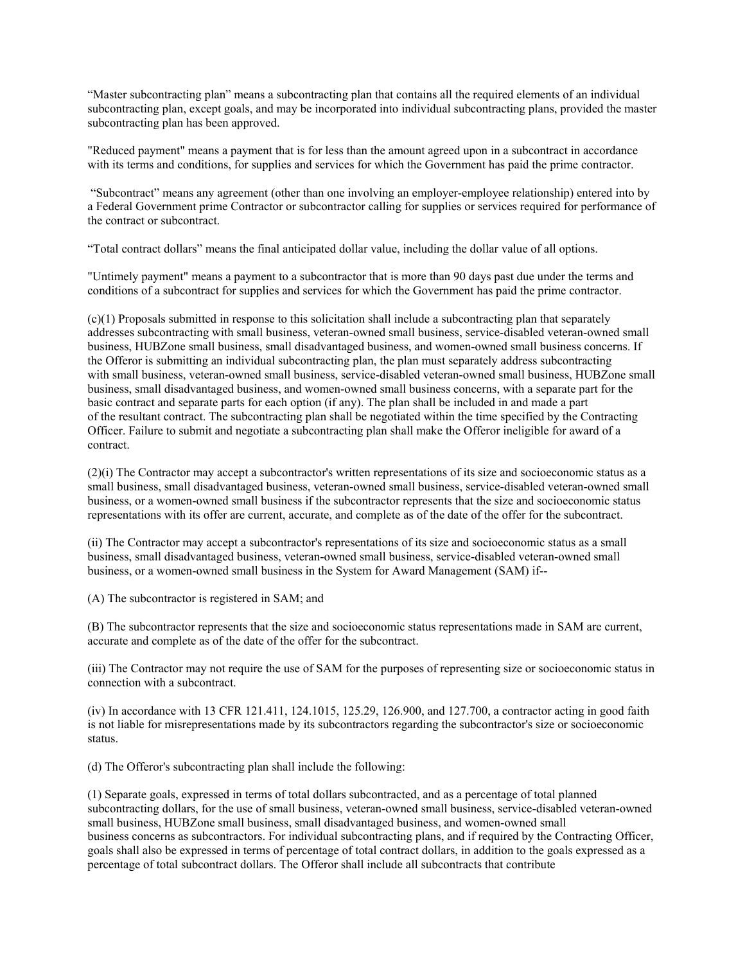"Master subcontracting plan" means a subcontracting plan that contains all the required elements of an individual subcontracting plan, except goals, and may be incorporated into individual subcontracting plans, provided the master subcontracting plan has been approved.

"Reduced payment" means a payment that is for less than the amount agreed upon in a subcontract in accordance with its terms and conditions, for supplies and services for which the Government has paid the prime contractor.

 "Subcontract" means any agreement (other than one involving an employer-employee relationship) entered into by a Federal Government prime Contractor or subcontractor calling for supplies or services required for performance of the contract or subcontract.

"Total contract dollars" means the final anticipated dollar value, including the dollar value of all options.

"Untimely payment" means a payment to a subcontractor that is more than 90 days past due under the terms and conditions of a subcontract for supplies and services for which the Government has paid the prime contractor.

(c)(1) Proposals submitted in response to this solicitation shall include a subcontracting plan that separately addresses subcontracting with small business, veteran-owned small business, service-disabled veteran-owned small business, HUBZone small business, small disadvantaged business, and women-owned small business concerns. If the Offeror is submitting an individual subcontracting plan, the plan must separately address subcontracting with small business, veteran-owned small business, service-disabled veteran-owned small business, HUBZone small business, small disadvantaged business, and women-owned small business concerns, with a separate part for the basic contract and separate parts for each option (if any). The plan shall be included in and made a part of the resultant contract. The subcontracting plan shall be negotiated within the time specified by the Contracting Officer. Failure to submit and negotiate a subcontracting plan shall make the Offeror ineligible for award of a contract.

 $(2)(i)$  The Contractor may accept a subcontractor's written representations of its size and socioeconomic status as a small business, small disadvantaged business, veteran-owned small business, service-disabled veteran-owned small business, or a women-owned small business if the subcontractor represents that the size and socioeconomic status representations with its offer are current, accurate, and complete as of the date of the offer for the subcontract.

(ii) The Contractor may accept a subcontractor's representations of its size and socioeconomic status as a small business, small disadvantaged business, veteran-owned small business, service-disabled veteran-owned small business, or a women-owned small business in the System for Award Management (SAM) if--

(A) The subcontractor is registered in SAM; and

(B) The subcontractor represents that the size and socioeconomic status representations made in SAM are current, accurate and complete as of the date of the offer for the subcontract.

(iii) The Contractor may not require the use of SAM for the purposes of representing size or socioeconomic status in connection with a subcontract.

(iv) In accordance with 13 CFR 121.411, 124.1015, 125.29, 126.900, and 127.700, a contractor acting in good faith is not liable for misrepresentations made by its subcontractors regarding the subcontractor's size or socioeconomic status.

(d) The Offeror's subcontracting plan shall include the following:

(1) Separate goals, expressed in terms of total dollars subcontracted, and as a percentage of total planned subcontracting dollars, for the use of small business, veteran-owned small business, service-disabled veteran-owned small business, HUBZone small business, small disadvantaged business, and women-owned small business concerns as subcontractors. For individual subcontracting plans, and if required by the Contracting Officer, goals shall also be expressed in terms of percentage of total contract dollars, in addition to the goals expressed as a percentage of total subcontract dollars. The Offeror shall include all subcontracts that contribute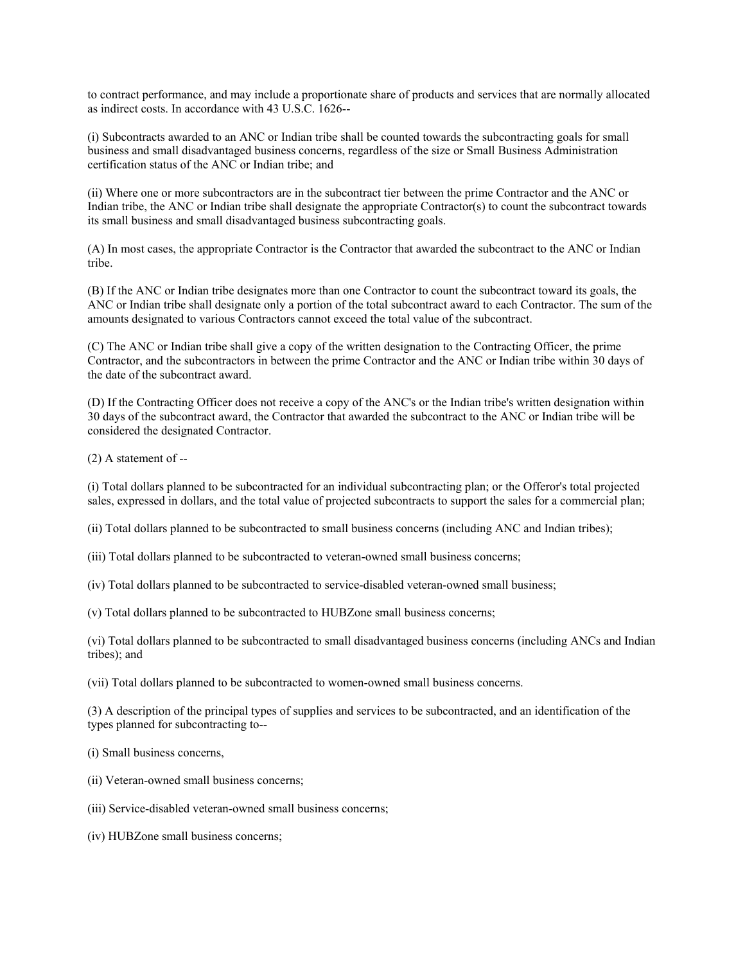to contract performance, and may include a proportionate share of products and services that are normally allocated as indirect costs. In accordance with 43 U.S.C. 1626--

(i) Subcontracts awarded to an ANC or Indian tribe shall be counted towards the subcontracting goals for small business and small disadvantaged business concerns, regardless of the size or Small Business Administration certification status of the ANC or Indian tribe; and

(ii) Where one or more subcontractors are in the subcontract tier between the prime Contractor and the ANC or Indian tribe, the ANC or Indian tribe shall designate the appropriate Contractor(s) to count the subcontract towards its small business and small disadvantaged business subcontracting goals.

(A) In most cases, the appropriate Contractor is the Contractor that awarded the subcontract to the ANC or Indian tribe.

(B) If the ANC or Indian tribe designates more than one Contractor to count the subcontract toward its goals, the ANC or Indian tribe shall designate only a portion of the total subcontract award to each Contractor. The sum of the amounts designated to various Contractors cannot exceed the total value of the subcontract.

(C) The ANC or Indian tribe shall give a copy of the written designation to the Contracting Officer, the prime Contractor, and the subcontractors in between the prime Contractor and the ANC or Indian tribe within 30 days of the date of the subcontract award.

(D) If the Contracting Officer does not receive a copy of the ANC's or the Indian tribe's written designation within 30 days of the subcontract award, the Contractor that awarded the subcontract to the ANC or Indian tribe will be considered the designated Contractor.

(2) A statement of --

(i) Total dollars planned to be subcontracted for an individual subcontracting plan; or the Offeror's total projected sales, expressed in dollars, and the total value of projected subcontracts to support the sales for a commercial plan;

(ii) Total dollars planned to be subcontracted to small business concerns (including ANC and Indian tribes);

(iii) Total dollars planned to be subcontracted to veteran-owned small business concerns;

(iv) Total dollars planned to be subcontracted to service-disabled veteran-owned small business;

(v) Total dollars planned to be subcontracted to HUBZone small business concerns;

(vi) Total dollars planned to be subcontracted to small disadvantaged business concerns (including ANCs and Indian tribes); and

(vii) Total dollars planned to be subcontracted to women-owned small business concerns.

(3) A description of the principal types of supplies and services to be subcontracted, and an identification of the types planned for subcontracting to--

- (i) Small business concerns,
- (ii) Veteran-owned small business concerns;
- (iii) Service-disabled veteran-owned small business concerns;
- (iv) HUBZone small business concerns;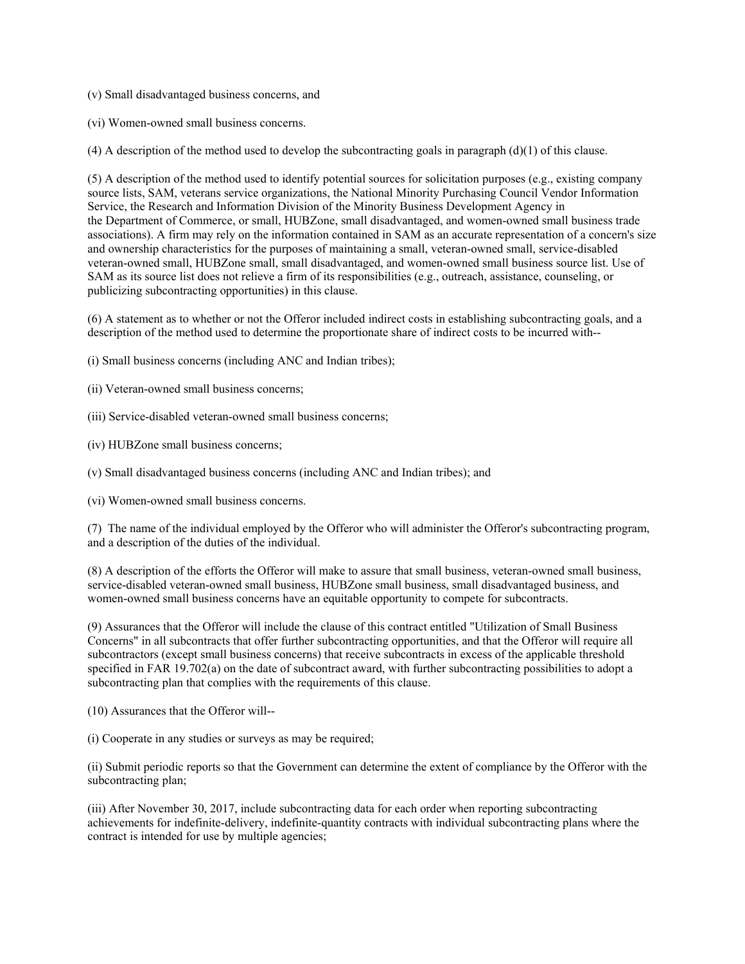(v) Small disadvantaged business concerns, and

(vi) Women-owned small business concerns.

(4) A description of the method used to develop the subcontracting goals in paragraph (d)(1) of this clause.

(5) A description of the method used to identify potential sources for solicitation purposes (e.g., existing company source lists, SAM, veterans service organizations, the National Minority Purchasing Council Vendor Information Service, the Research and Information Division of the Minority Business Development Agency in the Department of Commerce, or small, HUBZone, small disadvantaged, and women-owned small business trade associations). A firm may rely on the information contained in SAM as an accurate representation of a concern's size and ownership characteristics for the purposes of maintaining a small, veteran-owned small, service-disabled veteran-owned small, HUBZone small, small disadvantaged, and women-owned small business source list. Use of SAM as its source list does not relieve a firm of its responsibilities (e.g., outreach, assistance, counseling, or publicizing subcontracting opportunities) in this clause.

(6) A statement as to whether or not the Offeror included indirect costs in establishing subcontracting goals, and a description of the method used to determine the proportionate share of indirect costs to be incurred with--

(i) Small business concerns (including ANC and Indian tribes);

- (ii) Veteran-owned small business concerns;
- (iii) Service-disabled veteran-owned small business concerns;
- (iv) HUBZone small business concerns;
- (v) Small disadvantaged business concerns (including ANC and Indian tribes); and
- (vi) Women-owned small business concerns.

(7) The name of the individual employed by the Offeror who will administer the Offeror's subcontracting program, and a description of the duties of the individual.

(8) A description of the efforts the Offeror will make to assure that small business, veteran-owned small business, service-disabled veteran-owned small business, HUBZone small business, small disadvantaged business, and women-owned small business concerns have an equitable opportunity to compete for subcontracts.

(9) Assurances that the Offeror will include the clause of this contract entitled "Utilization of Small Business Concerns" in all subcontracts that offer further subcontracting opportunities, and that the Offeror will require all subcontractors (except small business concerns) that receive subcontracts in excess of the applicable threshold specified in FAR 19.702(a) on the date of subcontract award, with further subcontracting possibilities to adopt a subcontracting plan that complies with the requirements of this clause.

(10) Assurances that the Offeror will--

(i) Cooperate in any studies or surveys as may be required;

(ii) Submit periodic reports so that the Government can determine the extent of compliance by the Offeror with the subcontracting plan;

(iii) After November 30, 2017, include subcontracting data for each order when reporting subcontracting achievements for indefinite-delivery, indefinite-quantity contracts with individual subcontracting plans where the contract is intended for use by multiple agencies;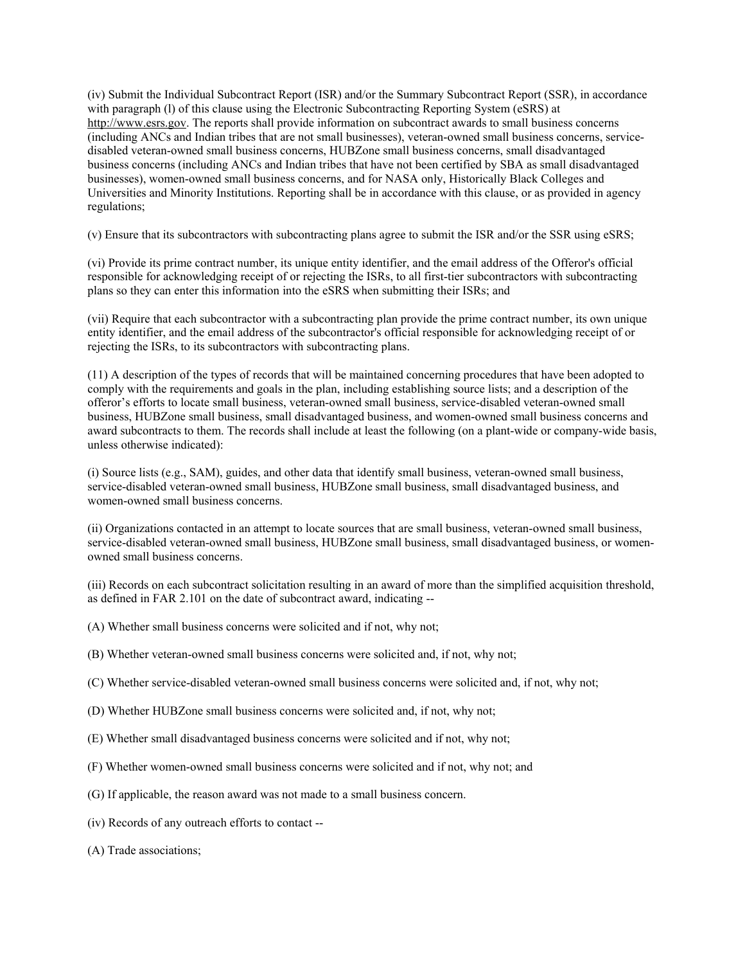(iv) Submit the Individual Subcontract Report (ISR) and/or the Summary Subcontract Report (SSR), in accordance with paragraph (l) of this clause using the Electronic Subcontracting Reporting System (eSRS) at http://www.esrs.gov. The reports shall provide information on subcontract awards to small business concerns (including ANCs and Indian tribes that are not small businesses), veteran-owned small business concerns, servicedisabled veteran-owned small business concerns, HUBZone small business concerns, small disadvantaged business concerns (including ANCs and Indian tribes that have not been certified by SBA as small disadvantaged businesses), women-owned small business concerns, and for NASA only, Historically Black Colleges and Universities and Minority Institutions. Reporting shall be in accordance with this clause, or as provided in agency regulations;

(v) Ensure that its subcontractors with subcontracting plans agree to submit the ISR and/or the SSR using eSRS;

(vi) Provide its prime contract number, its unique entity identifier, and the email address of the Offeror's official responsible for acknowledging receipt of or rejecting the ISRs, to all first-tier subcontractors with subcontracting plans so they can enter this information into the eSRS when submitting their ISRs; and

(vii) Require that each subcontractor with a subcontracting plan provide the prime contract number, its own unique entity identifier, and the email address of the subcontractor's official responsible for acknowledging receipt of or rejecting the ISRs, to its subcontractors with subcontracting plans.

(11) A description of the types of records that will be maintained concerning procedures that have been adopted to comply with the requirements and goals in the plan, including establishing source lists; and a description of the offeror's efforts to locate small business, veteran-owned small business, service-disabled veteran-owned small business, HUBZone small business, small disadvantaged business, and women-owned small business concerns and award subcontracts to them. The records shall include at least the following (on a plant-wide or company-wide basis, unless otherwise indicated):

(i) Source lists (e.g., SAM), guides, and other data that identify small business, veteran-owned small business, service-disabled veteran-owned small business, HUBZone small business, small disadvantaged business, and women-owned small business concerns.

(ii) Organizations contacted in an attempt to locate sources that are small business, veteran-owned small business, service-disabled veteran-owned small business, HUBZone small business, small disadvantaged business, or womenowned small business concerns.

(iii) Records on each subcontract solicitation resulting in an award of more than the simplified acquisition threshold, as defined in FAR 2.101 on the date of subcontract award, indicating --

- (A) Whether small business concerns were solicited and if not, why not;
- (B) Whether veteran-owned small business concerns were solicited and, if not, why not;
- (C) Whether service-disabled veteran-owned small business concerns were solicited and, if not, why not;
- (D) Whether HUBZone small business concerns were solicited and, if not, why not;
- (E) Whether small disadvantaged business concerns were solicited and if not, why not;
- (F) Whether women-owned small business concerns were solicited and if not, why not; and
- (G) If applicable, the reason award was not made to a small business concern.
- (iv) Records of any outreach efforts to contact --
- (A) Trade associations;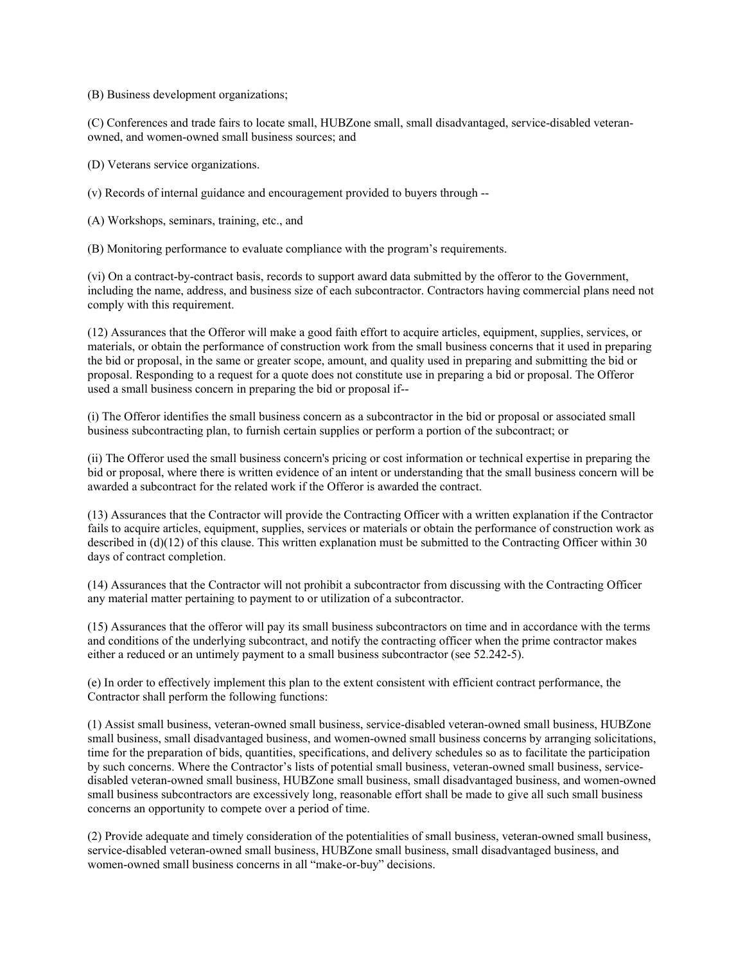(B) Business development organizations;

(C) Conferences and trade fairs to locate small, HUBZone small, small disadvantaged, service-disabled veteranowned, and women-owned small business sources; and

(D) Veterans service organizations.

(v) Records of internal guidance and encouragement provided to buyers through --

(A) Workshops, seminars, training, etc., and

(B) Monitoring performance to evaluate compliance with the program's requirements.

(vi) On a contract-by-contract basis, records to support award data submitted by the offeror to the Government, including the name, address, and business size of each subcontractor. Contractors having commercial plans need not comply with this requirement.

(12) Assurances that the Offeror will make a good faith effort to acquire articles, equipment, supplies, services, or materials, or obtain the performance of construction work from the small business concerns that it used in preparing the bid or proposal, in the same or greater scope, amount, and quality used in preparing and submitting the bid or proposal. Responding to a request for a quote does not constitute use in preparing a bid or proposal. The Offeror used a small business concern in preparing the bid or proposal if--

(i) The Offeror identifies the small business concern as a subcontractor in the bid or proposal or associated small business subcontracting plan, to furnish certain supplies or perform a portion of the subcontract; or

(ii) The Offeror used the small business concern's pricing or cost information or technical expertise in preparing the bid or proposal, where there is written evidence of an intent or understanding that the small business concern will be awarded a subcontract for the related work if the Offeror is awarded the contract.

(13) Assurances that the Contractor will provide the Contracting Officer with a written explanation if the Contractor fails to acquire articles, equipment, supplies, services or materials or obtain the performance of construction work as described in (d)(12) of this clause. This written explanation must be submitted to the Contracting Officer within 30 days of contract completion.

(14) Assurances that the Contractor will not prohibit a subcontractor from discussing with the Contracting Officer any material matter pertaining to payment to or utilization of a subcontractor.

(15) Assurances that the offeror will pay its small business subcontractors on time and in accordance with the terms and conditions of the underlying subcontract, and notify the contracting officer when the prime contractor makes either a reduced or an untimely payment to a small business subcontractor (see 52.242-5).

(e) In order to effectively implement this plan to the extent consistent with efficient contract performance, the Contractor shall perform the following functions:

(1) Assist small business, veteran-owned small business, service-disabled veteran-owned small business, HUBZone small business, small disadvantaged business, and women-owned small business concerns by arranging solicitations, time for the preparation of bids, quantities, specifications, and delivery schedules so as to facilitate the participation by such concerns. Where the Contractor's lists of potential small business, veteran-owned small business, servicedisabled veteran-owned small business, HUBZone small business, small disadvantaged business, and women-owned small business subcontractors are excessively long, reasonable effort shall be made to give all such small business concerns an opportunity to compete over a period of time.

(2) Provide adequate and timely consideration of the potentialities of small business, veteran-owned small business, service-disabled veteran-owned small business, HUBZone small business, small disadvantaged business, and women-owned small business concerns in all "make-or-buy" decisions.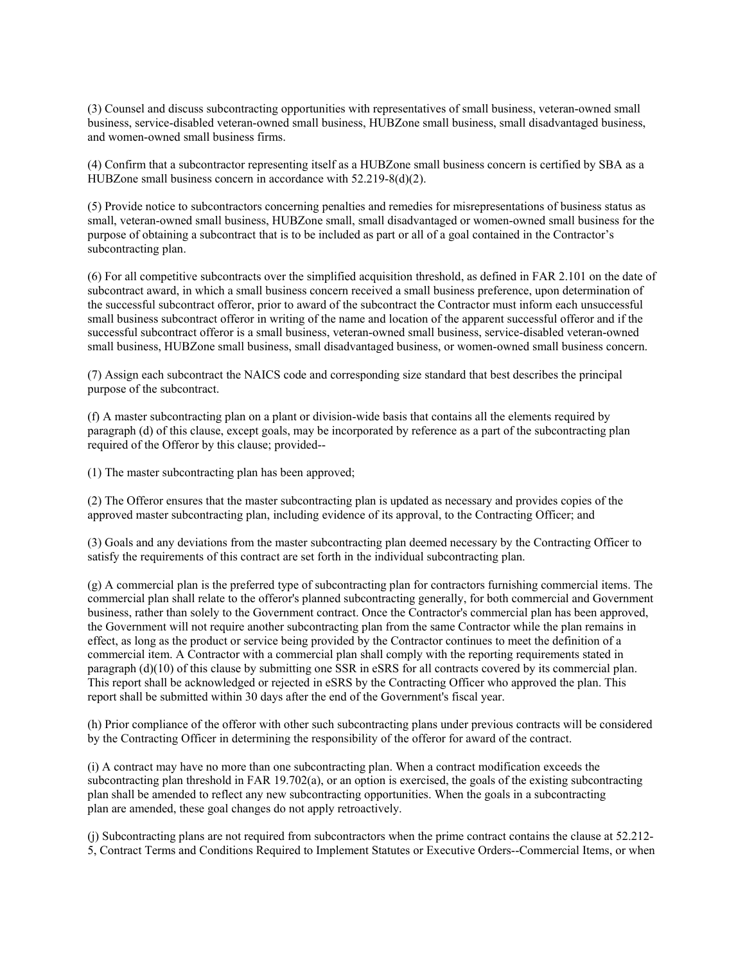(3) Counsel and discuss subcontracting opportunities with representatives of small business, veteran-owned small business, service-disabled veteran-owned small business, HUBZone small business, small disadvantaged business, and women-owned small business firms.

(4) Confirm that a subcontractor representing itself as a HUBZone small business concern is certified by SBA as a HUBZone small business concern in accordance with 52.219-8(d)(2).

(5) Provide notice to subcontractors concerning penalties and remedies for misrepresentations of business status as small, veteran-owned small business, HUBZone small, small disadvantaged or women-owned small business for the purpose of obtaining a subcontract that is to be included as part or all of a goal contained in the Contractor's subcontracting plan.

(6) For all competitive subcontracts over the simplified acquisition threshold, as defined in FAR 2.101 on the date of subcontract award, in which a small business concern received a small business preference, upon determination of the successful subcontract offeror, prior to award of the subcontract the Contractor must inform each unsuccessful small business subcontract offeror in writing of the name and location of the apparent successful offeror and if the successful subcontract offeror is a small business, veteran-owned small business, service-disabled veteran-owned small business, HUBZone small business, small disadvantaged business, or women-owned small business concern.

(7) Assign each subcontract the NAICS code and corresponding size standard that best describes the principal purpose of the subcontract.

(f) A master subcontracting plan on a plant or division-wide basis that contains all the elements required by paragraph (d) of this clause, except goals, may be incorporated by reference as a part of the subcontracting plan required of the Offeror by this clause; provided--

(1) The master subcontracting plan has been approved;

(2) The Offeror ensures that the master subcontracting plan is updated as necessary and provides copies of the approved master subcontracting plan, including evidence of its approval, to the Contracting Officer; and

(3) Goals and any deviations from the master subcontracting plan deemed necessary by the Contracting Officer to satisfy the requirements of this contract are set forth in the individual subcontracting plan.

(g) A commercial plan is the preferred type of subcontracting plan for contractors furnishing commercial items. The commercial plan shall relate to the offeror's planned subcontracting generally, for both commercial and Government business, rather than solely to the Government contract. Once the Contractor's commercial plan has been approved, the Government will not require another subcontracting plan from the same Contractor while the plan remains in effect, as long as the product or service being provided by the Contractor continues to meet the definition of a commercial item. A Contractor with a commercial plan shall comply with the reporting requirements stated in paragraph (d)(10) of this clause by submitting one SSR in eSRS for all contracts covered by its commercial plan. This report shall be acknowledged or rejected in eSRS by the Contracting Officer who approved the plan. This report shall be submitted within 30 days after the end of the Government's fiscal year.

(h) Prior compliance of the offeror with other such subcontracting plans under previous contracts will be considered by the Contracting Officer in determining the responsibility of the offeror for award of the contract.

(i) A contract may have no more than one subcontracting plan. When a contract modification exceeds the subcontracting plan threshold in FAR 19.702(a), or an option is exercised, the goals of the existing subcontracting plan shall be amended to reflect any new subcontracting opportunities. When the goals in a subcontracting plan are amended, these goal changes do not apply retroactively.

(j) Subcontracting plans are not required from subcontractors when the prime contract contains the clause at 52.212- 5, Contract Terms and Conditions Required to Implement Statutes or Executive Orders--Commercial Items, or when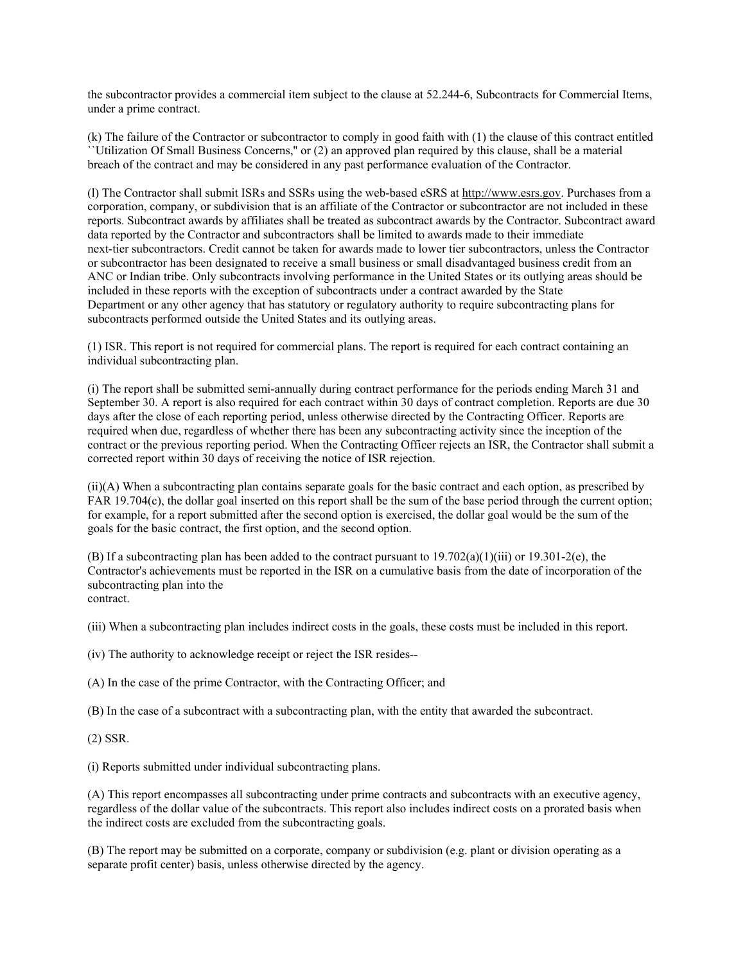the subcontractor provides a commercial item subject to the clause at 52.244-6, Subcontracts for Commercial Items, under a prime contract.

(k) The failure of the Contractor or subcontractor to comply in good faith with (1) the clause of this contract entitled ``Utilization Of Small Business Concerns,'' or (2) an approved plan required by this clause, shall be a material breach of the contract and may be considered in any past performance evaluation of the Contractor.

(l) The Contractor shall submit ISRs and SSRs using the web-based eSRS at http://www.esrs.gov. Purchases from a corporation, company, or subdivision that is an affiliate of the Contractor or subcontractor are not included in these reports. Subcontract awards by affiliates shall be treated as subcontract awards by the Contractor. Subcontract award data reported by the Contractor and subcontractors shall be limited to awards made to their immediate next-tier subcontractors. Credit cannot be taken for awards made to lower tier subcontractors, unless the Contractor or subcontractor has been designated to receive a small business or small disadvantaged business credit from an ANC or Indian tribe. Only subcontracts involving performance in the United States or its outlying areas should be included in these reports with the exception of subcontracts under a contract awarded by the State Department or any other agency that has statutory or regulatory authority to require subcontracting plans for subcontracts performed outside the United States and its outlying areas.

(1) ISR. This report is not required for commercial plans. The report is required for each contract containing an individual subcontracting plan.

(i) The report shall be submitted semi-annually during contract performance for the periods ending March 31 and September 30. A report is also required for each contract within 30 days of contract completion. Reports are due 30 days after the close of each reporting period, unless otherwise directed by the Contracting Officer. Reports are required when due, regardless of whether there has been any subcontracting activity since the inception of the contract or the previous reporting period. When the Contracting Officer rejects an ISR, the Contractor shall submit a corrected report within 30 days of receiving the notice of ISR rejection.

(ii)(A) When a subcontracting plan contains separate goals for the basic contract and each option, as prescribed by FAR 19.704(c), the dollar goal inserted on this report shall be the sum of the base period through the current option; for example, for a report submitted after the second option is exercised, the dollar goal would be the sum of the goals for the basic contract, the first option, and the second option.

(B) If a subcontracting plan has been added to the contract pursuant to 19.702(a)(1)(iii) or 19.301-2(e), the Contractor's achievements must be reported in the ISR on a cumulative basis from the date of incorporation of the subcontracting plan into the contract.

(iii) When a subcontracting plan includes indirect costs in the goals, these costs must be included in this report.

(iv) The authority to acknowledge receipt or reject the ISR resides--

(A) In the case of the prime Contractor, with the Contracting Officer; and

(B) In the case of a subcontract with a subcontracting plan, with the entity that awarded the subcontract.

(2) SSR.

(i) Reports submitted under individual subcontracting plans.

(A) This report encompasses all subcontracting under prime contracts and subcontracts with an executive agency, regardless of the dollar value of the subcontracts. This report also includes indirect costs on a prorated basis when the indirect costs are excluded from the subcontracting goals.

(B) The report may be submitted on a corporate, company or subdivision (e.g. plant or division operating as a separate profit center) basis, unless otherwise directed by the agency.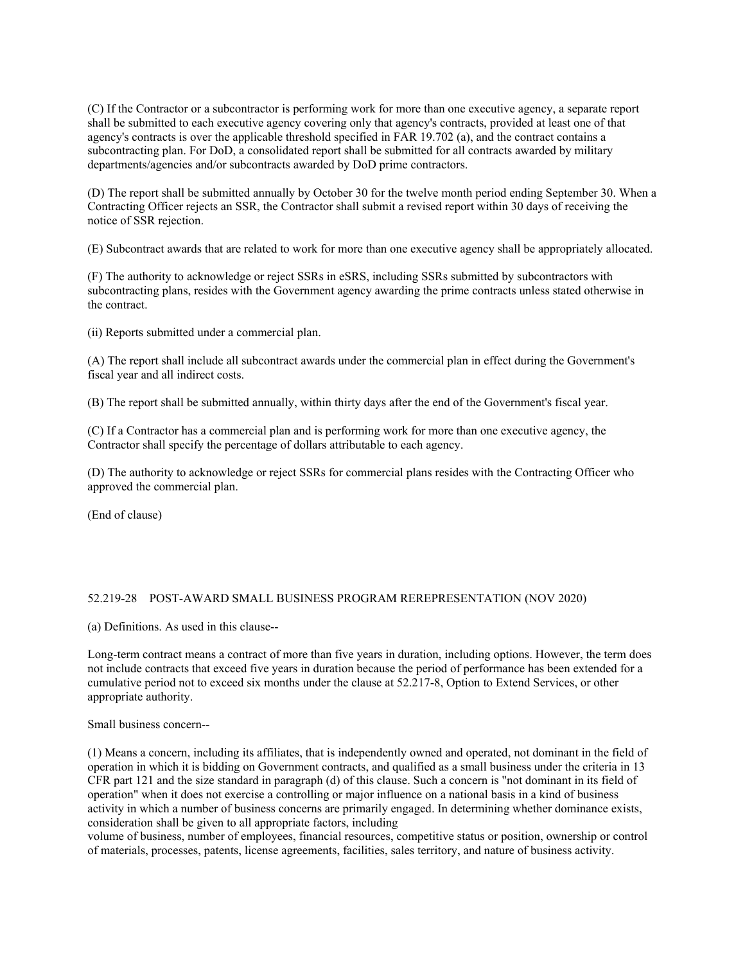(C) If the Contractor or a subcontractor is performing work for more than one executive agency, a separate report shall be submitted to each executive agency covering only that agency's contracts, provided at least one of that agency's contracts is over the applicable threshold specified in FAR 19.702 (a), and the contract contains a subcontracting plan. For DoD, a consolidated report shall be submitted for all contracts awarded by military departments/agencies and/or subcontracts awarded by DoD prime contractors.

(D) The report shall be submitted annually by October 30 for the twelve month period ending September 30. When a Contracting Officer rejects an SSR, the Contractor shall submit a revised report within 30 days of receiving the notice of SSR rejection.

(E) Subcontract awards that are related to work for more than one executive agency shall be appropriately allocated.

(F) The authority to acknowledge or reject SSRs in eSRS, including SSRs submitted by subcontractors with subcontracting plans, resides with the Government agency awarding the prime contracts unless stated otherwise in the contract.

(ii) Reports submitted under a commercial plan.

(A) The report shall include all subcontract awards under the commercial plan in effect during the Government's fiscal year and all indirect costs.

(B) The report shall be submitted annually, within thirty days after the end of the Government's fiscal year.

(C) If a Contractor has a commercial plan and is performing work for more than one executive agency, the Contractor shall specify the percentage of dollars attributable to each agency.

(D) The authority to acknowledge or reject SSRs for commercial plans resides with the Contracting Officer who approved the commercial plan.

(End of clause)

## 52.219-28 POST-AWARD SMALL BUSINESS PROGRAM REREPRESENTATION (NOV 2020)

(a) Definitions. As used in this clause--

Long-term contract means a contract of more than five years in duration, including options. However, the term does not include contracts that exceed five years in duration because the period of performance has been extended for a cumulative period not to exceed six months under the clause at 52.217-8, Option to Extend Services, or other appropriate authority.

Small business concern--

(1) Means a concern, including its affiliates, that is independently owned and operated, not dominant in the field of operation in which it is bidding on Government contracts, and qualified as a small business under the criteria in 13 CFR part 121 and the size standard in paragraph (d) of this clause. Such a concern is "not dominant in its field of operation" when it does not exercise a controlling or major influence on a national basis in a kind of business activity in which a number of business concerns are primarily engaged. In determining whether dominance exists, consideration shall be given to all appropriate factors, including

volume of business, number of employees, financial resources, competitive status or position, ownership or control of materials, processes, patents, license agreements, facilities, sales territory, and nature of business activity.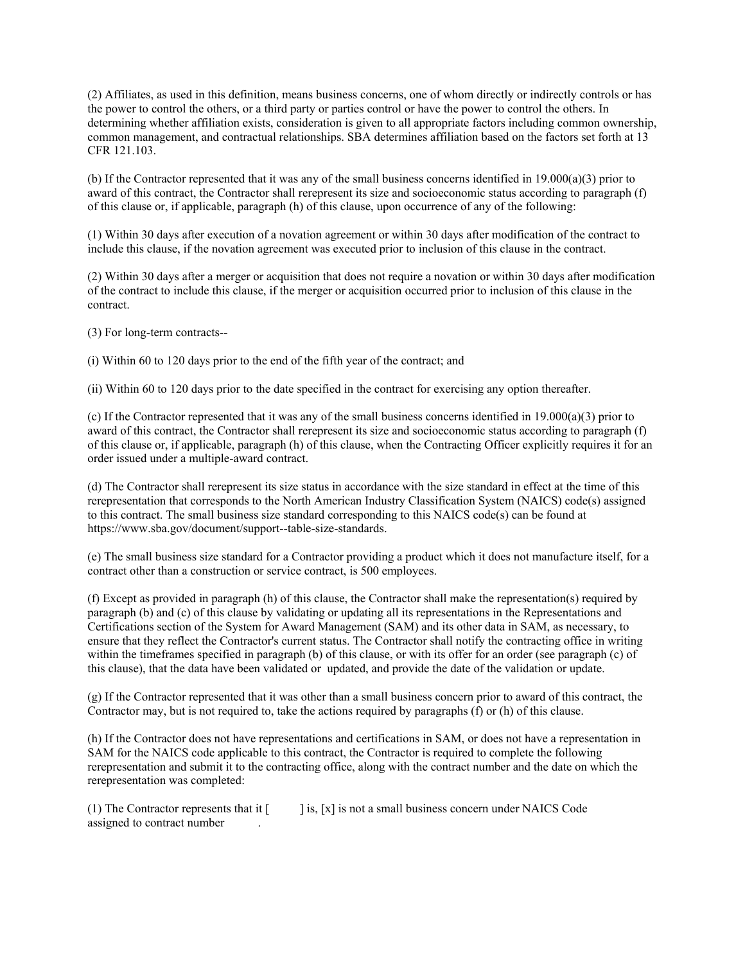(2) Affiliates, as used in this definition, means business concerns, one of whom directly or indirectly controls or has the power to control the others, or a third party or parties control or have the power to control the others. In determining whether affiliation exists, consideration is given to all appropriate factors including common ownership, common management, and contractual relationships. SBA determines affiliation based on the factors set forth at 13 CFR 121.103.

(b) If the Contractor represented that it was any of the small business concerns identified in 19.000(a)(3) prior to award of this contract, the Contractor shall rerepresent its size and socioeconomic status according to paragraph (f) of this clause or, if applicable, paragraph (h) of this clause, upon occurrence of any of the following:

(1) Within 30 days after execution of a novation agreement or within 30 days after modification of the contract to include this clause, if the novation agreement was executed prior to inclusion of this clause in the contract.

(2) Within 30 days after a merger or acquisition that does not require a novation or within 30 days after modification of the contract to include this clause, if the merger or acquisition occurred prior to inclusion of this clause in the contract.

(3) For long-term contracts--

(i) Within 60 to 120 days prior to the end of the fifth year of the contract; and

(ii) Within 60 to 120 days prior to the date specified in the contract for exercising any option thereafter.

(c) If the Contractor represented that it was any of the small business concerns identified in 19.000(a)(3) prior to award of this contract, the Contractor shall rerepresent its size and socioeconomic status according to paragraph (f) of this clause or, if applicable, paragraph (h) of this clause, when the Contracting Officer explicitly requires it for an order issued under a multiple-award contract.

(d) The Contractor shall rerepresent its size status in accordance with the size standard in effect at the time of this rerepresentation that corresponds to the North American Industry Classification System (NAICS) code(s) assigned to this contract. The small business size standard corresponding to this NAICS code(s) can be found at https://www.sba.gov/document/support--table-size-standards.

(e) The small business size standard for a Contractor providing a product which it does not manufacture itself, for a contract other than a construction or service contract, is 500 employees.

(f) Except as provided in paragraph (h) of this clause, the Contractor shall make the representation(s) required by paragraph (b) and (c) of this clause by validating or updating all its representations in the Representations and Certifications section of the System for Award Management (SAM) and its other data in SAM, as necessary, to ensure that they reflect the Contractor's current status. The Contractor shall notify the contracting office in writing within the timeframes specified in paragraph (b) of this clause, or with its offer for an order (see paragraph (c) of this clause), that the data have been validated or updated, and provide the date of the validation or update.

(g) If the Contractor represented that it was other than a small business concern prior to award of this contract, the Contractor may, but is not required to, take the actions required by paragraphs (f) or (h) of this clause.

(h) If the Contractor does not have representations and certifications in SAM, or does not have a representation in SAM for the NAICS code applicable to this contract, the Contractor is required to complete the following rerepresentation and submit it to the contracting office, along with the contract number and the date on which the rerepresentation was completed:

```
(1) The Contractor represents that it \begin{bmatrix} \phantom{a} \end{bmatrix} is, \begin{bmatrix} x \\ \end{bmatrix} is not a small business concern under NAICS Code
assigned to contract number .
```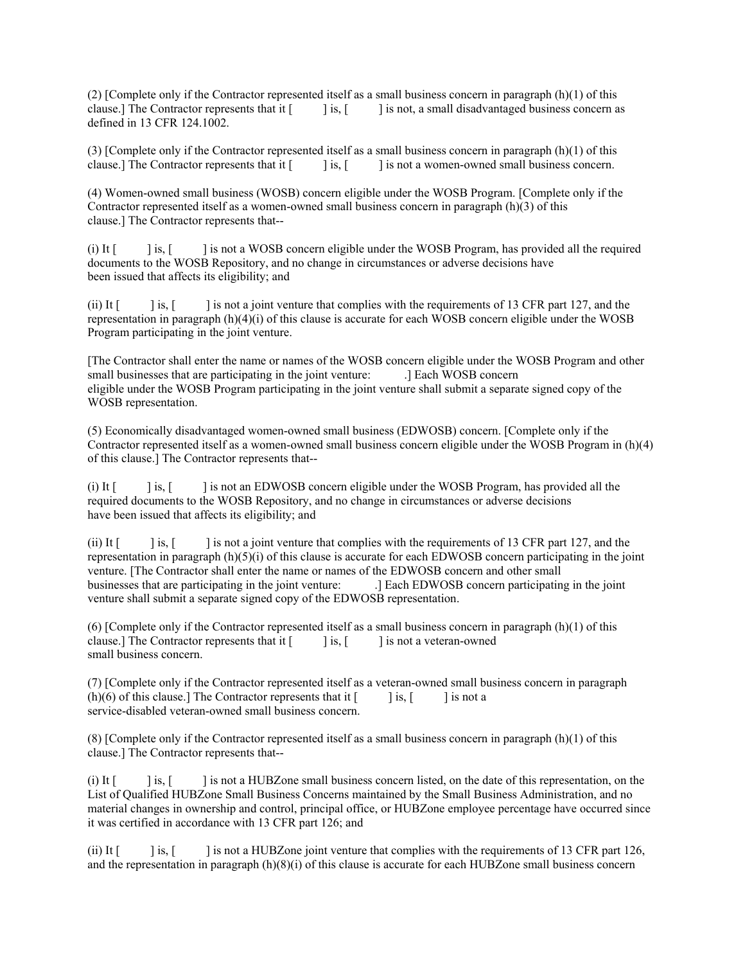(2) [Complete only if the Contractor represented itself as a small business concern in paragraph (h)(1) of this clause.] The Contractor represents that it  $\begin{bmatrix} 1 & 1 \end{bmatrix}$  is not, a small disadvantaged business concern as defined in 13 CFR 124.1002.

(3) [Complete only if the Contractor represented itself as a small business concern in paragraph (h)(1) of this clause.] The Contractor represents that it [ ] is, [ ] is not a women-owned small business concern.

(4) Women-owned small business (WOSB) concern eligible under the WOSB Program. [Complete only if the Contractor represented itself as a women-owned small business concern in paragraph  $(h)(3)$  of this clause.] The Contractor represents that--

(i) It [ ] is, [ ] is not a WOSB concern eligible under the WOSB Program, has provided all the required documents to the WOSB Repository, and no change in circumstances or adverse decisions have been issued that affects its eligibility; and

(ii) It  $\int$  is,  $\int$  is not a joint venture that complies with the requirements of 13 CFR part 127, and the representation in paragraph (h)(4)(i) of this clause is accurate for each WOSB concern eligible under the WOSB Program participating in the joint venture.

[The Contractor shall enter the name or names of the WOSB concern eligible under the WOSB Program and other small businesses that are participating in the joint venture: . . . ] Each WOSB concern eligible under the WOSB Program participating in the joint venture shall submit a separate signed copy of the WOSB representation.

(5) Economically disadvantaged women-owned small business (EDWOSB) concern. [Complete only if the Contractor represented itself as a women-owned small business concern eligible under the WOSB Program in (h)(4) of this clause.] The Contractor represents that--

(i) It [ ] is, [ ] is not an EDWOSB concern eligible under the WOSB Program, has provided all the required documents to the WOSB Repository, and no change in circumstances or adverse decisions have been issued that affects its eligibility; and

(ii) It  $\lceil \cdot \rceil$  is,  $\lceil \cdot \cdot \rceil$  is not a joint venture that complies with the requirements of 13 CFR part 127, and the representation in paragraph  $(h)(5)(i)$  of this clause is accurate for each EDWOSB concern participating in the joint venture. [The Contractor shall enter the name or names of the EDWOSB concern and other small businesses that are participating in the joint venture: .] Each EDWOSB concern participating in the joint venture shall submit a separate signed copy of the EDWOSB representation.

(6) [Complete only if the Contractor represented itself as a small business concern in paragraph (h)(1) of this clause.] The Contractor represents that it  $\int$  is,  $\int$  is not a veteran-owned clause.] The Contractor represents that it  $\lceil \cdot \cdot \cdot \rceil$  is,  $\lceil \cdot \cdot \rceil$ small business concern.

(7) [Complete only if the Contractor represented itself as a veteran-owned small business concern in paragraph (h)(6) of this clause.] The Contractor represents that it  $\begin{bmatrix} \cdot & \cdot \\ \cdot & \cdot \end{bmatrix}$  is not a service-disabled veteran-owned small business concern.

(8) [Complete only if the Contractor represented itself as a small business concern in paragraph (h)(1) of this clause.] The Contractor represents that--

(i) It [ ] is, [ ] is not a HUBZone small business concern listed, on the date of this representation, on the List of Qualified HUBZone Small Business Concerns maintained by the Small Business Administration, and no material changes in ownership and control, principal office, or HUBZone employee percentage have occurred since it was certified in accordance with 13 CFR part 126; and

(ii) It  $\lceil \cdot \rceil$  is,  $\lceil \cdot \cdot \rceil$  is not a HUBZone joint venture that complies with the requirements of 13 CFR part 126, and the representation in paragraph  $(h)(8)(i)$  of this clause is accurate for each HUBZone small business concern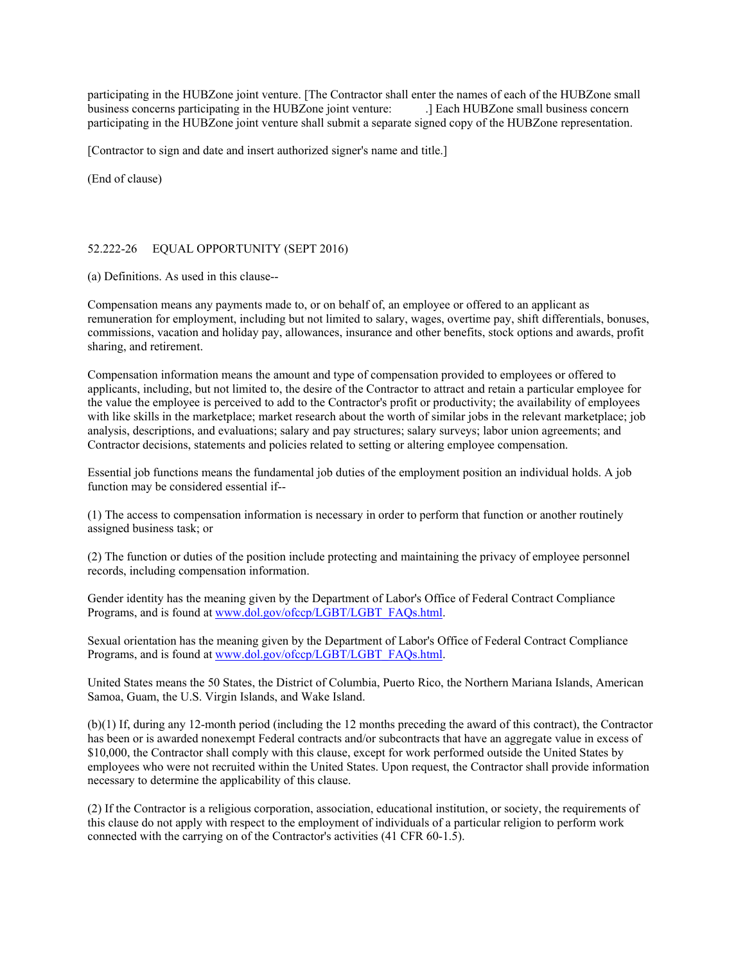participating in the HUBZone joint venture. [The Contractor shall enter the names of each of the HUBZone small business concerns participating in the HUBZone joint venture: .] Each HUBZone small business concern participating in the HUBZone joint venture shall submit a separate signed copy of the HUBZone representation.

[Contractor to sign and date and insert authorized signer's name and title.]

(End of clause)

## 52.222-26 EQUAL OPPORTUNITY (SEPT 2016)

(a) Definitions. As used in this clause--

Compensation means any payments made to, or on behalf of, an employee or offered to an applicant as remuneration for employment, including but not limited to salary, wages, overtime pay, shift differentials, bonuses, commissions, vacation and holiday pay, allowances, insurance and other benefits, stock options and awards, profit sharing, and retirement.

Compensation information means the amount and type of compensation provided to employees or offered to applicants, including, but not limited to, the desire of the Contractor to attract and retain a particular employee for the value the employee is perceived to add to the Contractor's profit or productivity; the availability of employees with like skills in the marketplace; market research about the worth of similar jobs in the relevant marketplace; job analysis, descriptions, and evaluations; salary and pay structures; salary surveys; labor union agreements; and Contractor decisions, statements and policies related to setting or altering employee compensation.

Essential job functions means the fundamental job duties of the employment position an individual holds. A job function may be considered essential if--

(1) The access to compensation information is necessary in order to perform that function or another routinely assigned business task; or

(2) The function or duties of the position include protecting and maintaining the privacy of employee personnel records, including compensation information.

Gender identity has the meaning given by the Department of Labor's Office of Federal Contract Compliance Programs, and is found at www.dol.gov/ofccp/LGBT/LGBT\_FAQs.html.

Sexual orientation has the meaning given by the Department of Labor's Office of Federal Contract Compliance Programs, and is found at www.dol.gov/ofccp/LGBT/LGBT\_FAQs.html.

United States means the 50 States, the District of Columbia, Puerto Rico, the Northern Mariana Islands, American Samoa, Guam, the U.S. Virgin Islands, and Wake Island.

(b)(1) If, during any 12-month period (including the 12 months preceding the award of this contract), the Contractor has been or is awarded nonexempt Federal contracts and/or subcontracts that have an aggregate value in excess of \$10,000, the Contractor shall comply with this clause, except for work performed outside the United States by employees who were not recruited within the United States. Upon request, the Contractor shall provide information necessary to determine the applicability of this clause.

(2) If the Contractor is a religious corporation, association, educational institution, or society, the requirements of this clause do not apply with respect to the employment of individuals of a particular religion to perform work connected with the carrying on of the Contractor's activities (41 CFR 60-1.5).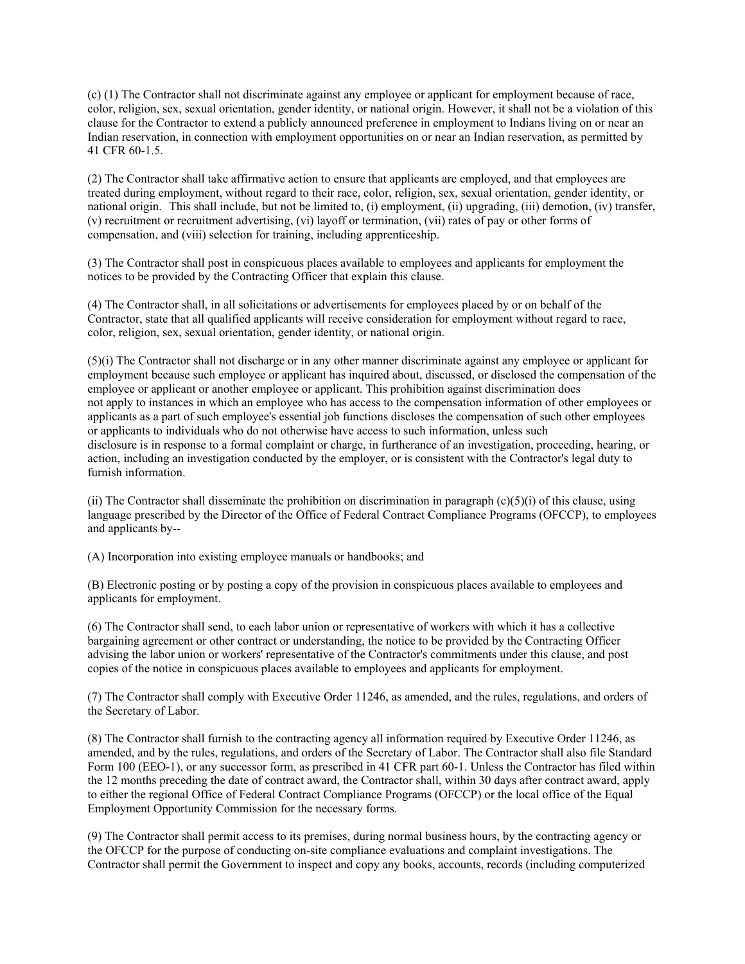(c) (1) The Contractor shall not discriminate against any employee or applicant for employment because of race, color, religion, sex, sexual orientation, gender identity, or national origin. However, it shall not be a violation of this clause for the Contractor to extend a publicly announced preference in employment to Indians living on or near an Indian reservation, in connection with employment opportunities on or near an Indian reservation, as permitted by 41 CFR 60-1.5.

(2) The Contractor shall take affirmative action to ensure that applicants are employed, and that employees are treated during employment, without regard to their race, color, religion, sex, sexual orientation, gender identity, or national origin. This shall include, but not be limited to, (i) employment, (ii) upgrading, (iii) demotion, (iv) transfer, (v) recruitment or recruitment advertising, (vi) layoff or termination, (vii) rates of pay or other forms of compensation, and (viii) selection for training, including apprenticeship.

(3) The Contractor shall post in conspicuous places available to employees and applicants for employment the notices to be provided by the Contracting Officer that explain this clause.

(4) The Contractor shall, in all solicitations or advertisements for employees placed by or on behalf of the Contractor, state that all qualified applicants will receive consideration for employment without regard to race, color, religion, sex, sexual orientation, gender identity, or national origin.

(5)(i) The Contractor shall not discharge or in any other manner discriminate against any employee or applicant for employment because such employee or applicant has inquired about, discussed, or disclosed the compensation of the employee or applicant or another employee or applicant. This prohibition against discrimination does not apply to instances in which an employee who has access to the compensation information of other employees or applicants as a part of such employee's essential job functions discloses the compensation of such other employees or applicants to individuals who do not otherwise have access to such information, unless such disclosure is in response to a formal complaint or charge, in furtherance of an investigation, proceeding, hearing, or action, including an investigation conducted by the employer, or is consistent with the Contractor's legal duty to furnish information.

(ii) The Contractor shall disseminate the prohibition on discrimination in paragraph  $(c)(5)(i)$  of this clause, using language prescribed by the Director of the Office of Federal Contract Compliance Programs (OFCCP), to employees and applicants by--

(A) Incorporation into existing employee manuals or handbooks; and

(B) Electronic posting or by posting a copy of the provision in conspicuous places available to employees and applicants for employment.

(6) The Contractor shall send, to each labor union or representative of workers with which it has a collective bargaining agreement or other contract or understanding, the notice to be provided by the Contracting Officer advising the labor union or workers' representative of the Contractor's commitments under this clause, and post copies of the notice in conspicuous places available to employees and applicants for employment.

(7) The Contractor shall comply with Executive Order 11246, as amended, and the rules, regulations, and orders of the Secretary of Labor.

(8) The Contractor shall furnish to the contracting agency all information required by Executive Order 11246, as amended, and by the rules, regulations, and orders of the Secretary of Labor. The Contractor shall also file Standard Form 100 (EEO-1), or any successor form, as prescribed in 41 CFR part 60-1. Unless the Contractor has filed within the 12 months preceding the date of contract award, the Contractor shall, within 30 days after contract award, apply to either the regional Office of Federal Contract Compliance Programs (OFCCP) or the local office of the Equal Employment Opportunity Commission for the necessary forms.

(9) The Contractor shall permit access to its premises, during normal business hours, by the contracting agency or the OFCCP for the purpose of conducting on-site compliance evaluations and complaint investigations. The Contractor shall permit the Government to inspect and copy any books, accounts, records (including computerized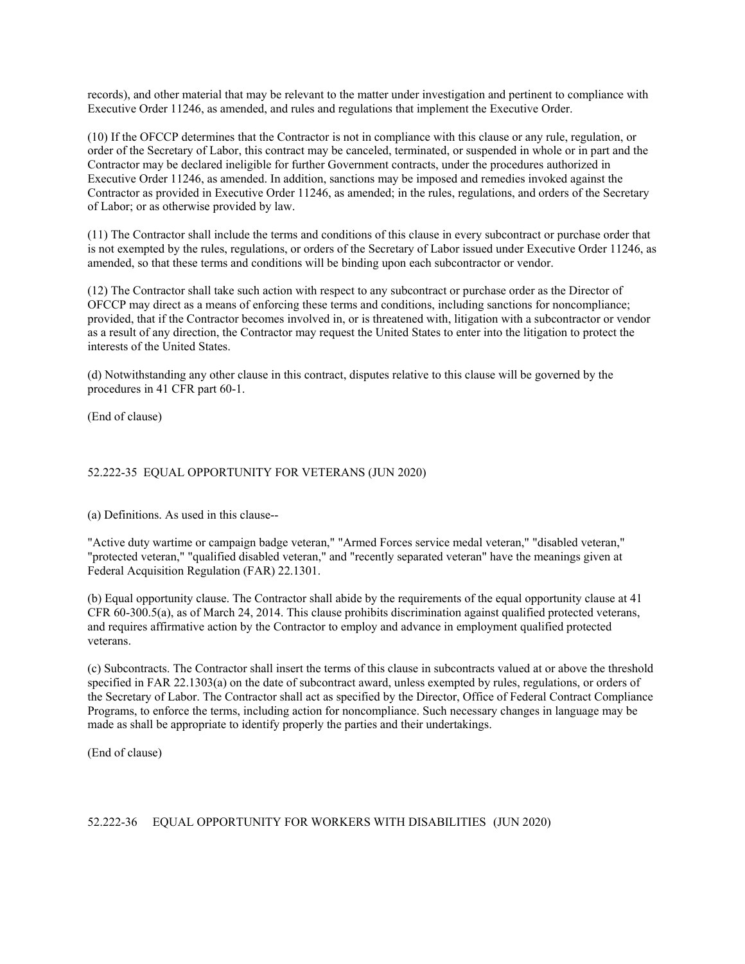records), and other material that may be relevant to the matter under investigation and pertinent to compliance with Executive Order 11246, as amended, and rules and regulations that implement the Executive Order.

(10) If the OFCCP determines that the Contractor is not in compliance with this clause or any rule, regulation, or order of the Secretary of Labor, this contract may be canceled, terminated, or suspended in whole or in part and the Contractor may be declared ineligible for further Government contracts, under the procedures authorized in Executive Order 11246, as amended. In addition, sanctions may be imposed and remedies invoked against the Contractor as provided in Executive Order 11246, as amended; in the rules, regulations, and orders of the Secretary of Labor; or as otherwise provided by law.

(11) The Contractor shall include the terms and conditions of this clause in every subcontract or purchase order that is not exempted by the rules, regulations, or orders of the Secretary of Labor issued under Executive Order 11246, as amended, so that these terms and conditions will be binding upon each subcontractor or vendor.

(12) The Contractor shall take such action with respect to any subcontract or purchase order as the Director of OFCCP may direct as a means of enforcing these terms and conditions, including sanctions for noncompliance; provided, that if the Contractor becomes involved in, or is threatened with, litigation with a subcontractor or vendor as a result of any direction, the Contractor may request the United States to enter into the litigation to protect the interests of the United States.

(d) Notwithstanding any other clause in this contract, disputes relative to this clause will be governed by the procedures in 41 CFR part 60-1.

(End of clause)

### 52.222-35 EQUAL OPPORTUNITY FOR VETERANS (JUN 2020)

(a) Definitions. As used in this clause--

"Active duty wartime or campaign badge veteran," "Armed Forces service medal veteran," "disabled veteran," "protected veteran," "qualified disabled veteran," and "recently separated veteran" have the meanings given at Federal Acquisition Regulation (FAR) 22.1301.

(b) Equal opportunity clause. The Contractor shall abide by the requirements of the equal opportunity clause at 41 CFR 60-300.5(a), as of March 24, 2014. This clause prohibits discrimination against qualified protected veterans, and requires affirmative action by the Contractor to employ and advance in employment qualified protected veterans.

(c) Subcontracts. The Contractor shall insert the terms of this clause in subcontracts valued at or above the threshold specified in FAR 22.1303(a) on the date of subcontract award, unless exempted by rules, regulations, or orders of the Secretary of Labor. The Contractor shall act as specified by the Director, Office of Federal Contract Compliance Programs, to enforce the terms, including action for noncompliance. Such necessary changes in language may be made as shall be appropriate to identify properly the parties and their undertakings.

(End of clause)

## 52.222-36 EQUAL OPPORTUNITY FOR WORKERS WITH DISABILITIES (JUN 2020)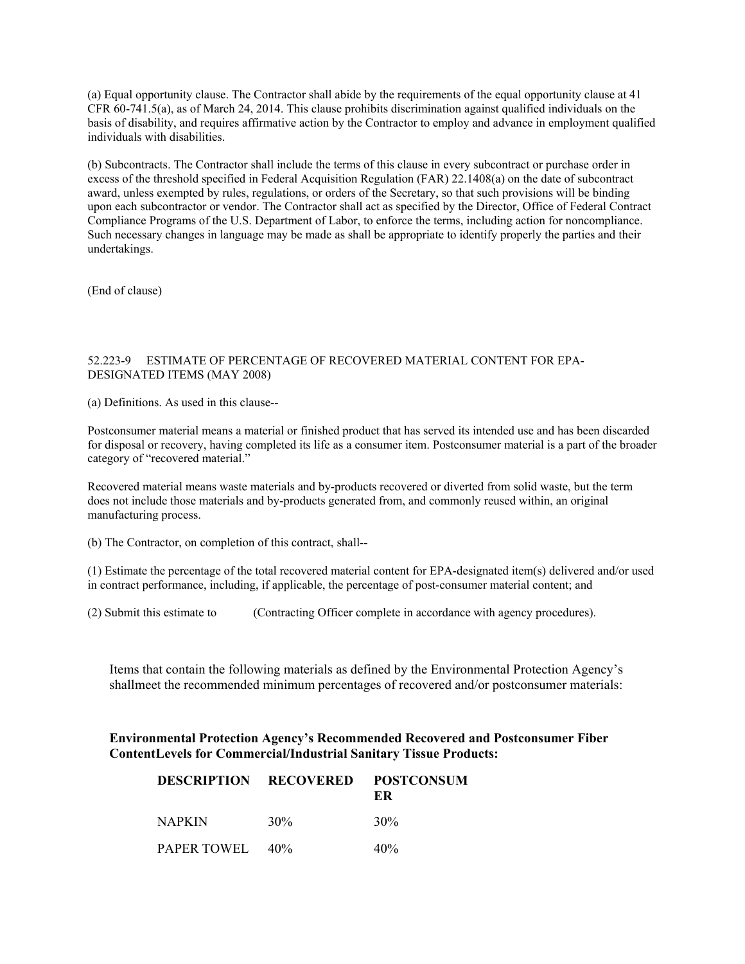(a) Equal opportunity clause. The Contractor shall abide by the requirements of the equal opportunity clause at 41 CFR 60-741.5(a), as of March 24, 2014. This clause prohibits discrimination against qualified individuals on the basis of disability, and requires affirmative action by the Contractor to employ and advance in employment qualified individuals with disabilities.

(b) Subcontracts. The Contractor shall include the terms of this clause in every subcontract or purchase order in excess of the threshold specified in Federal Acquisition Regulation (FAR) 22.1408(a) on the date of subcontract award, unless exempted by rules, regulations, or orders of the Secretary, so that such provisions will be binding upon each subcontractor or vendor. The Contractor shall act as specified by the Director, Office of Federal Contract Compliance Programs of the U.S. Department of Labor, to enforce the terms, including action for noncompliance. Such necessary changes in language may be made as shall be appropriate to identify properly the parties and their undertakings.

(End of clause)

## 52.223-9 ESTIMATE OF PERCENTAGE OF RECOVERED MATERIAL CONTENT FOR EPA-DESIGNATED ITEMS (MAY 2008)

(a) Definitions. As used in this clause--

Postconsumer material means a material or finished product that has served its intended use and has been discarded for disposal or recovery, having completed its life as a consumer item. Postconsumer material is a part of the broader category of "recovered material."

Recovered material means waste materials and by-products recovered or diverted from solid waste, but the term does not include those materials and by-products generated from, and commonly reused within, an original manufacturing process.

(b) The Contractor, on completion of this contract, shall--

(1) Estimate the percentage of the total recovered material content for EPA-designated item(s) delivered and/or used in contract performance, including, if applicable, the percentage of post-consumer material content; and

(2) Submit this estimate to (Contracting Officer complete in accordance with agency procedures).

Items that contain the following materials as defined by the Environmental Protection Agency's shall meet the recommended minimum percentages of recovered and/or postconsumer materials:

# **Environmental Protection Agency's Recommended Recovered and Postconsumer Fiber Content Levels for Commercial/Industrial Sanitary Tissue Products:**

|                 |     | DESCRIPTION RECOVERED POSTCONSUM<br>ER |  |  |
|-----------------|-----|----------------------------------------|--|--|
| <b>NAPKIN</b>   | 30% | 30%                                    |  |  |
| PAPER TOWEL 40% |     | $40\%$                                 |  |  |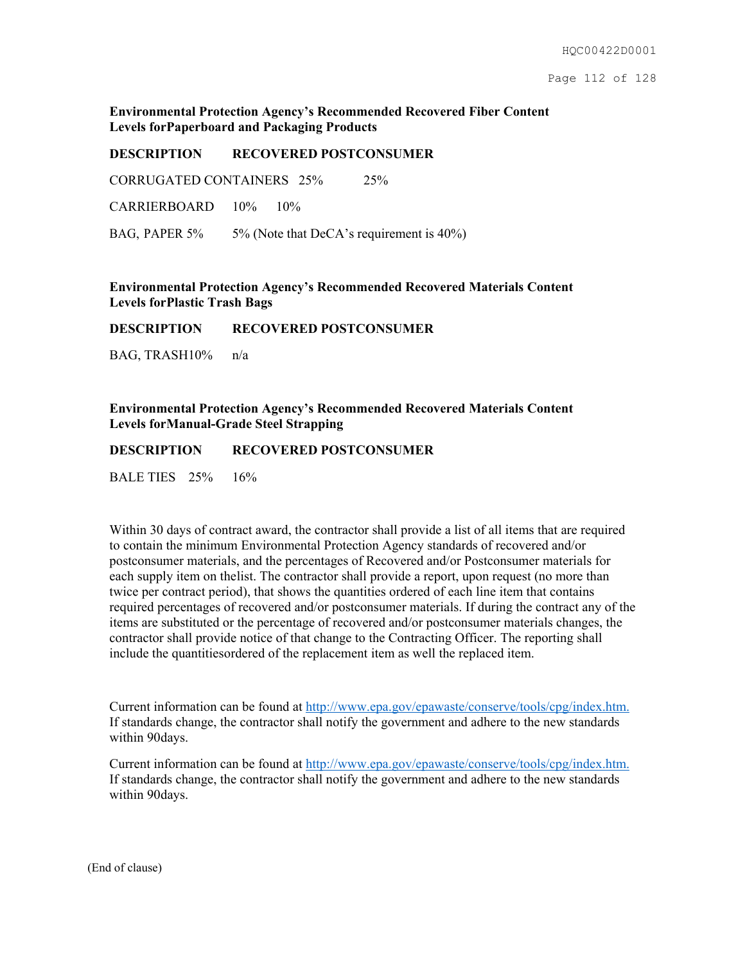Page 112 of 128

**Environmental Protection Agency's Recommended Recovered Fiber Content Levels for Paperboard and Packaging Products** 

**DESCRIPTION RECOVERED POSTCONSUMER** 

CORRUGATED CONTAINERS 25% 25%

CARRIERBOARD 10% 10%

BAG, PAPER 5% 5% (Note that DeCA's requirement is 40%)

**Environmental Protection Agency's Recommended Recovered Materials Content Levels for Plastic Trash Bags** 

**DESCRIPTION RECOVERED POSTCONSUMER** 

BAG, TRASH10% n/a

# **Environmental Protection Agency's Recommended Recovered Materials Content Levels for Manual-Grade Steel Strapping**

# **DESCRIPTION RECOVERED POSTCONSUMER**

BALE TIES 25% 16%

Within 30 days of contract award, the contractor shall provide a list of all items that are required to contain the minimum Environmental Protection Agency standards of recovered and/or postconsumer materials, and the percentages of Recovered and/or Postconsumer materials for each supply item on the list. The contractor shall provide a report, upon request (no more than twice per contract period), that shows the quantities ordered of each line item that contains required percentages of recovered and/or postconsumer materials. If during the contract any of the items are substituted or the percentage of recovered and/or postconsumer materials changes, the contractor shall provide notice of that change to the Contracting Officer. The reporting shall include the quantities ordered of the replacement item as well the replaced item.

Current information can be found at http://www.epa.gov/epawaste/conserve/tools/cpg/index.htm. If standards change, the contractor shall notify the government and adhere to the new standards within 90 days.

Current information can be found at http://www.epa.gov/epawaste/conserve/tools/cpg/index.htm. If standards change, the contractor shall notify the government and adhere to the new standards within 90 days.

(End of clause)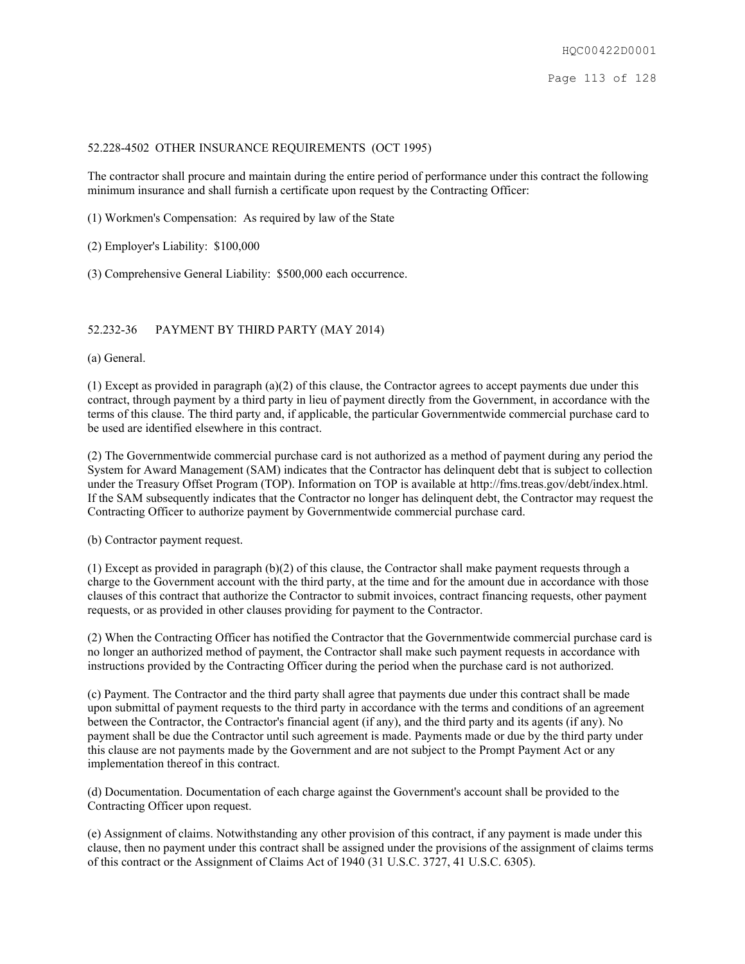### 52.228-4502 OTHER INSURANCE REQUIREMENTS (OCT 1995)

The contractor shall procure and maintain during the entire period of performance under this contract the following minimum insurance and shall furnish a certificate upon request by the Contracting Officer:

(1) Workmen's Compensation: As required by law of the State

(2) Employer's Liability: \$100,000

(3) Comprehensive General Liability: \$500,000 each occurrence.

#### 52.232-36 PAYMENT BY THIRD PARTY (MAY 2014)

(a) General.

(1) Except as provided in paragraph (a)(2) of this clause, the Contractor agrees to accept payments due under this contract, through payment by a third party in lieu of payment directly from the Government, in accordance with the terms of this clause. The third party and, if applicable, the particular Governmentwide commercial purchase card to be used are identified elsewhere in this contract.

(2) The Governmentwide commercial purchase card is not authorized as a method of payment during any period the System for Award Management (SAM) indicates that the Contractor has delinquent debt that is subject to collection under the Treasury Offset Program (TOP). Information on TOP is available at http://fms.treas.gov/debt/index.html. If the SAM subsequently indicates that the Contractor no longer has delinquent debt, the Contractor may request the Contracting Officer to authorize payment by Governmentwide commercial purchase card.

(b) Contractor payment request.

(1) Except as provided in paragraph (b)(2) of this clause, the Contractor shall make payment requests through a charge to the Government account with the third party, at the time and for the amount due in accordance with those clauses of this contract that authorize the Contractor to submit invoices, contract financing requests, other payment requests, or as provided in other clauses providing for payment to the Contractor.

(2) When the Contracting Officer has notified the Contractor that the Governmentwide commercial purchase card is no longer an authorized method of payment, the Contractor shall make such payment requests in accordance with instructions provided by the Contracting Officer during the period when the purchase card is not authorized.

(c) Payment. The Contractor and the third party shall agree that payments due under this contract shall be made upon submittal of payment requests to the third party in accordance with the terms and conditions of an agreement between the Contractor, the Contractor's financial agent (if any), and the third party and its agents (if any). No payment shall be due the Contractor until such agreement is made. Payments made or due by the third party under this clause are not payments made by the Government and are not subject to the Prompt Payment Act or any implementation thereof in this contract.

(d) Documentation. Documentation of each charge against the Government's account shall be provided to the Contracting Officer upon request.

(e) Assignment of claims. Notwithstanding any other provision of this contract, if any payment is made under this clause, then no payment under this contract shall be assigned under the provisions of the assignment of claims terms of this contract or the Assignment of Claims Act of 1940 (31 U.S.C. 3727, 41 U.S.C. 6305).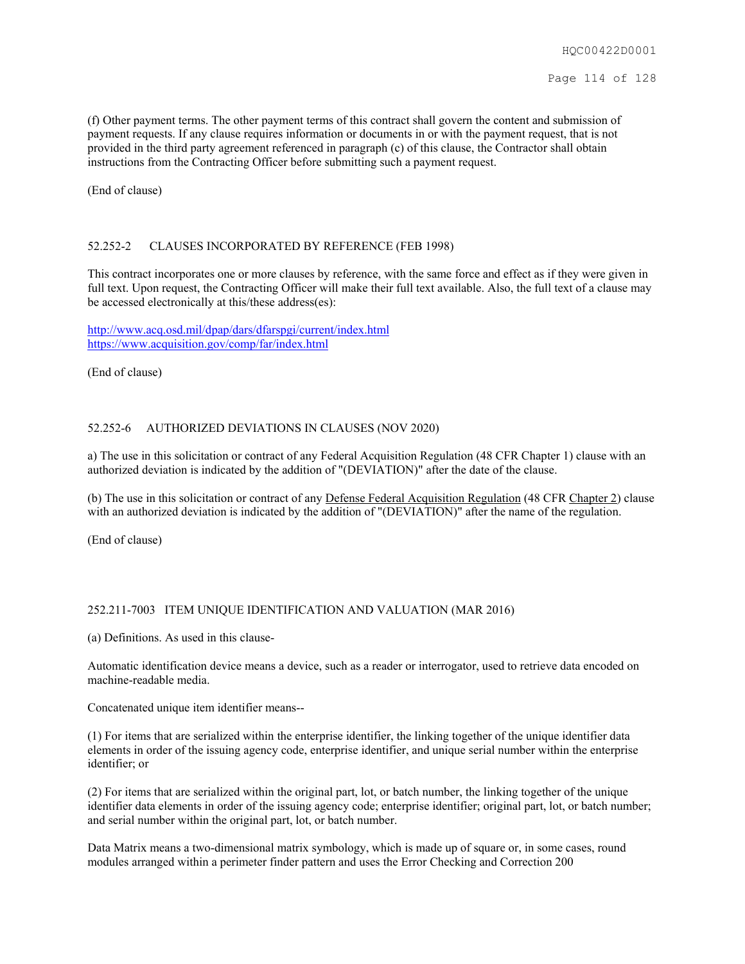(f) Other payment terms. The other payment terms of this contract shall govern the content and submission of payment requests. If any clause requires information or documents in or with the payment request, that is not provided in the third party agreement referenced in paragraph (c) of this clause, the Contractor shall obtain instructions from the Contracting Officer before submitting such a payment request.

(End of clause)

### 52.252-2 CLAUSES INCORPORATED BY REFERENCE (FEB 1998)

This contract incorporates one or more clauses by reference, with the same force and effect as if they were given in full text. Upon request, the Contracting Officer will make their full text available. Also, the full text of a clause may be accessed electronically at this/these address(es):

http://www.acq.osd.mil/dpap/dars/dfarspgi/current/index.html https://www.acquisition.gov/comp/far/index.html

(End of clause)

## 52.252-6 AUTHORIZED DEVIATIONS IN CLAUSES (NOV 2020)

a) The use in this solicitation or contract of any Federal Acquisition Regulation (48 CFR Chapter 1) clause with an authorized deviation is indicated by the addition of "(DEVIATION)" after the date of the clause.

(b) The use in this solicitation or contract of any Defense Federal Acquisition Regulation (48 CFR Chapter 2) clause with an authorized deviation is indicated by the addition of "(DEVIATION)" after the name of the regulation.

(End of clause)

## 252.211-7003 ITEM UNIQUE IDENTIFICATION AND VALUATION (MAR 2016)

(a) Definitions. As used in this clause-

Automatic identification device means a device, such as a reader or interrogator, used to retrieve data encoded on machine-readable media.

Concatenated unique item identifier means--

(1) For items that are serialized within the enterprise identifier, the linking together of the unique identifier data elements in order of the issuing agency code, enterprise identifier, and unique serial number within the enterprise identifier; or

(2) For items that are serialized within the original part, lot, or batch number, the linking together of the unique identifier data elements in order of the issuing agency code; enterprise identifier; original part, lot, or batch number; and serial number within the original part, lot, or batch number.

Data Matrix means a two-dimensional matrix symbology, which is made up of square or, in some cases, round modules arranged within a perimeter finder pattern and uses the Error Checking and Correction 200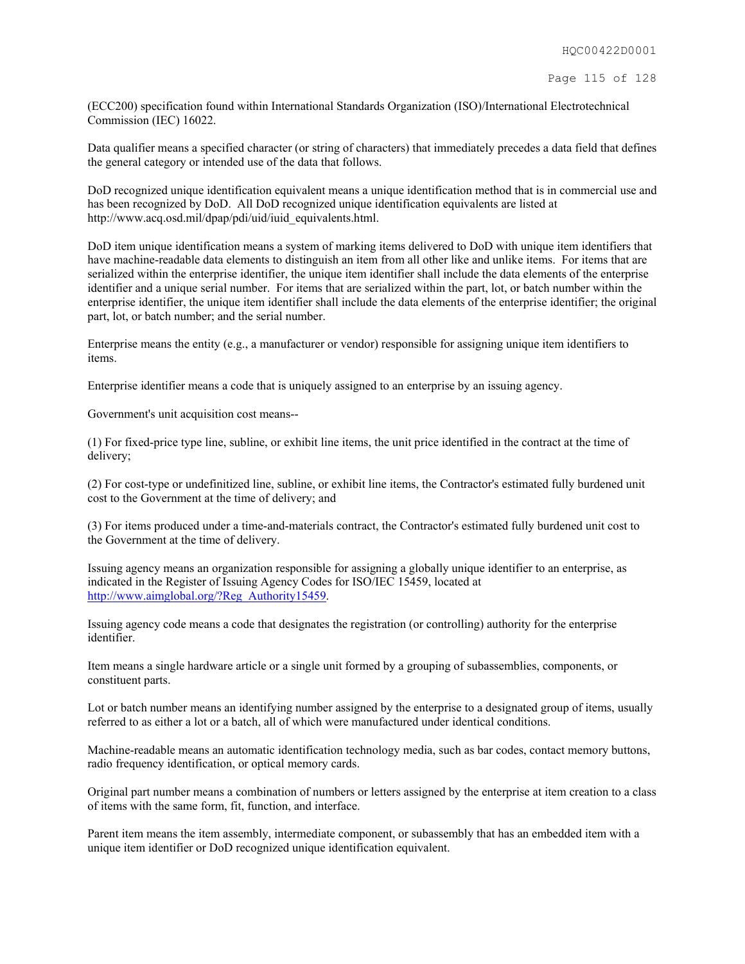(ECC200) specification found within International Standards Organization (ISO)/International Electrotechnical Commission (IEC) 16022.

Data qualifier means a specified character (or string of characters) that immediately precedes a data field that defines the general category or intended use of the data that follows.

DoD recognized unique identification equivalent means a unique identification method that is in commercial use and has been recognized by DoD. All DoD recognized unique identification equivalents are listed at http://www.acq.osd.mil/dpap/pdi/uid/iuid\_equivalents.html.

DoD item unique identification means a system of marking items delivered to DoD with unique item identifiers that have machine-readable data elements to distinguish an item from all other like and unlike items. For items that are serialized within the enterprise identifier, the unique item identifier shall include the data elements of the enterprise identifier and a unique serial number. For items that are serialized within the part, lot, or batch number within the enterprise identifier, the unique item identifier shall include the data elements of the enterprise identifier; the original part, lot, or batch number; and the serial number.

Enterprise means the entity (e.g., a manufacturer or vendor) responsible for assigning unique item identifiers to items.

Enterprise identifier means a code that is uniquely assigned to an enterprise by an issuing agency.

Government's unit acquisition cost means--

(1) For fixed-price type line, subline, or exhibit line items, the unit price identified in the contract at the time of delivery;

(2) For cost-type or undefinitized line, subline, or exhibit line items, the Contractor's estimated fully burdened unit cost to the Government at the time of delivery; and

(3) For items produced under a time-and-materials contract, the Contractor's estimated fully burdened unit cost to the Government at the time of delivery.

Issuing agency means an organization responsible for assigning a globally unique identifier to an enterprise, as indicated in the Register of Issuing Agency Codes for ISO/IEC 15459, located at http://www.aimglobal.org/?Reg\_Authority15459.

Issuing agency code means a code that designates the registration (or controlling) authority for the enterprise identifier.

Item means a single hardware article or a single unit formed by a grouping of subassemblies, components, or constituent parts.

Lot or batch number means an identifying number assigned by the enterprise to a designated group of items, usually referred to as either a lot or a batch, all of which were manufactured under identical conditions.

Machine-readable means an automatic identification technology media, such as bar codes, contact memory buttons, radio frequency identification, or optical memory cards.

Original part number means a combination of numbers or letters assigned by the enterprise at item creation to a class of items with the same form, fit, function, and interface.

Parent item means the item assembly, intermediate component, or subassembly that has an embedded item with a unique item identifier or DoD recognized unique identification equivalent.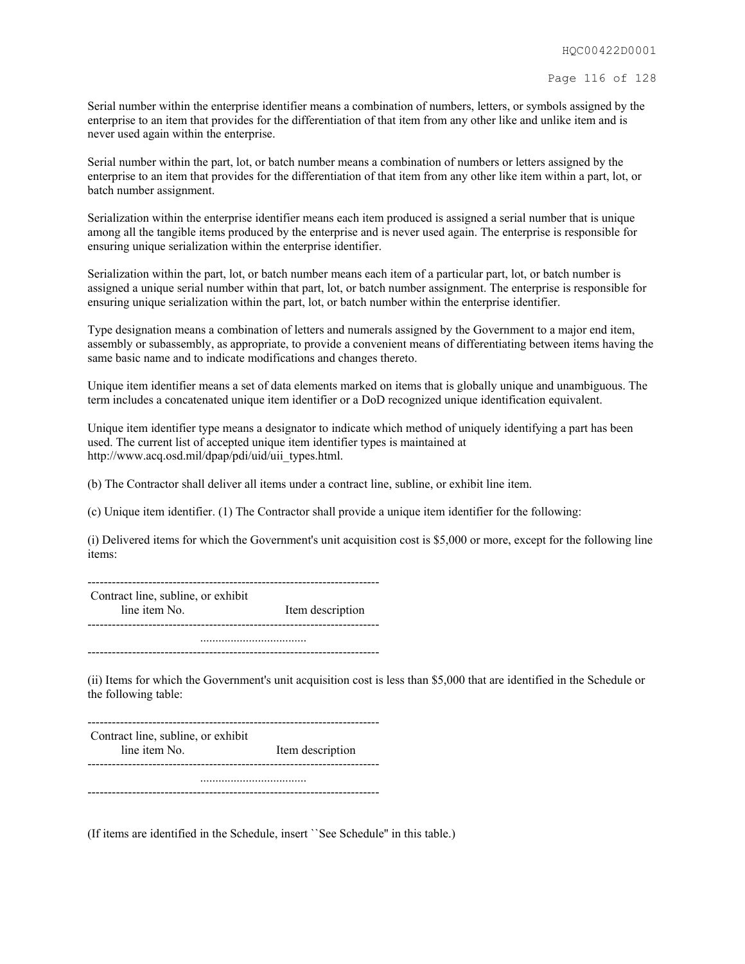# Page 116 of 128

Serial number within the enterprise identifier means a combination of numbers, letters, or symbols assigned by the enterprise to an item that provides for the differentiation of that item from any other like and unlike item and is never used again within the enterprise.

Serial number within the part, lot, or batch number means a combination of numbers or letters assigned by the enterprise to an item that provides for the differentiation of that item from any other like item within a part, lot, or batch number assignment.

Serialization within the enterprise identifier means each item produced is assigned a serial number that is unique among all the tangible items produced by the enterprise and is never used again. The enterprise is responsible for ensuring unique serialization within the enterprise identifier.

Serialization within the part, lot, or batch number means each item of a particular part, lot, or batch number is assigned a unique serial number within that part, lot, or batch number assignment. The enterprise is responsible for ensuring unique serialization within the part, lot, or batch number within the enterprise identifier.

Type designation means a combination of letters and numerals assigned by the Government to a major end item, assembly or subassembly, as appropriate, to provide a convenient means of differentiating between items having the same basic name and to indicate modifications and changes thereto.

Unique item identifier means a set of data elements marked on items that is globally unique and unambiguous. The term includes a concatenated unique item identifier or a DoD recognized unique identification equivalent.

Unique item identifier type means a designator to indicate which method of uniquely identifying a part has been used. The current list of accepted unique item identifier types is maintained at http://www.acq.osd.mil/dpap/pdi/uid/uii\_types.html.

(b) The Contractor shall deliver all items under a contract line, subline, or exhibit line item.

(c) Unique item identifier. (1) The Contractor shall provide a unique item identifier for the following:

(i) Delivered items for which the Government's unit acquisition cost is \$5,000 or more, except for the following line items:

------------------------------------------------------------------------ Contract line, subline, or exhibit line item No. Item description ------------------------------------------------------------------------ ...................................

------------------------------------------------------------------------

(ii) Items for which the Government's unit acquisition cost is less than \$5,000 that are identified in the Schedule or the following table:

------------------------------------------------------------------------ Contract line, subline, or exhibit line item No. Item description ------------------------------------------------------------------------ ................................... ------------------------------------------------------------------------

(If items are identified in the Schedule, insert ``See Schedule'' in this table.)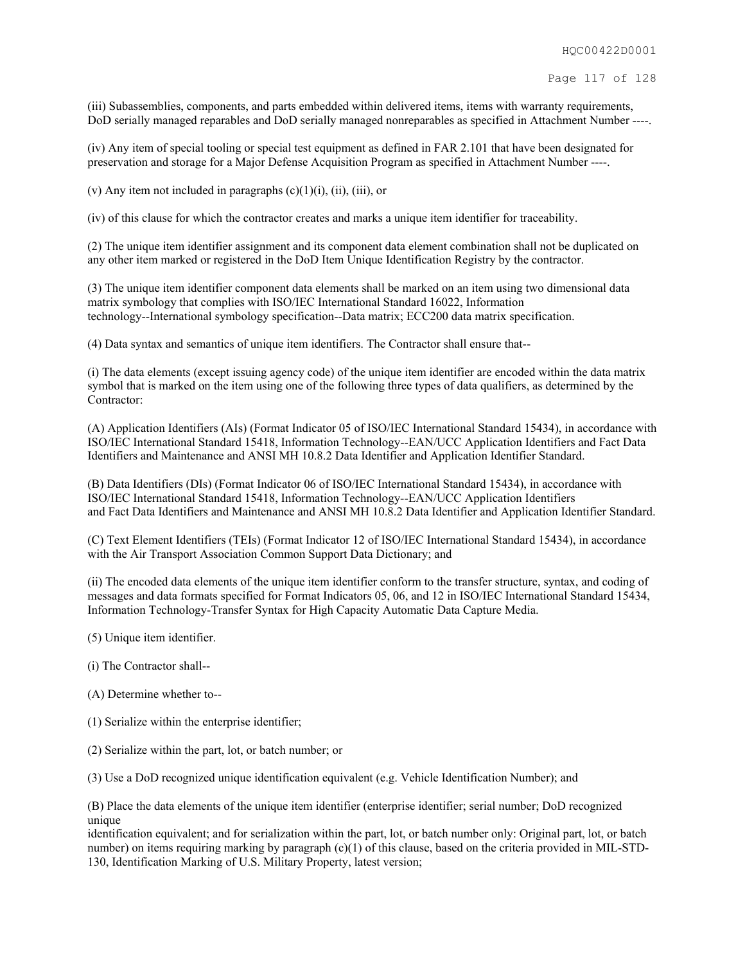(iii) Subassemblies, components, and parts embedded within delivered items, items with warranty requirements, DoD serially managed reparables and DoD serially managed nonreparables as specified in Attachment Number ----.

(iv) Any item of special tooling or special test equipment as defined in FAR 2.101 that have been designated for preservation and storage for a Major Defense Acquisition Program as specified in Attachment Number ----.

(v) Any item not included in paragraphs  $(c)(1)(i)$ ,  $(ii)$ ,  $(iii)$ , or

(iv) of this clause for which the contractor creates and marks a unique item identifier for traceability.

(2) The unique item identifier assignment and its component data element combination shall not be duplicated on any other item marked or registered in the DoD Item Unique Identification Registry by the contractor.

(3) The unique item identifier component data elements shall be marked on an item using two dimensional data matrix symbology that complies with ISO/IEC International Standard 16022, Information technology--International symbology specification--Data matrix; ECC200 data matrix specification.

(4) Data syntax and semantics of unique item identifiers. The Contractor shall ensure that--

(i) The data elements (except issuing agency code) of the unique item identifier are encoded within the data matrix symbol that is marked on the item using one of the following three types of data qualifiers, as determined by the Contractor:

(A) Application Identifiers (AIs) (Format Indicator 05 of ISO/IEC International Standard 15434), in accordance with ISO/IEC International Standard 15418, Information Technology--EAN/UCC Application Identifiers and Fact Data Identifiers and Maintenance and ANSI MH 10.8.2 Data Identifier and Application Identifier Standard.

(B) Data Identifiers (DIs) (Format Indicator 06 of ISO/IEC International Standard 15434), in accordance with ISO/IEC International Standard 15418, Information Technology--EAN/UCC Application Identifiers and Fact Data Identifiers and Maintenance and ANSI MH 10.8.2 Data Identifier and Application Identifier Standard.

(C) Text Element Identifiers (TEIs) (Format Indicator 12 of ISO/IEC International Standard 15434), in accordance with the Air Transport Association Common Support Data Dictionary; and

(ii) The encoded data elements of the unique item identifier conform to the transfer structure, syntax, and coding of messages and data formats specified for Format Indicators 05, 06, and 12 in ISO/IEC International Standard 15434, Information Technology-Transfer Syntax for High Capacity Automatic Data Capture Media.

(5) Unique item identifier.

- (i) The Contractor shall--
- (A) Determine whether to--
- (1) Serialize within the enterprise identifier;
- (2) Serialize within the part, lot, or batch number; or

(3) Use a DoD recognized unique identification equivalent (e.g. Vehicle Identification Number); and

(B) Place the data elements of the unique item identifier (enterprise identifier; serial number; DoD recognized unique

identification equivalent; and for serialization within the part, lot, or batch number only: Original part, lot, or batch number) on items requiring marking by paragraph (c)(1) of this clause, based on the criteria provided in MIL-STD-130, Identification Marking of U.S. Military Property, latest version;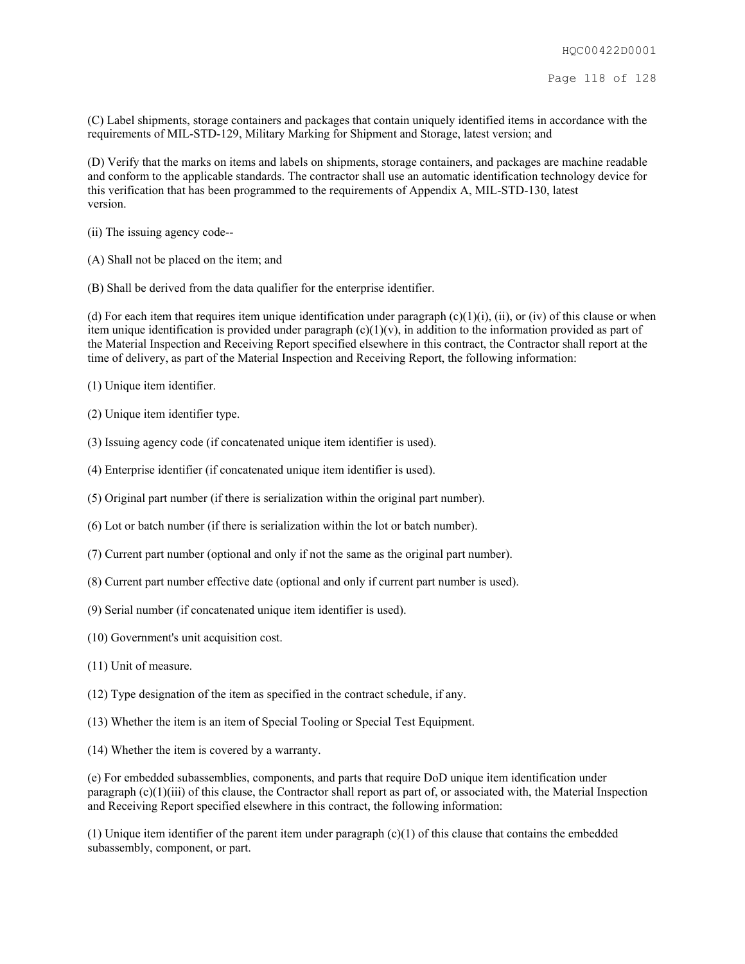(C) Label shipments, storage containers and packages that contain uniquely identified items in accordance with the requirements of MIL-STD-129, Military Marking for Shipment and Storage, latest version; and

(D) Verify that the marks on items and labels on shipments, storage containers, and packages are machine readable and conform to the applicable standards. The contractor shall use an automatic identification technology device for this verification that has been programmed to the requirements of Appendix A, MIL-STD-130, latest version.

- (ii) The issuing agency code--
- (A) Shall not be placed on the item; and
- (B) Shall be derived from the data qualifier for the enterprise identifier.

(d) For each item that requires item unique identification under paragraph  $(c)(1)(i)$ , (ii), or (iv) of this clause or when item unique identification is provided under paragraph  $(c)(1)(v)$ , in addition to the information provided as part of the Material Inspection and Receiving Report specified elsewhere in this contract, the Contractor shall report at the time of delivery, as part of the Material Inspection and Receiving Report, the following information:

- (1) Unique item identifier.
- (2) Unique item identifier type.
- (3) Issuing agency code (if concatenated unique item identifier is used).
- (4) Enterprise identifier (if concatenated unique item identifier is used).
- (5) Original part number (if there is serialization within the original part number).
- (6) Lot or batch number (if there is serialization within the lot or batch number).
- (7) Current part number (optional and only if not the same as the original part number).
- (8) Current part number effective date (optional and only if current part number is used).
- (9) Serial number (if concatenated unique item identifier is used).
- (10) Government's unit acquisition cost.
- (11) Unit of measure.
- (12) Type designation of the item as specified in the contract schedule, if any.
- (13) Whether the item is an item of Special Tooling or Special Test Equipment.
- (14) Whether the item is covered by a warranty.

(e) For embedded subassemblies, components, and parts that require DoD unique item identification under paragraph (c)(1)(iii) of this clause, the Contractor shall report as part of, or associated with, the Material Inspection and Receiving Report specified elsewhere in this contract, the following information:

(1) Unique item identifier of the parent item under paragraph (c)(1) of this clause that contains the embedded subassembly, component, or part.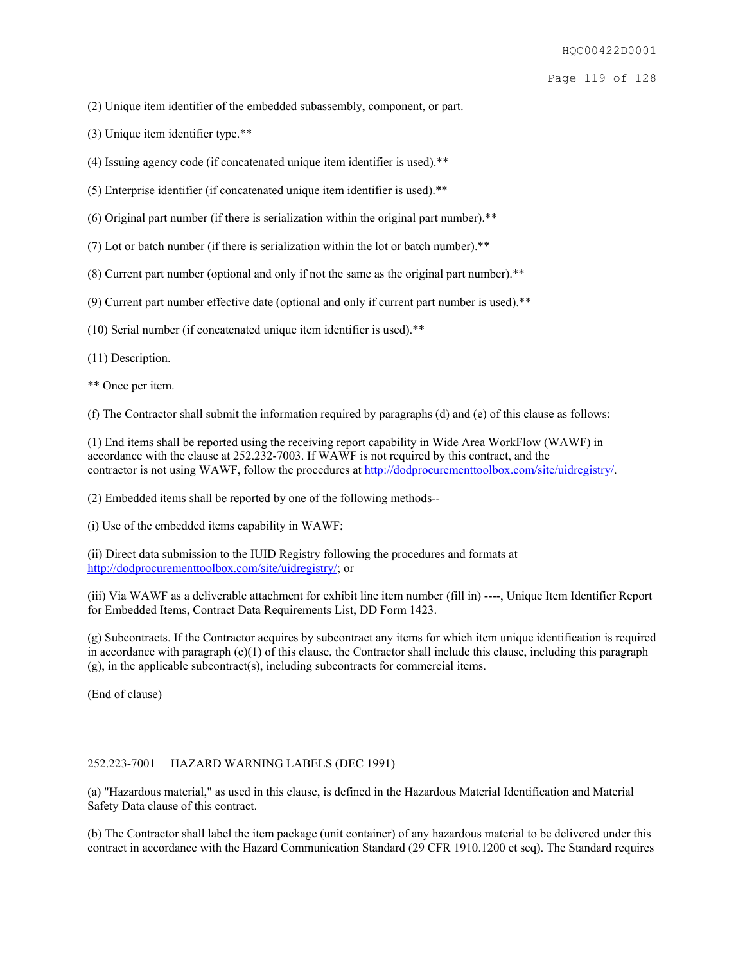Page 119 of 128

(2) Unique item identifier of the embedded subassembly, component, or part.

(3) Unique item identifier type.\*\*

(4) Issuing agency code (if concatenated unique item identifier is used).\*\*

(5) Enterprise identifier (if concatenated unique item identifier is used).\*\*

(6) Original part number (if there is serialization within the original part number).\*\*

(7) Lot or batch number (if there is serialization within the lot or batch number).\*\*

(8) Current part number (optional and only if not the same as the original part number).\*\*

(9) Current part number effective date (optional and only if current part number is used).\*\*

(10) Serial number (if concatenated unique item identifier is used).\*\*

(11) Description.

\*\* Once per item.

(f) The Contractor shall submit the information required by paragraphs (d) and (e) of this clause as follows:

(1) End items shall be reported using the receiving report capability in Wide Area WorkFlow (WAWF) in accordance with the clause at 252.232-7003. If WAWF is not required by this contract, and the contractor is not using WAWF, follow the procedures at http://dodprocurementtoolbox.com/site/uidregistry/.

(2) Embedded items shall be reported by one of the following methods--

(i) Use of the embedded items capability in WAWF;

(ii) Direct data submission to the IUID Registry following the procedures and formats at http://dodprocurementtoolbox.com/site/uidregistry/; or

(iii) Via WAWF as a deliverable attachment for exhibit line item number (fill in) ----, Unique Item Identifier Report for Embedded Items, Contract Data Requirements List, DD Form 1423.

(g) Subcontracts. If the Contractor acquires by subcontract any items for which item unique identification is required in accordance with paragraph  $(c)(1)$  of this clause, the Contractor shall include this clause, including this paragraph (g), in the applicable subcontract(s), including subcontracts for commercial items.

(End of clause)

### 252.223-7001 HAZARD WARNING LABELS (DEC 1991)

(a) "Hazardous material," as used in this clause, is defined in the Hazardous Material Identification and Material Safety Data clause of this contract.

(b) The Contractor shall label the item package (unit container) of any hazardous material to be delivered under this contract in accordance with the Hazard Communication Standard (29 CFR 1910.1200 et seq). The Standard requires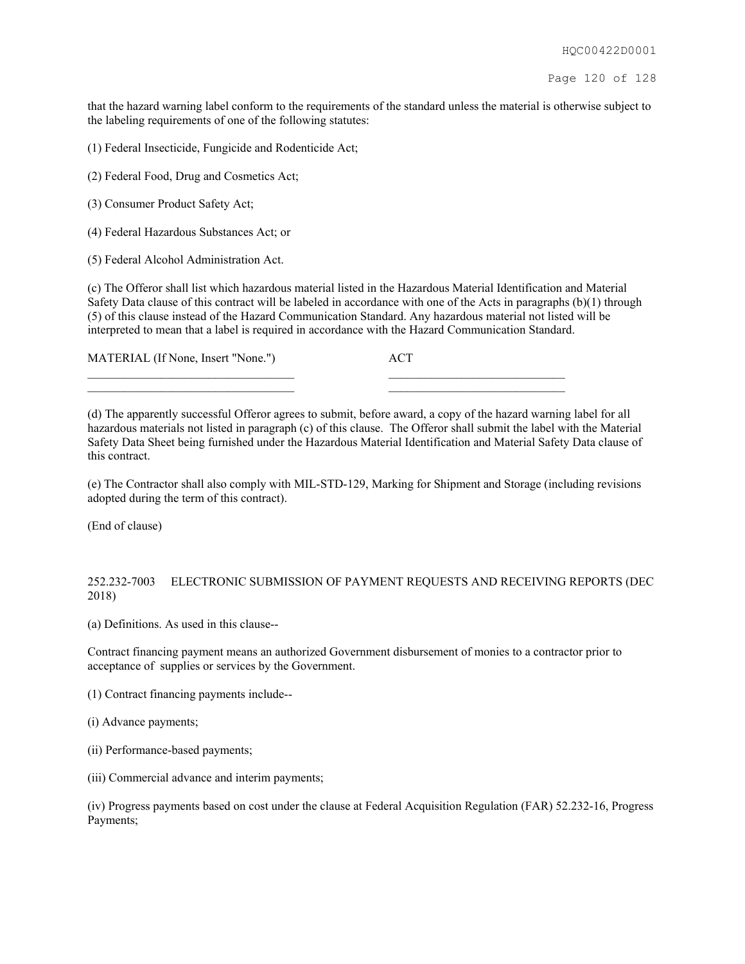that the hazard warning label conform to the requirements of the standard unless the material is otherwise subject to the labeling requirements of one of the following statutes:

(1) Federal Insecticide, Fungicide and Rodenticide Act;

(2) Federal Food, Drug and Cosmetics Act;

(3) Consumer Product Safety Act;

(4) Federal Hazardous Substances Act; or

(5) Federal Alcohol Administration Act.

(c) The Offeror shall list which hazardous material listed in the Hazardous Material Identification and Material Safety Data clause of this contract will be labeled in accordance with one of the Acts in paragraphs (b)(1) through (5) of this clause instead of the Hazard Communication Standard. Any hazardous material not listed will be interpreted to mean that a label is required in accordance with the Hazard Communication Standard.

 $\mathcal{L}_\text{max}$  , and the contribution of the contribution of the contribution of the contribution of the contribution of the contribution of the contribution of the contribution of the contribution of the contribution of t  $\mathcal{L}_\text{max}$ 

MATERIAL (If None, Insert "None.") ACT

(d) The apparently successful Offeror agrees to submit, before award, a copy of the hazard warning label for all hazardous materials not listed in paragraph (c) of this clause. The Offeror shall submit the label with the Material Safety Data Sheet being furnished under the Hazardous Material Identification and Material Safety Data clause of this contract.

(e) The Contractor shall also comply with MIL-STD-129, Marking for Shipment and Storage (including revisions adopted during the term of this contract).

(End of clause)

# 252.232-7003 ELECTRONIC SUBMISSION OF PAYMENT REQUESTS AND RECEIVING REPORTS (DEC 2018)

(a) Definitions. As used in this clause--

Contract financing payment means an authorized Government disbursement of monies to a contractor prior to acceptance of supplies or services by the Government.

(1) Contract financing payments include--

(i) Advance payments;

(ii) Performance-based payments;

(iii) Commercial advance and interim payments;

(iv) Progress payments based on cost under the clause at Federal Acquisition Regulation (FAR) 52.232-16, Progress Payments;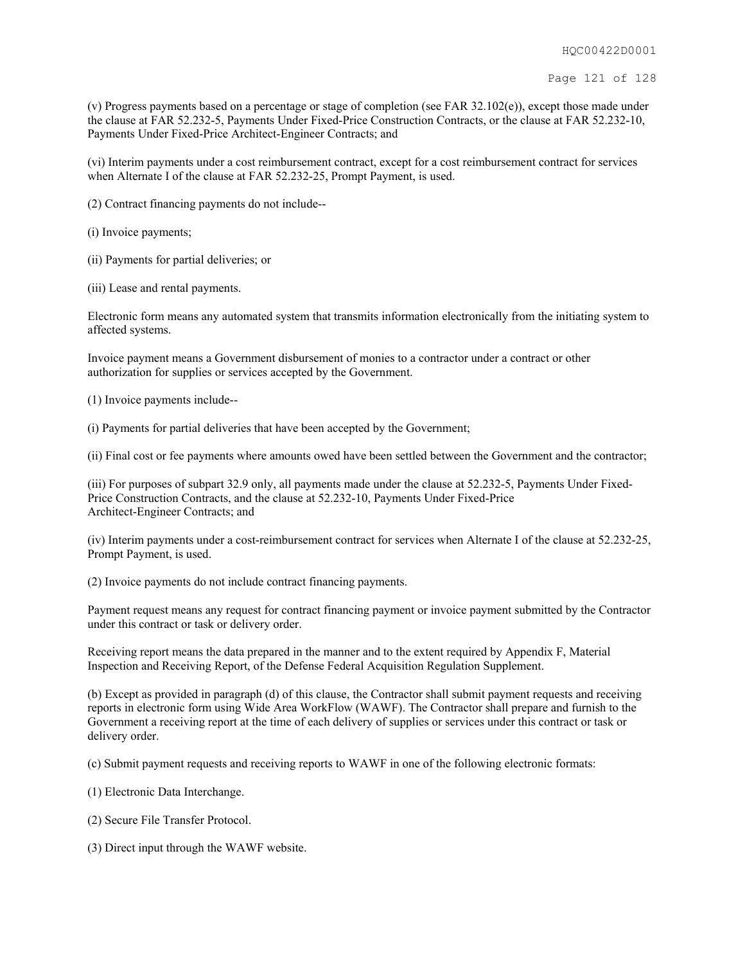(v) Progress payments based on a percentage or stage of completion (see FAR 32.102(e)), except those made under the clause at FAR 52.232-5, Payments Under Fixed-Price Construction Contracts, or the clause at FAR 52.232-10, Payments Under Fixed-Price Architect-Engineer Contracts; and

(vi) Interim payments under a cost reimbursement contract, except for a cost reimbursement contract for services when Alternate I of the clause at FAR 52.232-25, Prompt Payment, is used.

(2) Contract financing payments do not include--

(i) Invoice payments;

(ii) Payments for partial deliveries; or

(iii) Lease and rental payments.

Electronic form means any automated system that transmits information electronically from the initiating system to affected systems.

Invoice payment means a Government disbursement of monies to a contractor under a contract or other authorization for supplies or services accepted by the Government.

(1) Invoice payments include--

(i) Payments for partial deliveries that have been accepted by the Government;

(ii) Final cost or fee payments where amounts owed have been settled between the Government and the contractor;

(iii) For purposes of subpart 32.9 only, all payments made under the clause at 52.232-5, Payments Under Fixed-Price Construction Contracts, and the clause at 52.232-10, Payments Under Fixed-Price Architect-Engineer Contracts; and

(iv) Interim payments under a cost-reimbursement contract for services when Alternate I of the clause at 52.232-25, Prompt Payment, is used.

(2) Invoice payments do not include contract financing payments.

Payment request means any request for contract financing payment or invoice payment submitted by the Contractor under this contract or task or delivery order.

Receiving report means the data prepared in the manner and to the extent required by Appendix F, Material Inspection and Receiving Report, of the Defense Federal Acquisition Regulation Supplement.

(b) Except as provided in paragraph (d) of this clause, the Contractor shall submit payment requests and receiving reports in electronic form using Wide Area WorkFlow (WAWF). The Contractor shall prepare and furnish to the Government a receiving report at the time of each delivery of supplies or services under this contract or task or delivery order.

(c) Submit payment requests and receiving reports to WAWF in one of the following electronic formats:

(1) Electronic Data Interchange.

(2) Secure File Transfer Protocol.

(3) Direct input through the WAWF website.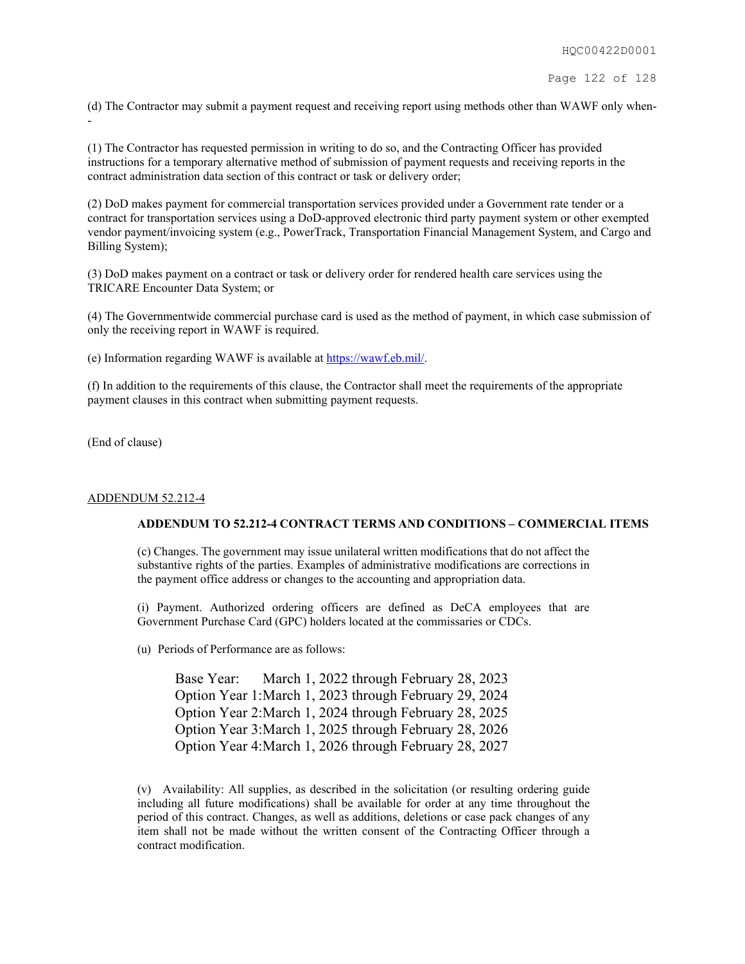(d) The Contractor may submit a payment request and receiving report using methods other than WAWF only when- -

(1) The Contractor has requested permission in writing to do so, and the Contracting Officer has provided instructions for a temporary alternative method of submission of payment requests and receiving reports in the contract administration data section of this contract or task or delivery order;

(2) DoD makes payment for commercial transportation services provided under a Government rate tender or a contract for transportation services using a DoD-approved electronic third party payment system or other exempted vendor payment/invoicing system (e.g., PowerTrack, Transportation Financial Management System, and Cargo and Billing System);

(3) DoD makes payment on a contract or task or delivery order for rendered health care services using the TRICARE Encounter Data System; or

(4) The Governmentwide commercial purchase card is used as the method of payment, in which case submission of only the receiving report in WAWF is required.

(e) Information regarding WAWF is available at https://wawf.eb.mil/.

(f) In addition to the requirements of this clause, the Contractor shall meet the requirements of the appropriate payment clauses in this contract when submitting payment requests.

(End of clause)

#### ADDENDUM 52.212-4

## **ADDENDUM TO 52.212-4 CONTRACT TERMS AND CONDITIONS – COMMERCIAL ITEMS**

(c) Changes. The government may issue unilateral written modifications that do not affect the substantive rights of the parties. Examples of administrative modifications are corrections in the payment office address or changes to the accounting and appropriation data.

(i) Payment. Authorized ordering officers are defined as DeCA employees that are Government Purchase Card (GPC) holders located at the commissaries or CDCs.

(u) Periods of Performance are as follows:

 Base Year: March 1, 2022 through February 28, 2023 Option Year 1: March 1, 2023 through February 29, 2024 Option Year 2: March 1, 2024 through February 28, 2025 Option Year 3: March 1, 2025 through February 28, 2026 Option Year 4: March 1, 2026 through February 28, 2027

(v) Availability: All supplies, as described in the solicitation (or resulting ordering guide including all future modifications) shall be available for order at any time throughout the period of this contract. Changes, as well as additions, deletions or case pack changes of any item shall not be made without the written consent of the Contracting Officer through a contract modification.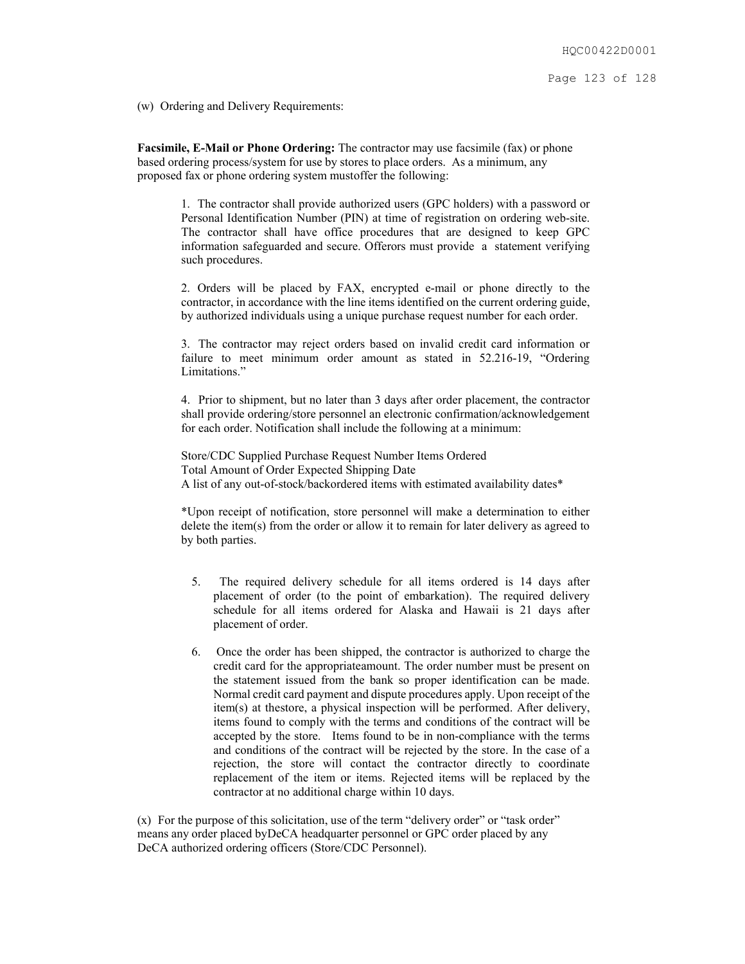Page 123 of 128

(w) Ordering and Delivery Requirements:

**Facsimile, E-Mail or Phone Ordering:** The contractor may use facsimile (fax) or phone based ordering process/system for use by stores to place orders. As a minimum, any proposed fax or phone ordering system must offer the following:

> 1. The contractor shall provide authorized users (GPC holders) with a password or Personal Identification Number (PIN) at time of registration on ordering web-site. The contractor shall have office procedures that are designed to keep GPC information safeguarded and secure. Offerors must provide a statement verifying such procedures.

> 2. Orders will be placed by FAX, encrypted e-mail or phone directly to the contractor, in accordance with the line items identified on the current ordering guide, by authorized individuals using a unique purchase request number for each order.

> 3. The contractor may reject orders based on invalid credit card information or failure to meet minimum order amount as stated in 52.216-19, "Ordering Limitations."

> 4. Prior to shipment, but no later than 3 days after order placement, the contractor shall provide ordering/store personnel an electronic confirmation/acknowledgement for each order. Notification shall include the following at a minimum:

Store/CDC Supplied Purchase Request Number Items Ordered Total Amount of Order Expected Shipping Date A list of any out-of-stock/backordered items with estimated availability dates\*

\*Upon receipt of notification, store personnel will make a determination to either delete the item(s) from the order or allow it to remain for later delivery as agreed to by both parties.

- 5. The required delivery schedule for all items ordered is 14 days after placement of order (to the point of embarkation). The required delivery schedule for all items ordered for Alaska and Hawaii is 21 days after placement of order.
- 6. Once the order has been shipped, the contractor is authorized to charge the credit card for the appropriateamount. The order number must be present on the statement issued from the bank so proper identification can be made. Normal credit card payment and dispute procedures apply. Upon receipt of the item(s) at the store, a physical inspection will be performed. After delivery, items found to comply with the terms and conditions of the contract will be accepted by the store. Items found to be in non-compliance with the terms and conditions of the contract will be rejected by the store. In the case of a rejection, the store will contact the contractor directly to coordinate replacement of the item or items. Rejected items will be replaced by the contractor at no additional charge within 10 days.

(x) For the purpose of this solicitation, use of the term "delivery order" or "task order" means any order placed by DeCA headquarter personnel or GPC order placed by any DeCA authorized ordering officers (Store/CDC Personnel).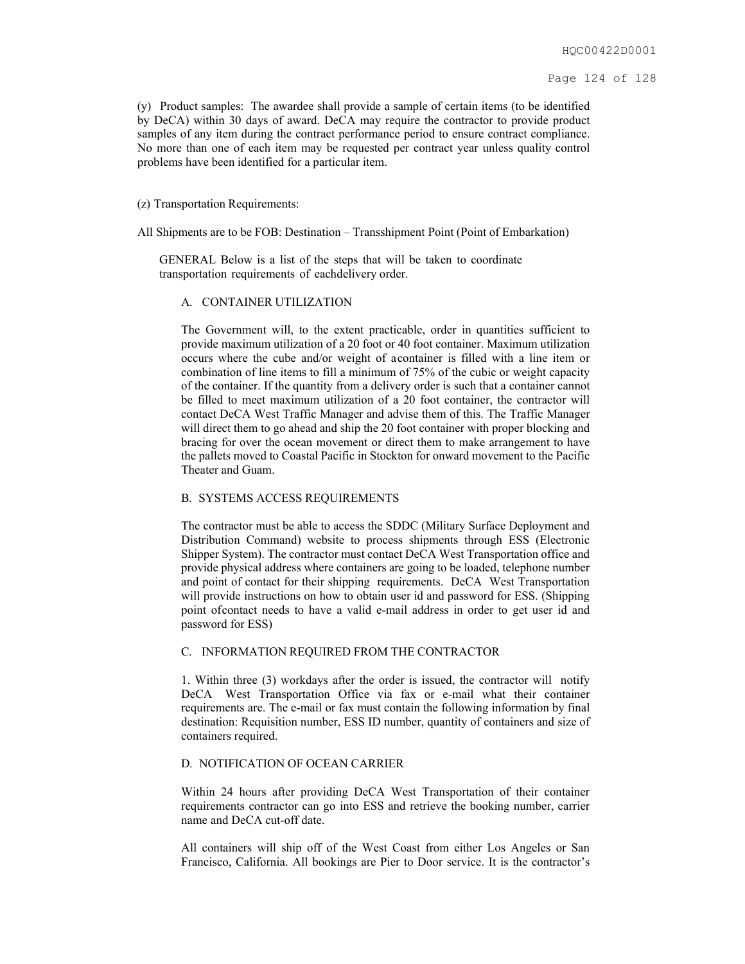(y) Product samples: The awardee shall provide a sample of certain items (to be identified by DeCA) within 30 days of award. DeCA may require the contractor to provide product samples of any item during the contract performance period to ensure contract compliance. No more than one of each item may be requested per contract year unless quality control problems have been identified for a particular item.

#### (z) Transportation Requirements:

All Shipments are to be FOB: Destination – Transshipment Point (Point of Embarkation)

GENERAL Below is a list of the steps that will be taken to coordinate transportation requirements of each delivery order.

#### A. CONTAINER UTILIZATION

The Government will, to the extent practicable, order in quantities sufficient to provide maximum utilization of a 20 foot or 40 foot container. Maximum utilization occurs where the cube and/or weight of a container is filled with a line item or combination of line items to fill a minimum of 75% of the cubic or weight capacity of the container. If the quantity from a delivery order is such that a container cannot be filled to meet maximum utilization of a 20 foot container, the contractor will contact DeCA West Traffic Manager and advise them of this. The Traffic Manager will direct them to go ahead and ship the 20 foot container with proper blocking and bracing for over the ocean movement or direct them to make arrangement to have the pallets moved to Coastal Pacific in Stockton for onward movement to the Pacific Theater and Guam.

#### B. SYSTEMS ACCESS REQUIREMENTS

The contractor must be able to access the SDDC (Military Surface Deployment and Distribution Command) website to process shipments through ESS (Electronic Shipper System). The contractor must contact DeCA West Transportation office and provide physical address where containers are going to be loaded, telephone number and point of contact for their shipping requirements. DeCA West Transportation will provide instructions on how to obtain user id and password for ESS. (Shipping point of contact needs to have a valid e-mail address in order to get user id and password for ESS)

#### C. INFORMATION REQUIRED FROM THE CONTRACTOR

1. Within three (3) workdays after the order is issued, the contractor will notify DeCA West Transportation Office via fax or e-mail what their container requirements are. The e-mail or fax must contain the following information by final destination: Requisition number, ESS ID number, quantity of containers and size of containers required.

## D. NOTIFICATION OF OCEAN CARRIER

Within 24 hours after providing DeCA West Transportation of their container requirements contractor can go into ESS and retrieve the booking number, carrier name and DeCA cut-off date.

All containers will ship off of the West Coast from either Los Angeles or San Francisco, California. All bookings are Pier to Door service. It is the contractor's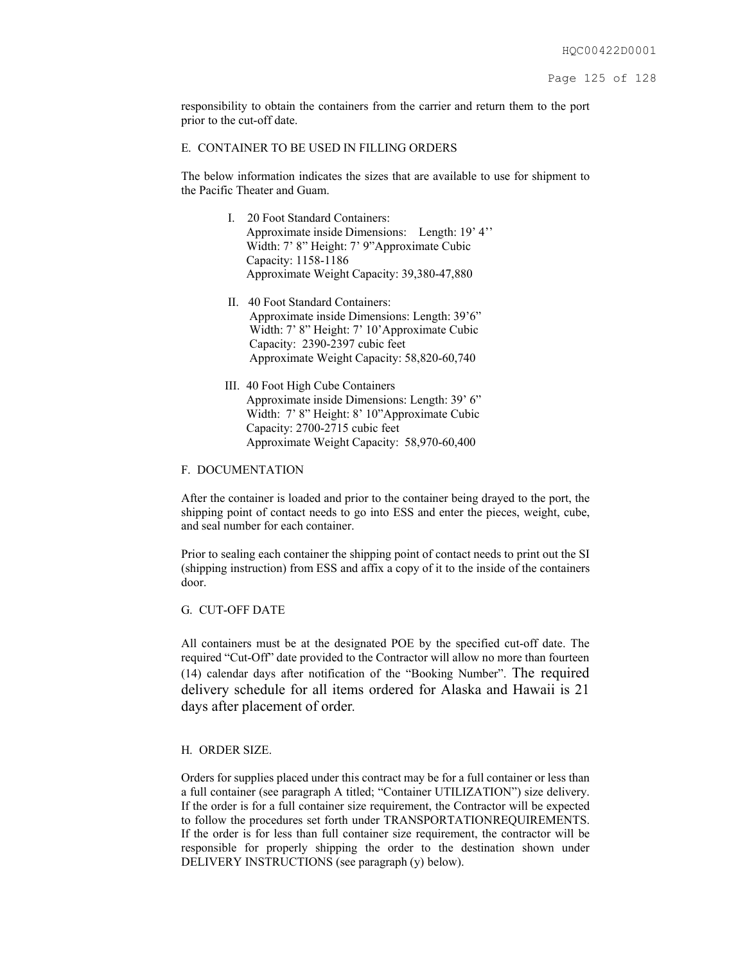responsibility to obtain the containers from the carrier and return them to the port prior to the cut-off date.

## E. CONTAINER TO BE USED IN FILLING ORDERS

The below information indicates the sizes that are available to use for shipment to the Pacific Theater and Guam.

- I. 20 Foot Standard Containers: Approximate inside Dimensions: Length: 19' 4'' Width: 7' 8" Height: 7' 9" Approximate Cubic Capacity: 1158-1186 Approximate Weight Capacity: 39,380-47,880
- II. 40 Foot Standard Containers: Approximate inside Dimensions: Length: 39'6" Width: 7' 8" Height: 7' 10' Approximate Cubic Capacity: 2390-2397 cubic feet Approximate Weight Capacity: 58,820-60,740
- III. 40 Foot High Cube Containers Approximate inside Dimensions: Length: 39' 6" Width: 7' 8" Height: 8' 10" Approximate Cubic Capacity: 2700-2715 cubic feet Approximate Weight Capacity: 58,970-60,400

### F. DOCUMENTATION

After the container is loaded and prior to the container being drayed to the port, the shipping point of contact needs to go into ESS and enter the pieces, weight, cube, and seal number for each container.

Prior to sealing each container the shipping point of contact needs to print out the SI (shipping instruction) from ESS and affix a copy of it to the inside of the containers door.

## G. CUT-OFF DATE

All containers must be at the designated POE by the specified cut-off date. The required "Cut-Off" date provided to the Contractor will allow no more than fourteen (14) calendar days after notification of the "Booking Number". The required delivery schedule for all items ordered for Alaska and Hawaii is 21 days after placement of order*.* 

## H. ORDER SIZE.

Orders for supplies placed under this contract may be for a full container or less than a full container (see paragraph A titled; "Container UTILIZATION") size delivery. If the order is for a full container size requirement, the Contractor will be expected to follow the procedures set forth under TRANSPORTATIONREQUIREMENTS. If the order is for less than full container size requirement, the contractor will be responsible for properly shipping the order to the destination shown under DELIVERY INSTRUCTIONS (see paragraph (y) below).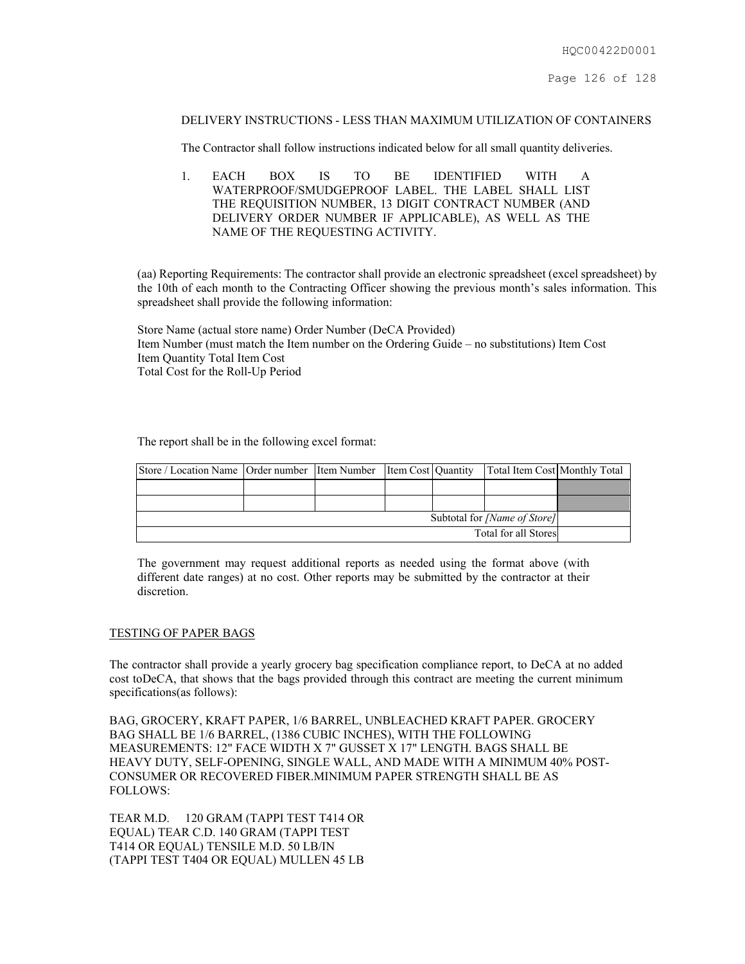Page 126 of 128

## DELIVERY INSTRUCTIONS - LESS THAN MAXIMUM UTILIZATION OF CONTAINERS

The Contractor shall follow instructions indicated below for all small quantity deliveries.

1. EACH BOX IS TO BE IDENTIFIED WITH A WATERPROOF/SMUDGEPROOF LABEL. THE LABEL SHALL LIST THE REQUISITION NUMBER, 13 DIGIT CONTRACT NUMBER (AND DELIVERY ORDER NUMBER IF APPLICABLE), AS WELL AS THE NAME OF THE REQUESTING ACTIVITY.

(aa) Reporting Requirements: The contractor shall provide an electronic spreadsheet (excel spreadsheet) by the 10th of each month to the Contracting Officer showing the previous month's sales information. This spreadsheet shall provide the following information:

Store Name (actual store name) Order Number (DeCA Provided) Item Number (must match the Item number on the Ordering Guide – no substitutions) Item Cost Item Quantity Total Item Cost Total Cost for the Roll-Up Period

The report shall be in the following excel format:

| Store / Location Name   Order number   Item Number   Item Cost   Quantity |  |  |  |  | Total Item Cost Monthly Total |  |
|---------------------------------------------------------------------------|--|--|--|--|-------------------------------|--|
|                                                                           |  |  |  |  |                               |  |
|                                                                           |  |  |  |  |                               |  |
| Subtotal for <i>[Name of Store]</i>                                       |  |  |  |  |                               |  |
| Total for all Stores                                                      |  |  |  |  |                               |  |

The government may request additional reports as needed using the format above (with different date ranges) at no cost. Other reports may be submitted by the contractor at their discretion.

#### TESTING OF PAPER BAGS

The contractor shall provide a yearly grocery bag specification compliance report, to DeCA at no added cost to DeCA, that shows that the bags provided through this contract are meeting the current minimum specifications (as follows):

BAG, GROCERY, KRAFT PAPER, 1/6 BARREL, UNBLEACHED KRAFT PAPER. GROCERY BAG SHALL BE 1/6 BARREL, (1386 CUBIC INCHES), WITH THE FOLLOWING MEASUREMENTS: 12" FACE WIDTH X 7" GUSSET X 17" LENGTH. BAGS SHALL BE HEAVY DUTY, SELF-OPENING, SINGLE WALL, AND MADE WITH A MINIMUM 40% POST-CONSUMER OR RECOVERED FIBER. MINIMUM PAPER STRENGTH SHALL BE AS FOLLOWS:

TEAR M.D. 120 GRAM (TAPPI TEST T414 OR EQUAL) TEAR C.D. 140 GRAM (TAPPI TEST T414 OR EQUAL) TENSILE M.D. 50 LB/IN (TAPPI TEST T404 OR EQUAL) MULLEN 45 LB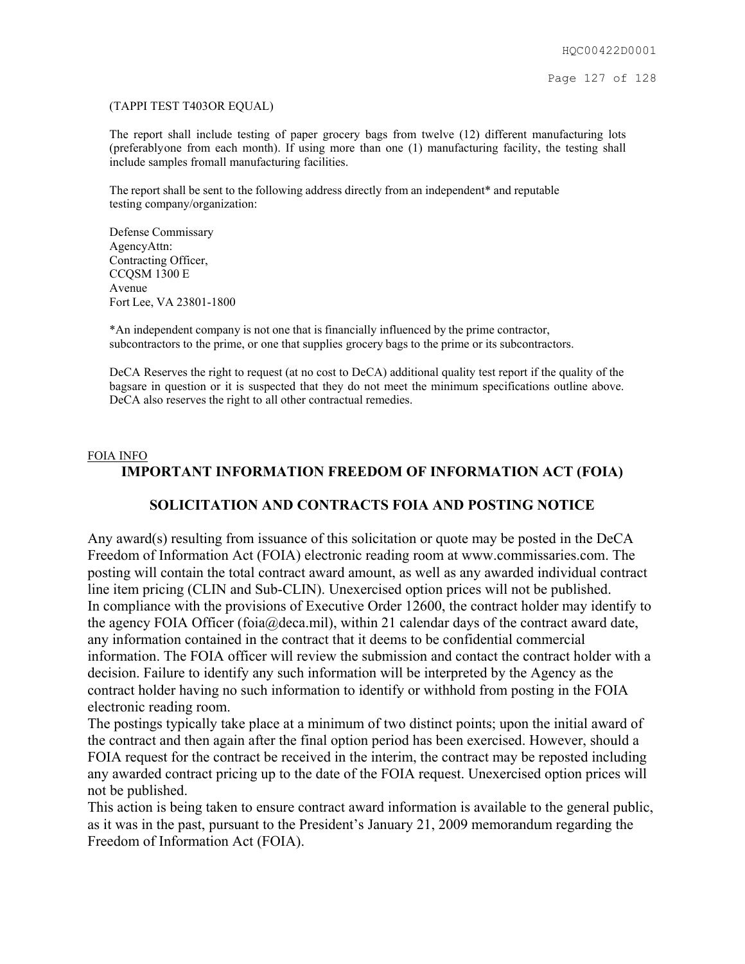### (TAPPI TEST T403 OR EQUAL)

The report shall include testing of paper grocery bags from twelve (12) different manufacturing lots (preferably one from each month). If using more than one (1) manufacturing facility, the testing shall include samples from all manufacturing facilities.

The report shall be sent to the following address directly from an independent\* and reputable testing company/organization:

Defense Commissary Agency Attn: Contracting Officer, CCQSM 1300 E Avenue Fort Lee, VA 23801-1800

\*An independent company is not one that is financially influenced by the prime contractor, subcontractors to the prime, or one that supplies grocery bags to the prime or its subcontractors.

DeCA Reserves the right to request (at no cost to DeCA) additional quality test report if the quality of the bags are in question or it is suspected that they do not meet the minimum specifications outline above. DeCA also reserves the right to all other contractual remedies.

### FOIA INFO

# **IMPORTANT INFORMATION FREEDOM OF INFORMATION ACT (FOIA)**

# **SOLICITATION AND CONTRACTS FOIA AND POSTING NOTICE**

Any award(s) resulting from issuance of this solicitation or quote may be posted in the DeCA Freedom of Information Act (FOIA) electronic reading room at www.commissaries.com. The posting will contain the total contract award amount, as well as any awarded individual contract line item pricing (CLIN and Sub-CLIN). Unexercised option prices will not be published. In compliance with the provisions of Executive Order 12600, the contract holder may identify to the agency FOIA Officer (foia@deca.mil), within 21 calendar days of the contract award date, any information contained in the contract that it deems to be confidential commercial information. The FOIA officer will review the submission and contact the contract holder with a decision. Failure to identify any such information will be interpreted by the Agency as the contract holder having no such information to identify or withhold from posting in the FOIA electronic reading room.

The postings typically take place at a minimum of two distinct points; upon the initial award of the contract and then again after the final option period has been exercised. However, should a FOIA request for the contract be received in the interim, the contract may be reposted including any awarded contract pricing up to the date of the FOIA request. Unexercised option prices will not be published.

This action is being taken to ensure contract award information is available to the general public, as it was in the past, pursuant to the President's January 21, 2009 memorandum regarding the Freedom of Information Act (FOIA).